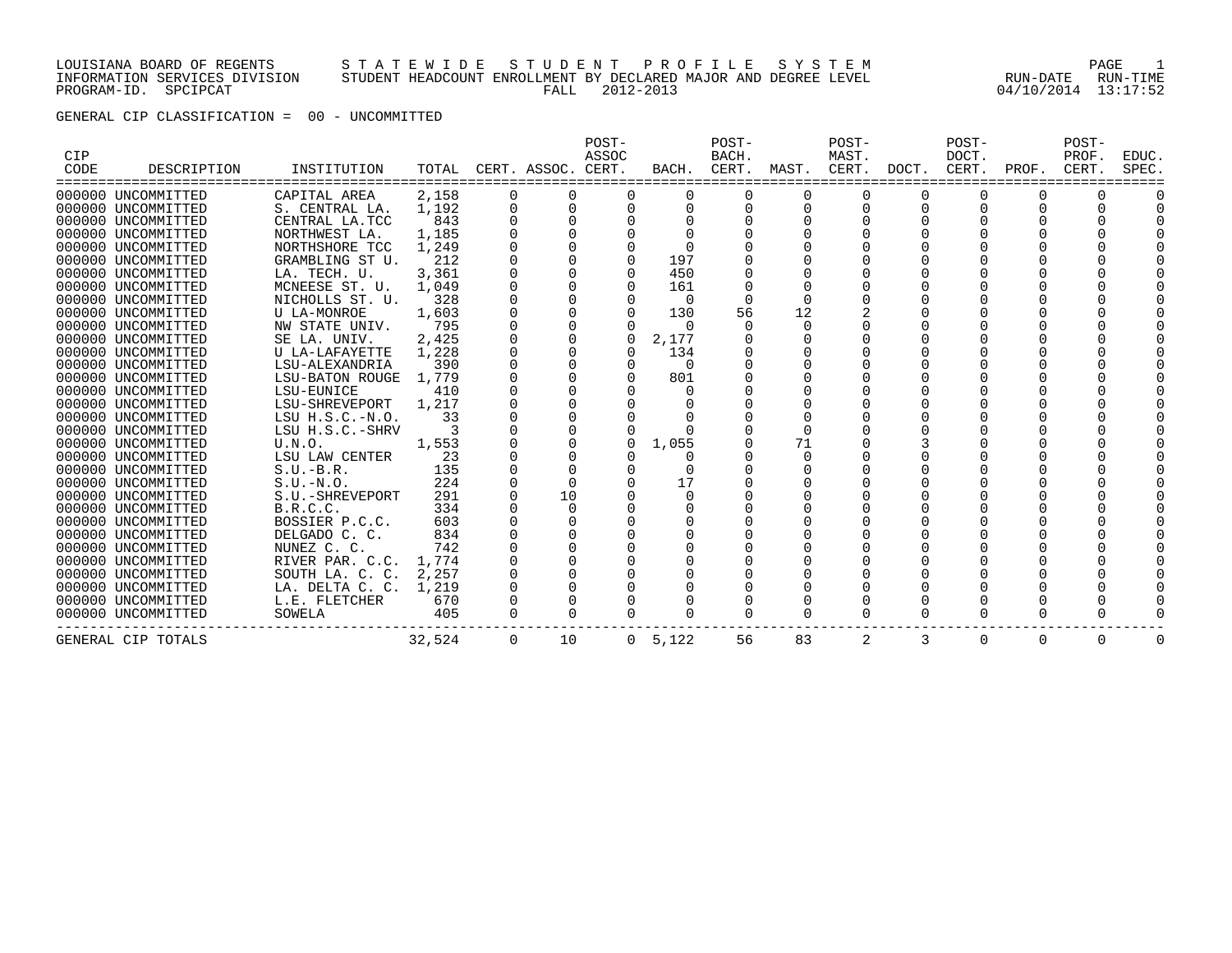LOUISIANA BOARD OF REGENTS S T A T E W I D E S T U D E N T P R O F I L E S Y S T E M PAGE 1 INFORMATION SERVICES DIVISION STUDENT HEADCOUNT ENROLLMENT BY DECLARED MAJOR AND DEGREE LEVEL RUN-DATE RUN-TIME PROGRAM-ID. SPCIPCAT FALL 2012-2013 04/10/2014 13:17:52

GENERAL CIP CLASSIFICATION = 00 - UNCOMMITTED

| CIP<br>CODE | DESCRIPTION        | INSTITUTION            | TOTAL  |          | CERT. ASSOC. CERT. | POST-<br>ASSOC | BACH.    | POST-<br>BACH.<br>CERT. | MAST.    | POST-<br>MAST.<br>CERT. | DOCT. | POST-<br>DOCT.<br>CERT. | PROF.    | POST-<br>PROF.<br>CERT. | EDUC.<br>SPEC. |
|-------------|--------------------|------------------------|--------|----------|--------------------|----------------|----------|-------------------------|----------|-------------------------|-------|-------------------------|----------|-------------------------|----------------|
|             | 000000 UNCOMMITTED | CAPITAL AREA           | 2,158  |          |                    |                |          |                         |          | O                       |       |                         |          |                         |                |
|             | 000000 UNCOMMITTED | S. CENTRAL LA.         | 1,192  | 0        | $\Omega$           | $\Omega$       | 0        | $\Omega$                | O        | O                       | O     | 0                       |          |                         |                |
|             | 000000 UNCOMMITTED | CENTRAL LA.TCC         | 843    |          |                    |                |          |                         |          |                         |       |                         |          |                         |                |
|             | 000000 UNCOMMITTED | NORTHWEST LA.          | 1,185  |          |                    |                |          |                         |          |                         |       |                         |          |                         |                |
|             | 000000 UNCOMMITTED | NORTHSHORE TCC         | 1,249  |          |                    |                |          |                         |          |                         |       |                         |          |                         |                |
|             | 000000 UNCOMMITTED | GRAMBLING ST U.        | 212    |          |                    |                | 197      |                         |          |                         |       |                         |          |                         |                |
|             | 000000 UNCOMMITTED | LA. TECH. U.           | 3,361  |          |                    |                | 450      |                         |          |                         |       |                         |          |                         |                |
|             | 000000 UNCOMMITTED | MCNEESE ST. U.         | 1,049  |          |                    | $\Omega$       | 161      |                         |          |                         |       |                         |          |                         |                |
|             | 000000 UNCOMMITTED | NICHOLLS ST. U.        | 328    |          |                    |                | $\Omega$ |                         |          |                         |       |                         |          |                         |                |
|             | 000000 UNCOMMITTED | <b>U LA-MONROE</b>     | 1,603  |          |                    |                | 130      | 56                      | 12       |                         |       |                         |          |                         |                |
|             | 000000 UNCOMMITTED | NW STATE UNIV.         | 795    |          |                    |                | $\Omega$ |                         |          |                         |       |                         |          |                         |                |
|             | 000000 UNCOMMITTED | SE LA. UNIV.           | 2,425  |          |                    | 0              | 2,177    |                         |          |                         |       |                         |          |                         |                |
|             | 000000 UNCOMMITTED | U LA-LAFAYETTE         | 1,228  |          |                    | $\Omega$       | 134      |                         |          |                         |       |                         |          |                         |                |
|             | 000000 UNCOMMITTED | LSU-ALEXANDRIA         | 390    |          |                    | $\Omega$       | $\Omega$ |                         |          |                         |       |                         |          |                         |                |
|             | 000000 UNCOMMITTED | <b>LSU-BATON ROUGE</b> | 1,779  |          |                    |                | 801      |                         |          |                         |       |                         |          |                         |                |
|             | 000000 UNCOMMITTED | LSU-EUNICE             | 410    |          |                    |                |          |                         |          |                         |       |                         |          |                         |                |
|             | 000000 UNCOMMITTED | LSU-SHREVEPORT         | 1,217  |          |                    |                |          |                         |          |                         |       |                         |          |                         |                |
|             | 000000 UNCOMMITTED | $LSU$ $H.S.C.-N.O.$    | 33     |          |                    |                |          |                         |          |                         |       |                         |          |                         |                |
|             | 000000 UNCOMMITTED | LSU H.S.C.-SHRV        |        |          |                    |                |          |                         |          |                         |       |                         |          |                         |                |
|             | 000000 UNCOMMITTED | U.N.O.                 | 1,553  |          |                    | $\Omega$       | 1,055    |                         | 71       |                         |       |                         |          |                         |                |
|             | 000000 UNCOMMITTED | LSU LAW CENTER         | 23     |          |                    |                |          |                         |          |                         |       |                         |          |                         |                |
|             | 000000 UNCOMMITTED | $S.U.-B.R.$            | 135    |          |                    |                |          |                         |          |                         |       |                         |          |                         |                |
|             | 000000 UNCOMMITTED | $S.U.-N.O.$            | 224    |          | $\Omega$           |                | 17       |                         |          |                         |       |                         |          |                         |                |
|             | 000000 UNCOMMITTED | S.U.-SHREVEPORT        | 291    |          | 10                 |                |          |                         |          |                         |       |                         |          |                         |                |
|             | 000000 UNCOMMITTED | B.R.C.C.               | 334    |          | $\Omega$           |                |          |                         |          |                         |       |                         |          |                         |                |
|             | 000000 UNCOMMITTED | BOSSIER P.C.C.         | 603    |          |                    |                |          |                         |          |                         |       |                         |          |                         |                |
|             | 000000 UNCOMMITTED | DELGADO C. C.          | 834    |          |                    |                |          |                         |          |                         |       |                         |          |                         |                |
|             | 000000 UNCOMMITTED | NUNEZ C. C.            | 742    |          |                    |                |          |                         |          |                         |       |                         |          |                         |                |
|             | 000000 UNCOMMITTED | RIVER PAR. C.C.        | 1,774  |          |                    |                |          |                         |          |                         |       |                         |          |                         |                |
|             | 000000 UNCOMMITTED | SOUTH LA. C. C.        | 2,257  |          |                    |                |          |                         |          |                         |       |                         |          |                         |                |
|             | 000000 UNCOMMITTED | LA. DELTA C. C.        | 1,219  |          |                    |                |          |                         |          |                         |       |                         |          |                         |                |
|             | 000000 UNCOMMITTED | L.E. FLETCHER          | 670    |          |                    |                |          |                         |          |                         |       |                         |          |                         |                |
|             | 000000 UNCOMMITTED | SOWELA                 | 405    |          |                    |                |          | $\Omega$                | $\Omega$ | O                       | 0     |                         |          |                         |                |
|             | GENERAL CIP TOTALS |                        | 32,524 | $\Omega$ | 10                 | $\Omega$       | 5,122    | 56                      | 83       | 2                       | 3     | 0                       | $\Omega$ | $\Omega$                | $\Omega$       |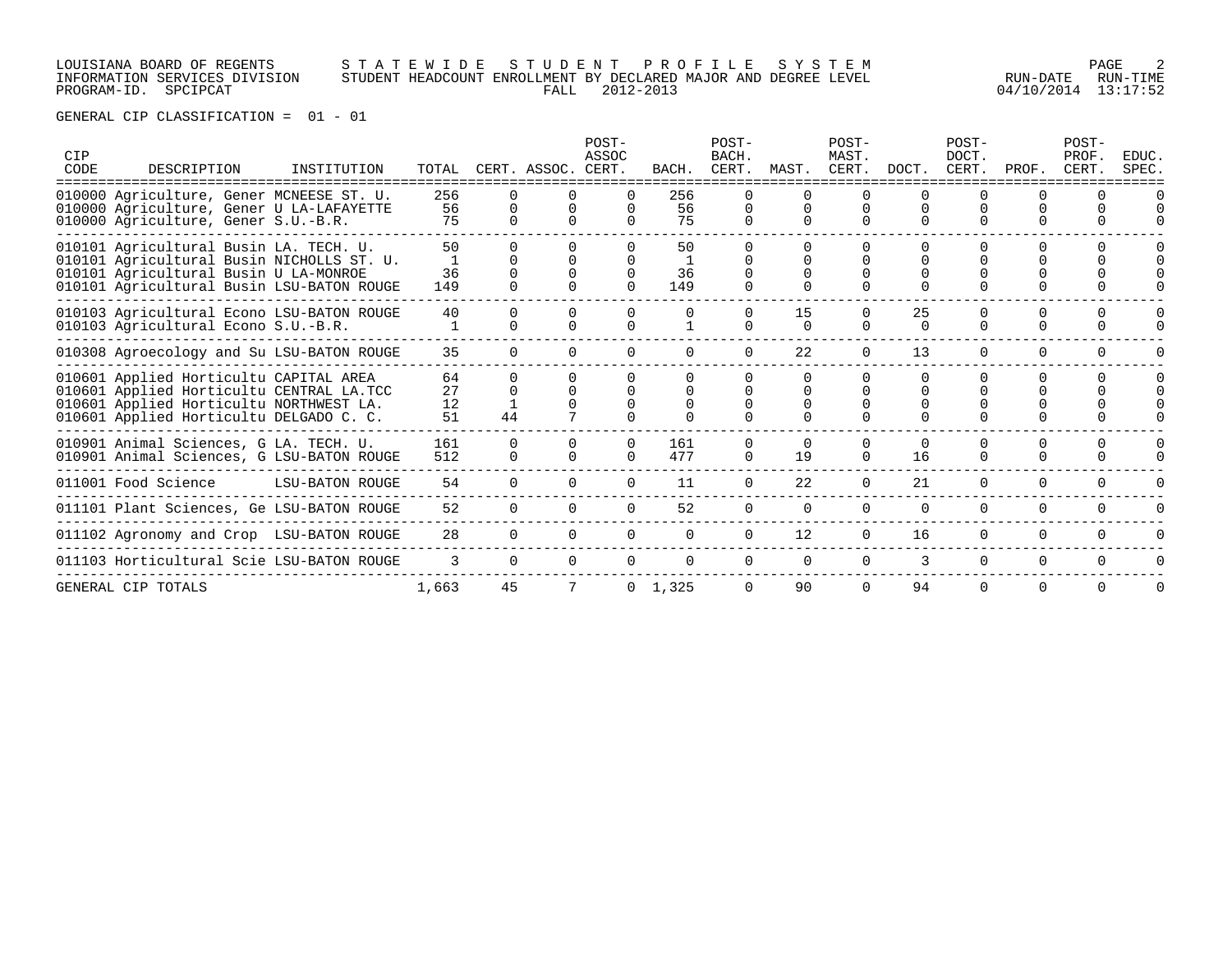## LOUISIANA BOARD OF REGENTS S T A T E W I D E S T U D E N T P R O F I L E S Y S T E M PAGE 2 INFORMATION SERVICES DIVISION STUDENT HEADCOUNT ENROLLMENT BY DECLARED MAJOR AND DEGREE LEVEL RUN-DATE RUN-TIME PROGRAM-ID. SPCIPCAT FALL 2012-2013 04/10/2014 13:17:52

| CIP<br>CODE | DESCRIPTION                                                                                                                                                               | INSTITUTION     | TOTAL                |                      | CERT. ASSOC. CERT. | POST-<br>ASSOC | BACH.           | POST-<br>BACH.<br>CERT. | MAST.          | POST-<br>MAST.<br>CERT. | DOCT.          | POST-<br>DOCT. | CERT. PROF. | POST-<br>PROF.<br>CERT. | <b>EDUC</b><br>SPEC. |
|-------------|---------------------------------------------------------------------------------------------------------------------------------------------------------------------------|-----------------|----------------------|----------------------|--------------------|----------------|-----------------|-------------------------|----------------|-------------------------|----------------|----------------|-------------|-------------------------|----------------------|
|             | 010000 Agriculture, Gener MCNEESE ST. U.<br>010000 Agriculture, Gener U LA-LAFAYETTE<br>010000 Agriculture, Gener S.U.-B.R.                                               |                 | 256<br>56<br>75      |                      |                    |                | 256<br>56<br>75 |                         |                |                         |                |                |             |                         |                      |
|             | 010101 Agricultural Busin LA. TECH. U.<br>010101 Agricultural Busin NICHOLLS ST. U.<br>010101 Agricultural Busin U LA-MONROE<br>010101 Agricultural Busin LSU-BATON ROUGE |                 | 50<br>36<br>149      |                      |                    |                | 50<br>36<br>149 |                         |                |                         |                |                |             |                         |                      |
|             | 010103 Agricultural Econo LSU-BATON ROUGE<br>010103 Agricultural Econo S.U.-B.R.                                                                                          |                 | 40                   | n                    | <sup>n</sup>       |                |                 | $\cap$<br>$\cap$        | 15<br>$\Omega$ | $\Omega$                | 25<br>$\Omega$ | <sup>0</sup>   | U           |                         |                      |
|             | 010308 Agroecology and Su LSU-BATON ROUGE                                                                                                                                 |                 | 35                   | $\Omega$             |                    |                |                 |                         | 22             | $\Omega$                | 13             | $\Omega$       | $\Omega$    |                         |                      |
|             | 010601 Applied Horticultu CAPITAL AREA<br>010601 Applied Horticultu CENTRAL LA.TCC<br>010601 Applied Horticultu NORTHWEST LA.<br>010601 Applied Horticultu DELGADO C. C.  |                 | 64<br>27<br>12<br>51 | 44                   |                    |                |                 |                         |                |                         |                |                |             |                         |                      |
|             | 010901 Animal Sciences, G LA. TECH. U.<br>010901 Animal Sciences, G LSU-BATON ROUGE                                                                                       |                 | 161<br>512           | $\Omega$<br>$\Omega$ |                    |                | 161<br>477      | 0                       | 19             | $\Omega$<br>$\Omega$    | 16             | <sup>0</sup>   | U           |                         |                      |
|             | 011001 Food Science                                                                                                                                                       | LSU-BATON ROUGE | 54                   | <sup>o</sup>         | $\Omega$           | $\cap$         | 11              | $\Omega$                | 22             | $\Omega$                | 21             | $\Omega$       | 0           | $\Omega$                | U                    |
|             | 011101 Plant Sciences, Ge LSU-BATON ROUGE                                                                                                                                 |                 | 52                   |                      |                    |                | 52              | $\Omega$                | $\Omega$       | $\Omega$                |                | O              | 0           |                         |                      |
|             | 011102 Agronomy and Crop LSU-BATON ROUGE                                                                                                                                  |                 | 28                   | $\Omega$             | $\Omega$           |                | $\Omega$        | $\Omega$                | 12             | $\Omega$                | 16             | $\Omega$       | 0           | $\Omega$                | U                    |
|             | 011103 Horticultural Scie LSU-BATON ROUGE                                                                                                                                 |                 | 3                    | $\Omega$             | $\cap$             |                | $\cap$          | $\cap$                  | $\cap$         | $\cap$                  | 3              | $\Omega$       | $\cap$      | $\Omega$                |                      |
|             | GENERAL CIP TOTALS                                                                                                                                                        |                 | 1,663                | 45                   |                    |                | $0 \quad 1,325$ |                         | 90             | $\Omega$                | 94             | O              | 0           | $\Omega$                |                      |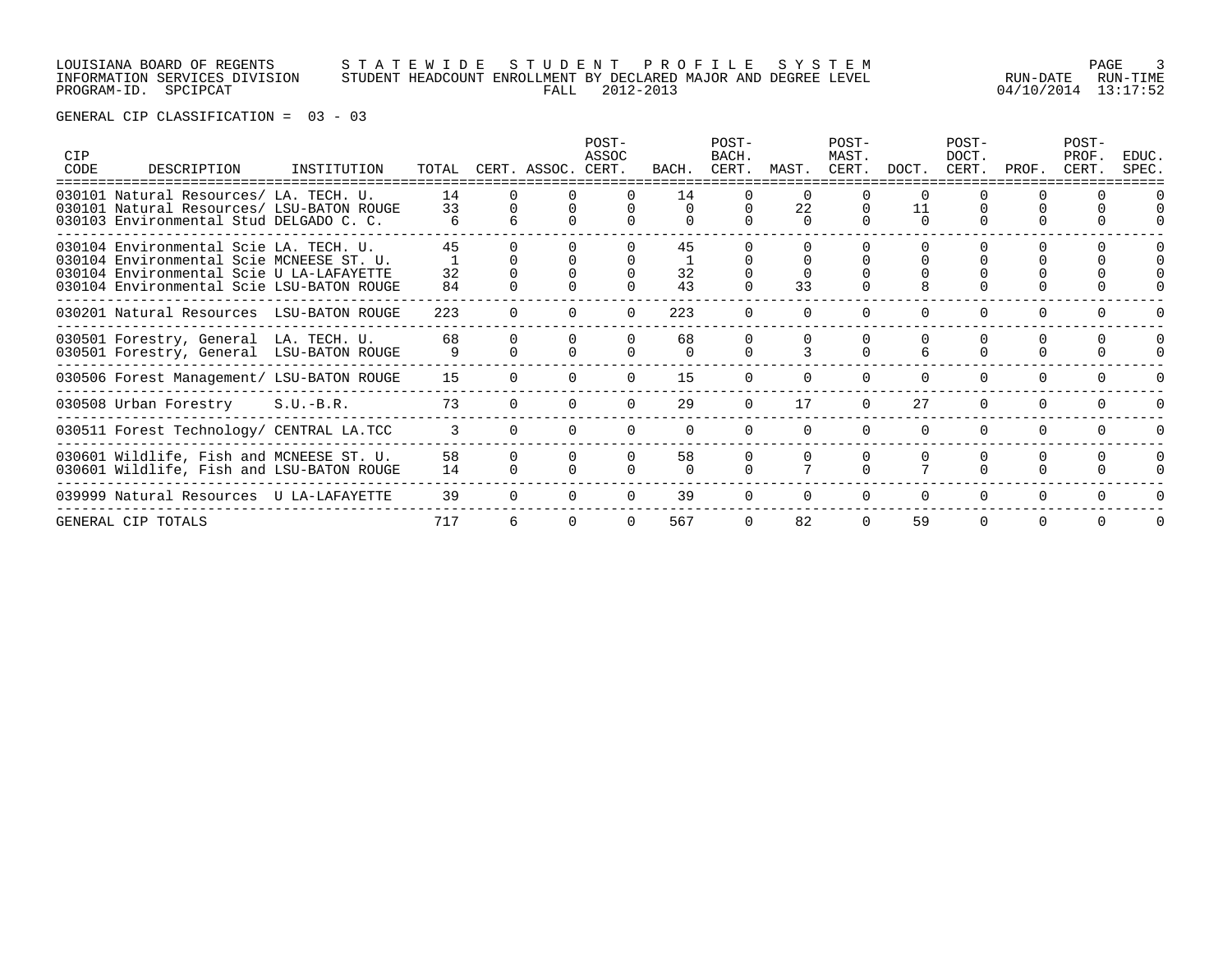# LOUISIANA BOARD OF REGENTS S T A T E W I D E S T U D E N T P R O F I L E S Y S T E M PAGE 3 INFORMATION SERVICES DIVISION STUDENT HEADCOUNT ENROLLMENT BY DECLARED MAJOR AND DEGREE LEVEL RUN-DATE RUN-TIME PROGRAM-ID. SPCIPCAT FALL 2012-2013 04/10/2014 13:17:52

| CIP<br>CODE | DESCRIPTION                                                                                                                                                                 | INSTITUTION |                | TOTAL CERT. ASSOC. CERT. | POST-<br>ASSOC | BACH.          | POST-<br>BACH.<br>CERT. | MAST.                      | POST-<br>MAST.<br>CERT. | DOCT.    | POST-<br>DOCT.<br>CERT. | PROF.    | POST-<br>PROF.<br>CERT. | EDUC.<br>SPEC. |
|-------------|-----------------------------------------------------------------------------------------------------------------------------------------------------------------------------|-------------|----------------|--------------------------|----------------|----------------|-------------------------|----------------------------|-------------------------|----------|-------------------------|----------|-------------------------|----------------|
|             | 030101 Natural Resources/ LA. TECH. U.<br>030101 Natural Resources/ LSU-BATON ROUGE<br>030103 Environmental Stud DELGADO C. C.                                              |             | 14<br>33       |                          |                | 14<br>$\Omega$ |                         | $\Omega$<br>22<br>$\Omega$ |                         | $\Omega$ |                         |          |                         |                |
|             | 030104 Environmental Scie LA, TECH, U.<br>030104 Environmental Scie MCNEESE ST. U.<br>030104 Environmental Scie U LA-LAFAYETTE<br>030104 Environmental Scie LSU-BATON ROUGE |             | 45<br>32<br>84 |                          |                | 45<br>32<br>43 |                         | 33                         |                         |          |                         |          |                         |                |
|             | 030201 Natural Resources LSU-BATON ROUGE                                                                                                                                    |             | 223            |                          |                | 223            |                         |                            |                         |          |                         |          |                         |                |
|             | 030501 Forestry, General LA. TECH. U.<br>030501 Forestry, General LSU-BATON ROUGE                                                                                           |             | 68<br>9        |                          |                | 68<br>$\cap$   |                         |                            |                         |          |                         |          |                         |                |
|             | 030506 Forest Management/ LSU-BATON ROUGE                                                                                                                                   |             | 15             |                          |                | 15             |                         |                            |                         |          |                         |          |                         |                |
|             | 030508 Urban Forestry                                                                                                                                                       | $S.U.-B.R.$ | 73             |                          |                | 29             |                         | 17                         |                         | 2.7      | $\cap$                  | $\cap$   |                         |                |
|             | 030511 Forest Technology/ CENTRAL LA.TCC                                                                                                                                    |             | 3              |                          |                |                |                         |                            |                         |          |                         |          |                         |                |
|             | 030601 Wildlife, Fish and MCNEESE ST. U.<br>030601 Wildlife, Fish and LSU-BATON ROUGE                                                                                       |             | 58<br>14       |                          |                | 58             |                         |                            |                         |          |                         |          |                         |                |
|             | 039999 Natural Resources U LA-LAFAYETTE                                                                                                                                     |             | 39             |                          |                | 39             |                         |                            |                         |          | <sup>0</sup>            |          |                         |                |
|             | GENERAL CIP TOTALS                                                                                                                                                          |             | 717            |                          |                | 567            |                         | 82                         | $\Omega$                | 59       | $\Omega$                | $\Omega$ |                         | $\Omega$       |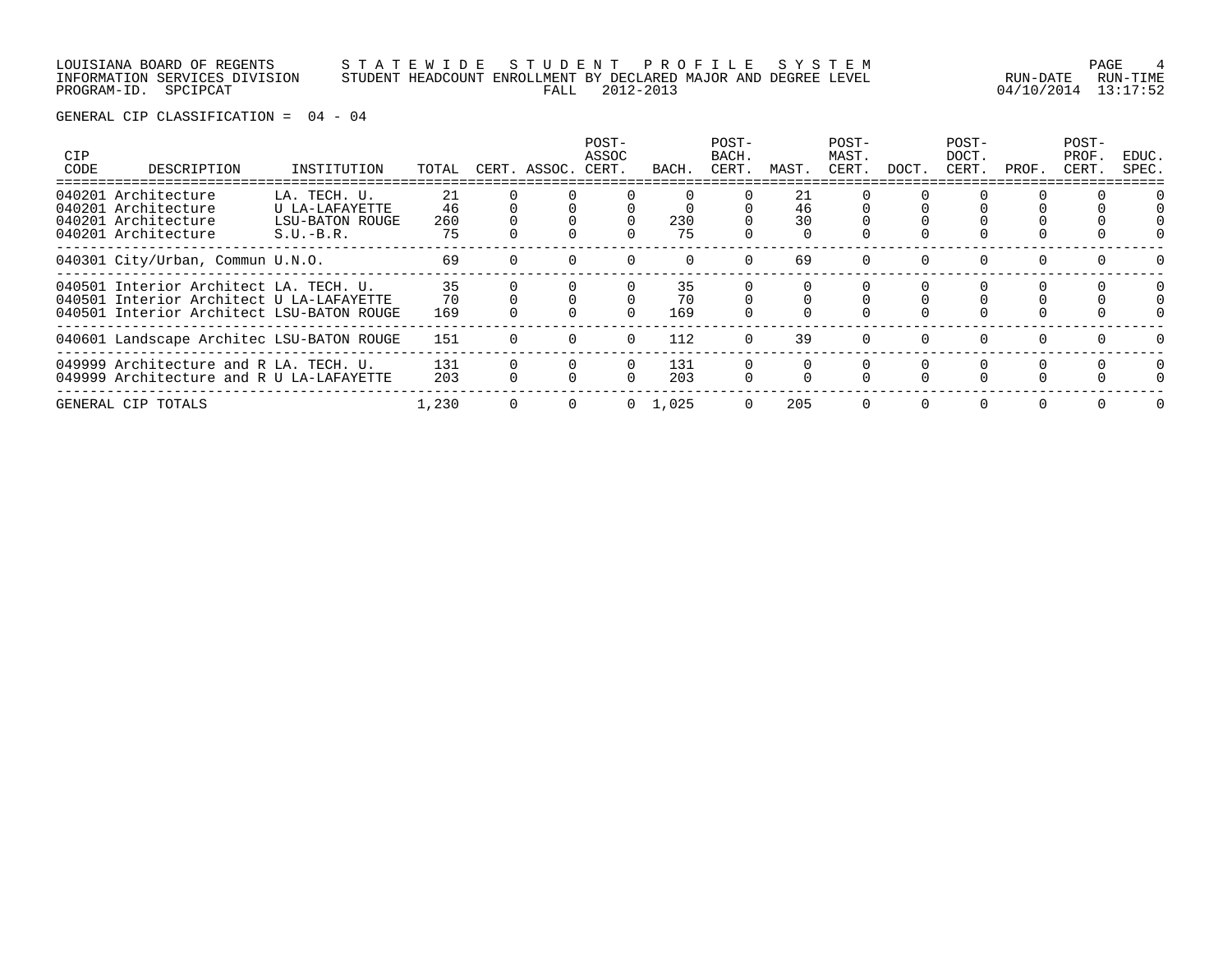LOUISIANA BOARD OF REGENTS S T A T E W I D E S T U D E N T P R O F I L E S Y S T E M PAGE 4 INFORMATION SERVICES DIVISION STUDENT HEADCOUNT ENROLLMENT BY DECLARED MAJOR AND DEGREE LEVEL RUN-DATE RUN-TIME

PROGRAM-ID. SPCIPCAT FALL 2012-2013 04/10/2014 13:17:52

| <b>CIP</b><br>CODE | DESCRIPTION                                                                                                                     | INSTITUTION                                                             | TOTAL                 | CERT. ASSOC. CERT. | POST-<br>ASSOC | BACH.           | POST-<br>BACH.<br>CERT. | MAST.          | POST-<br>MAST.<br>CERT. | DOCT.    | POST-<br>DOCT.<br>CERT. | PROF.    | POST-<br>PROF.<br>CERT. | EDUC.<br>SPEC. |
|--------------------|---------------------------------------------------------------------------------------------------------------------------------|-------------------------------------------------------------------------|-----------------------|--------------------|----------------|-----------------|-------------------------|----------------|-------------------------|----------|-------------------------|----------|-------------------------|----------------|
|                    | 040201 Architecture<br>040201 Architecture<br>040201 Architecture<br>040201 Architecture                                        | LA. TECH. U.<br>U LA-LAFAYETTE<br><b>LSU-BATON ROUGE</b><br>$S.U.-B.R.$ | 21<br>46<br>260<br>75 |                    |                | 230<br>75       |                         | 21<br>46<br>30 |                         |          |                         |          |                         |                |
|                    | 040301 City/Urban, Commun U.N.O.                                                                                                |                                                                         | 69                    |                    |                |                 |                         | 69             |                         |          |                         |          |                         |                |
|                    | 040501 Interior Architect LA. TECH. U.<br>040501 Interior Architect U LA-LAFAYETTE<br>040501 Interior Architect LSU-BATON ROUGE |                                                                         | 35<br>70<br>169       |                    |                | 35<br>70<br>169 |                         |                |                         |          |                         |          |                         |                |
|                    | 040601 Landscape Architec LSU-BATON ROUGE                                                                                       |                                                                         | 151                   |                    | $\Omega$       | 112             | $\Omega$                | 39             | $\Omega$                | $\Omega$ | $\Omega$                | $\Omega$ |                         |                |
|                    | 049999 Architecture and R LA. TECH. U.<br>049999 Architecture and R U LA-LAFAYETTE                                              |                                                                         | 131<br>203            |                    |                | 131<br>203      |                         |                |                         |          |                         |          |                         | $\Omega$       |
|                    | GENERAL CIP TOTALS                                                                                                              |                                                                         | 1,230                 |                    | $\Omega$       | 1,025           | $\Omega$                | 205            | $\Omega$                | $\Omega$ | $\Omega$                |          |                         |                |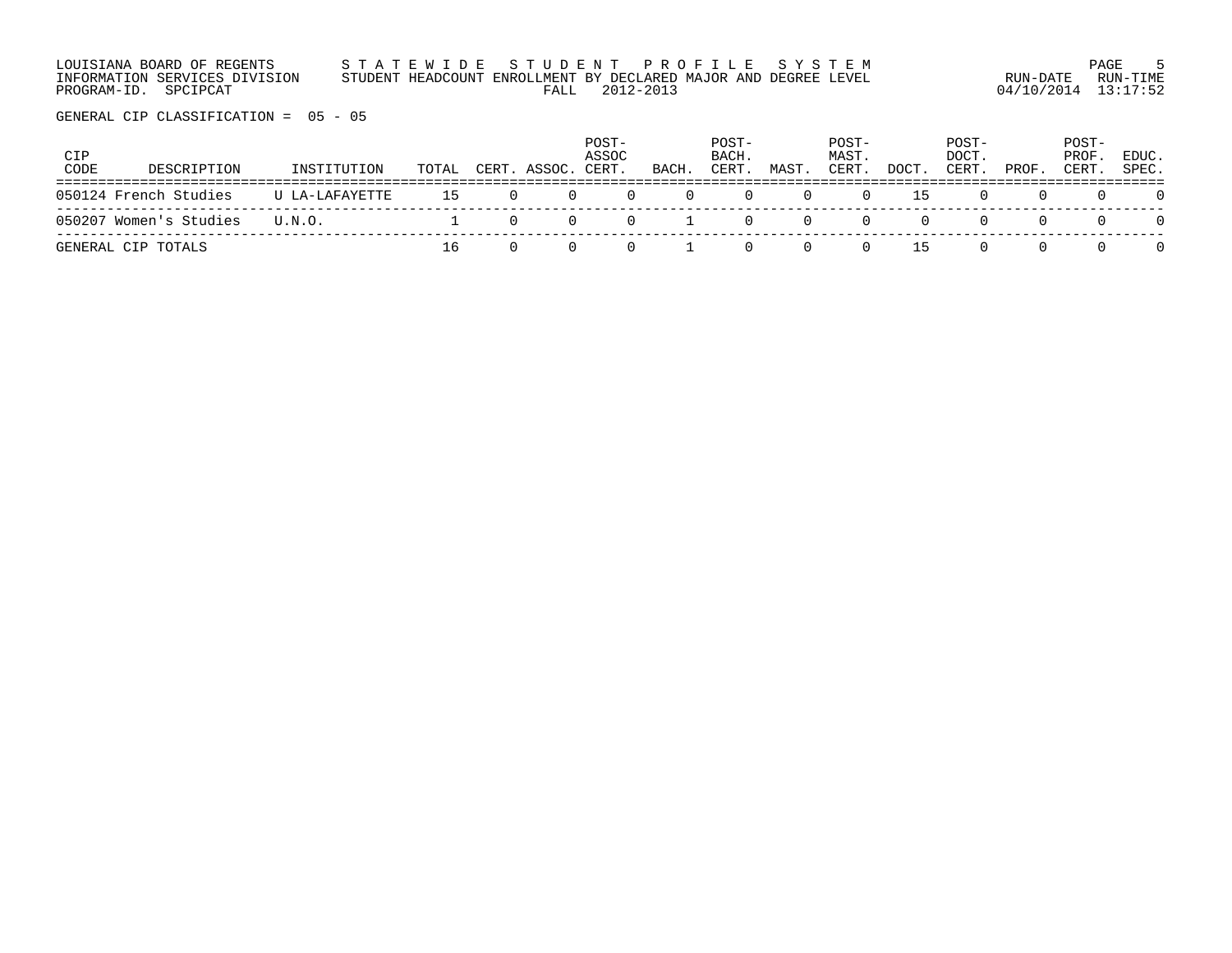| LOUISIANA BOARD OF REGENTS    | STATEWIDE STUDENT PROFILE SYSTEM                                |                     | PAGE     |
|-------------------------------|-----------------------------------------------------------------|---------------------|----------|
| INFORMATION SERVICES DIVISION | STUDENT HEADCOUNT ENROLLMENT BY DECLARED MAJOR AND DEGREE LEVEL | RUN-DATE            | RUN-TIMF |
| PROGRAM-ID. SPCIPCAT          | FALL 2012-2013                                                  | 04/10/2014 13:17:52 |          |

| CIP<br>CODE | DESCRIPTION            | INSTITUTION    | TOTAL | CERT. ASSOC. | POST-<br>ASSOC<br>CERT | BACH. | POST-<br>BACH.<br>CERT. | MAST | POST-<br>MAST.<br>CERT. | DOCT | POST-<br>DOCT.<br>CERT | PROF. | POST-<br>PROF<br>CERT | EDUC.<br>SPEC. |
|-------------|------------------------|----------------|-------|--------------|------------------------|-------|-------------------------|------|-------------------------|------|------------------------|-------|-----------------------|----------------|
|             | 050124 French Studies  | U LA-LAFAYETTE | 15    |              |                        |       |                         |      |                         | L5.  |                        |       |                       |                |
|             | 050207 Women's Studies | U.N.O.         |       |              |                        |       |                         |      |                         |      |                        |       |                       |                |
|             | GENERAL CIP TOTALS     |                |       |              |                        |       |                         |      |                         | L5.  |                        |       |                       |                |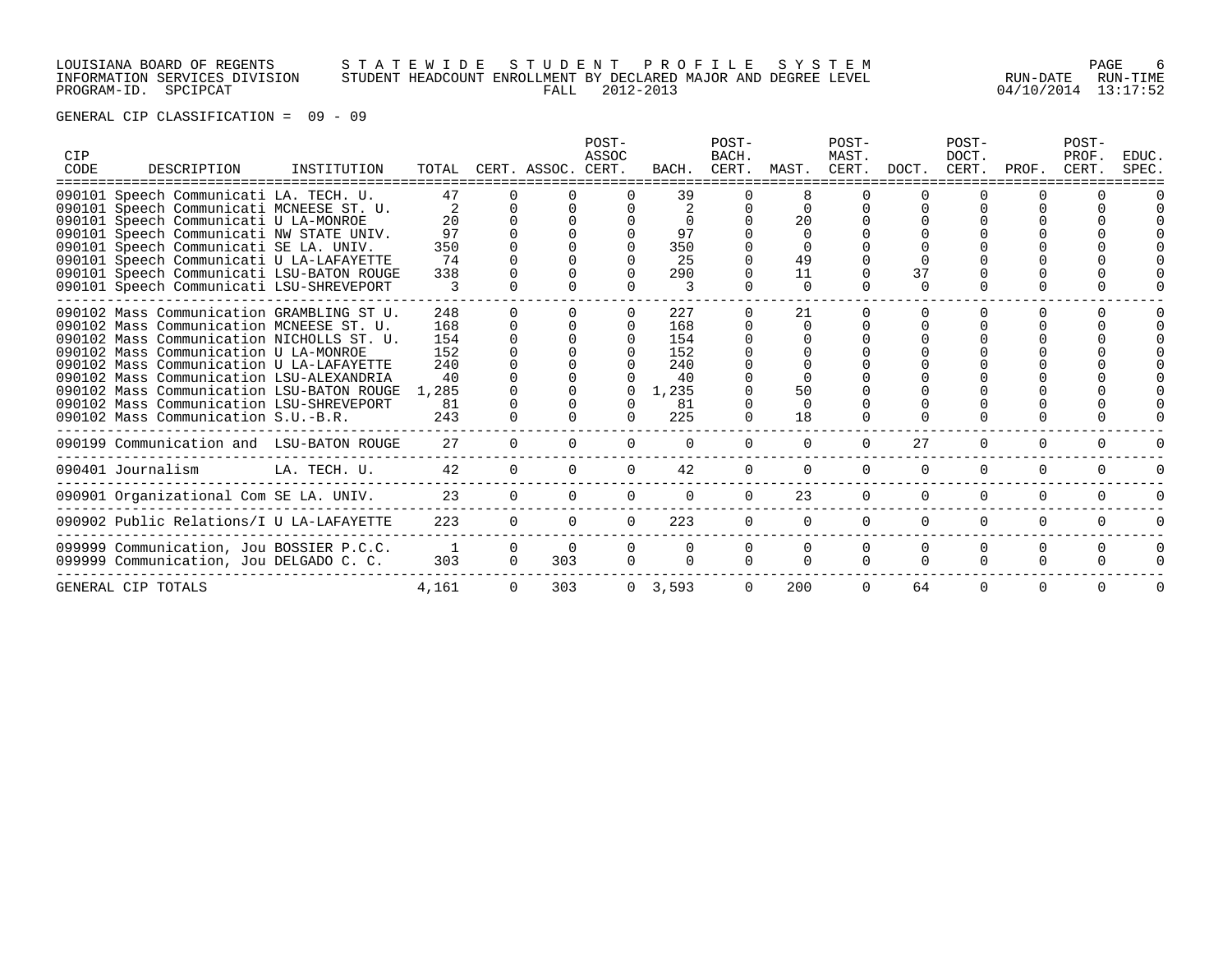# LOUISIANA BOARD OF REGENTS S T A T E W I D E S T U D E N T P R O F I L E S Y S T E M PAGE 6 INFORMATION SERVICES DIVISION STUDENT HEADCOUNT ENROLLMENT BY DECLARED MAJOR AND DEGREE LEVEL RUN-DATE RUN-TIME PROGRAM-ID. SPCIPCAT FALL 2012-2013 04/10/2014 13:17:52

| CIP<br>CODE | DESCRIPTION                               | INSTITUTION  |              |          | TOTAL CERT. ASSOC. CERT. | POST-<br>ASSOC | BACH.     | POST-<br>BACH.<br>CERT. | MAST. CERT. DOCT. | POST-<br>MAST. |          | POST-<br>DOCT.<br>CERT. | PROF.        | POST-<br>PROF.<br>CERT. | EDUC.<br>SPEC. |
|-------------|-------------------------------------------|--------------|--------------|----------|--------------------------|----------------|-----------|-------------------------|-------------------|----------------|----------|-------------------------|--------------|-------------------------|----------------|
|             | 090101 Speech Communicati LA. TECH. U.    |              | 47           |          |                          |                | 39        |                         |                   |                |          |                         |              |                         |                |
|             | 090101 Speech Communicati MCNEESE ST. U.  |              |              |          |                          |                |           |                         |                   |                |          |                         |              |                         |                |
|             | 090101 Speech Communicati U LA-MONROE     |              | 20           |          |                          |                |           |                         | 20                |                |          |                         |              |                         |                |
|             | 090101 Speech Communicati NW STATE UNIV.  |              | 97           |          |                          |                | 97        |                         |                   |                |          |                         |              |                         |                |
|             | 090101 Speech Communicati SE LA. UNIV.    |              | 350          |          |                          |                | 350       |                         |                   |                |          |                         |              |                         |                |
|             | 090101 Speech Communicati U LA-LAFAYETTE  |              | 74           |          |                          |                | 25        |                         | 49                |                |          |                         |              |                         |                |
|             | 090101 Speech Communicati LSU-BATON ROUGE |              | 338          |          |                          |                | 290       |                         | 11                |                | 37       |                         |              |                         |                |
|             | 090101 Speech Communicati LSU-SHREVEPORT  |              |              |          |                          |                |           |                         |                   |                |          |                         |              |                         |                |
|             | 090102 Mass Communication GRAMBLING ST U. |              | 248          |          |                          |                | 227       |                         | 21                |                |          |                         |              |                         |                |
|             | 090102 Mass Communication MCNEESE ST. U.  |              | 168          |          |                          |                | 168       |                         | $\Omega$          |                |          |                         |              |                         |                |
|             | 090102 Mass Communication NICHOLLS ST. U. |              | 154          |          |                          |                | 154       |                         |                   |                |          |                         |              |                         |                |
|             | 090102 Mass Communication U LA-MONROE     |              | 152          |          |                          |                | 152       |                         |                   |                |          |                         |              |                         |                |
|             | 090102 Mass Communication U LA-LAFAYETTE  |              | 240          |          |                          |                | 240       |                         |                   |                |          |                         |              |                         |                |
|             | 090102 Mass Communication LSU-ALEXANDRIA  |              | 40           |          |                          |                | 40        |                         |                   |                |          |                         |              |                         |                |
|             | 090102 Mass Communication LSU-BATON ROUGE |              | 1,285        |          |                          |                | 1,235     |                         | 50                |                |          |                         |              |                         |                |
|             | 090102 Mass Communication LSU-SHREVEPORT  |              | 81           |          |                          |                | 81        |                         |                   |                |          |                         |              |                         |                |
|             | 090102 Mass Communication S.U.-B.R.       |              | 243          |          |                          |                | 225       |                         | 18                |                |          |                         |              |                         |                |
|             | 090199 Communication and LSU-BATON ROUGE  |              | 27           |          |                          |                |           |                         | $\Omega$          | $\Omega$       | 27       | $\Omega$                | <sup>0</sup> | O                       |                |
|             | 090401 Journalism                         | LA. TECH. U. | 42           |          |                          |                | 42        | 0                       | $\Omega$          | $\Omega$       | $\Omega$ | $\Omega$                | $\Omega$     | $\Omega$                |                |
|             | 090901 Organizational Com SE LA. UNIV.    |              | 23           | $\Omega$ |                          |                | $\Omega$  |                         | 23                | $\Omega$       | $\Omega$ | $\Omega$                | 0            |                         |                |
|             | 090902 Public Relations/I U LA-LAFAYETTE  |              | 223          | $\Omega$ |                          | $\Omega$       | 223       | $\Omega$                | $\Omega$          | $\Omega$       | $\Omega$ | $\Omega$                | 0            | $\Omega$                | U              |
|             | 099999 Communication, Jou BOSSIER P.C.C.  |              | $\mathbf{1}$ | $\Omega$ |                          |                |           |                         | $\Omega$          | $\Omega$       |          | $\Omega$                | U            |                         |                |
|             | 099999 Communication, Jou DELGADO C. C.   |              | 303          | $\Omega$ | 303                      |                |           |                         |                   |                |          |                         |              |                         |                |
|             |                                           |              |              |          |                          |                |           |                         |                   |                |          |                         |              |                         |                |
|             | GENERAL CIP TOTALS                        |              | 4,161        |          | 303                      |                | 0, 3, 593 |                         | 200               |                | 64       | O                       |              |                         |                |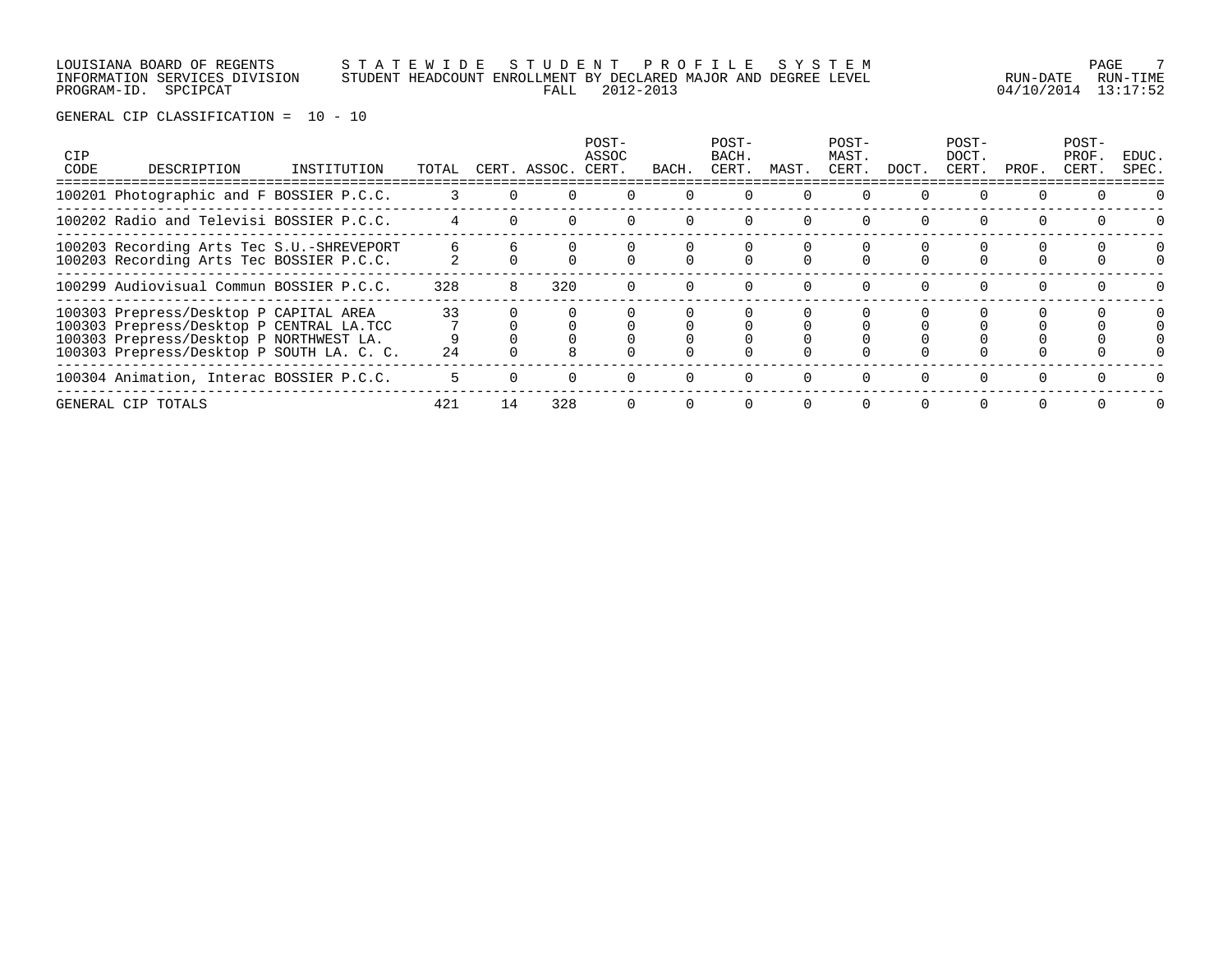# LOUISIANA BOARD OF REGENTS S T A T E W I D E S T U D E N T P R O F I L E S Y S T E M PAGE 7 INFORMATION SERVICES DIVISION STUDENT HEADCOUNT ENROLLMENT BY DECLARED MAJOR AND DEGREE LEVEL RUN-DATE RUN-TIME PROGRAM-ID. SPCIPCAT FALL 2012-2013 04/10/2014 13:17:52

| <b>CIP</b><br>CODE | DESCRIPTION                                                                                                                                                                | INSTITUTION | TOTAL    |    | CERT. ASSOC. | POST-<br>ASSOC<br>CERT. | BACH.    | POST-<br>BACH.<br>CERT. | MAST.    | POST-<br>MAST.<br>CERT. | DOCT.    | POST-<br>DOCT.<br>CERT. | PROF.    | POST-<br>PROF.<br>CERT. | EDUC.<br>SPEC. |
|--------------------|----------------------------------------------------------------------------------------------------------------------------------------------------------------------------|-------------|----------|----|--------------|-------------------------|----------|-------------------------|----------|-------------------------|----------|-------------------------|----------|-------------------------|----------------|
|                    | 100201 Photographic and F BOSSIER P.C.C.                                                                                                                                   |             |          |    |              |                         |          |                         |          |                         |          |                         |          |                         |                |
|                    | 100202 Radio and Televisi BOSSIER P.C.C.                                                                                                                                   |             |          |    |              |                         |          |                         |          |                         | $\Omega$ |                         |          |                         |                |
|                    | 100203 Recording Arts Tec S.U.-SHREVEPORT<br>100203 Recording Arts Tec BOSSIER P.C.C.                                                                                      |             |          |    |              |                         |          |                         |          |                         |          |                         |          |                         | 0              |
|                    | 100299 Audiovisual Commun BOSSIER P.C.C.                                                                                                                                   |             | 328      | 8  | 320          |                         | $\Omega$ |                         | $\Omega$ |                         | $\Omega$ | 0                       | $\Omega$ |                         |                |
|                    | 100303 Prepress/Desktop P CAPITAL AREA<br>100303 Prepress/Desktop P CENTRAL LA.TCC<br>100303 Prepress/Desktop P NORTHWEST LA.<br>100303 Prepress/Desktop P SOUTH LA. C. C. |             | 33<br>24 |    |              |                         |          |                         |          |                         |          |                         |          |                         |                |
|                    | 100304 Animation, Interac BOSSIER P.C.C.                                                                                                                                   |             |          |    |              |                         |          |                         |          |                         | $\Omega$ |                         |          |                         |                |
|                    | GENERAL CIP TOTALS                                                                                                                                                         |             | 421      | 14 | 328          |                         | $\Omega$ | $\Omega$                | $\Omega$ |                         | $\Omega$ | $\Omega$                | $\Omega$ |                         |                |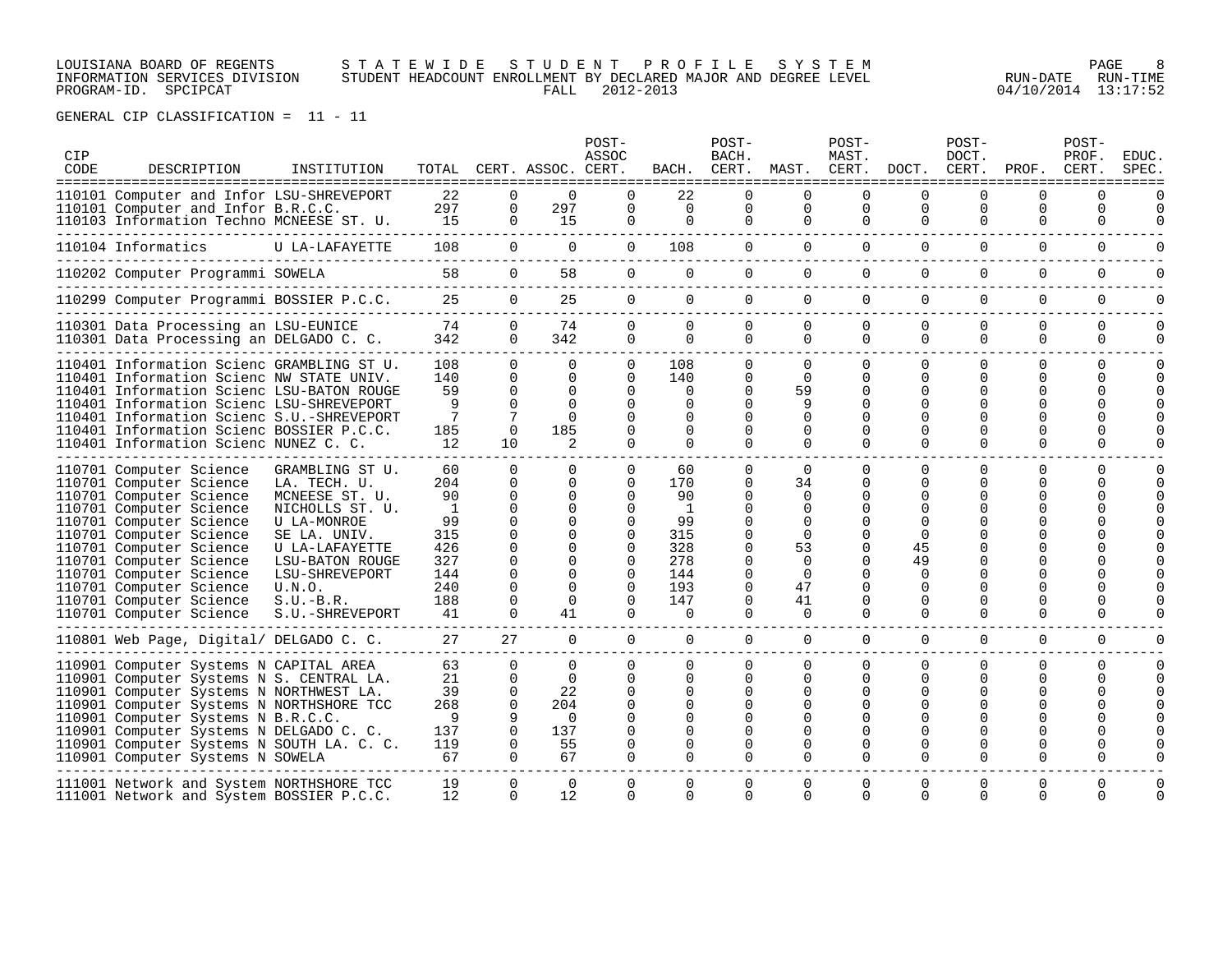LOUISIANA BOARD OF REGENTS S T A T E W I D E S T U D E N T P R O F I L E S Y S T E M PAGE 8 INFORMATION SERVICES DIVISION STUDENT HEADCOUNT ENROLLMENT BY DECLARED MAJOR AND DEGREE LEVEL RUN-DATE RUN-TIME PROGRAM-ID. SPCIPCAT FALL 2012-2013 04/10/2014 13:17:52

| <b>CIP</b><br>CODE | DESCRIPTION<br>===================================                                                                                                                                                                                                                                                                                          | INSTITUTION                                                                                                                                                                                            |                                                                                       |                                                                                                                         | TOTAL CERT. ASSOC. CERT.                                                                | POST-<br>ASSOC                                                                                              | BACH.                                                                                         | POST-<br>BACH.<br>CERT.                                                                               | MAST. CERT.                                                                                                          | POST-<br>MAST.                                              | DOCT.                                                                                | POST-<br>DOCT.<br>CERT.<br>--------------                                                         | PROF.                        | POST-<br>PROF.<br>CERT.                       | EDUC<br>SPEC                                             |
|--------------------|---------------------------------------------------------------------------------------------------------------------------------------------------------------------------------------------------------------------------------------------------------------------------------------------------------------------------------------------|--------------------------------------------------------------------------------------------------------------------------------------------------------------------------------------------------------|---------------------------------------------------------------------------------------|-------------------------------------------------------------------------------------------------------------------------|-----------------------------------------------------------------------------------------|-------------------------------------------------------------------------------------------------------------|-----------------------------------------------------------------------------------------------|-------------------------------------------------------------------------------------------------------|----------------------------------------------------------------------------------------------------------------------|-------------------------------------------------------------|--------------------------------------------------------------------------------------|---------------------------------------------------------------------------------------------------|------------------------------|-----------------------------------------------|----------------------------------------------------------|
|                    | 110101 Computer and Infor LSU-SHREVEPORT<br>110101 Computer and Infor B.R.C.C.<br>110103 Information Techno MCNEESE ST. U.                                                                                                                                                                                                                  |                                                                                                                                                                                                        | 22<br>297<br>15                                                                       | $\Omega$<br>$\mathbf 0$<br>$\Omega$                                                                                     | $\Omega$<br>297<br>15                                                                   | $\Omega$<br>$\Omega$<br>0                                                                                   | 22<br>$\mathbf 0$<br>0                                                                        | $\Omega$<br>0<br>0                                                                                    | $\Omega$<br>$\mathbf 0$<br>0                                                                                         | $\Omega$<br>0<br>0                                          | $\Omega$<br>$\Omega$<br>$\Omega$                                                     | $\Omega$<br>0<br>$\Omega$                                                                         | 0<br>0<br>$\Omega$           | $\Omega$<br>0<br>$\Omega$                     | $\Omega$<br>$\Omega$                                     |
|                    | 110104 Informatics                                                                                                                                                                                                                                                                                                                          | U LA-LAFAYETTE                                                                                                                                                                                         | 108                                                                                   | $\overline{0}$                                                                                                          | 0                                                                                       | $\mathbf 0$                                                                                                 | 108                                                                                           | $\overline{0}$                                                                                        | $\overline{0}$                                                                                                       | $\mathbf{0}$                                                | $\mathbf 0$                                                                          | $\Omega$                                                                                          | 0                            | 0                                             |                                                          |
|                    | 110202 Computer Programmi SOWELA                                                                                                                                                                                                                                                                                                            |                                                                                                                                                                                                        | 58                                                                                    | $\mathbf{0}$                                                                                                            | 58                                                                                      | $\overline{0}$                                                                                              | 0                                                                                             | 0                                                                                                     | $\overline{0}$                                                                                                       | $\mathbf{0}$                                                | $\Omega$                                                                             | 0                                                                                                 | 0                            | $\Omega$                                      | $\Omega$                                                 |
|                    | 110299 Computer Programmi BOSSIER P.C.C.                                                                                                                                                                                                                                                                                                    |                                                                                                                                                                                                        | 25                                                                                    | $\overline{0}$                                                                                                          | 25                                                                                      | $\mathbf 0$                                                                                                 | 0                                                                                             | 0                                                                                                     | $\overline{0}$                                                                                                       | $\mathbf 0$                                                 | $\mathbf 0$                                                                          | $\mathbf 0$                                                                                       | 0                            | $\mathbf 0$                                   | $\Omega$                                                 |
|                    | 110301 Data Processing an LSU-EUNICE<br>110301 Data Processing an DELGADO C. C.                                                                                                                                                                                                                                                             |                                                                                                                                                                                                        | 74<br>342                                                                             | $\Omega$<br>$\Omega$                                                                                                    | 74<br>342                                                                               | 0<br>0                                                                                                      | $\Omega$<br>0                                                                                 | $\Omega$<br>$\mathbf 0$                                                                               | 0<br>$\Omega$                                                                                                        | $\Omega$<br>$\Omega$                                        | $\Omega$<br>$\Omega$                                                                 | $\Omega$<br>$\Omega$                                                                              | 0<br>$\Omega$                | $\Omega$<br>$\Omega$                          | $\Omega$<br>$\Omega$                                     |
|                    | 110401 Information Scienc GRAMBLING ST U.<br>110401 Information Scienc NW STATE UNIV.<br>110401 Information Scienc LSU-BATON ROUGE<br>110401 Information Scienc LSU-SHREVEPORT<br>110401 Information Scienc S.U.-SHREVEPORT<br>110401 Information Scienc BOSSIER P.C.C.<br>110401 Information Scienc NUNEZ C. C.                            |                                                                                                                                                                                                        | 108<br>140<br>59<br>9<br>$7\phantom{.0}$<br>185<br>12                                 | $\Omega$<br>$\Omega$<br>$\Omega$<br>$\Omega$<br>$\Omega$<br>10                                                          | $\Omega$<br>$\Omega$<br>$\Omega$<br>$\Omega$<br>$\Omega$<br>185<br>$\mathcal{L}$        | 0<br>$\Omega$<br>$\Omega$<br>0<br>0<br>0<br>0                                                               | 108<br>140<br>$\Omega$<br>0<br>0<br>$\Omega$<br>0                                             | $\Omega$<br>$\Omega$<br>$\Omega$<br><sup>0</sup><br>$\Omega$<br>0<br>0                                | $\Omega$<br>$\Omega$<br>59<br>9<br>$\Omega$<br>$\Omega$<br>$\Omega$                                                  | $\Omega$<br>$\Omega$<br>$\Omega$<br>∩<br>∩<br>$\Omega$      | $\Omega$<br>$\Omega$<br>$\Omega$<br>$\Omega$<br>$\Omega$<br><sup>0</sup><br>$\Omega$ | 0<br>$\Omega$<br><sup>0</sup><br><sup>0</sup><br>U<br><sup>0</sup><br><sup>0</sup>                | $\Omega$<br>0<br>0<br>U<br>U | $\Omega$<br>$\Omega$<br>0<br>U<br>U<br>O<br>0 | $\Omega$<br>$\Omega$<br>$\Omega$<br>$\Omega$<br>$\Omega$ |
|                    | 110701 Computer Science<br>110701 Computer Science<br>110701 Computer Science<br>110701 Computer Science<br>110701 Computer Science<br>110701 Computer Science<br>110701 Computer Science<br>110701 Computer Science<br>110701 Computer Science<br>110701 Computer Science<br>110701 Computer Science<br>110701 Computer Science            | GRAMBLING ST U.<br>LA. TECH. U.<br>MCNEESE ST. U.<br>NICHOLLS ST. U.<br>U LA-MONROE<br>SE LA. UNIV.<br>U LA-LAFAYETTE<br>LSU-BATON ROUGE<br>LSU-SHREVEPORT<br>U.N.O.<br>$S.U.-B.R.$<br>S.U.-SHREVEPORT | 60<br>204<br>90<br><sup>1</sup><br>99<br>315<br>426<br>327<br>144<br>240<br>188<br>41 | $\Omega$<br>$\Omega$<br>$\Omega$<br>$\Omega$<br>$\Omega$<br>$\Omega$<br>$\Omega$<br>$\Omega$<br>0<br>0<br>0<br>$\Omega$ | $\Omega$<br>$\Omega$<br><sup>n</sup><br>U<br><sup>n</sup><br>$\Omega$<br>$\Omega$<br>41 | $\Omega$<br>$\Omega$<br>∩<br>0<br>$\Omega$<br>$\Omega$<br>$\Omega$<br>$\Omega$<br>$\Omega$<br>$\Omega$<br>0 | 60<br>170<br>90<br>$\overline{1}$<br>99<br>315<br>328<br>278<br>144<br>193<br>147<br>$\Omega$ | $\Omega$<br>0<br>U<br>U<br>0<br>$\Omega$<br>$\Omega$<br>$\Omega$<br>0<br>$\mathbf 0$<br>0<br>$\Omega$ | $\Omega$<br>34<br>$\Omega$<br>$\Omega$<br>$\Omega$<br>$\Omega$<br>53<br>$\Omega$<br>$\Omega$<br>47<br>41<br>$\Omega$ | $\Omega$<br>∩<br>∩<br>$\Omega$<br>∩<br>$\Omega$<br>$\Omega$ | $\Omega$<br>O<br>∩<br>$\Omega$<br>45<br>49<br>$\Omega$<br>0<br>0<br>$\Omega$         | $\Omega$<br><sup>0</sup><br>0<br><sup>0</sup><br>U<br><sup>0</sup><br><sup>0</sup><br>0<br>0<br>0 | 0<br>U<br>U<br>0             | $\Omega$<br>U<br>U<br>0                       | $\Omega$<br>$\Omega$<br>$\Omega$                         |
|                    | 110801 Web Page, Digital/ DELGADO C. C.                                                                                                                                                                                                                                                                                                     |                                                                                                                                                                                                        | 27                                                                                    | 27                                                                                                                      | $\Omega$                                                                                | $\Omega$                                                                                                    | $\Omega$                                                                                      | $\Omega$                                                                                              | $\Omega$                                                                                                             | $\Omega$                                                    | $\Omega$                                                                             | $\Omega$                                                                                          | 0                            | $\Omega$                                      | $\Omega$                                                 |
|                    | 110901 Computer Systems N CAPITAL AREA<br>110901 Computer Systems N S. CENTRAL LA.<br>110901 Computer Systems N NORTHWEST LA.<br>110901 Computer Systems N NORTHSHORE TCC<br>110901 Computer Systems N B.R.C.C.<br>110901 Computer Systems N DELGADO C. C.<br>110901 Computer Systems N SOUTH LA. C. C.<br>110901 Computer Systems N SOWELA |                                                                                                                                                                                                        | 63<br>21<br>39<br>268<br>9<br>137<br>119<br>67                                        | $\Omega$<br>$\Omega$<br>$\Omega$<br>$\Omega$<br>$\Omega$<br>$\Omega$<br>$\Omega$                                        | $\Omega$<br>22<br>204<br>$\Omega$<br>137<br>55<br>67                                    | 0<br>0<br>$\Omega$<br>$\Omega$<br>0<br>∩<br>0<br>0                                                          | 0<br>0<br>0<br>0<br><sup>n</sup><br>0<br>0<br>$\Omega$                                        | <sup>0</sup><br>0<br><sup>0</sup><br>$\Omega$<br>0<br>0<br>0<br>$\Omega$                              | $\Omega$<br>$\Omega$<br>$\Omega$<br>$\Omega$<br>∩<br>$\Omega$<br>$\Omega$                                            | $\Omega$<br>∩<br>∩<br>$\Omega$                              | $\Omega$<br>$\Omega$<br>O<br>$\Omega$                                                | $\Omega$<br>0<br><sup>0</sup><br><sup>0</sup><br>U<br><sup>0</sup><br>0                           | 0<br>0<br>0                  | $\Omega$<br>U<br>O                            | $\Omega$<br>$\Omega$<br>$\Omega$                         |
|                    | 111001 Network and System NORTHSHORE TCC<br>111001 Network and System BOSSIER P.C.C.                                                                                                                                                                                                                                                        |                                                                                                                                                                                                        | 19<br>12                                                                              | $\Omega$<br>$\Omega$                                                                                                    | $\Omega$<br>12                                                                          | $\Omega$<br>0                                                                                               | $\Omega$<br>0                                                                                 | 0<br>$\Omega$                                                                                         | 0<br>$\Omega$                                                                                                        | $\Omega$<br>$\Omega$                                        | 0<br>$\Omega$                                                                        | 0<br>$\Omega$                                                                                     | 0<br>$\Omega$                | 0<br>$\Omega$                                 | $\mathbf 0$<br>$\Omega$                                  |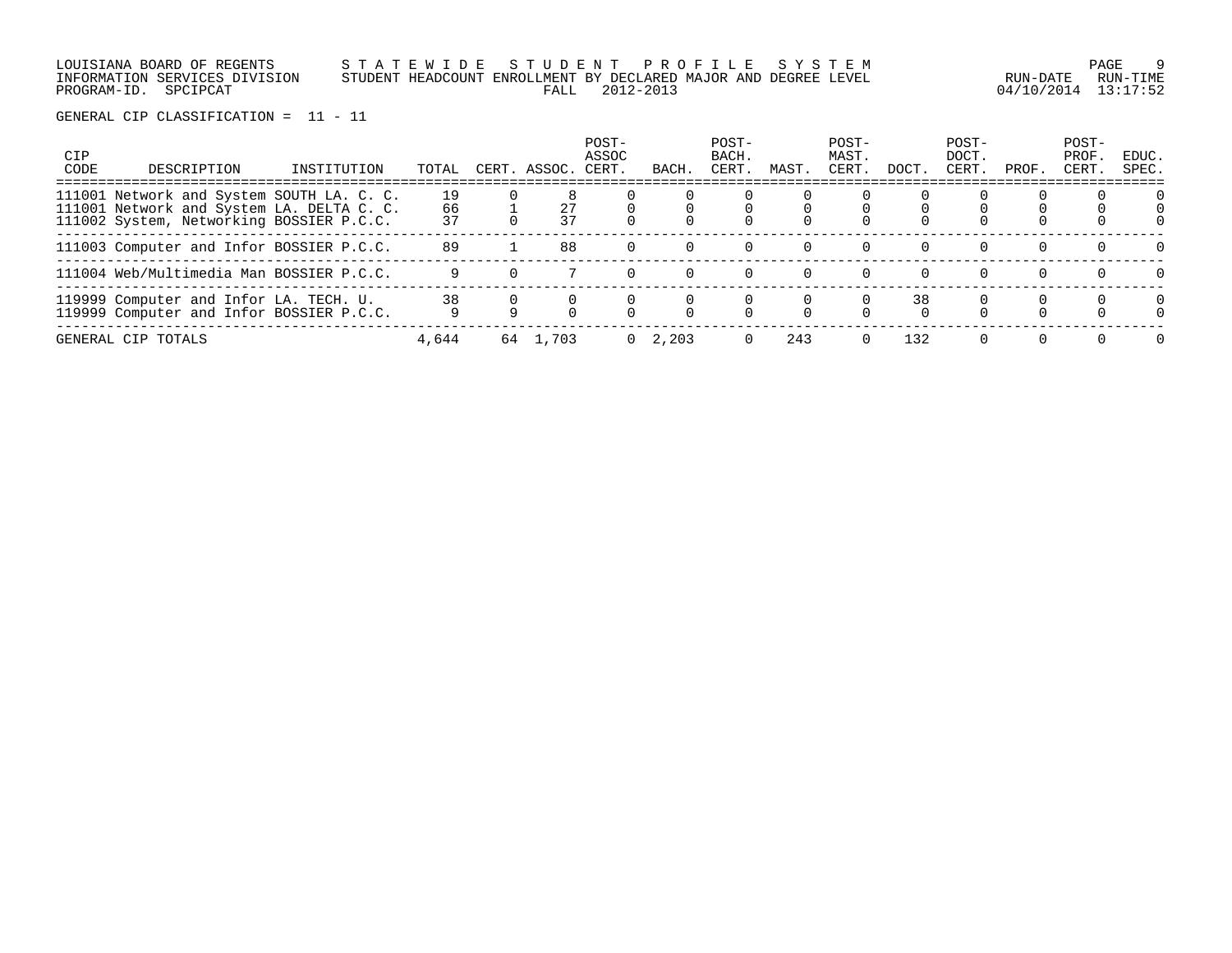LOUISIANA BOARD OF REGENTS S T A T E W I D E S T U D E N T P R O F I L E S Y S T E M PAGE 9 INFORMATION SERVICES DIVISION STUDENT HEADCOUNT ENROLLMENT BY DECLARED MAJOR AND DEGREE LEVEL RUN-DATE RUN-TIME PROGRAM-ID. SPCIPCAT FALL 2012-2013 04/10/2014 13:17:52

| <b>CIP</b><br>CODE | DESCRIPTION                                                                                                                        | INSTITUTION | TOTAL          |    | CERT. ASSOC. | POST-<br>ASSOC<br>CERT. | BACH            | POST-<br>BACH.<br><b>CERT</b> | MAST.    | POST-<br>MAST.<br>CERT. | DOCT.    | POST-<br>DOCT.<br>CERT. | PROF.    | POST-<br>PROF.<br>CERT. | EDUC.<br>SPEC.       |
|--------------------|------------------------------------------------------------------------------------------------------------------------------------|-------------|----------------|----|--------------|-------------------------|-----------------|-------------------------------|----------|-------------------------|----------|-------------------------|----------|-------------------------|----------------------|
|                    | 111001 Network and System SOUTH LA. C. C.<br>111001 Network and System LA. DELTA C. C.<br>111002 System, Networking BOSSIER P.C.C. |             | 19<br>66<br>37 |    | 27<br>37     |                         |                 |                               |          |                         |          |                         |          |                         |                      |
|                    | 111003 Computer and Infor BOSSIER P.C.C.                                                                                           |             | 89             |    | 88           |                         |                 | $\Omega$                      | $\Omega$ |                         |          | $\Omega$                | $\Omega$ |                         | $\Omega$             |
|                    | 111004 Web/Multimedia Man BOSSIER P.C.C.                                                                                           |             |                |    |              | $\Omega$                | 0               | $\Omega$                      | $\Omega$ | $\Omega$                | $\Omega$ | $\Omega$                | $\Omega$ | $\Omega$                | $\Omega$             |
|                    | 119999 Computer and Infor LA. TECH. U.<br>119999 Computer and Infor BOSSIER P.C.C.                                                 |             | 38             |    |              |                         |                 |                               |          |                         | 38       |                         |          |                         | $\Omega$<br>$\Omega$ |
|                    | GENERAL CIP TOTALS                                                                                                                 |             | 4,644          | 64 | 1,703        |                         | $0 \quad 2,203$ |                               | 243      | $\Omega$                | 132      | $\Omega$                |          |                         | $\Omega$             |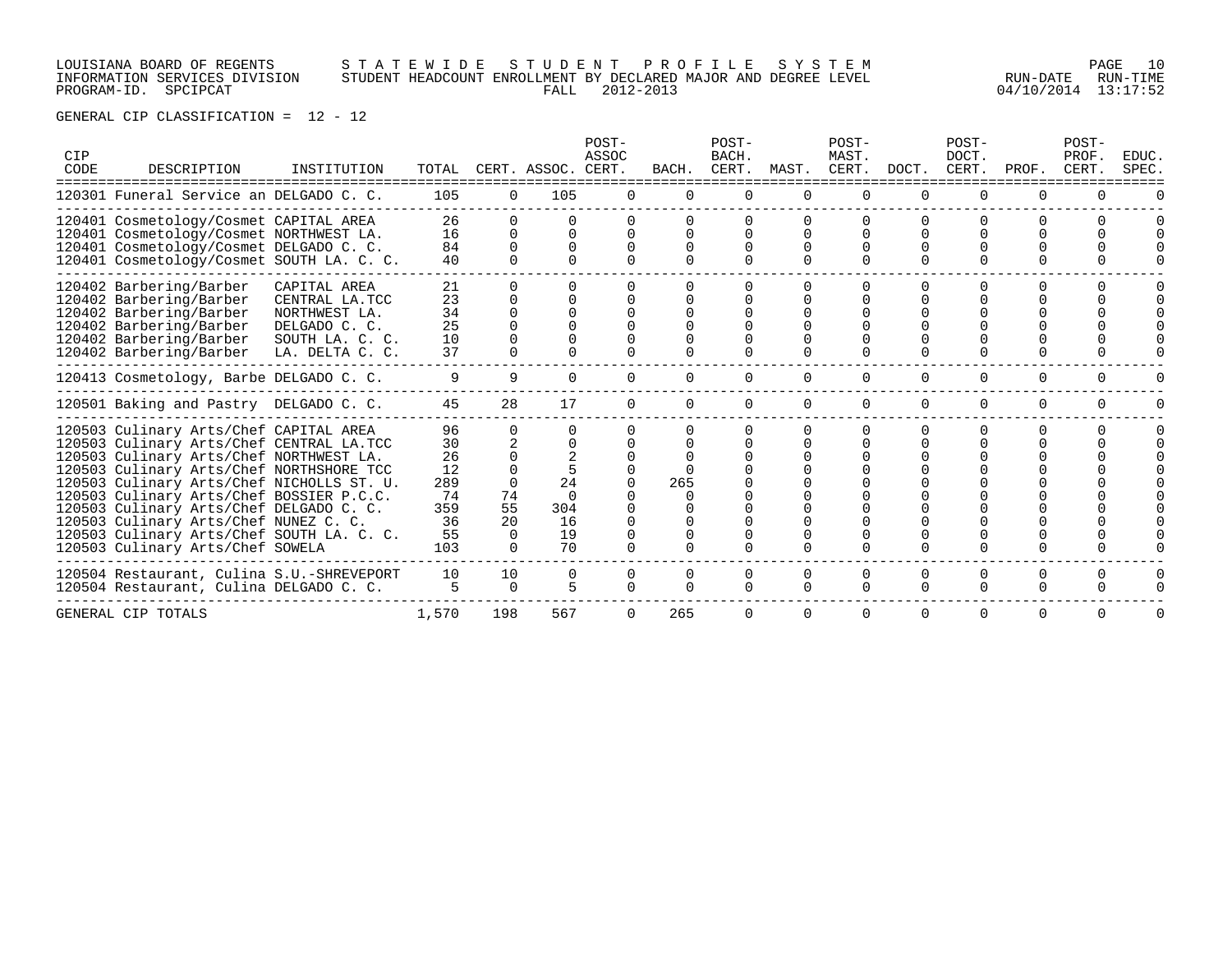# LOUISIANA BOARD OF REGENTS S T A T E W I D E S T U D E N T P R O F I L E S Y S T E M PAGE 10 INFORMATION SERVICES DIVISION STUDENT HEADCOUNT ENROLLMENT BY DECLARED MAJOR AND DEGREE LEVEL RUN-DATE RUN-TIME PROGRAM-ID. SPCIPCAT FALL 2012-2013 04/10/2014 13:17:52

| CIP<br>CODE | DESCRIPTION                                                                                                                                                                                                                                                                                                                                                                                                                             | INSTITUTION                                                                                            | TOTAL                                                       |                     | CERT. ASSOC. CERT.                   | POST-<br>ASSOC               | BACH.    | POST-<br>BACH.<br>CERT. | MAST.                        | POST-<br>MAST.<br>CERT. | DOCT.                        | POST-<br>DOCT.<br>CERT.      | PROF.                | POST-<br>PROF.<br>CERT. | EDUC.<br>SPEC. |
|-------------|-----------------------------------------------------------------------------------------------------------------------------------------------------------------------------------------------------------------------------------------------------------------------------------------------------------------------------------------------------------------------------------------------------------------------------------------|--------------------------------------------------------------------------------------------------------|-------------------------------------------------------------|---------------------|--------------------------------------|------------------------------|----------|-------------------------|------------------------------|-------------------------|------------------------------|------------------------------|----------------------|-------------------------|----------------|
|             | 120301 Funeral Service an DELGADO C. C.                                                                                                                                                                                                                                                                                                                                                                                                 |                                                                                                        | 105                                                         | $\Omega$            | 105                                  | $\Omega$                     | $\Omega$ | $\Omega$                | $\Omega$                     | $\Omega$                | $\Omega$                     | $\Omega$                     |                      | $\Omega$                |                |
|             | 120401 Cosmetology/Cosmet CAPITAL AREA<br>120401 Cosmetology/Cosmet NORTHWEST LA.<br>120401 Cosmetology/Cosmet DELGADO C. C.<br>120401 Cosmetology/Cosmet SOUTH LA. C. C.                                                                                                                                                                                                                                                               |                                                                                                        | 26<br>16<br>84<br>40                                        | U<br><sup>n</sup>   | $\Omega$<br>$\Omega$<br><sup>n</sup> | $\Omega$<br>$\cap$<br>$\cap$ |          |                         | $\Omega$<br>$\cap$<br>$\cap$ |                         | $\cap$<br>$\Omega$<br>$\cap$ | $\cap$<br>$\Omega$<br>$\cap$ |                      |                         |                |
|             | 120402 Barbering/Barber<br>120402 Barbering/Barber<br>120402 Barbering/Barber<br>120402 Barbering/Barber<br>120402 Barbering/Barber<br>120402 Barbering/Barber                                                                                                                                                                                                                                                                          | CAPITAL AREA<br>CENTRAL LA.TCC<br>NORTHWEST LA.<br>DELGADO C. C.<br>SOUTH LA. C. C.<br>LA. DELTA C. C. | 21<br>23<br>34<br>25<br>10<br>37                            |                     |                                      |                              |          |                         |                              |                         |                              |                              |                      |                         |                |
|             | 120413 Cosmetology, Barbe DELGADO C. C.                                                                                                                                                                                                                                                                                                                                                                                                 |                                                                                                        | 9                                                           | 9                   | 0                                    | $\Omega$                     |          |                         | $\Omega$                     | $\Omega$                | 0                            | $\Omega$                     | $\Omega$             | $\Omega$                |                |
|             | 120501 Baking and Pastry DELGADO C. C.                                                                                                                                                                                                                                                                                                                                                                                                  |                                                                                                        | 45                                                          | 28                  | 17                                   | $\Omega$                     |          |                         |                              | $\Omega$                |                              | $\Omega$                     | $\Omega$             | $\Omega$                |                |
|             | 120503 Culinary Arts/Chef CAPITAL AREA<br>120503 Culinary Arts/Chef CENTRAL LA.TCC<br>120503 Culinary Arts/Chef NORTHWEST LA.<br>120503 Culinary Arts/Chef NORTHSHORE TCC<br>120503 Culinary Arts/Chef NICHOLLS ST. U.<br>120503 Culinary Arts/Chef BOSSIER P.C.C.<br>120503 Culinary Arts/Chef DELGADO C. C.<br>120503 Culinary Arts/Chef NUNEZ C. C.<br>120503 Culinary Arts/Chef SOUTH LA. C. C.<br>120503 Culinary Arts/Chef SOWELA |                                                                                                        | 96<br>30<br>26<br>12<br>289<br>74<br>359<br>36<br>55<br>103 | 74<br>55<br>20<br>0 | 24<br>304<br>16<br>19<br>70          |                              | 265      |                         |                              |                         |                              |                              |                      |                         |                |
|             | 120504 Restaurant, Culina S.U.-SHREVEPORT<br>120504 Restaurant, Culina DELGADO C. C.                                                                                                                                                                                                                                                                                                                                                    |                                                                                                        | 10<br>5                                                     | 10<br>$\Omega$      | $\Omega$<br>5                        | $\Omega$<br>$\Omega$         |          |                         | $\Omega$<br>$\Omega$         | $\Omega$<br>$\Omega$    | $\Omega$<br>$\Omega$         | $\Omega$<br>$\Omega$         | $\Omega$<br>$\Omega$ | <sup>0</sup>            |                |
|             | GENERAL CIP TOTALS                                                                                                                                                                                                                                                                                                                                                                                                                      |                                                                                                        | 1,570                                                       | 198                 | 567                                  | $\Omega$                     | 265      |                         | $\Omega$                     | <sup>o</sup>            | $\Omega$                     | $\Omega$                     | $\Omega$             | <sup>0</sup>            |                |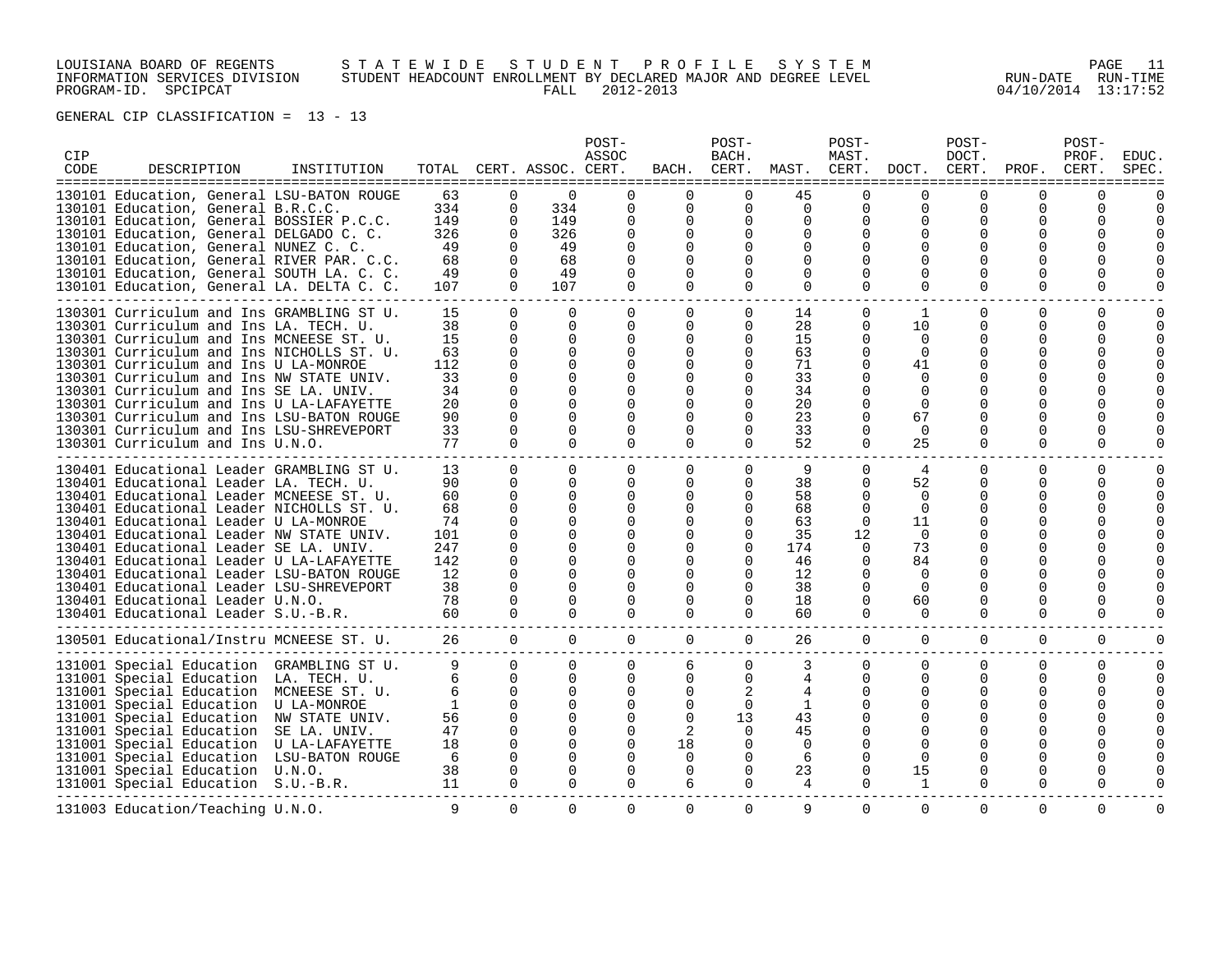# LOUISIANA BOARD OF REGENTS S T A T E W I D E S T U D E N T P R O F I L E S Y S T E M PAGE 11 INFORMATION SERVICES DIVISION STUDENT HEADCOUNT ENROLLMENT BY DECLARED MAJOR AND DEGREE LEVEL RUN-DATE RUN-TIME DOUSTANA BOARD OF RUBNIS<br>INFORMATION STUDENT HEADCOUNT ENROLLMENT BY DECLARED MAJOR AND DEGREE LEVEL FOR RUN-DATE RUN-TIME<br>PROGRAM-ID. SPCIPCAT 13:17:52

| CIP<br>CODE | DESCRIPTION<br>======================================                               | INSTITUTION | TOTAL<br>-------- |                      | CERT. ASSOC. CERT.<br>=============== | POST-<br>ASSOC<br>------     | BACH.<br>-------     | POST-<br>BACH.<br>CERT.<br>------- | MAST.    | POST-<br>MAST.<br>CERT.<br>------------- | DOCT.                | POST-<br>DOCT.<br>CERT.<br>------------ | PROF.<br>------      | POST-<br>PROF.<br>CERT.<br>------ | EDUC.<br>SPEC.<br>$=$ $=$ $=$ $=$ |
|-------------|-------------------------------------------------------------------------------------|-------------|-------------------|----------------------|---------------------------------------|------------------------------|----------------------|------------------------------------|----------|------------------------------------------|----------------------|-----------------------------------------|----------------------|-----------------------------------|-----------------------------------|
|             | 130101 Education, General LSU-BATON ROUGE                                           |             | 63                | $\Omega$             | $\Omega$                              | <sup>n</sup>                 | 0                    | $\Omega$                           | 45       | $\Omega$                                 | $\Omega$             | ∩                                       | U                    | <sup>n</sup>                      |                                   |
|             | 130101 Education, General B.R.C.C.                                                  |             | 334               | $\Omega$             | 334                                   | $\Omega$                     | $\Omega$             | $\Omega$                           | $\Omega$ | $\Omega$                                 | $\Omega$             | ∩                                       | $\Omega$             | $\Omega$                          |                                   |
|             | 130101 Education, General BOSSIER P.C.C.                                            |             | 149               | $\mathbf 0$          | 149                                   | 0                            | 0                    | 0                                  | $\Omega$ | $\Omega$                                 | 0                    | $\Omega$                                | $\Omega$             | $\Omega$                          | $\Omega$                          |
|             | 130101 Education, General DELGADO C. C.                                             |             | 326               | $\Omega$             | 326                                   | $\Omega$                     | <sup>0</sup>         | $\Omega$<br>0                      |          | <sup>n</sup><br>0                        | $\Omega$<br>$\Omega$ | $\Omega$<br>$\Omega$                    | $\Omega$<br>$\Omega$ | $\Omega$                          | $\Omega$<br>$\Omega$              |
|             | 130101 Education, General NUNEZ C. C.<br>130101 Education, General RIVER PAR. C.C.  |             | 49<br>68          | $\Omega$             | 49<br>68                              | 0<br>$\Omega$                | 0<br>U               |                                    |          |                                          | $\Omega$             | $\Omega$                                | 0                    | 0<br>$\Omega$                     | $\Omega$                          |
|             | 130101 Education, General SOUTH LA. C. C.                                           |             | 49                | $\Omega$             | 49                                    | $\Omega$                     | 0                    | 0                                  | O        | $\Omega$                                 | $\Omega$             | $\Omega$                                | O                    | $\Omega$                          | $\Omega$                          |
|             | 130101 Education, General LA. DELTA C. C.                                           |             | 107               | $\Omega$             | 107                                   | $\Omega$                     | 0                    | $\Omega$                           | $\Omega$ | $\Omega$                                 | $\Omega$             | $\Omega$                                | $\Omega$             | $\Omega$                          |                                   |
|             |                                                                                     |             |                   |                      |                                       |                              |                      |                                    |          |                                          |                      |                                         |                      |                                   |                                   |
|             | 130301 Curriculum and Ins GRAMBLING ST U.                                           |             | 15                | $\Omega$             | $\Omega$                              | $\Omega$                     | $\Omega$             | $\Omega$                           | 14       | $\Omega$                                 | 1                    | 0                                       | $\Omega$             | $\Omega$                          |                                   |
|             | 130301 Curriculum and Ins LA. TECH. U.                                              |             | 38                | $\Omega$             | $\Omega$                              | $\Omega$                     | 0                    | $\Omega$                           | 28       | 0                                        | 10                   | $\Omega$                                | $\Omega$             | $\Omega$                          | $\Omega$                          |
|             | 130301 Curriculum and Ins MCNEESE ST. U.                                            |             | 15                | $\Omega$<br>$\Omega$ | O                                     | $\Omega$<br><sup>n</sup>     | 0<br><sup>0</sup>    | $\Omega$<br>$\Omega$               | 15       | $\Omega$<br>$\Omega$                     | 0<br>$\Omega$        | 0<br>$\Omega$                           | $\Omega$<br>0        | 0<br>$\Omega$                     | $\Omega$<br>$\Omega$              |
|             | 130301 Curriculum and Ins NICHOLLS ST. U.<br>130301 Curriculum and Ins U LA-MONROE  |             | 63<br>112         | $\Omega$             |                                       | O                            | <sup>0</sup>         |                                    | 63<br>71 | $\Omega$                                 | 41                   | $\Omega$                                | $\Omega$             | $\Omega$                          |                                   |
|             | 130301 Curriculum and Ins NW STATE UNIV.                                            |             | 33                | ∩                    |                                       |                              | <sup>0</sup>         |                                    | 33       |                                          | $\Omega$             | ∩                                       | U                    | $\Omega$                          |                                   |
|             | 130301 Curriculum and Ins SE LA. UNIV.                                              |             | 34                | O                    |                                       |                              | 0                    |                                    | 34       | 0                                        | $\Omega$             | $\Omega$                                | 0                    | $\Omega$                          |                                   |
|             | 130301 Curriculum and Ins U LA-LAFAYETTE                                            |             | 20                |                      |                                       |                              | U                    |                                    | 20       | <sup>n</sup>                             | $\Omega$             | $\Omega$                                | ∩                    | $\Omega$                          |                                   |
|             | 130301 Curriculum and Ins LSU-BATON ROUGE                                           |             | 90                | ∩                    | ∩                                     | U                            | U                    | 0                                  | 23       | U                                        | 67                   | ∩                                       | U                    | $\Omega$                          | $\Omega$                          |
|             | 130301 Curriculum and Ins LSU-SHREVEPORT                                            |             | 33                | $\Omega$             | $\Omega$                              | $\Omega$                     | $\Omega$             | $\Omega$                           | 33       | $\Omega$                                 | $\Omega$             | $\Omega$                                | $\Omega$             | $\Omega$                          |                                   |
|             | 130301 Curriculum and Ins U.N.O.                                                    |             | 77                | $\Omega$             | $\Omega$                              | $\Omega$                     | $\Omega$             | $\Omega$                           | 52       | $\Omega$                                 | 25                   | $\Omega$                                | $\Omega$             | $\Omega$                          |                                   |
|             |                                                                                     |             |                   | $\Omega$             | $\Omega$                              | $\Omega$                     |                      | $\Omega$                           |          | $\Omega$                                 |                      | 0                                       | U                    |                                   |                                   |
|             | 130401 Educational Leader GRAMBLING ST U.<br>130401 Educational Leader LA. TECH. U. |             | 13<br>90          | 0                    | 0                                     | 0                            | $\Omega$<br>0        | 0                                  | 9<br>38  | $\Omega$                                 | 4<br>52              | 0                                       | O                    | $\Omega$<br>$\Omega$              | $\Omega$                          |
|             | 130401 Educational Leader MCNEESE ST. U.                                            |             | 60                | $\Omega$             |                                       | $\Omega$                     | <sup>0</sup>         | $\Omega$                           | 58       | $\Omega$                                 | 0                    | $\Omega$                                | U                    | $\Omega$                          | $\Omega$                          |
|             | 130401 Educational Leader NICHOLLS ST. U.                                           |             | 68                | $\Omega$             | $\Omega$                              | $\Omega$                     | <sup>0</sup>         | 0                                  | 68       | $\Omega$                                 | $\Omega$             | $\Omega$                                | $\Omega$             | $\Omega$                          | $\Omega$                          |
|             | 130401 Educational Leader U LA-MONROE                                               |             | 74                | $\Omega$             |                                       | <sup>n</sup>                 | <sup>0</sup>         | $\Omega$                           | 63       | $\Omega$                                 | 11                   | $\Omega$                                | 0                    | $\Omega$                          |                                   |
|             | 130401 Educational Leader NW STATE UNIV.                                            |             | 101               | ∩                    |                                       | U                            | U                    | 0                                  | 35       | 12                                       | $\Omega$             | ∩                                       | U                    | $\Omega$                          |                                   |
|             | 130401 Educational Leader SE LA. UNIV.                                              |             | 247               | O                    |                                       |                              | <sup>0</sup>         |                                    | 174      | $\Omega$                                 | 73                   | $\Omega$                                | 0                    | 0                                 |                                   |
|             | 130401 Educational Leader U LA-LAFAYETTE                                            |             | 142               | ∩                    |                                       | U                            | U                    | 0                                  | 46       | $\Omega$                                 | 84                   | ∩                                       | 0                    | $\Omega$                          |                                   |
|             | 130401 Educational Leader LSU-BATON ROUGE                                           |             | 12                | O                    |                                       | O                            | 0                    |                                    | 12       | 0                                        | 0                    | $\Omega$                                | U                    | $\Omega$                          |                                   |
|             | 130401 Educational Leader LSU-SHREVEPORT                                            |             | 38                | $\Omega$             |                                       | U                            | <sup>0</sup>         | 0                                  | 38       | 0                                        | $\Omega$             | ∩                                       | 0                    | $\Omega$                          | $\Omega$                          |
|             | 130401 Educational Leader U.N.O.                                                    |             | 78                | 0                    | O                                     | $\Omega$                     | 0                    | 0                                  | 18       | 0                                        | 60                   | $\Omega$                                | $\Omega$             | $\Omega$                          | <sup>n</sup>                      |
|             | 130401 Educational Leader S.U.-B.R.                                                 |             | 60                | $\Omega$             | $\Omega$                              | $\Omega$                     | $\Omega$             | $\Omega$                           | 60       | $\Omega$                                 | $\Omega$             | $\Omega$                                | $\Omega$             | $\Omega$                          | <sup>n</sup>                      |
|             | 130501 Educational/Instru MCNEESE ST. U.                                            |             | 26                | $\Omega$             | $\Omega$                              | $\mathbf 0$                  | $\mathbf 0$          | $\mathbf 0$                        | 26       | 0                                        | $\mathbf{0}$         | $\Omega$                                | $\Omega$             | 0                                 |                                   |
|             | 131001 Special Education GRAMBLING ST U.                                            |             | 9                 | 0                    | $\Omega$                              | 0                            | 6                    | 0                                  | 3        | $\Omega$                                 | 0                    | 0                                       | $\Omega$             | 0                                 | $\Omega$                          |
|             | 131001 Special Education LA. TECH. U.                                               |             | 6                 | $\Omega$             | $\Omega$                              | $\Omega$                     | 0                    | $\Omega$                           | 4        | $\Omega$                                 | $\Omega$             | $\Omega$                                | U                    | 0                                 | $\Omega$                          |
|             | 131001 Special Education MCNEESE ST. U.                                             |             | 6                 | 0                    | O                                     | O                            | 0                    | 2                                  |          | 0                                        | 0                    | $\Omega$                                | $\Omega$             | 0                                 | $\Omega$                          |
|             | 131001 Special Education U LA-MONROE                                                |             | $\mathbf{1}$      | $\Omega$             |                                       | U                            | 0                    | $\Omega$                           | 1        | $\Omega$                                 | $\Omega$             | ∩                                       | 0                    | $\Omega$                          | $\Omega$                          |
|             | 131001 Special Education NW STATE UNIV.                                             |             | 56                | $\Omega$             |                                       | $\Omega$                     | $\Omega$             | 13                                 | 43       |                                          | $\Omega$             | $\Omega$                                | U                    | $\Omega$                          |                                   |
|             | 131001 Special Education SE LA. UNIV.                                               |             | 47                | $\Omega$             |                                       | $\Omega$                     | 2                    | $\Omega$                           | 45       | U                                        | $\Omega$             | $\Omega$                                | 0                    | $\Omega$                          |                                   |
|             | 131001 Special Education U LA-LAFAYETTE                                             |             | 18                | $\Omega$             |                                       | $\Omega$                     | 18                   | 0                                  | $\Omega$ |                                          | $\Omega$             | $\Omega$                                | $\Omega$             | $\Omega$                          |                                   |
|             | 131001 Special Education LSU-BATON ROUGE                                            |             | -6<br>38          | $\Omega$             | ∩                                     | <sup>n</sup><br><sup>n</sup> | $\Omega$<br>$\Omega$ | 0<br>$\Omega$                      | 6        | $\Omega$<br>U                            | $\Omega$<br>15       | $\Omega$<br>∩                           | $\Omega$<br>U        | $\Omega$<br>$\Omega$              | $\Omega$<br>$\Omega$              |
|             | 131001 Special Education U.N.O.<br>131001 Special Education S.U.-B.R.               |             | 11                | $\Omega$             | $\Omega$                              | 0                            | 6                    | 0                                  | 23<br>4  | 0                                        | 1                    | $\Omega$                                | $\Omega$             | $\Omega$                          |                                   |
|             |                                                                                     |             |                   |                      |                                       |                              |                      |                                    |          |                                          |                      |                                         |                      |                                   |                                   |
|             | 131003 Education/Teaching U.N.O.                                                    |             | 9                 | $\Omega$             | $\Omega$                              | $\mathbf 0$                  | $\mathbf 0$          | $\Omega$                           | 9        | 0                                        | $\mathbf 0$          | $\Omega$                                | $\Omega$             | $\Omega$                          | $\Omega$                          |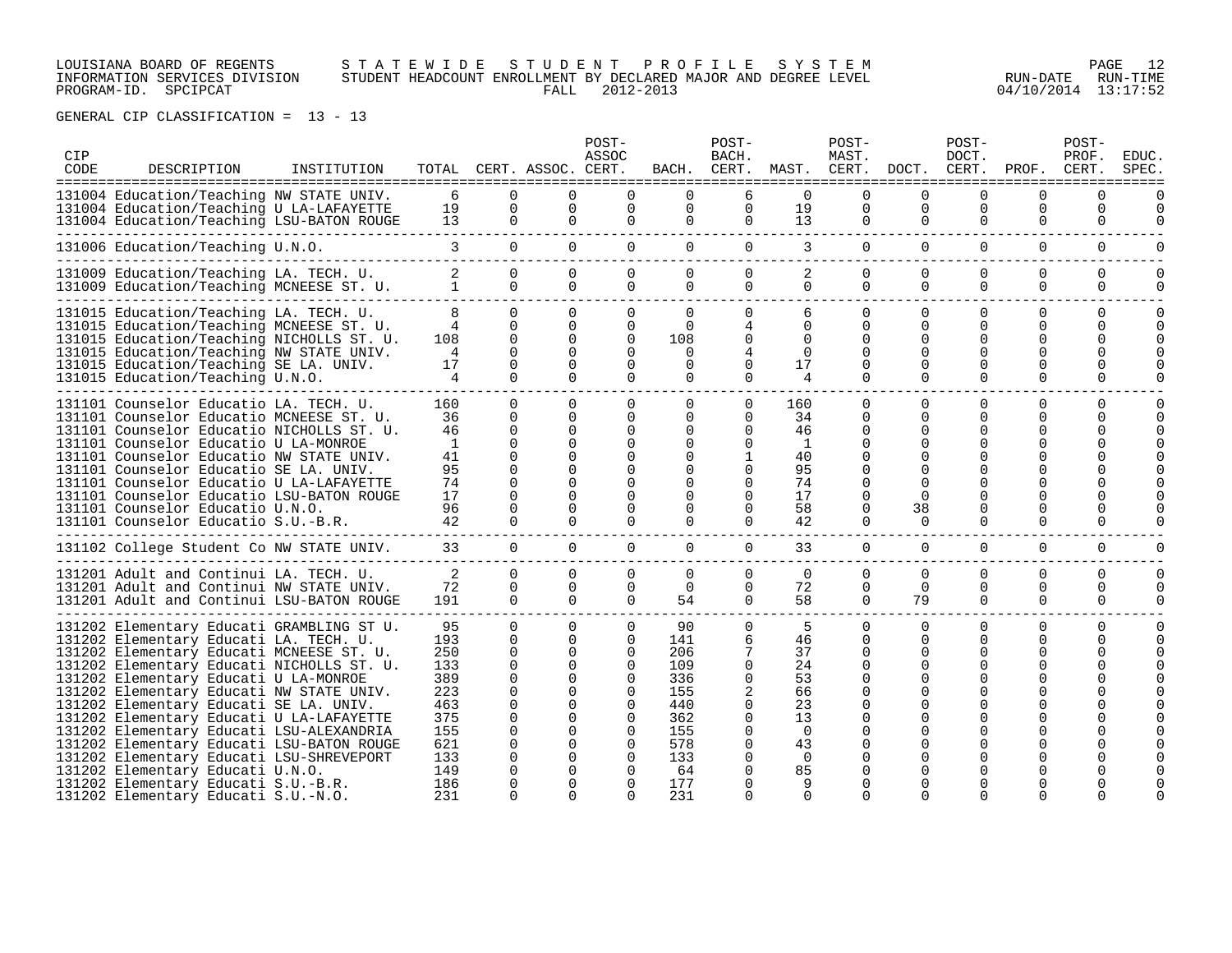### LOUISIANA BOARD OF REGENTS S T A T E W I D E S T U D E N T P R O F I L E S Y S T E M PAGE 12 INFORMATION SERVICES DIVISION STUDENT HEADCOUNT ENROLLMENT BY DECLARED MAJOR AND DEGREE LEVEL RUN-DATE RUN-TIME PROGRAM-ID. SPCIPCAT FALL 2012-2013 04/10/2014 13:17:52

| CIP<br>CODE | DESCRIPTION                                                                                                                                                                                                                                                                                                                                                                                                                                                                                                                                                                                                    | INSTITUTION   |                                                                                               |                                                                                                                                          | TOTAL CERT. ASSOC. CERT.                                                                                                          | POST-<br>ASSOC                                                                                                                                           |                                                                                              | POST-<br>BACH.                                                                                   | BACH. CERT. MAST. CERT. DOCT. CERT.                                                              | POST-<br>MAST.                                                                               |                                                    | POST-<br>DOCT.                                                     | PROF.                                                            | POST-<br>PROF.<br>CERT.    | <b>EDUC</b><br>SPEC                       |
|-------------|----------------------------------------------------------------------------------------------------------------------------------------------------------------------------------------------------------------------------------------------------------------------------------------------------------------------------------------------------------------------------------------------------------------------------------------------------------------------------------------------------------------------------------------------------------------------------------------------------------------|---------------|-----------------------------------------------------------------------------------------------|------------------------------------------------------------------------------------------------------------------------------------------|-----------------------------------------------------------------------------------------------------------------------------------|----------------------------------------------------------------------------------------------------------------------------------------------------------|----------------------------------------------------------------------------------------------|--------------------------------------------------------------------------------------------------|--------------------------------------------------------------------------------------------------|----------------------------------------------------------------------------------------------|----------------------------------------------------|--------------------------------------------------------------------|------------------------------------------------------------------|----------------------------|-------------------------------------------|
|             | ==============<br>131004 Education/Teaching NW STATE UNIV.<br>131004 Education/Teaching U LA-LAFAYETTE<br>131004 Education/Teaching LSU-BATON ROUGE                                                                                                                                                                                                                                                                                                                                                                                                                                                            | ============= | 6<br>19<br>13                                                                                 | $\Omega$<br>$\mathbf 0$<br>$\mathbf 0$                                                                                                   | 0<br>0<br>$\mathbf 0$                                                                                                             | $\mathbf 0$<br>0                                                                                                                                         | 0<br>0                                                                                       | 6<br>0<br>$\mathbf 0$                                                                            | $\Omega$<br>19<br>13                                                                             | $\mathbf 0$<br>0                                                                             | $\mathbf 0$<br>$\mathbf 0$                         | 0<br>$\mathbf 0$<br>0                                              | $\Omega$<br>0<br>0                                               | 0<br>0<br>0                | 0<br>O                                    |
|             | 131006 Education/Teaching U.N.O.                                                                                                                                                                                                                                                                                                                                                                                                                                                                                                                                                                               |               | $\overline{3}$                                                                                | $\overline{0}$                                                                                                                           | $\overline{0}$                                                                                                                    | $\mathbf 0$                                                                                                                                              | $\Omega$                                                                                     | $\overline{0}$                                                                                   | 3                                                                                                | $\overline{0}$                                                                               | $\mathbf 0$                                        | 0                                                                  | $\mathbf 0$                                                      | 0                          | O                                         |
|             | 131009 Education/Teaching LA. TECH. U.<br>131009 Education/Teaching MCNEESE ST. U.                                                                                                                                                                                                                                                                                                                                                                                                                                                                                                                             |               | $\sim$ 1                                                                                      | $\Omega$<br>$\Omega$                                                                                                                     | $\Omega$<br>$\Omega$                                                                                                              | $\Omega$                                                                                                                                                 | $\Omega$<br>$\Omega$                                                                         | $\Omega$<br>$\Omega$                                                                             | 2<br>$\Omega$                                                                                    | 0<br>$\Omega$                                                                                | $\Omega$<br>$\Omega$                               | $\Omega$<br>$\Omega$                                               | $\Omega$<br>$\Omega$                                             | 0<br>$\Omega$              | 0<br>0                                    |
|             | 131015 Education/Teaching LA. TECH. U.<br>131015 Education/Teaching MCNEESE ST. U.<br>131015 Education/Teaching NICHOLLS ST. U.<br>131015 Education/Teaching NW STATE UNIV.<br>131015 Education/Teaching SE LA. UNIV.<br>131015 Education/Teaching U.N.O.                                                                                                                                                                                                                                                                                                                                                      |               | 8<br>4<br>108<br>4<br>17<br>4                                                                 | $\Omega$<br>$\Omega$<br>$\Omega$<br>$\Omega$<br>$\Omega$<br>$\Omega$                                                                     | $\Omega$<br>$\Omega$<br>$\Omega$<br>$\Omega$<br>$\Omega$<br>$\Omega$                                                              | $\Omega$<br>$\Omega$<br>$\Omega$<br>$\Omega$<br>$\Omega$                                                                                                 | $\Omega$<br>$\Omega$<br>108<br>$\Omega$<br>$\Omega$<br>$\Omega$                              | $\Omega$<br>4<br>$\Omega$<br>$\Omega$<br>0                                                       | 6<br>$\Omega$<br>$\Omega$<br>$\Omega$<br>17<br>4                                                 | $\Omega$<br>$\Omega$<br>$\Omega$<br>$\Omega$<br>0<br>$\Omega$                                | ∩<br>∩<br>O<br>$\Omega$                            | O<br>O<br>O<br>O<br>$\Omega$<br>0                                  | $\Omega$<br>0<br>O<br>O<br>0<br>0                                | 0<br>0<br>U<br>0<br>U<br>0 | $\Omega$<br>$\Omega$<br>O<br><sup>0</sup> |
|             | 131101 Counselor Educatio LA. TECH. U.<br>131101 Counselor Educatio MCNEESE ST. U.<br>131101 Counselor Educatio NICHOLLS ST. U.<br>131101 Counselor Educatio U LA-MONROE<br>131101 Counselor Educatio NW STATE UNIV.<br>131101 Counselor Educatio SE LA. UNIV.<br>131101 Counselor Educatio U LA-LAFAYETTE<br>131101 Counselor Educatio LSU-BATON ROUGE<br>131101 Counselor Educatio U.N.O.<br>131101 Counselor Educatio S.U.-B.R.                                                                                                                                                                             |               | 160<br>36<br>46<br>1<br>41<br>95<br>74<br>17<br>96<br>42                                      | $\Omega$<br>$\Omega$<br>$\mathbf 0$<br>$\Omega$<br>$\Omega$<br>$\Omega$<br>$\Omega$<br>$\Omega$<br>$\Omega$<br>$\Omega$                  | $\Omega$<br>$\Omega$<br>$\Omega$<br>$\Omega$<br>$\Omega$<br>$\Omega$<br>$\Omega$<br>$\Omega$<br>$\Omega$<br>$\Omega$              | $\Omega$<br>$\Omega$<br>$\Omega$                                                                                                                         | $\Omega$<br>$\Omega$<br>$\Omega$<br>$\Omega$<br>$\Omega$<br>0<br>$\Omega$<br>0               | $\overline{0}$<br>0<br>$\Omega$<br>1<br>$\Omega$<br>0<br>$\Omega$<br>0<br>$\Omega$               | 160<br>34<br>46<br>1<br>40<br>95<br>74<br>17<br>58<br>42                                         | 0<br>0<br>$\Omega$<br>$\Omega$<br>0<br><sup>0</sup><br>0<br>0<br>0<br>$\Omega$               | $\Omega$<br>$\Omega$<br>$\Omega$<br>38<br>$\Omega$ | 0<br>$\Omega$<br>$\Omega$<br>$\Omega$<br>O<br>$\Omega$<br>$\Omega$ | 0<br>$\Omega$<br>$\Omega$<br>$\Omega$<br>0<br>O<br>0<br>$\Omega$ | 0<br>0<br>U<br>O<br>0      | $\Omega$<br>$\Omega$                      |
|             | 131102 College Student Co NW STATE UNIV.                                                                                                                                                                                                                                                                                                                                                                                                                                                                                                                                                                       |               | 33                                                                                            | $\Omega$                                                                                                                                 | $\Omega$                                                                                                                          | $\Omega$                                                                                                                                                 | $\Omega$                                                                                     | $\Omega$                                                                                         | 33                                                                                               | $\Omega$                                                                                     | $\Omega$                                           | $\Omega$                                                           | $\Omega$                                                         | $\Omega$                   | 0                                         |
|             | 131201 Adult and Continui LA. TECH. U.<br>131201 Adult and Continui NW STATE UNIV.<br>131201 Adult and Continui LSU-BATON ROUGE                                                                                                                                                                                                                                                                                                                                                                                                                                                                                |               | 2<br>72<br>191                                                                                | $\Omega$<br>$\Omega$<br>$\Omega$                                                                                                         | $\Omega$<br>$\Omega$<br>$\Omega$                                                                                                  | $\Omega$<br>$\Omega$<br>$\Omega$                                                                                                                         | $\Omega$<br>$\Omega$<br>54                                                                   | $\Omega$<br>$\Omega$<br>$\Omega$                                                                 | $\Omega$<br>72<br>58                                                                             | $\Omega$<br>$\mathbf 0$<br>$\mathbf 0$                                                       | $\Omega$<br>$\Omega$<br>79                         | $\Omega$<br>$\Omega$<br>$\Omega$                                   | $\Omega$<br>$\Omega$<br>$\Omega$                                 | $\Omega$<br>0<br>0         | $\Omega$<br>0<br>$\Omega$                 |
|             | 131202 Elementary Educati GRAMBLING ST U.<br>131202 Elementary Educati LA. TECH. U.<br>131202 Elementary Educati MCNEESE ST. U.<br>131202 Elementary Educati NICHOLLS ST. U.<br>131202 Elementary Educati U LA-MONROE<br>131202 Elementary Educati NW STATE UNIV.<br>131202 Elementary Educati SE LA. UNIV.<br>131202 Elementary Educati U LA-LAFAYETTE<br>131202 Elementary Educati LSU-ALEXANDRIA<br>131202 Elementary Educati LSU-BATON ROUGE<br>131202 Elementary Educati LSU-SHREVEPORT<br>131202 Elementary Educati U.N.O.<br>131202 Elementary Educati S.U.-B.R.<br>131202 Elementary Educati S.U.-N.O. |               | 95<br>193<br>250<br>133<br>389<br>223<br>463<br>375<br>155<br>621<br>133<br>149<br>186<br>231 | $\Omega$<br>$\Omega$<br>$\Omega$<br>$\Omega$<br>$\Omega$<br>$\Omega$<br>$\Omega$<br>$\Omega$<br>0<br>0<br>0<br>0<br>$\Omega$<br>$\Omega$ | $\Omega$<br>$\Omega$<br>0<br>$\Omega$<br>$\Omega$<br>$\Omega$<br>$\Omega$<br>$\Omega$<br>0<br>0<br>0<br>0<br>$\Omega$<br>$\Omega$ | $\Omega$<br>$\Omega$<br>$\Omega$<br>$\Omega$<br>$\Omega$<br>$\Omega$<br>$\Omega$<br>$\Omega$<br>$\Omega$<br>$\Omega$<br>$\Omega$<br>$\Omega$<br>$\Omega$ | 90<br>141<br>206<br>109<br>336<br>155<br>440<br>362<br>155<br>578<br>133<br>64<br>177<br>231 | $\Omega$<br>6<br>7<br>$\Omega$<br>0<br>$\Omega$<br>0<br>0<br>0<br>0<br>0<br>$\Omega$<br>$\Omega$ | 5<br>46<br>37<br>24<br>53<br>66<br>23<br>13<br>$\Omega$<br>43<br>$\Omega$<br>85<br>9<br>$\Omega$ | $\mathbf 0$<br>$\Omega$<br>$\Omega$<br>$\Omega$<br>O<br><sup>0</sup><br>$\Omega$<br>$\Omega$ | $\Omega$<br>O<br>$\Omega$                          | 0<br>0<br>O<br>∩<br>$\Omega$                                       | 0<br>O<br>O<br>O<br>O<br>O<br>$\Omega$                           | $\Omega$<br>0              | $\Omega$<br>O                             |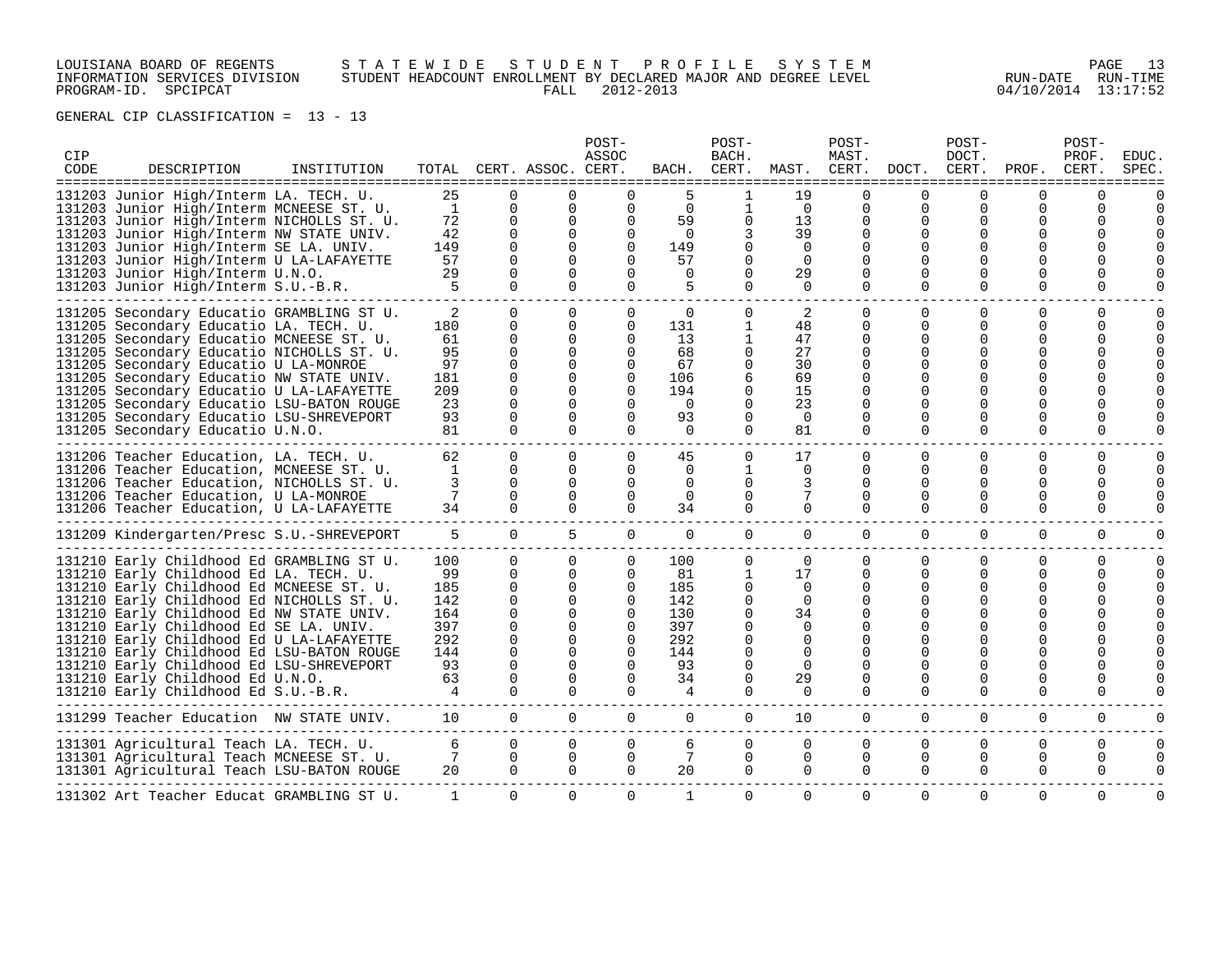# LOUISIANA BOARD OF REGENTS S T A T E W I D E S T U D E N T P R O F I L E S Y S T E M PAGE 13 INFORMATION SERVICES DIVISION STUDENT HEADCOUNT ENROLLMENT BY DECLARED MAJOR AND DEGREE LEVEL RUN-DATE RUN-TIME PROGRAM-ID. SPCIPCAT FALL 2012-2013 04/10/2014 13:17:52

| CIP<br>CODE | DESCRIPTION                                                                                                                                                                                                                                                                                                                                                                                                                                                                        | INSTITUTION |                                                                                   |                                                                                                                              | TOTAL CERT. ASSOC. CERT.<br>=======                                                                       | POST-<br>ASSOC                                                                      | BACH.                                                                         | POST-<br>BACH.<br>CERT.                                                               | MAST. CERT.                                                                                         | POST-<br>MAST.                                                                                                |                                       | POST-<br>DOCT.<br>DOCT. CERT.                  | PROF.                                                                                         | POST-<br>PROF.<br>CERT.   | <b>EDUC</b><br>SPEC       |
|-------------|------------------------------------------------------------------------------------------------------------------------------------------------------------------------------------------------------------------------------------------------------------------------------------------------------------------------------------------------------------------------------------------------------------------------------------------------------------------------------------|-------------|-----------------------------------------------------------------------------------|------------------------------------------------------------------------------------------------------------------------------|-----------------------------------------------------------------------------------------------------------|-------------------------------------------------------------------------------------|-------------------------------------------------------------------------------|---------------------------------------------------------------------------------------|-----------------------------------------------------------------------------------------------------|---------------------------------------------------------------------------------------------------------------|---------------------------------------|------------------------------------------------|-----------------------------------------------------------------------------------------------|---------------------------|---------------------------|
| =====:      | 131203 Junior High/Interm LA. TECH. U.<br>131203 Junior High/Interm MCNEESE ST. U.<br>131203 Junior High/Interm NICHOLLS ST. U.<br>131203 Junior High/Interm NW STATE UNIV.<br>131203 Junior High/Interm SE LA. UNIV.<br>131203 Junior High/Interm U LA-LAFAYETTE<br>131203 Junior High/Interm U.N.O.<br>131203 Junior High/Interm S.U.-B.R.                                                                                                                                       |             | 25<br>$\mathbf{1}$<br>72<br>42<br>149<br>57<br>29<br>5                            | $\Omega$<br>0<br>0<br>$\mathbf 0$<br>$\Omega$<br>$\Omega$<br>$\Omega$<br>$\Omega$                                            | $\Omega$<br>0<br>0<br>$\mathbf 0$<br>0<br>$\Omega$<br>$\Omega$<br>$\Omega$                                | 0<br>0<br>0<br>$\Omega$<br>$\Omega$                                                 | 5<br>$\Omega$<br>59<br>$\Omega$<br>149<br>57<br>$\Omega$<br>5                 | $\mathbf{1}$<br>0<br>0<br>0<br>0                                                      | 19<br>$\overline{0}$<br>13<br>39<br>$\Omega$<br>$\Omega$<br>29<br>$\Omega$                          | $\Omega$<br>0<br>0<br>0<br>$\Omega$<br>$\Omega$<br><sup>0</sup><br>$\Omega$                                   | 0<br>$\Omega$                         | O<br>$\Omega$<br>O<br>$\Omega$<br>$\Omega$     | U<br>0<br>0<br>0<br><sup>0</sup><br><sup>0</sup>                                              | O                         |                           |
|             | 131205 Secondary Educatio GRAMBLING ST U.<br>131205 Secondary Educatio LA. TECH. U.<br>131205 Secondary Educatio MCNEESE ST. U.<br>131205 Secondary Educatio NICHOLLS ST. U.<br>131205 Secondary Educatio U LA-MONROE<br>131205 Secondary Educatio NW STATE UNIV.<br>131205 Secondary Educatio U LA-LAFAYETTE<br>131205 Secondary Educatio LSU-BATON ROUGE<br>131205 Secondary Educatio LSU-SHREVEPORT<br>131205 Secondary Educatio U.N.O.                                         |             | 2<br>180<br>61<br>95<br>97<br>181<br>209<br>23<br>93<br>81                        | $\Omega$<br>$\Omega$<br>$\mathbf 0$<br>0<br>$\mathbf 0$<br>$\Omega$<br>$\Omega$<br>$\Omega$<br>0<br>$\Omega$                 | $\Omega$<br>$\Omega$<br>0<br>0<br>$\mathbf 0$<br>$\Omega$<br>$\Omega$<br>$\Omega$<br>$\Omega$<br>$\Omega$ | 0<br>$\Omega$<br>$\Omega$<br>$\Omega$<br>$\Omega$<br>0<br>$\Omega$<br>0<br>$\Omega$ | $\Omega$<br>131<br>13<br>68<br>67<br>106<br>194<br>$\Omega$<br>93<br>$\Omega$ | $\Omega$<br>1<br>$\mathbf{1}$<br>0<br>0<br>6<br>$\Omega$<br>0<br>$\Omega$<br>$\Omega$ | 2<br>48<br>47<br>27<br>30<br>69<br>15<br>23<br>$\Omega$<br>81                                       | $\Omega$<br>$\Omega$<br>$\Omega$<br>$\Omega$<br>0<br>$\Omega$<br>$\Omega$<br>$\Omega$<br>$\Omega$<br>$\Omega$ | ∩<br>∩<br>$\Omega$                    | O<br>O<br>$\Omega$<br>$\Omega$<br>$\Omega$     | $\Omega$<br>0<br><sup>0</sup><br><sup>0</sup><br>0<br>0<br>U<br>U<br><sup>0</sup><br>$\Omega$ | O<br>0<br>U<br>0          | $\Omega$<br>$\Omega$      |
|             | 131206 Teacher Education, LA. TECH. U.<br>131206 Teacher Education, MCNEESE ST. U.<br>131206 Teacher Education, NICHOLLS ST. U.<br>131206 Teacher Education, U LA-MONROE<br>131206 Teacher Education, U LA-LAFAYETTE                                                                                                                                                                                                                                                               |             | 62<br>1<br>3<br>7<br>34                                                           | $\Omega$<br>$\Omega$<br>$\Omega$<br>$\Omega$<br>$\Omega$                                                                     | $\mathbf 0$<br>0<br>$\Omega$<br>$\Omega$<br>$\Omega$                                                      | 0<br>0<br>$\Omega$<br>$\Omega$<br>$\Omega$                                          | 45<br>0<br>$\Omega$<br>$\Omega$<br>34                                         | 0<br>$\mathbf{1}$<br>$\Omega$<br>0<br>$\Omega$                                        | 17<br>$\overline{0}$<br>3<br>7<br>0                                                                 | 0<br>0<br>$\Omega$<br>$\Omega$<br>$\Omega$                                                                    | 0<br>O<br>O<br>$\Omega$               | 0<br>$\Omega$<br>O<br><sup>0</sup><br>$\Omega$ | 0<br>$\Omega$<br>0<br><sup>0</sup><br>$\Omega$                                                | 0<br>0<br>U<br>U<br>O     | $\Omega$<br>$\Omega$      |
|             | 131209 Kindergarten/Presc S.U.-SHREVEPORT                                                                                                                                                                                                                                                                                                                                                                                                                                          |             | 5                                                                                 | $\overline{0}$                                                                                                               | 5                                                                                                         | 0                                                                                   | $\mathbf 0$                                                                   | 0                                                                                     | $\overline{0}$                                                                                      | 0                                                                                                             | 0                                     | 0                                              | $\mathbf 0$                                                                                   | 0                         | O                         |
|             | 131210 Early Childhood Ed GRAMBLING ST U.<br>131210 Early Childhood Ed LA. TECH. U.<br>131210 Early Childhood Ed MCNEESE ST. U.<br>131210 Early Childhood Ed NICHOLLS ST. U.<br>131210 Early Childhood Ed NW STATE UNIV.<br>131210 Early Childhood Ed SE LA. UNIV.<br>131210 Early Childhood Ed U LA-LAFAYETTE<br>131210 Early Childhood Ed LSU-BATON ROUGE<br>131210 Early Childhood Ed LSU-SHREVEPORT<br>131210 Early Childhood Ed U.N.O.<br>131210 Early Childhood Ed S.U.-B.R. |             | 100<br>99<br>185<br>142<br>164<br>397<br>292<br>144<br>93<br>63<br>$\overline{4}$ | $\Omega$<br>0<br>$\mathbf 0$<br>$\Omega$<br>$\Omega$<br>$\Omega$<br>$\Omega$<br>$\Omega$<br>$\Omega$<br>$\Omega$<br>$\Omega$ | $\mathbf 0$<br>0<br>0<br>0<br>$\mathbf 0$<br>$\Omega$<br>$\Omega$<br>0<br>$\Omega$<br>0<br>$\Omega$       | 0<br>0<br>0<br>$\Omega$<br>$\Omega$<br>$\Omega$<br>$\Omega$<br>0<br>$\Omega$        | 100<br>81<br>185<br>142<br>130<br>397<br>292<br>144<br>93<br>34<br>4          | 0<br>1<br>0<br>0<br>$\Omega$<br>0<br>0<br>$\Omega$                                    | 0<br>17<br>$\mathbf 0$<br>$\Omega$<br>34<br>0<br>$\Omega$<br>$\Omega$<br>$\Omega$<br>29<br>$\Omega$ | 0<br>0<br>0<br>$\Omega$<br>$\Omega$<br>$\Omega$<br>0<br>$\Omega$                                              | $\Omega$<br>$\Omega$<br>0<br>$\Omega$ | $\Omega$<br>$\Omega$<br>O<br>0<br>$\Omega$     | $\Omega$<br>$\Omega$<br>0<br><sup>0</sup><br>0<br><sup>0</sup>                                | O<br>0<br>U<br>0<br>0     | $\Omega$<br>$\Omega$      |
|             | 131299 Teacher Education NW STATE UNIV.                                                                                                                                                                                                                                                                                                                                                                                                                                            |             | 10                                                                                | $\Omega$                                                                                                                     | $\Omega$                                                                                                  | $\Omega$                                                                            | $\Omega$                                                                      | 0                                                                                     | 10                                                                                                  | 0                                                                                                             | $\Omega$                              | 0                                              | 0                                                                                             | 0                         | $\Omega$                  |
|             | 131301 Agricultural Teach LA. TECH. U.<br>131301 Agricultural Teach MCNEESE ST. U.<br>131301 Agricultural Teach LSU-BATON ROUGE                                                                                                                                                                                                                                                                                                                                                    |             | 6<br>7<br>20                                                                      | $\Omega$<br>$\Omega$<br>$\Omega$                                                                                             | $\Omega$<br>$\Omega$<br>$\Omega$                                                                          | 0<br>$\Omega$<br>$\Omega$                                                           | 6<br>7<br>20                                                                  | $\Omega$<br>$\Omega$<br>$\Omega$                                                      | $\Omega$<br>0<br>$\Omega$                                                                           | $\Omega$<br>0<br>$\Omega$                                                                                     | $\Omega$<br>$\Omega$<br>$\Omega$      | $\Omega$<br>$\Omega$<br>$\Omega$               | $\Omega$<br>$\Omega$<br>$\Omega$                                                              | $\Omega$<br>0<br>$\Omega$ | $\Omega$<br>$\Omega$<br>0 |
|             | 131302 Art Teacher Educat GRAMBLING ST U.                                                                                                                                                                                                                                                                                                                                                                                                                                          |             | 1                                                                                 | $\mathbf{0}$                                                                                                                 | 0                                                                                                         | 0                                                                                   | 1                                                                             | 0                                                                                     | $\Omega$                                                                                            | 0                                                                                                             | $\Omega$                              | $\Omega$                                       | 0                                                                                             | $\Omega$                  | $\Omega$                  |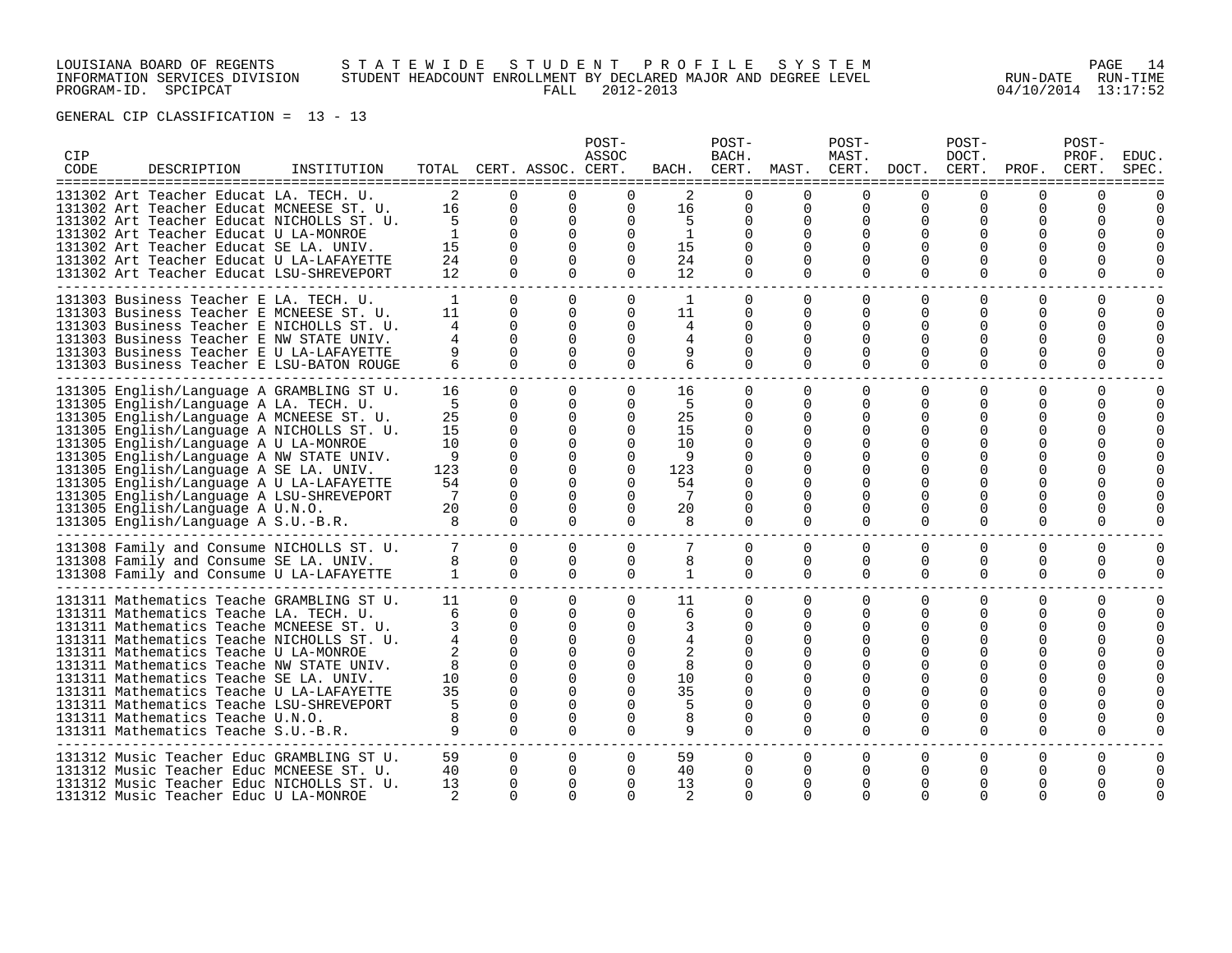# LOUISIANA BOARD OF REGENTS S T A T E W I D E S T U D E N T P R O F I L E S Y S T E M PAGE 14 INFORMATION SERVICES DIVISION STUDENT HEADCOUNT ENROLLMENT BY DECLARED MAJOR AND DEGREE LEVEL RUN-DATE RUN-TIME PROGRAM-ID. SPCIPCAT FALL 2012-2013 04/10/2014 13:17:52

| CIP<br>CODE | DESCRIPTION                                                                                                                                                                                                                                                                                                                                                                                                                                                                    | INSTITUTION |                                                             |                                                                                                                                  | TOTAL CERT. ASSOC. CERT.                                                                                                         | POST-<br>ASSOC                                                                 | BACH.                                                       | POST-<br>BACH.<br>CERT.                                                                |                                                                    | POST-<br>MAST.<br>MAST. CERT.                                                 | DOCT.                                                  | POST-<br>DOCT.<br>CERT.                                                 | PROF.                                                                                  | POST-<br>PROF.<br>CERT.           | <b>EDUC</b><br>SPEC              |
|-------------|--------------------------------------------------------------------------------------------------------------------------------------------------------------------------------------------------------------------------------------------------------------------------------------------------------------------------------------------------------------------------------------------------------------------------------------------------------------------------------|-------------|-------------------------------------------------------------|----------------------------------------------------------------------------------------------------------------------------------|----------------------------------------------------------------------------------------------------------------------------------|--------------------------------------------------------------------------------|-------------------------------------------------------------|----------------------------------------------------------------------------------------|--------------------------------------------------------------------|-------------------------------------------------------------------------------|--------------------------------------------------------|-------------------------------------------------------------------------|----------------------------------------------------------------------------------------|-----------------------------------|----------------------------------|
|             | 131302 Art Teacher Educat LA. TECH. U.<br>131302 Art Teacher Educat MCNEESE ST. U.<br>131302 Art Teacher Educat NICHOLLS ST. U.<br>131302 Art Teacher Educat U LA-MONROE<br>131302 Art Teacher Educat SE LA. UNIV.<br>131302 Art Teacher Educat U LA-LAFAYETTE<br>131302 Art Teacher Educat LSU-SHREVEPORT                                                                                                                                                                     |             | 2<br>16<br>5<br>1<br>15<br>24<br>12                         | $\Omega$<br>$\mathbf 0$<br>$\mathbf 0$<br>$\Omega$<br>$\Omega$<br>$\Omega$<br>$\Omega$                                           | $\Omega$<br>0<br>$\mathbf 0$<br>$\Omega$<br>$\Omega$<br>$\Omega$<br>$\Omega$                                                     | 0<br>$\Omega$<br>$\Omega$<br>$\Omega$<br>$\Omega$                              | 2<br>16<br>5<br>1<br>15<br>24<br>12                         | $\Omega$<br>0<br>0<br>$\Omega$<br>$\Omega$<br>$\Omega$<br>$\Omega$                     | $\Omega$<br>0<br>0<br>$\Omega$<br>$\Omega$<br>$\Omega$<br>$\Omega$ | $\Omega$<br>0<br>0<br>$\Omega$<br>$\Omega$<br>$\Omega$<br>$\Omega$            | ∩<br>0<br>$\Omega$<br>$\Omega$<br>$\Omega$             | 0<br>0<br>0<br>∩<br>0<br>$\Omega$                                       | $\Omega$<br>0<br>$\Omega$<br>0<br>O<br>0<br>$\Omega$                                   | U<br>0<br>O<br>0                  | O                                |
|             | 131303 Business Teacher E LA. TECH. U.<br>131303 Business Teacher E MCNEESE ST. U.<br>131303 Business Teacher E NICHOLLS ST. U.<br>131303 Business Teacher E NW STATE UNIV.<br>131303 Business Teacher E U LA-LAFAYETTE<br>131303 Business Teacher E LSU-BATON ROUGE                                                                                                                                                                                                           |             | $\mathbf{1}$<br>11<br>4<br>4                                | $\Omega$<br>$\Omega$<br>$\Omega$<br>$\Omega$<br>$\Omega$<br>$\Omega$                                                             | $\Omega$<br>$\Omega$<br>$\Omega$<br>$\Omega$<br>$\Omega$<br>$\Omega$                                                             | $\Omega$<br>$\Omega$<br>$\Omega$<br>$\cap$<br>0<br>$\Omega$                    | 11<br>4<br>4<br>9<br>6                                      | $\Omega$<br>0<br>0<br>$\Omega$<br>$\Omega$<br>$\Omega$                                 | $\Omega$<br>0<br>$\Omega$<br>$\Omega$<br>$\Omega$<br>$\Omega$      | $\Omega$<br>0<br>$\Omega$<br>$\Omega$<br>$\Omega$<br>$\Omega$                 | $\Omega$<br>$\Omega$<br>∩<br>∩<br>∩<br>$\Omega$        | $\Omega$<br>$\Omega$<br>O<br>∩<br>∩<br>$\Omega$                         | $\Omega$<br>0<br>O<br>U<br>$\Omega$<br>$\Omega$                                        | 0<br>0<br>0<br>U<br>0             | $\Omega$<br>$\Omega$<br>$\Omega$ |
|             | 131305 English/Language A GRAMBLING ST U.<br>131305 English/Language A LA. TECH. U.<br>131305 English/Language A MCNEESE ST. U.<br>131305 English/Language A NICHOLLS ST. U.<br>131305 English/Language A U LA-MONROE<br>131305 English/Language A NW STATE UNIV.<br>131305 English/Language A SE LA. UNIV.<br>131305 English/Language A U LA-LAFAYETTE<br>131305 English/Language A LSU-SHREVEPORT<br>131305 English/Language A U.N.O.<br>131305 English/Language A S.U.-B.R. |             | 16<br>5<br>25<br>15<br>10<br>9<br>123<br>54<br>7<br>20<br>8 | $\Omega$<br>0<br>0<br>$\Omega$<br>$\Omega$<br>$\Omega$<br>$\Omega$<br>$\Omega$<br>$\Omega$<br>0<br>$\Omega$                      | 0<br>0<br>0<br>$\Omega$<br>$\Omega$<br>$\Omega$<br>0<br>$\Omega$<br>$\Omega$<br>0<br>$\Omega$                                    | $\Omega$<br>$\Omega$<br>0<br>$\Omega$<br>$\Omega$<br>$\Omega$<br>0<br>$\Omega$ | 16<br>5<br>25<br>15<br>10<br>9<br>123<br>54<br>7<br>20<br>8 | 0<br>0<br>0<br>$\Omega$<br>$\Omega$<br><sup>0</sup><br>$\Omega$<br>0<br>$\Omega$       | $\Omega$<br>$\Omega$<br>0<br>0<br>O<br>$\Omega$<br>0<br>$\Omega$   | 0<br>0<br>0<br>U<br><sup>0</sup><br>$\Omega$<br>0<br>$\Omega$                 | $\Omega$<br>$\Omega$<br>O<br>0<br>$\Omega$             | $\Omega$<br>0<br>$\Omega$<br>∩<br>O<br>$\Omega$<br>$\Omega$<br>$\Omega$ | 0<br>0<br>0<br>O<br>U<br>0<br>$\Omega$<br>0<br>$\Omega$                                | 0<br>0<br>0<br>U<br>0<br>0        | $\Omega$<br>$\Omega$             |
|             | 131308 Family and Consume NICHOLLS ST. U.<br>131308 Family and Consume SE LA. UNIV.<br>131308 Family and Consume U LA-LAFAYETTE                                                                                                                                                                                                                                                                                                                                                |             | 8<br>$\mathbf{1}$                                           | $\Omega$<br>$\Omega$<br>$\Omega$                                                                                                 | $\Omega$<br>$\Omega$<br>$\Omega$                                                                                                 | 0<br>$\Omega$<br>$\Omega$                                                      | 8<br>$\mathbf{1}$                                           | 0<br>$\Omega$<br>$\Omega$                                                              | $\Omega$<br>$\Omega$<br>$\Omega$                                   | $\Omega$<br>0<br>$\Omega$                                                     | $\Omega$<br>$\Omega$<br>$\Omega$                       | 0<br>$\Omega$<br>$\Omega$                                               | $\Omega$<br>0<br>$\Omega$                                                              | $\Omega$<br>0<br>$\Omega$         | $\Omega$<br>$\Omega$<br>$\Omega$ |
|             | 131311 Mathematics Teache GRAMBLING ST U.<br>131311 Mathematics Teache LA. TECH. U.<br>131311 Mathematics Teache MCNEESE ST. U.<br>131311 Mathematics Teache NICHOLLS ST. U.<br>131311 Mathematics Teache U LA-MONROE<br>131311 Mathematics Teache NW STATE UNIV.<br>131311 Mathematics Teache SE LA. UNIV.<br>131311 Mathematics Teache U LA-LAFAYETTE<br>131311 Mathematics Teache LSU-SHREVEPORT<br>131311 Mathematics Teache U.N.O.<br>131311 Mathematics Teache S.U.-B.R. |             | 11<br>6<br>3<br>8<br>10<br>35<br>5<br>9                     | $\Omega$<br>$\Omega$<br>$\Omega$<br>$\Omega$<br>$\Omega$<br>$\Omega$<br>$\Omega$<br>$\Omega$<br>$\Omega$<br>$\Omega$<br>$\Omega$ | $\Omega$<br>$\Omega$<br>$\Omega$<br>$\Omega$<br>$\Omega$<br>$\Omega$<br>$\Omega$<br>$\Omega$<br>$\Omega$<br>$\Omega$<br>$\Omega$ | $\Omega$<br>$\Omega$<br>0<br>O<br>$\Omega$                                     | 11<br>6<br>3<br>8<br>10<br>35<br>5<br>8<br>9                | 0<br>$\Omega$<br>0<br><sup>0</sup><br>$\Omega$<br>$\Omega$<br><sup>0</sup><br>$\Omega$ | $\Omega$<br>$\Omega$<br>0<br>O<br>$\Omega$<br>O<br>$\Omega$        | $\Omega$<br>$\Omega$<br>$\Omega$<br><sup>0</sup><br>$\Omega$<br>O<br>$\Omega$ | $\Omega$<br>$\Omega$<br>∩<br>$\Omega$<br>O<br>$\Omega$ | $\Omega$<br>$\Omega$<br>∩<br>∩<br>$\Omega$<br>$\Omega$<br>$\Omega$      | $\Omega$<br>$\Omega$<br>O<br>O<br>O<br>O<br>O<br>$\Omega$<br>0<br>$\Omega$<br>$\Omega$ | $\Omega$<br>0<br>U<br>U<br>O<br>0 | $\Omega$<br>$\Omega$             |
|             | 131312 Music Teacher Educ GRAMBLING ST U.<br>131312 Music Teacher Educ MCNEESE ST. U.<br>131312 Music Teacher Educ NICHOLLS ST. U.<br>131312 Music Teacher Educ U LA-MONROE                                                                                                                                                                                                                                                                                                    |             | 59<br>40<br>13<br>2                                         | 0<br>$\Omega$<br>$\Omega$<br>O                                                                                                   | 0<br>$\Omega$<br>$\Omega$<br>$\Omega$                                                                                            | O<br>∩<br>∩                                                                    | 59<br>40<br>13                                              | 0<br><sup>0</sup><br>$\Omega$                                                          | 0<br>$\Omega$<br>$\Omega$                                          | 0<br>$\Omega$<br>$\cap$<br>$\cap$                                             | 0<br>U                                                 | 0<br>O<br>∩<br>∩                                                        | 0<br>O<br>O<br>O                                                                       | 0                                 | 0                                |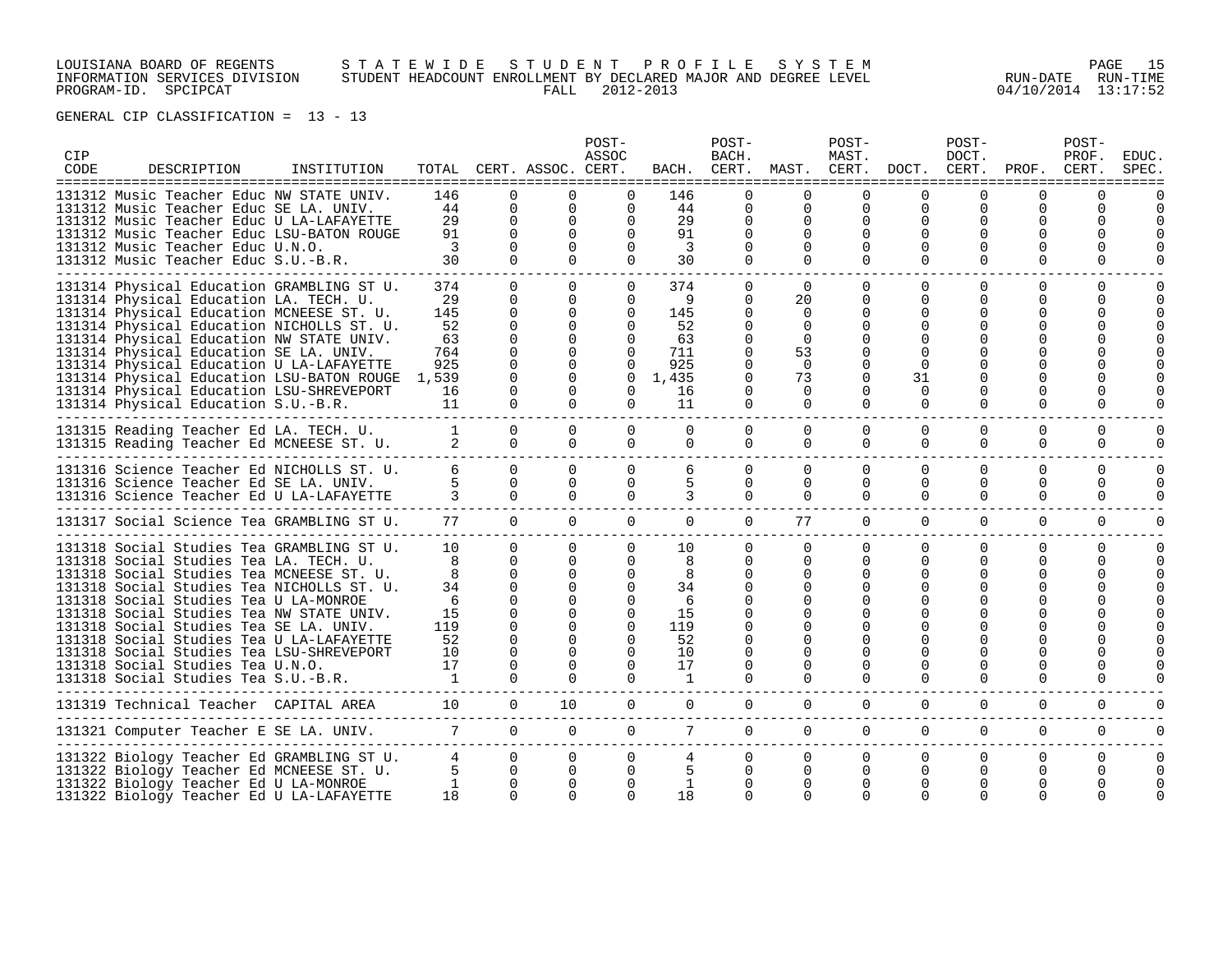# LOUISIANA BOARD OF REGENTS S T A T E W I D E S T U D E N T P R O F I L E S Y S T E M PAGE 15 INFORMATION SERVICES DIVISION STUDENT HEADCOUNT ENROLLMENT BY DECLARED MAJOR AND DEGREE LEVEL RUN-DATE RUN-TIME PROGRAM-ID. SPCIPCAT FALL 2012-2013 04/10/2014 13:17:52

| CIP<br>CODE | DESCRIPTION                                                                                                                                                                                                                                                                                                                                                                                                                                          | INSTITUTION |                                                        |                                                                                                                            | TOTAL CERT. ASSOC. CERT.                                                                                      | POST-<br>ASSOC                                                                                           | BACH.                                                           | POST-<br>BACH.                                                                           | CERT. MAST. CERT. DOCT. CERT. PROF.                                                         | POST-<br>MAST.                                                                                    |                                                              | POST-<br>DOCT.                                                               | ==============                                                                                   | POST-<br>PROF.<br>CERT.   | EDUC.<br>SPEC.                   |
|-------------|------------------------------------------------------------------------------------------------------------------------------------------------------------------------------------------------------------------------------------------------------------------------------------------------------------------------------------------------------------------------------------------------------------------------------------------------------|-------------|--------------------------------------------------------|----------------------------------------------------------------------------------------------------------------------------|---------------------------------------------------------------------------------------------------------------|----------------------------------------------------------------------------------------------------------|-----------------------------------------------------------------|------------------------------------------------------------------------------------------|---------------------------------------------------------------------------------------------|---------------------------------------------------------------------------------------------------|--------------------------------------------------------------|------------------------------------------------------------------------------|--------------------------------------------------------------------------------------------------|---------------------------|----------------------------------|
|             | 131312 Music Teacher Educ NW STATE UNIV.<br>131312 Music Teacher Educ SE LA. UNIV.<br>131312 Music Teacher Educ U LA-LAFAYETTE<br>131312 Music Teacher Educ LSU-BATON ROUGE<br>131312 Music Teacher Educ U.N.O.<br>131312 Music Teacher Educ S.U.-B.R.                                                                                                                                                                                               |             | 146<br>44<br>29<br>91<br>3<br>30                       | <sup>n</sup><br>$\Omega$<br>$\Omega$<br>$\Omega$<br>$\Omega$<br>$\Omega$                                                   | $\cap$<br>$\Omega$<br>$\Omega$<br>$\Omega$<br>$\Omega$<br>$\Omega$                                            | $\Omega$<br>0<br>$\Omega$<br>$\Omega$<br>$\Omega$                                                        | 146<br>44<br>29<br>91<br>$\overline{3}$<br>30                   | $\Omega$<br>$\Omega$<br>0<br>0<br>$\Omega$<br>$\Omega$                                   | <sup>n</sup><br>0<br>$\Omega$<br>0<br>$\Omega$<br>$\Omega$                                  | $\Omega$<br>0<br>0<br>$\Omega$<br>$\Omega$<br>$\Omega$                                            | $\Omega$<br>O<br>$\Omega$                                    | ∩<br>$\Omega$<br>O<br>$\Omega$                                               | <sup>n</sup><br>$\Omega$<br><sup>0</sup><br><sup>0</sup><br><sup>0</sup><br>$\Omega$             | U<br>U.<br>U<br>0         |                                  |
|             | 131314 Physical Education GRAMBLING ST U.<br>131314 Physical Education LA. TECH. U.<br>131314 Physical Education MCNEESE ST. U.<br>131314 Physical Education NICHOLLS ST. U.<br>131314 Physical Education NW STATE UNIV.<br>131314 Physical Education SE LA. UNIV.<br>131314 Physical Education U LA-LAFAYETTE<br>131314 Physical Education LSU-BATON ROUGE 1,539<br>131314 Physical Education LSU-SHREVEPORT<br>131314 Physical Education S.U.-B.R. |             | 374<br>29<br>145<br>52<br>63<br>764<br>925<br>16<br>11 | $\Omega$<br>$\Omega$<br>$\Omega$<br>$\Omega$<br>$\Omega$<br>$\mathbf 0$<br>$\mathbf 0$<br>$\Omega$<br>$\Omega$<br>$\Omega$ | $\Omega$<br>$\Omega$<br>$\Omega$<br>$\Omega$<br>0<br>0<br>$\mathbf 0$<br>$\Omega$<br>$\Omega$<br>$\Omega$     | $\Omega$<br>$\Omega$<br>$\Omega$<br>$\Omega$<br>$\Omega$<br>$\Omega$<br>$\Omega$<br>$\Omega$<br>$\Omega$ | 374<br>-9<br>145<br>52<br>63<br>711<br>925<br>1,435<br>16<br>11 | $\Omega$<br>0<br>0<br>$\Omega$<br>$\Omega$<br>0<br>$\Omega$<br>$\Omega$<br>0<br>$\Omega$ | $\Omega$<br>20<br>$\Omega$<br>$\Omega$<br>$\Omega$<br>53<br>$\Omega$<br>73<br>$\Omega$<br>0 | $\Omega$<br>$\Omega$<br>$\Omega$<br>$\Omega$<br>$\Omega$<br>0<br>$\Omega$<br>$\Omega$<br>$\Omega$ | $\Omega$<br>∩<br>O<br>$\Omega$<br>31<br>$\Omega$<br>$\Omega$ | $\Omega$<br>$\Omega$<br><sup>0</sup><br><sup>0</sup><br>$\Omega$<br>$\Omega$ | $\Omega$<br>$\Omega$<br><sup>0</sup><br><sup>0</sup><br><sup>0</sup><br><sup>0</sup><br>$\Omega$ | 0<br>0<br>U.<br>U<br>0    |                                  |
|             | 131315 Reading Teacher Ed LA. TECH. U.<br>131315 Reading Teacher Ed MCNEESE ST. U.                                                                                                                                                                                                                                                                                                                                                                   |             | 1<br>2                                                 | $\Omega$<br>$\Omega$                                                                                                       | $\Omega$<br>$\Omega$                                                                                          | $\Omega$<br>$\Omega$                                                                                     | $\Omega$<br>$\Omega$                                            | 0<br>$\Omega$                                                                            | $\overline{0}$<br>$\Omega$                                                                  | $\mathbf{0}$<br>0                                                                                 | 0<br>$\Omega$                                                | 0<br>$\Omega$                                                                | 0<br>$\Omega$                                                                                    | 0<br>$\Omega$             | 0<br>$\Omega$                    |
|             | 131316 Science Teacher Ed NICHOLLS ST. U.<br>131316 Science Teacher Ed SE LA. UNIV.<br>131316 Science Teacher Ed U LA-LAFAYETTE                                                                                                                                                                                                                                                                                                                      |             | 6<br>5<br>$\mathcal{L}$                                | $\Omega$<br>$\Omega$<br>$\Omega$                                                                                           | $\Omega$<br>$\Omega$<br>$\cap$                                                                                | $\Omega$<br>$\Omega$<br>$\Omega$                                                                         | 6<br>5<br>3                                                     | $\Omega$<br>$\Omega$<br>$\Omega$                                                         | $\Omega$<br>$\Omega$<br>$\Omega$                                                            | $\Omega$<br>$\Omega$<br>$\Omega$                                                                  | $\Omega$<br>$\Omega$<br>$\Omega$                             | $\Omega$<br>$\Omega$<br>$\Omega$                                             | $\Omega$<br>$\Omega$<br>$\Omega$                                                                 | $\Omega$<br>0<br>$\Omega$ | $\Omega$<br>$\Omega$<br>$\Omega$ |
|             | 131317 Social Science Tea GRAMBLING ST U.                                                                                                                                                                                                                                                                                                                                                                                                            |             | 77                                                     | $\Omega$                                                                                                                   | $\Omega$                                                                                                      | $\Omega$                                                                                                 | $\Omega$                                                        | $\Omega$                                                                                 | 77                                                                                          | $\Omega$                                                                                          | $\Omega$                                                     | $\Omega$                                                                     | $\Omega$                                                                                         | $\Omega$                  | $\Omega$                         |
|             | 131318 Social Studies Tea GRAMBLING ST U.<br>131318 Social Studies Tea LA. TECH. U.<br>131318 Social Studies Tea MCNEESE ST. U.<br>131318 Social Studies Tea NICHOLLS ST. U.<br>131318 Social Studies Tea U LA-MONROE<br>131318 Social Studies Tea NW STATE UNIV.<br>131318 Social Studies Tea SE LA. UNIV.<br>131318 Social Studies Tea U LA-LAFAYETTE<br>131318 Social Studies Tea LSU-SHREVEPORT<br>131318 Social Studies Tea U.N.O.              |             | 10<br>8<br>8<br>34<br>6<br>15<br>119<br>52<br>10<br>17 | $\Omega$<br>$\Omega$<br>$\Omega$<br>$\Omega$<br>$\Omega$<br>$\Omega$<br>$\Omega$<br>$\Omega$<br>$\Omega$<br>$\Omega$       | $\Omega$<br>$\Omega$<br>0<br>$\Omega$<br>$\Omega$<br>$\Omega$<br>$\Omega$<br>$\Omega$<br>$\Omega$<br>$\Omega$ | $\Omega$<br>$\Omega$<br>$\Omega$<br>$\Omega$<br>$\Omega$<br>$\Omega$                                     | 10<br>8<br>8<br>34<br>6<br>15<br>119<br>52<br>10<br>17          | $\Omega$<br>$\Omega$<br>O                                                                | $\Omega$<br>$\Omega$<br>0<br>0<br>0<br>0                                                    | $\Omega$<br>$\Omega$<br>$\Omega$<br>$\Omega$<br>$\Omega$<br>$\Omega$                              | $\Omega$<br>$\Omega$                                         | $\Omega$<br>$\Omega$<br>O                                                    | $\Omega$<br>$\Omega$<br><sup>0</sup><br>0                                                        | $\Omega$<br>0<br>0        | $\Omega$<br>$\Omega$             |
|             | 131318 Social Studies Tea S.U.-B.R.                                                                                                                                                                                                                                                                                                                                                                                                                  |             | $\mathbf{1}$                                           | $\Omega$                                                                                                                   | $\Omega$                                                                                                      | $\Omega$                                                                                                 | -1                                                              | $\Omega$                                                                                 | $\Omega$                                                                                    | $\Omega$                                                                                          | $\Omega$                                                     | $\Omega$                                                                     | $\Omega$                                                                                         | 0                         |                                  |
|             | 131319 Technical Teacher CAPITAL AREA                                                                                                                                                                                                                                                                                                                                                                                                                |             | 10                                                     | $\overline{0}$                                                                                                             | 10                                                                                                            | $\overline{0}$                                                                                           | $\mathbf 0$                                                     | $\overline{0}$                                                                           | $\mathbf 0$                                                                                 | $\mathbf 0$                                                                                       | $\mathbf 0$                                                  | $\mathbf 0$                                                                  | $\mathbf 0$                                                                                      | $\mathbf 0$               | 0                                |
|             | 131321 Computer Teacher E SE LA. UNIV.                                                                                                                                                                                                                                                                                                                                                                                                               |             | $7\overline{ }$                                        | $\Omega$                                                                                                                   | $\Omega$                                                                                                      | $\Omega$                                                                                                 | $7^{\circ}$                                                     | $\mathbf{0}$                                                                             | $\Omega$                                                                                    | $\Omega$                                                                                          | $\Omega$                                                     | $\Omega$                                                                     | $\Omega$                                                                                         | $\Omega$                  | $\Omega$                         |
|             | 131322 Biology Teacher Ed GRAMBLING ST U.<br>131322 Biology Teacher Ed MCNEESE ST. U.<br>131322 Biology Teacher Ed U LA-MONROE<br>131322 Biology Teacher Ed U LA-LAFAYETTE                                                                                                                                                                                                                                                                           |             | $5 -$<br>$\mathbf{1}$<br>18                            | $\Omega$<br>$\overline{0}$<br>$\Omega$<br>$\cap$                                                                           | $\Omega$<br>$\mathbf{0}$<br>$\Omega$<br>$\cap$                                                                | $\Omega$<br>$\Omega$<br>$\Omega$                                                                         | 18                                                              | 0<br>0<br>$\Omega$                                                                       | $\Omega$<br>$\Omega$<br>0<br>$\Omega$                                                       | $\Omega$<br>$\Omega$<br>$\Omega$<br>$\Omega$                                                      | O                                                            | 0<br>O<br><sup>0</sup><br>$\cap$                                             | $\Omega$<br>0<br>U                                                                               | 0<br>0                    | $\Omega$<br>0                    |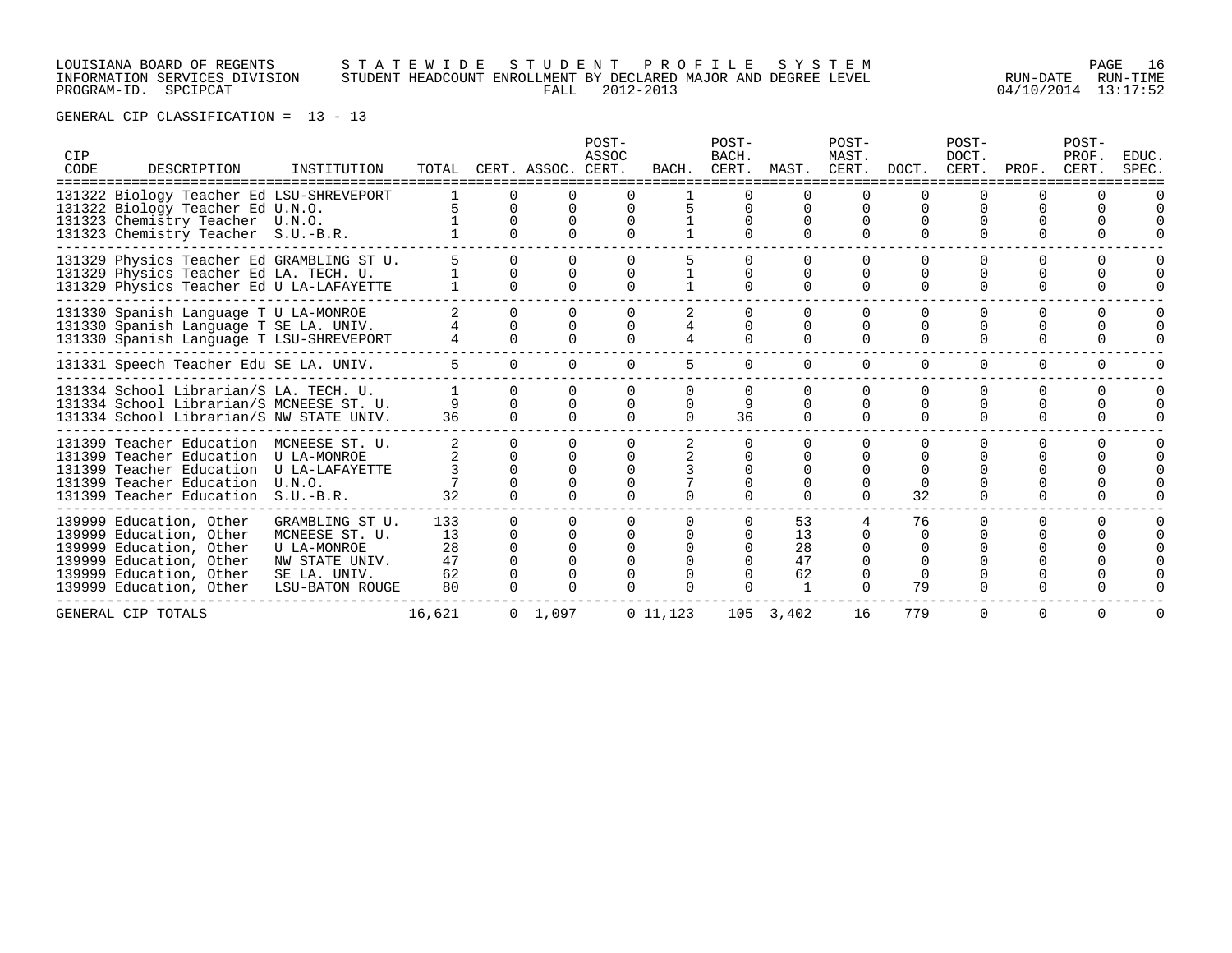### LOUISIANA BOARD OF REGENTS S T A T E W I D E S T U D E N T P R O F I L E S Y S T E M PAGE 16 INFORMATION SERVICES DIVISION STUDENT HEADCOUNT ENROLLMENT BY DECLARED MAJOR AND DEGREE LEVEL RUN-DATE RUN-TIME PROGRAM-ID. SPCIPCAT FALL 2012-2013 04/10/2014 13:17:52

| CIP<br>CODE | DESCRIPTION                                                                                                                                                                                         | INSTITUTION                                                                           | TOTAL                             |                    | CERT. ASSOC. CERT. | POST-<br>ASSOC | BACH.                 | POST-<br>BACH.<br>CERT. |                            | POST-<br>MAST.<br>MAST. CERT. DOCT. |                                | POST-<br>DOCT.       | CERT. PROF.  | POST-<br>PROF.<br>CERT. | <b>EDUC</b><br>SPEC. |
|-------------|-----------------------------------------------------------------------------------------------------------------------------------------------------------------------------------------------------|---------------------------------------------------------------------------------------|-----------------------------------|--------------------|--------------------|----------------|-----------------------|-------------------------|----------------------------|-------------------------------------|--------------------------------|----------------------|--------------|-------------------------|----------------------|
|             | 131322 Biology Teacher Ed LSU-SHREVEPORT<br>131322 Biology Teacher Ed U.N.O.<br>131323 Chemistry Teacher U.N.O.<br>131323 Chemistry Teacher S.U.-B.R.                                               |                                                                                       | 5.                                | $\Omega$           |                    |                |                       |                         | $\cap$                     | $\Omega$<br>$\cap$                  |                                | $\Omega$             | <sup>n</sup> |                         |                      |
|             | 131329 Physics Teacher Ed GRAMBLING ST U.<br>131329 Physics Teacher Ed LA. TECH. U.<br>131329 Physics Teacher Ed U LA-LAFAYETTE                                                                     |                                                                                       |                                   | $\Omega$           |                    |                |                       |                         | $\cap$                     | $\Omega$                            |                                |                      | $\Omega$     |                         |                      |
|             | 131330 Spanish Language T U LA-MONROE<br>131330 Spanish Language T SE LA. UNIV.<br>131330 Spanish Language T LSU-SHREVEPORT                                                                         |                                                                                       |                                   | $\Omega$<br>$\cap$ |                    |                |                       |                         | $\Omega$<br>$\cap$         | $\Omega$<br>$\Omega$                | $\cap$                         | $\Omega$             | $\Omega$     |                         |                      |
|             | 131331 Speech Teacher Edu SE LA. UNIV.                                                                                                                                                              |                                                                                       | 5 <sup>1</sup>                    | $\Omega$           |                    | $\Omega$       | 5                     | 0                       | $\Omega$                   | $\Omega$                            | $\Omega$                       | $\Omega$             | $\Omega$     | $\Omega$                |                      |
|             | 131334 School Librarian/S LA. TECH. U.<br>131334 School Librarian/S MCNEESE ST. U.<br>131334 School Librarian/S NW STATE UNIV.                                                                      |                                                                                       | 36                                | $\cap$<br>$\cap$   |                    | $\Omega$       | $\Omega$<br>$\cap$    | 9<br>36                 | $\Omega$<br>$\Omega$       | $\Omega$<br>$\cap$                  | $\cap$                         | $\Omega$<br>$\Omega$ | $\cap$       |                         |                      |
|             | 131399 Teacher Education MCNEESE ST. U.<br>131399 Teacher Education U LA-MONROE<br>131399 Teacher Education U LA-LAFAYETTE<br>131399 Teacher Education U.N.O.<br>131399 Teacher Education S.U.-B.R. |                                                                                       | 32                                | $\cap$<br>$\Omega$ |                    |                |                       |                         | <sup>n</sup><br>$\Omega$   | $\cap$<br>$\cap$<br>$\cap$          | 32                             | $\Omega$             |              |                         |                      |
|             | 139999 Education, Other<br>139999 Education, Other<br>139999 Education, Other<br>139999 Education, Other<br>139999 Education, Other SE LA. UNIV.<br>139999 Education, Other                         | GRAMBLING ST U.<br>MCNEESE ST. U.<br>U LA-MONROE<br>NW STATE UNIV.<br>LSU-BATON ROUGE | 133<br>13<br>28<br>47<br>62<br>80 | <sup>n</sup>       |                    |                | 0<br>$\cap$<br>$\cap$ | <sup>n</sup>            | 53<br>13<br>28<br>47<br>62 | $\Omega$                            | 76<br>$\cap$<br>$\Omega$<br>79 |                      |              |                         |                      |
|             | GENERAL CIP TOTALS                                                                                                                                                                                  |                                                                                       | 16,621                            |                    | $0 \quad 1,097$    |                | 0 11, 123             |                         | 105 3,402                  | 16                                  | 779                            | $\Omega$             | $\Omega$     | $\Omega$                |                      |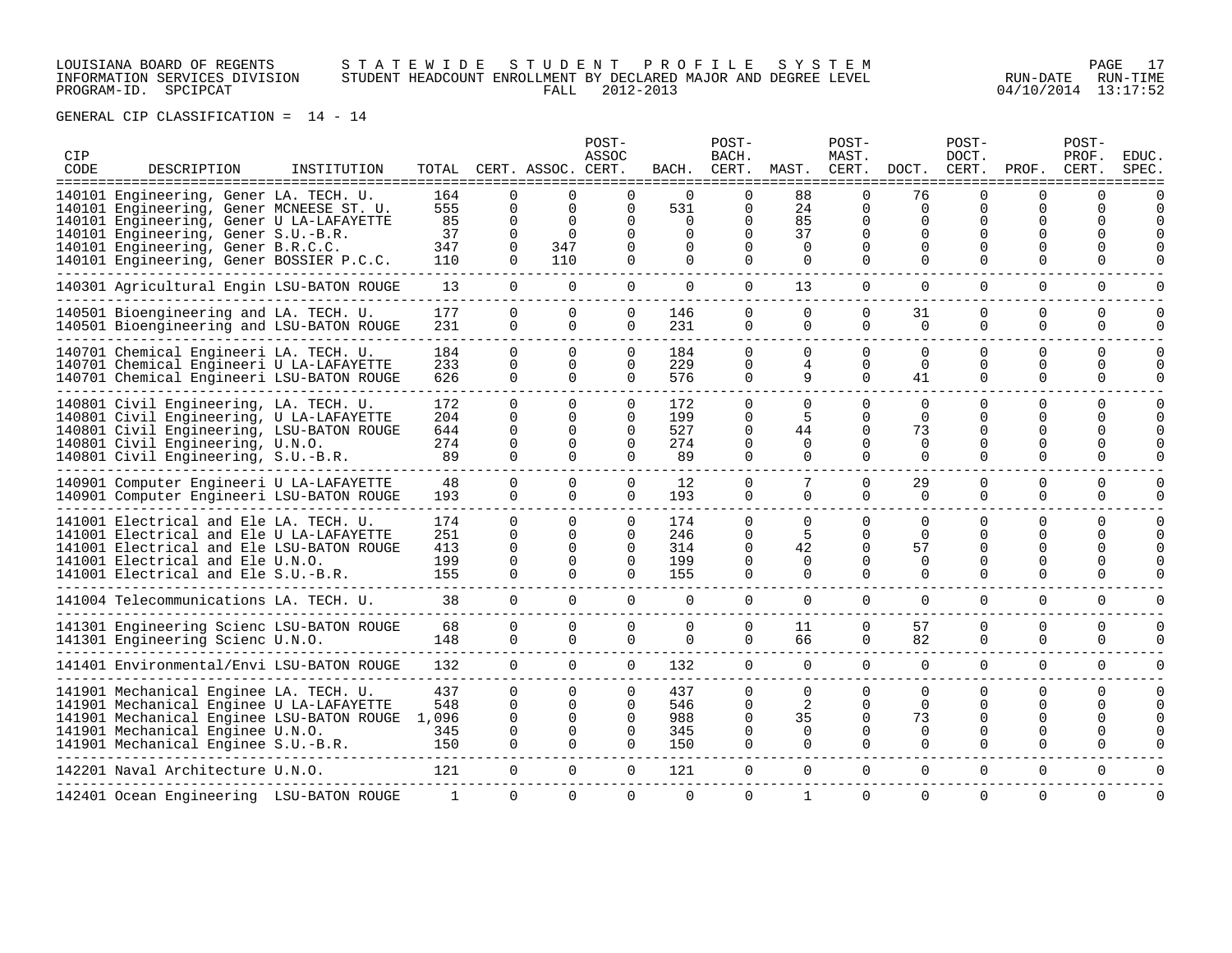LOUISIANA BOARD OF REGENTS S T A T E W I D E S T U D E N T P R O F I L E S Y S T E M PAGE 17 INFORMATION SERVICES DIVISION STUDENT HEADCOUNT ENROLLMENT BY DECLARED MAJOR AND DEGREE LEVEL RUN-DATE RUN-TIME PROGRAM-ID. SPCIPCAT FALL 2012-2013 04/10/2014 13:17:52

| CIP<br>CODE | DESCRIPTION<br>=================================                                                                                                                                                            | INSTITUTION | -----------------                 |                                                          | TOTAL CERT. ASSOC. CERT.<br>-------               | POST-<br>ASSOC                                           | BACH.                               | POST-<br>BACH.<br>CERT.                                  | MAST.                                       | POST-<br>MAST.<br>CERT.                                          | DOCT.                                              | POST-<br>DOCT.<br>CERT.          | PROF.                                       | POST-<br>PROF.<br>CERT.                                  | <b>EDUC</b><br>SPEC      |
|-------------|-------------------------------------------------------------------------------------------------------------------------------------------------------------------------------------------------------------|-------------|-----------------------------------|----------------------------------------------------------|---------------------------------------------------|----------------------------------------------------------|-------------------------------------|----------------------------------------------------------|---------------------------------------------|------------------------------------------------------------------|----------------------------------------------------|----------------------------------|---------------------------------------------|----------------------------------------------------------|--------------------------|
|             | 140101 Engineering, Gener LA. TECH. U.<br>140101 Engineering, Gener MCNEESE ST. U.<br>140101 Engineering, Gener U LA-LAFAYETTE<br>140101 Engineering, Gener S.U.-B.R.<br>140101 Engineering, Gener B.R.C.C. |             | 164<br>555<br>85<br>37<br>347     | $\Omega$<br>0<br>0<br>0<br>0                             | $\Omega$<br>$\Omega$<br>$\Omega$<br>347           | ∩<br>0<br>O<br>$\Omega$<br>0                             | $\cap$<br>531<br>0<br>$\Omega$<br>0 | 0<br>0<br>$\Omega$<br>$\Omega$<br>0                      | 88<br>24<br>85<br>37<br>0                   | $\Omega$<br>$\Omega$<br>$\Omega$<br><sup>0</sup>                 | 76<br>0<br>$\Omega$<br>$\Omega$<br>O               | ∩<br>0<br>U<br>U                 | U<br>0<br>0<br><sup>0</sup><br><sup>0</sup> | $\Omega$<br>$\Omega$                                     |                          |
|             | 140101 Engineering, Gener BOSSIER P.C.C.                                                                                                                                                                    |             | 110                               | $\Omega$                                                 | 110                                               | 0                                                        | 0                                   | $\Omega$                                                 | 0                                           | $\Omega$                                                         | O                                                  | O                                | <sup>0</sup>                                | 0                                                        |                          |
|             | 140301 Agricultural Engin LSU-BATON ROUGE                                                                                                                                                                   |             | 13                                | $\overline{0}$                                           | $\mathbf 0$                                       | $\mathbf 0$                                              | $\mathbf 0$                         | $\mathbf 0$                                              | 13                                          | $\Omega$                                                         | $\mathbf 0$                                        | $\mathbf 0$                      | $\mathbf 0$                                 | $\mathbf 0$                                              |                          |
|             | 140501 Bioengineering and LA. TECH. U.<br>140501 Bioengineering and LSU-BATON ROUGE                                                                                                                         |             | 177<br>231                        | $\Omega$<br>$\Omega$                                     | $\Omega$<br>$\Omega$                              | $\mathbf 0$<br>$\Omega$                                  | 146<br>231                          | $\Omega$<br>$\Omega$                                     | $\Omega$<br>$\Omega$                        | $\Omega$<br>$\Omega$                                             | 31<br>$\Omega$                                     | $\Omega$<br>$\Omega$             | $\Omega$<br>$\Omega$                        | $\Omega$<br>$\Omega$                                     | <sup>n</sup>             |
|             | 140701 Chemical Engineeri LA. TECH. U.<br>140701 Chemical Engineeri U LA-LAFAYETTE<br>140701 Chemical Engineeri LSU-BATON ROUGE                                                                             |             | 184<br>233<br>626                 | $\Omega$<br>$\Omega$<br>$\Omega$                         | $\Omega$<br>$\Omega$<br>$\Omega$                  | $\Omega$<br>$\Omega$<br>0                                | 184<br>229<br>576                   | $\Omega$<br>$\Omega$<br>$\Omega$                         | $\Omega$<br>4<br>9                          | $\Omega$<br>$\Omega$<br>$\Omega$                                 | $\Omega$<br>$\Omega$<br>41                         | $\Omega$<br>$\Omega$<br>$\Omega$ | $\Omega$<br>$\Omega$<br>$\Omega$            | $\Omega$<br>$\Omega$<br>$\Omega$                         | $\Omega$<br><sup>n</sup> |
|             | 140801 Civil Engineering, LA. TECH. U.<br>140801 Civil Engineering, U LA-LAFAYETTE<br>140801 Civil Engineering, LSU-BATON ROUGE<br>140801 Civil Engineering, U.N.O.<br>140801 Civil Engineering, S.U.-B.R.  |             | 172<br>204<br>644<br>274<br>89    | $\Omega$<br>$\Omega$<br>$\Omega$<br>$\Omega$<br>$\Omega$ | $\Omega$<br>0<br>$\Omega$<br>$\Omega$<br>$\Omega$ | $\Omega$<br>0<br>$\Omega$<br>$\Omega$<br>$\Omega$        | 172<br>199<br>527<br>274<br>89      | $\Omega$<br>$\Omega$<br>0<br>$\Omega$<br>0               | $\Omega$<br>5<br>44<br>$\Omega$<br>0        | $\Omega$<br>$\Omega$<br>$\Omega$<br>$\Omega$<br>$\mathbf 0$      | $\Omega$<br>$\Omega$<br>73<br>$\mathbf 0$<br>0     | 0<br>0<br>U<br>U<br>$\Omega$     | $\Omega$<br>$\Omega$<br>0<br>0<br>0         | $\Omega$<br>$\Omega$<br>$\Omega$<br>$\Omega$<br>0        | U                        |
|             | 140901 Computer Engineeri U LA-LAFAYETTE<br>140901 Computer Engineeri LSU-BATON ROUGE                                                                                                                       |             | 48<br>193                         | $\Omega$<br>$\Omega$                                     | $\Omega$<br>$\Omega$                              | 0<br>0                                                   | 12<br>193                           | $\mathbf 0$<br>$\Omega$                                  | $\Omega$                                    | $\Omega$<br>$\Omega$                                             | 29<br>$\Omega$                                     | 0<br>$\Omega$                    | $\mathbf 0$<br>$\Omega$                     | $\mathbf 0$<br>$\Omega$                                  |                          |
|             | 141001 Electrical and Ele LA. TECH. U.<br>141001 Electrical and Ele U LA-LAFAYETTE<br>141001 Electrical and Ele LSU-BATON ROUGE<br>141001 Electrical and Ele U.N.O.<br>141001 Electrical and Ele S.U.-B.R.  |             | 174<br>251<br>413<br>199<br>155   | $\Omega$<br>$\Omega$<br>$\Omega$<br>$\Omega$<br>$\Omega$ | $\Omega$<br>$\Omega$<br>$\Omega$<br>$\Omega$      | $\Omega$<br>$\Omega$<br>$\Omega$<br>$\Omega$<br>$\Omega$ | 174<br>246<br>314<br>199<br>155     | $\Omega$<br>$\Omega$<br>$\Omega$<br>$\Omega$<br>$\Omega$ | $\Omega$<br>5<br>42<br>$\Omega$<br>$\Omega$ | <sup>n</sup><br><sup>n</sup><br>$\Omega$<br>$\Omega$<br>$\Omega$ | $\Omega$<br>$\Omega$<br>57<br>$\Omega$<br>$\Omega$ | 0<br>U<br>0<br>O<br>0            | $\Omega$<br>U<br>0<br>0<br>0                | $\Omega$<br>$\Omega$<br>$\Omega$<br>$\Omega$<br>$\Omega$ | $\Omega$<br>U            |
|             | 141004 Telecommunications LA. TECH. U.                                                                                                                                                                      |             | 38                                | $\Omega$                                                 | $\Omega$                                          | $\Omega$                                                 | 0                                   | $\Omega$                                                 | $\Omega$                                    | $\Omega$                                                         | $\Omega$                                           | $\Omega$                         | $\Omega$                                    | $\Omega$                                                 | $\Omega$                 |
|             | 141301 Engineering Scienc LSU-BATON ROUGE<br>141301 Engineering Scienc U.N.O.                                                                                                                               |             | 68<br>148                         | $\mathbf 0$<br>$\Omega$                                  | 0<br>$\Omega$                                     | $\mathbf 0$<br>$\Omega$                                  | 0<br>$\Omega$                       | $\mathbf 0$<br>$\Omega$                                  | 11<br>66                                    | 0<br>0                                                           | 57<br>82                                           | 0<br>$\Omega$                    | $\mathbf 0$<br>$\Omega$                     | $\mathbf 0$<br>$\Omega$                                  | $\Omega$                 |
|             | 141401 Environmental/Envi LSU-BATON ROUGE                                                                                                                                                                   |             | 132                               | $\Omega$                                                 | $\Omega$                                          | $\Omega$                                                 | 132                                 | $\Omega$                                                 | $\Omega$                                    | $\Omega$                                                         | $\Omega$                                           | $\Omega$                         | $\Omega$                                    | $\Omega$                                                 | $\Omega$                 |
|             | 141901 Mechanical Enginee LA. TECH. U.<br>141901 Mechanical Enginee U LA-LAFAYETTE<br>141901 Mechanical Enginee LSU-BATON ROUGE<br>141901 Mechanical Enginee U.N.O.<br>141901 Mechanical Enginee S.U.-B.R.  |             | 437<br>548<br>1,096<br>345<br>150 | $\Omega$<br>$\Omega$<br>$\Omega$<br>$\Omega$<br>$\Omega$ | $\Omega$<br>$\Omega$<br>0                         | 0<br>$\Omega$<br>$\Omega$<br>$\Omega$<br>∩               | 437<br>546<br>988<br>345<br>150     | $\Omega$<br>$\Omega$<br>$\Omega$<br>$\Omega$<br>$\Omega$ | $\Omega$<br>2<br>35<br>$\Omega$<br>$\Omega$ | $\Omega$<br>$\Omega$<br>$\Omega$<br>$\Omega$<br>$\Omega$         | $\Omega$<br>$\Omega$<br>73<br>$\Omega$<br>$\Omega$ | 0<br>U<br>U<br>U<br>0            | 0<br>U<br>U<br><sup>0</sup><br>0            | $\Omega$<br>$\Omega$<br>$\Omega$<br>$\Omega$<br>$\Omega$ | $\Omega$<br>$\Omega$     |
|             | 142201 Naval Architecture U.N.O.                                                                                                                                                                            |             | 121                               | $\Omega$                                                 | $\Omega$                                          | $\mathbf{0}$                                             | 121                                 | 0                                                        | $\Omega$                                    | $\Omega$                                                         | 0                                                  | 0                                | 0                                           | 0                                                        |                          |
|             | 142401 Ocean Engineering LSU-BATON ROUGE                                                                                                                                                                    |             |                                   | $\Omega$                                                 | $\Omega$                                          | $\Omega$                                                 | $\Omega$                            | $\Omega$                                                 | $\mathbf{1}$                                | $\Omega$                                                         | $\Omega$                                           | $\Omega$                         | $\Omega$                                    | $\Omega$                                                 | $\Omega$                 |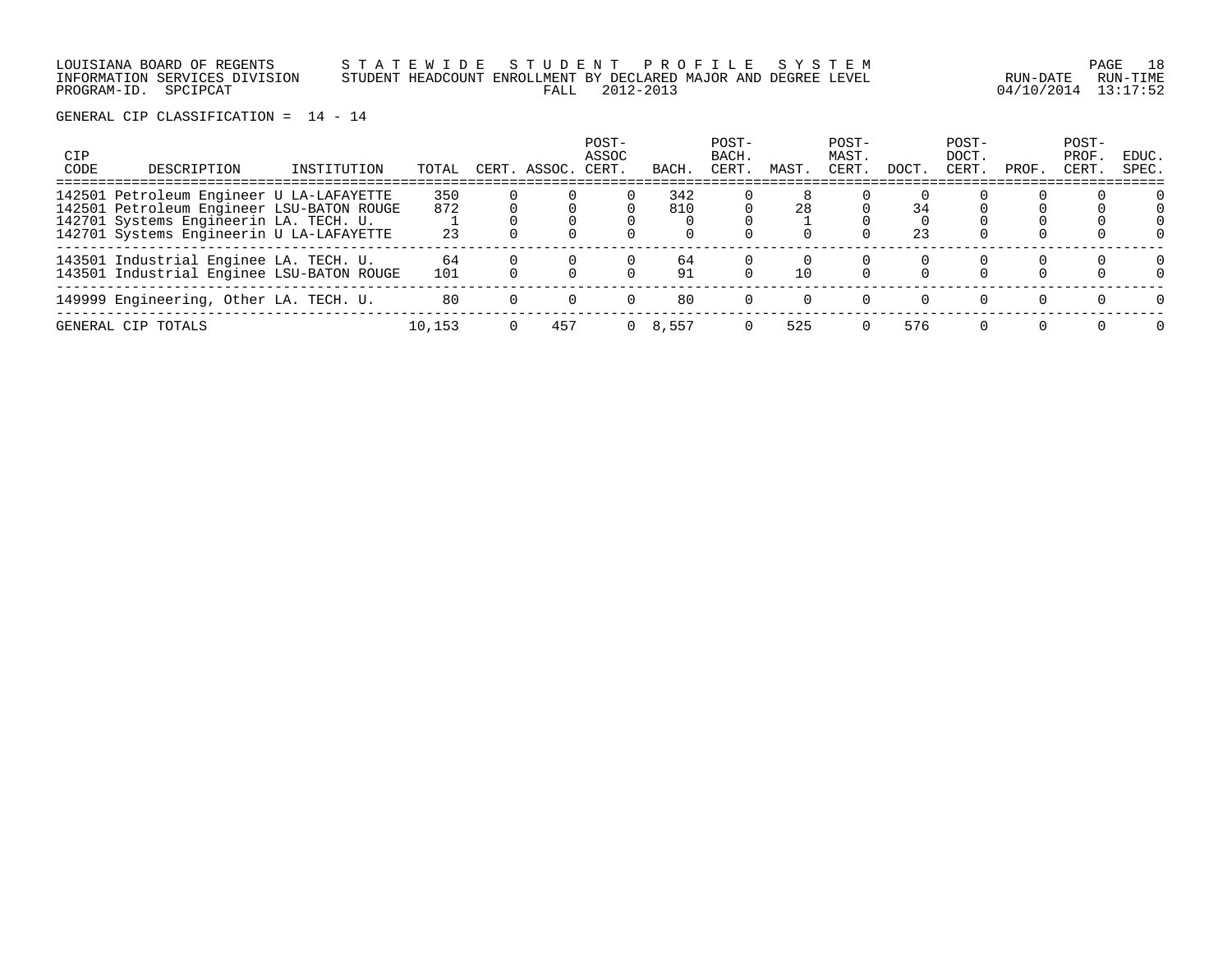| LOUISIANA BOARD OF REGENTS    | STATEWIDE STUDENT PROFILE SYSTEM                                |                     | 18<br>PAGE |
|-------------------------------|-----------------------------------------------------------------|---------------------|------------|
| INFORMATION SERVICES DIVISION | STUDENT HEADCOUNT ENROLLMENT BY DECLARED MAJOR AND DEGREE LEVEL | RUN-DATE            | RUN-TIMF   |
| PROGRAM-ID. SPCIPCAT          | FALL 2012-2013                                                  | 04/10/2014 13:17:52 |            |

| <b>CIP</b><br>CODE | DESCRIPTION                                                                         | INSTITUTION | TOTAL     | CERT         | ASSOC. | POST-<br>ASSOC<br>CERT. | BACH     | POST-<br>BACH.<br>CERT | MAST | POST-<br>MAST.<br>CERT | DOCT. | POST-<br>DOCT.<br>CERT. | PROF.    | POST-<br>PROF.<br>CERT. | EDUC.<br>SPEC.           |
|--------------------|-------------------------------------------------------------------------------------|-------------|-----------|--------------|--------|-------------------------|----------|------------------------|------|------------------------|-------|-------------------------|----------|-------------------------|--------------------------|
|                    | 142501 Petroleum Engineer U LA-LAFAYETTE                                            |             | 350       |              |        |                         | 342      |                        |      |                        |       |                         |          |                         | $\Omega$                 |
|                    | 142501 Petroleum Engineer LSU-BATON ROUGE<br>142701 Systems Engineerin LA. TECH. U. |             | 872       |              |        |                         | 810      |                        | 28   |                        | 34    |                         |          |                         |                          |
|                    | 142701 Systems Engineerin U LA-LAFAYETTE                                            |             | 23        |              |        |                         |          |                        |      |                        | 23    |                         |          |                         |                          |
|                    | 143501 Industrial Enginee LA. TECH. U.<br>143501 Industrial Enginee LSU-BATON ROUGE |             | 64<br>101 |              |        |                         | 64<br>91 |                        | 10   |                        |       |                         |          |                         | $\Omega$<br><sup>n</sup> |
|                    | 149999 Engineering, Other LA. TECH. U.                                              |             | 80        | <sup>n</sup> |        |                         | 80       |                        |      |                        |       | $\Omega$                | $\Omega$ | $\Omega$                | $\Omega$                 |
|                    | GENERAL CIP TOTALS                                                                  |             | 10,153    |              | 457    | $\Omega$                | 8,557    |                        | 525  |                        | 576   |                         |          |                         | $\Omega$                 |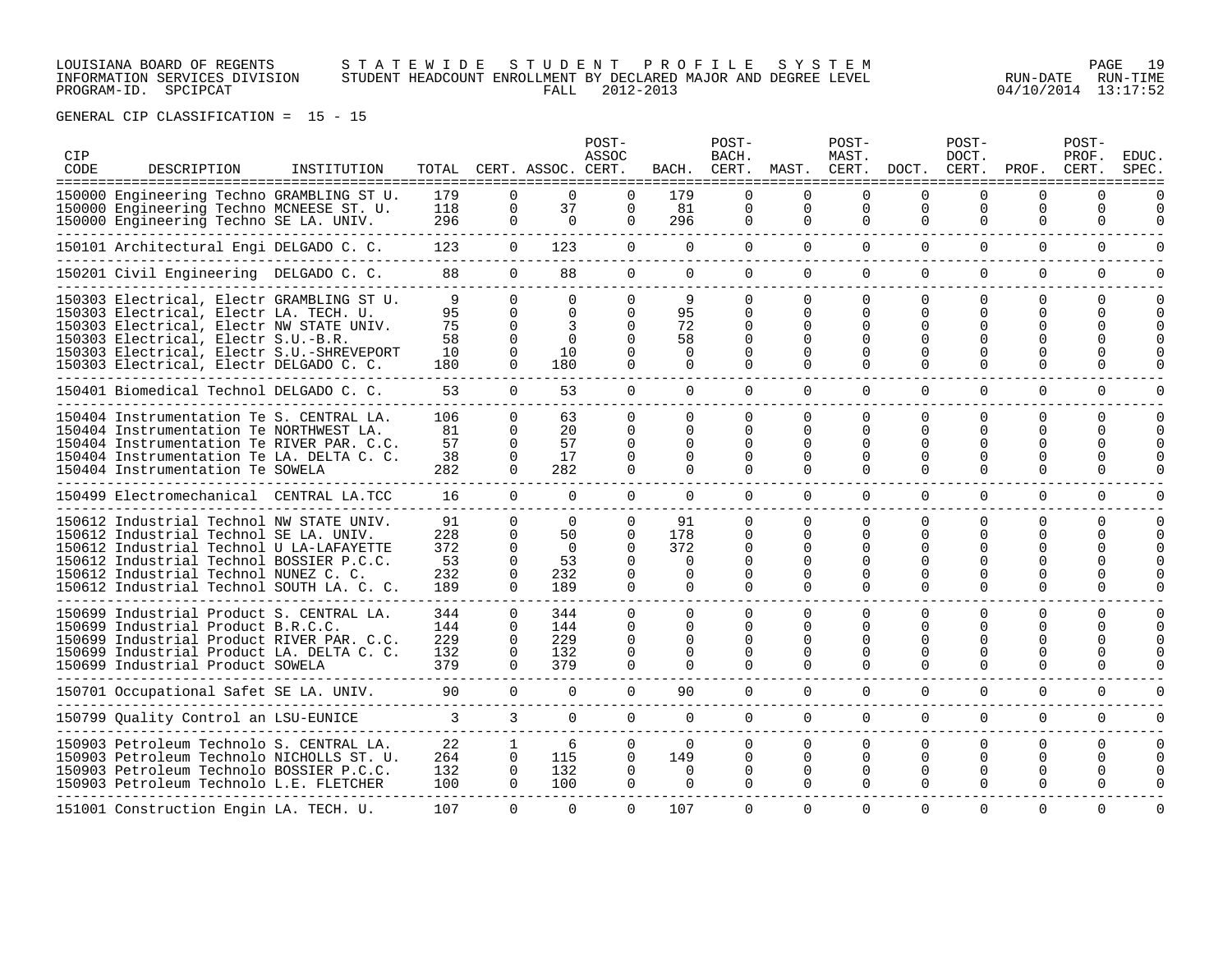### LOUISIANA BOARD OF REGENTS S T A T E W I D E S T U D E N T P R O F I L E S Y S T E M PAGE 19 INFORMATION SERVICES DIVISION STUDENT HEADCOUNT ENROLLMENT BY DECLARED MAJOR AND DEGREE LEVEL RUN-DATE RUN-TIME PROGRAM-ID. SPCIPCAT FALL 2012-2013 04/10/2014 13:17:52

| CIP<br>CODE | DESCRIPTION                                                                                                                                                                                                                                                      | INSTITUTION |                                      |                                                                      | TOTAL CERT. ASSOC. CERT.                           | POST-<br>ASSOC                                           | BACH.                                                | POST-<br>BACH.<br>CERT.                                  |                                                                   | POST-<br>MAST.<br>MAST. CERT.                                 | DOCT.                                                    | POST-<br>DOCT.<br>CERT.                                    | PROF.                                                     | POST-<br>PROF.<br>CERT.             | <b>EDUC</b><br>SPEC.                  |
|-------------|------------------------------------------------------------------------------------------------------------------------------------------------------------------------------------------------------------------------------------------------------------------|-------------|--------------------------------------|----------------------------------------------------------------------|----------------------------------------------------|----------------------------------------------------------|------------------------------------------------------|----------------------------------------------------------|-------------------------------------------------------------------|---------------------------------------------------------------|----------------------------------------------------------|------------------------------------------------------------|-----------------------------------------------------------|-------------------------------------|---------------------------------------|
|             | 150000 Engineering Techno GRAMBLING ST U.<br>150000 Engineering Techno MCNEESE ST. U.<br>150000 Engineering Techno SE LA. UNIV.                                                                                                                                  |             | 179<br>118<br>296                    | U<br>0<br>$\Omega$                                                   | $\Omega$<br>37<br>$\Omega$                         | $\Omega$<br>$\Omega$                                     | 179<br>81<br>296                                     | 0<br>$\Omega$                                            | $\Omega$<br>$\mathbf 0$<br>$\Omega$                               | $\Omega$<br>$\mathbf 0$<br>$\Omega$                           | $\mathbf 0$<br>$\Omega$                                  | <sup>0</sup><br>0<br>$\Omega$                              | $\Omega$<br>0<br>$\Omega$                                 | U<br>0<br>$\Omega$                  | O<br><sup>0</sup>                     |
|             | 150101 Architectural Engi DELGADO C. C.                                                                                                                                                                                                                          |             | 123                                  | $\Omega$                                                             | 123                                                | $\Omega$                                                 | $\Omega$                                             | $\Omega$                                                 | $\Omega$                                                          | $\Omega$                                                      | $\Omega$                                                 | $\Omega$                                                   | $\Omega$                                                  | $\Omega$                            | U                                     |
|             | 150201 Civil Engineering DELGADO C. C.                                                                                                                                                                                                                           |             | 88                                   | $\Omega$                                                             | 88                                                 | $\Omega$                                                 | $\Omega$                                             | $\Omega$                                                 | $\Omega$                                                          | $\Omega$                                                      | $\Omega$                                                 | $\Omega$                                                   | $\Omega$                                                  | $\mathbf 0$                         | 0                                     |
|             | 150303 Electrical, Electr GRAMBLING ST U.<br>150303 Electrical, Electr LA. TECH. U.<br>150303 Electrical, Electr NW STATE UNIV.<br>150303 Electrical, Electr S.U.-B.R.<br>150303 Electrical, Electr S.U.-SHREVEPORT<br>150303 Electrical, Electr DELGADO C. C.   |             | 9<br>95<br>75<br>58<br>10<br>180     | $\Omega$<br>$\Omega$<br>$\Omega$<br>$\Omega$<br>$\Omega$<br>$\Omega$ | $\Omega$<br>$\Omega$<br>3<br>$\Omega$<br>10<br>180 | $\Omega$<br>$\Omega$<br>$\Omega$<br>0<br>0               | 9<br>95<br>72<br>58<br>$\Omega$<br>$\Omega$          | $\Omega$<br>$\Omega$<br>$\Omega$<br>0<br>0<br>0          | $\Omega$<br>$\Omega$<br><sup>0</sup><br>$\Omega$<br>O<br>$\Omega$ | 0<br>$\Omega$<br>$\Omega$<br>$\Omega$<br>$\Omega$<br>$\Omega$ | $\Omega$<br>∩<br>∩<br>$\Omega$                           | $\Omega$<br>0<br><sup>0</sup><br>$\Omega$<br>O<br>$\Omega$ | 0<br>$\Omega$<br>U<br>U<br><sup>0</sup><br>$\Omega$       | 0<br>0<br>U<br>U<br>0               | $\Omega$<br>$\Omega$                  |
|             | 150401 Biomedical Technol DELGADO C. C.                                                                                                                                                                                                                          |             | 53                                   | $\Omega$                                                             | 53                                                 | $\Omega$                                                 | $\Omega$                                             | $\Omega$                                                 | $\Omega$                                                          | $\Omega$                                                      | $\Omega$                                                 | $\Omega$                                                   | $\Omega$                                                  | $\Omega$                            | O                                     |
|             | 150404 Instrumentation Te S. CENTRAL LA.<br>150404 Instrumentation Te NORTHWEST LA.<br>150404 Instrumentation Te RIVER PAR. C.C.<br>150404 Instrumentation Te LA. DELTA C. C.<br>150404 Instrumentation Te SOWELA                                                |             | 106<br>81<br>57<br>38<br>282         | $\Omega$<br>0<br>$\Omega$<br>0<br>$\Omega$                           | 63<br>20<br>57<br>17<br>282                        | $\Omega$<br><sup>0</sup><br>$\Omega$<br>0<br>$\Omega$    | 0<br>0<br>$\Omega$<br>$\Omega$<br>$\Omega$           | 0<br>0<br>0<br>0<br>$\Omega$                             | $\Omega$<br><sup>o</sup><br>$\Omega$<br>$\Omega$<br>$\Omega$      | $\Omega$<br>$\Omega$<br>$\Omega$<br>$\Omega$<br>$\Omega$      | $\Omega$<br>∩<br>$\Omega$<br>∩<br>$\Omega$               | $\Omega$<br>$\Omega$<br>$\Omega$<br>O<br>$\Omega$          | $\Omega$<br>$\Omega$<br>U<br><sup>0</sup><br><sup>0</sup> | 0<br>0<br>U<br>U<br>U               | $\Omega$                              |
|             | 150499 Electromechanical CENTRAL LA.TCC                                                                                                                                                                                                                          |             | 16                                   | $\Omega$                                                             | $\Omega$                                           | $\Omega$                                                 | $\Omega$                                             | $\Omega$                                                 | $\Omega$                                                          | $\Omega$                                                      | $\Omega$                                                 | $\Omega$                                                   | 0                                                         | $\Omega$                            | 0                                     |
|             | 150612 Industrial Technol NW STATE UNIV.<br>150612 Industrial Technol SE LA. UNIV.<br>150612 Industrial Technol U LA-LAFAYETTE<br>150612 Industrial Technol BOSSIER P.C.C.<br>150612 Industrial Technol NUNEZ C. C.<br>150612 Industrial Technol SOUTH LA. C. C. |             | 91<br>228<br>372<br>53<br>232<br>189 | <sup>n</sup><br>$\Omega$<br>$\Omega$<br>$\Omega$<br>0<br>$\Omega$    | $\Omega$<br>50<br>$\Omega$<br>53<br>232<br>189     | $\Omega$<br>$\Omega$<br>$\Omega$<br>$\Omega$             | 91<br>178<br>372<br>$\Omega$<br>$\Omega$<br>$\Omega$ | <sup>0</sup><br>$\Omega$<br>0<br>0<br>0<br>0             | <sup>o</sup><br>$\Omega$<br>$\Omega$<br>∩<br>0<br>$\Omega$        | $\Omega$<br>$\Omega$<br>$\Omega$<br>∩<br>$\Omega$<br>$\Omega$ | $\Omega$<br>∩                                            | <sup>0</sup><br><sup>0</sup><br>O<br>$\Omega$              | 0<br><sup>0</sup><br>U<br><sup>0</sup><br>$\Omega$        | 0<br>0                              |                                       |
|             | 150699 Industrial Product S. CENTRAL LA.<br>150699 Industrial Product B.R.C.C.<br>150699 Industrial Product RIVER PAR. C.C.<br>150699 Industrial Product LA. DELTA C. C.<br>150699 Industrial Product SOWELA                                                     |             | 344<br>144<br>229<br>132<br>379      | $\Omega$<br>0<br>$\Omega$<br>$\Omega$<br>$\cap$                      | 344<br>144<br>229<br>132<br>379                    | $\Omega$<br>0<br>$\Omega$<br>$\Omega$                    | $\Omega$<br>$\Omega$<br>$\Omega$<br>$\Omega$         | 0<br>$\Omega$<br>0<br>0<br><sup>n</sup>                  | $\Omega$<br>0<br>0<br>∩<br>$\Omega$                               | $\Omega$<br>$\Omega$<br>$\Omega$<br>$\Omega$<br><sup>n</sup>  | $\Omega$<br>O<br>$\Omega$                                | $\Omega$<br><sup>0</sup><br>$\Omega$<br>$\Omega$           | $\Omega$<br><sup>0</sup><br>O<br><sup>0</sup><br>U        | 0<br>O<br>U<br>U                    |                                       |
|             | 150701 Occupational Safet SE LA. UNIV.                                                                                                                                                                                                                           |             | 90                                   | $\Omega$                                                             | $\Omega$                                           | $\Omega$                                                 | 90                                                   | $\Omega$                                                 | $\Omega$                                                          | $\Omega$                                                      | $\Omega$                                                 | $\Omega$                                                   | $\Omega$                                                  | $\Omega$                            |                                       |
|             | 150799 Quality Control an LSU-EUNICE                                                                                                                                                                                                                             |             | $\mathbf{3}$                         | 3                                                                    | $\Omega$                                           | $\mathbf 0$                                              | $\overline{0}$                                       | 0                                                        | $\Omega$                                                          | $\overline{0}$                                                | $\mathbf 0$                                              | $\Omega$                                                   | $\mathbf 0$                                               | $\mathbf 0$                         | 0                                     |
|             | 150903 Petroleum Technolo S. CENTRAL LA.<br>150903 Petroleum Technolo NICHOLLS ST. U.<br>150903 Petroleum Technolo BOSSIER P.C.C.<br>150903 Petroleum Technolo L.E. FLETCHER                                                                                     |             | 22<br>264<br>132<br>100<br>107       | $\mathbf{1}$<br>$\Omega$<br>$\Omega$<br>$\Omega$<br>$\Omega$         | 6<br>115<br>132<br>100<br>$\Omega$                 | $\Omega$<br>$\Omega$<br>$\Omega$<br>$\Omega$<br>$\Omega$ | $\Omega$<br>149<br>$\Omega$<br>$\Omega$<br>107       | $\Omega$<br>$\Omega$<br>$\Omega$<br>$\Omega$<br>$\Omega$ | 0<br>$\Omega$<br>$\Omega$<br>$\Omega$<br>$\Omega$                 | 0<br>$\Omega$<br>$\Omega$<br>$\Omega$<br>$\Omega$             | $\Omega$<br>$\Omega$<br>$\Omega$<br>$\Omega$<br>$\Omega$ | $\Omega$<br>$\Omega$<br>$\Omega$<br>$\Omega$<br>$\Omega$   | 0<br>$\Omega$<br>$\Omega$<br>$\Omega$<br>$\Omega$         | 0<br>$\Omega$<br>U<br>O<br>$\Omega$ | $\Omega$<br>$\Omega$<br>0<br>$\Omega$ |
|             | 151001 Construction Engin LA. TECH. U.                                                                                                                                                                                                                           |             |                                      |                                                                      |                                                    |                                                          |                                                      |                                                          |                                                                   |                                                               |                                                          |                                                            |                                                           |                                     |                                       |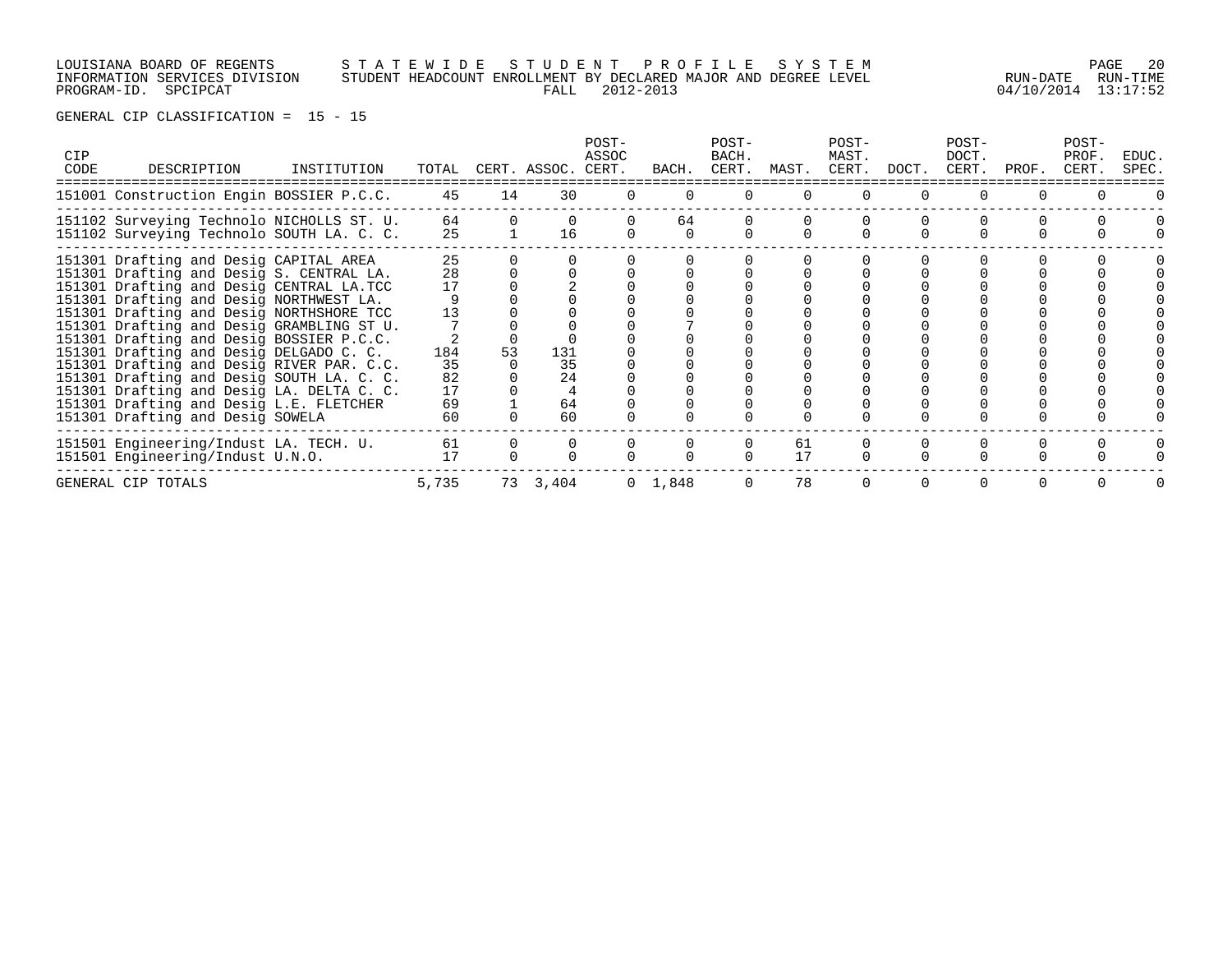# LOUISIANA BOARD OF REGENTS S T A T E W I D E S T U D E N T P R O F I L E S Y S T E M PAGE 20 INFORMATION SERVICES DIVISION STUDENT HEADCOUNT ENROLLMENT BY DECLARED MAJOR AND DEGREE LEVEL RUN-DATE RUN-TIME PROGRAM-ID. SPCIPCAT FALL 2012-2013 04/10/2014 13:17:52

| <b>CIP</b><br>CODE | DESCRIPTION                                                                                                                                                                                                                                                                                                                                                                                                                                                                                                                                                                     | INSTITUTION |                                                     |    | TOTAL CERT. ASSOC. CERT.    | POST-<br>ASSOC | BACH.           | POST-<br>BACH.<br>CERT. | MAST.    | POST-<br>MAST.<br>CERT. | DOCT. | POST-<br>DOCT.<br>CERT. | PROF. | POST-<br>PROF.<br>CERT. | EDUC.<br>SPEC. |
|--------------------|---------------------------------------------------------------------------------------------------------------------------------------------------------------------------------------------------------------------------------------------------------------------------------------------------------------------------------------------------------------------------------------------------------------------------------------------------------------------------------------------------------------------------------------------------------------------------------|-------------|-----------------------------------------------------|----|-----------------------------|----------------|-----------------|-------------------------|----------|-------------------------|-------|-------------------------|-------|-------------------------|----------------|
|                    | 151001 Construction Engin BOSSIER P.C.C.                                                                                                                                                                                                                                                                                                                                                                                                                                                                                                                                        |             | 45                                                  | 14 | 30                          |                |                 |                         |          |                         |       |                         |       |                         |                |
|                    | 151102 Surveying Technolo NICHOLLS ST. U.<br>151102 Surveying Technolo SOUTH LA. C. C.                                                                                                                                                                                                                                                                                                                                                                                                                                                                                          |             | 64<br>25                                            |    | 16                          |                | 64              |                         |          |                         |       |                         |       |                         |                |
|                    | 151301 Drafting and Desig CAPITAL AREA<br>151301 Drafting and Desig S. CENTRAL LA.<br>151301 Drafting and Desig CENTRAL LA.TCC<br>151301 Drafting and Desig NORTHWEST LA.<br>151301 Drafting and Desig NORTHSHORE TCC<br>151301 Drafting and Desig GRAMBLING ST U.<br>151301 Drafting and Desig BOSSIER P.C.C.<br>151301 Drafting and Desig DELGADO C. C.<br>151301 Drafting and Desig RIVER PAR. C.C.<br>151301 Drafting and Desig SOUTH LA. C. C.<br>151301 Drafting and Desig LA. DELTA C. C.<br>151301 Drafting and Desig L.E. FLETCHER<br>151301 Drafting and Desig SOWELA |             | 25<br>28<br>17<br>184<br>35<br>82<br>17<br>69<br>60 | 53 | 131<br>35<br>24<br>64<br>60 |                |                 |                         |          |                         |       |                         |       |                         |                |
|                    | 151501 Engineering/Indust LA. TECH. U.<br>151501 Engineering/Indust U.N.O.                                                                                                                                                                                                                                                                                                                                                                                                                                                                                                      |             | 61<br>17                                            |    |                             |                |                 |                         | 61<br>17 |                         |       |                         |       |                         |                |
|                    | GENERAL CIP TOTALS                                                                                                                                                                                                                                                                                                                                                                                                                                                                                                                                                              |             | 5,735                                               |    | 73 3,404                    |                | $0 \quad 1,848$ |                         | 78       |                         |       |                         |       |                         |                |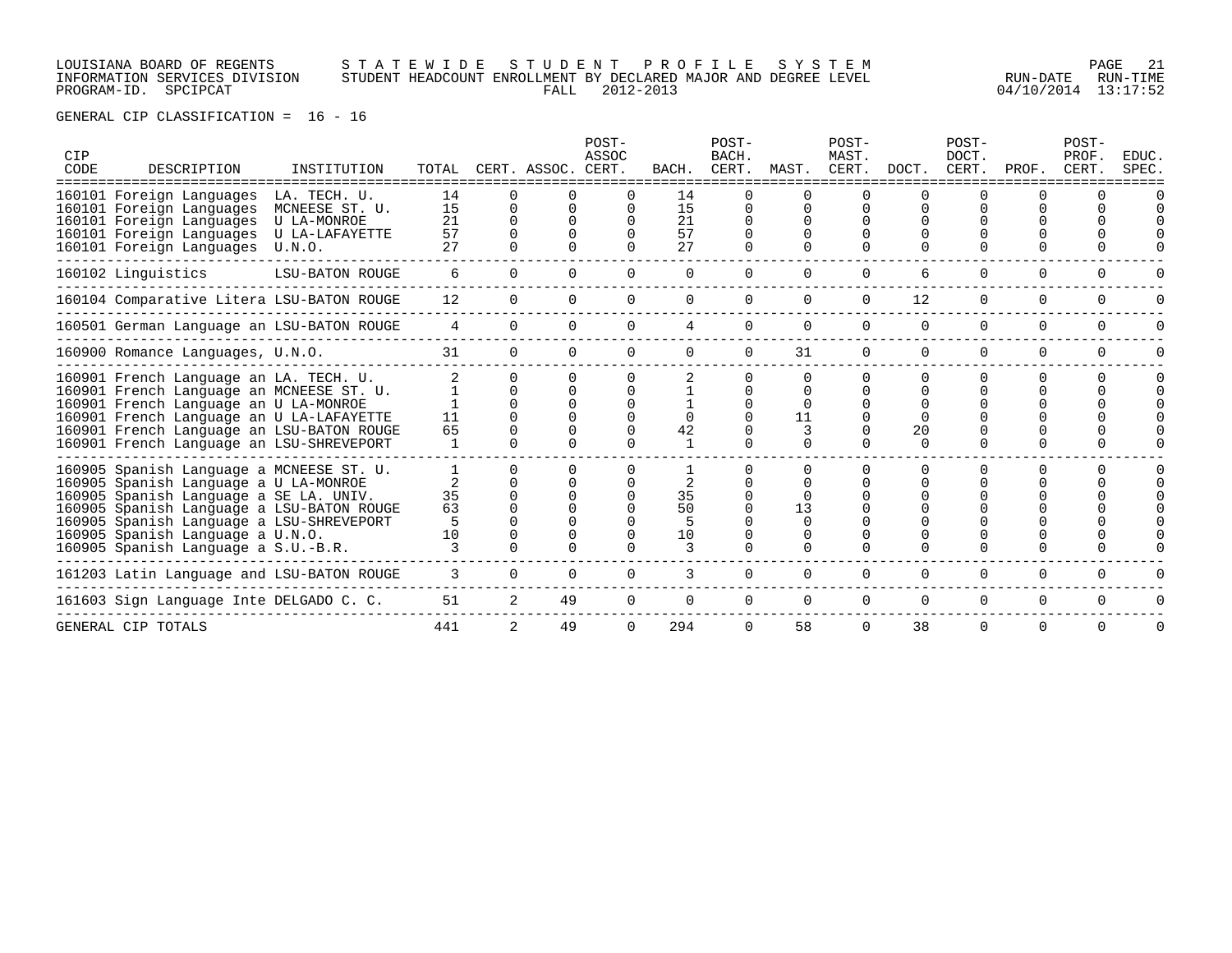### LOUISIANA BOARD OF REGENTS S T A T E W I D E S T U D E N T P R O F I L E S Y S T E M PAGE 21 INFORMATION SERVICES DIVISION STUDENT HEADCOUNT ENROLLMENT BY DECLARED MAJOR AND DEGREE LEVEL RUN-DATE RUN-TIME PROGRAM-ID. SPCIPCAT FALL 2012-2013 04/10/2014 13:17:52

| CIP<br>CODE | DESCRIPTION                                                                                                                                                                                                                                                                                     | INSTITUTION                                                               |                            |                        | TOTAL CERT. ASSOC. CERT. | POST-<br>ASSOC |                                | POST-<br>BACH.<br>BACH. CERT. MAST. |                                                            | POST-<br>MAST.<br>CERT. DOCT. |                          | POST-<br>DOCT.<br>CERT. | PROF.       | POST-<br>PROF.<br>CERT. | EDUC.<br>SPEC. |
|-------------|-------------------------------------------------------------------------------------------------------------------------------------------------------------------------------------------------------------------------------------------------------------------------------------------------|---------------------------------------------------------------------------|----------------------------|------------------------|--------------------------|----------------|--------------------------------|-------------------------------------|------------------------------------------------------------|-------------------------------|--------------------------|-------------------------|-------------|-------------------------|----------------|
|             | 160101 Foreign Languages<br>160101 Foreign Languages<br>160101 Foreign Languages<br>160101 Foreign Languages<br>160101 Foreign Languages                                                                                                                                                        | LA. TECH. U.<br>MCNEESE ST. U.<br>U LA-MONROE<br>U LA-LAFAYETTE<br>U.N.O. | 14<br>15<br>21<br>57<br>27 | $\Omega$<br>$\Omega$   |                          |                | 14<br>15<br>21<br>57<br>27     |                                     |                                                            |                               |                          |                         |             |                         |                |
|             | 160102 Linguistics                                                                                                                                                                                                                                                                              | LSU-BATON ROUGE                                                           | 6                          | $\Omega$               | $\Omega$                 | $\Omega$       | $\Omega$                       | $\Omega$                            | $\Omega$                                                   | $\Omega$                      | 6                        | 0                       | $\Omega$    | $\Omega$                |                |
|             | 160104 Comparative Litera LSU-BATON ROUGE                                                                                                                                                                                                                                                       |                                                                           | 12                         | 0                      |                          | $\Omega$       | $\Omega$                       | $\Omega$                            | $\Omega$                                                   | $\Omega$                      | 12                       | $\Omega$                | $\Omega$    | $\Omega$                |                |
|             | 160501 German Language an LSU-BATON ROUGE                                                                                                                                                                                                                                                       |                                                                           | 4                          | $\Omega$               |                          |                | 4                              |                                     | 0                                                          | $\Omega$                      | 0                        | $\Omega$                | $\Omega$    | $\Omega$                |                |
|             | 160900 Romance Languages, U.N.O.                                                                                                                                                                                                                                                                |                                                                           | 31                         | $\Omega$               |                          | $\Omega$       | $\Omega$                       | $\Omega$                            | 31                                                         | $\Omega$                      | $\Omega$                 | $\Omega$                | $\Omega$    | $\Omega$                |                |
|             | 160901 French Language an LA. TECH. U.<br>160901 French Language an MCNEESE ST. U.<br>160901 French Language an U LA-MONROE<br>160901 French Language an U LA-LAFAYETTE<br>160901 French Language an LSU-BATON ROUGE<br>160901 French Language an LSU-SHREVEPORT                                |                                                                           | 11<br>65                   | <sup>n</sup><br>$\cap$ |                          |                | $\Omega$<br>42<br>$\mathbf{1}$ |                                     | $\Omega$<br><sup>n</sup><br>$\Omega$<br>11<br><sup>n</sup> |                               | ∩<br>∩<br>20<br>$\Omega$ |                         |             |                         |                |
|             | 160905 Spanish Language a MCNEESE ST. U.<br>160905 Spanish Language a U LA-MONROE<br>160905 Spanish Language a SE LA. UNIV.<br>160905 Spanish Language a LSU-BATON ROUGE<br>160905 Spanish Language a LSU-SHREVEPORT<br>160905 Spanish Language a U.N.O.<br>160905 Spanish Language a S.U.-B.R. |                                                                           | 35<br>63<br>10             |                        |                          |                | 2<br>35<br>50<br>10            |                                     | 13<br>$\Omega$<br>0                                        |                               |                          |                         |             |                         |                |
|             | 161203 Latin Language and LSU-BATON ROUGE                                                                                                                                                                                                                                                       |                                                                           | 3                          | $\Omega$               |                          | $\Omega$       |                                | 0                                   | 0                                                          | $\Omega$                      | 0                        | 0                       | $\mathbf 0$ | 0                       |                |
|             | 161603 Sign Language Inte DELGADO C. C.                                                                                                                                                                                                                                                         |                                                                           | 51                         | 2                      | 49                       | 0              | $\Omega$                       | $\Omega$                            | $\Omega$                                                   | $\Omega$                      | 0                        | 0                       | $\Omega$    | $\Omega$                |                |
|             | GENERAL CIP TOTALS                                                                                                                                                                                                                                                                              |                                                                           | 441                        | 2                      | 49                       | $\Omega$       | 294                            | $\Omega$                            | 58                                                         | $\Omega$                      | 38                       | $\Omega$                | $\Omega$    | $\Omega$                |                |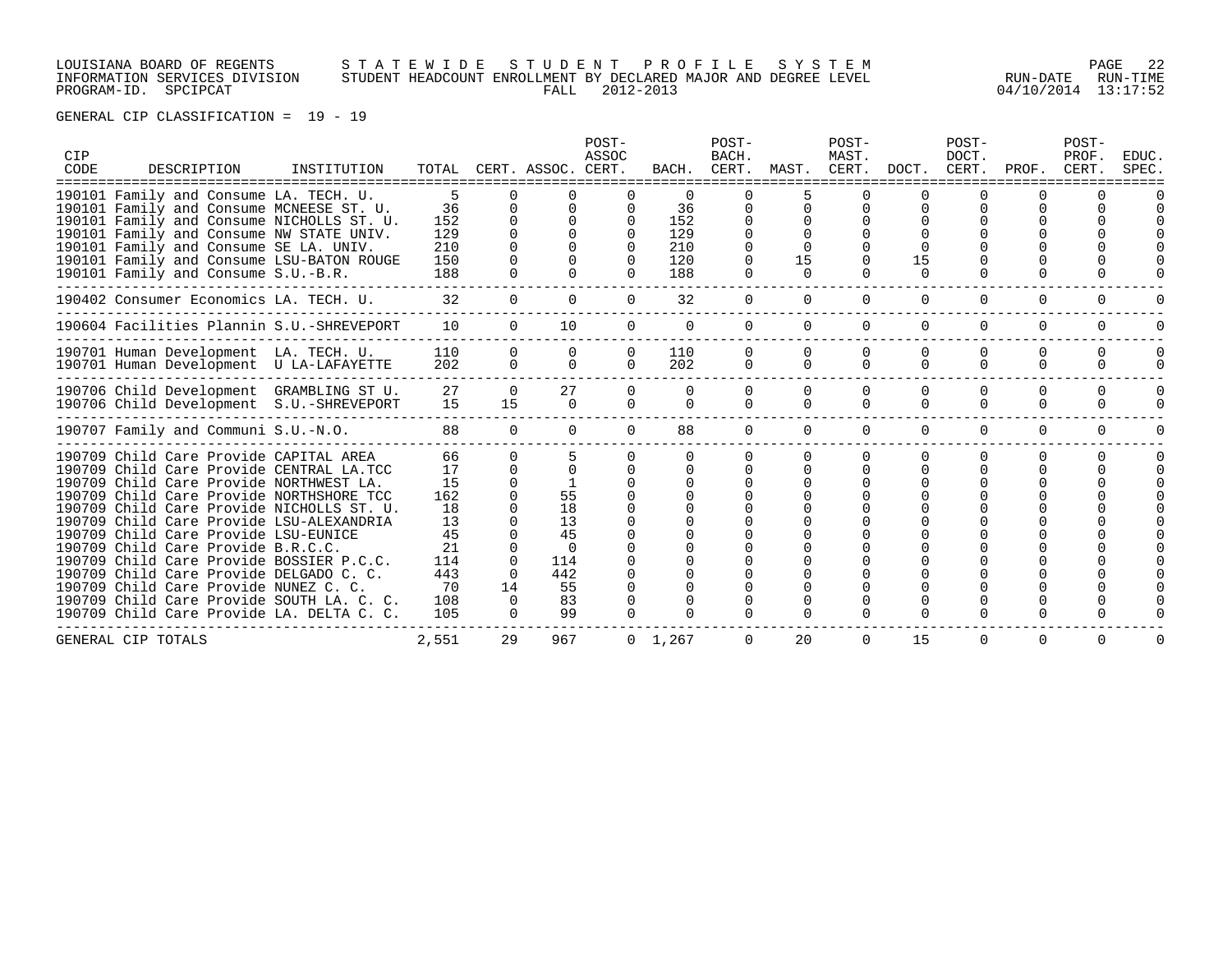# LOUISIANA BOARD OF REGENTS S T A T E W I D E S T U D E N T P R O F I L E S Y S T E M PAGE 22 INFORMATION SERVICES DIVISION STUDENT HEADCOUNT ENROLLMENT BY DECLARED MAJOR AND DEGREE LEVEL RUN-DATE RUN-TIME PROGRAM-ID. SPCIPCAT FALL 2012-2013 04/10/2014 13:17:52

|             |                                           |             |       |                |                    | POST-    |                 | POST-                |          | POST-          |          | POST-          |              | POST-          |                |
|-------------|-------------------------------------------|-------------|-------|----------------|--------------------|----------|-----------------|----------------------|----------|----------------|----------|----------------|--------------|----------------|----------------|
| CIP<br>CODE | DESCRIPTION                               | INSTITUTION | TOTAL |                | CERT. ASSOC. CERT. | ASSOC    | BACH.           | <b>BACH</b><br>CERT. | MAST.    | MAST.<br>CERT. | DOCT.    | DOCT.<br>CERT. | PROF.        | PROF.<br>CERT. | EDUC.<br>SPEC. |
|             |                                           |             |       |                |                    |          |                 |                      |          |                |          |                |              |                |                |
|             | 190101 Family and Consume LA. TECH. U.    |             | 5     | U              |                    |          |                 |                      |          |                |          |                |              |                |                |
|             | 190101 Family and Consume MCNEESE ST. U.  |             | 36    | $\Omega$       | $\Omega$           |          | 36              |                      |          |                |          |                |              |                |                |
|             | 190101 Family and Consume NICHOLLS ST. U. |             | 152   | $\cap$         | $\cap$             |          | 152             |                      |          |                |          |                |              |                |                |
|             | 190101 Family and Consume NW STATE UNIV.  |             | 129   |                |                    |          | 129             |                      |          |                |          |                |              |                |                |
|             | 190101 Family and Consume SE LA. UNIV.    |             | 210   |                |                    |          | 210             |                      |          |                |          |                |              |                |                |
|             | 190101 Family and Consume LSU-BATON ROUGE |             | 150   |                |                    |          | 120             |                      | 15       |                | 15       |                |              |                |                |
|             | 190101 Family and Consume S.U.-B.R.       |             | 188   |                |                    |          | 188             |                      | $\Omega$ |                | $\Omega$ |                |              |                |                |
|             | 190402 Consumer Economics LA. TECH. U.    |             | 32    | $\overline{0}$ | $\Omega$           | $\Omega$ | 32              | 0                    | $\Omega$ | $\Omega$       | 0        | 0              | 0            | 0              |                |
|             | 190604 Facilities Plannin S.U.-SHREVEPORT |             | 10    | $\Omega$       | 10                 | $\Omega$ | $\Omega$        | $\Omega$             | $\Omega$ | $\Omega$       | 0        | $\Omega$       | $\Omega$     | 0              |                |
|             | 190701 Human Development LA. TECH. U.     |             | 110   | $\Omega$       | $\Omega$           | $\Omega$ | 110             | 0                    |          |                |          |                | O            | $\Omega$       |                |
|             | 190701 Human Development U LA-LAFAYETTE   |             | 202   | $\Omega$       | $\Omega$           | $\cap$   | 202             | $\Omega$             | $\Omega$ | $\Omega$       | $\cap$   | $\Omega$       | $\Omega$     | $\Omega$       |                |
|             | 190706 Child Development GRAMBLING ST U.  |             | 27    | $\Omega$       | 27                 | $\Omega$ | $\Omega$        | $\Omega$             | $\Omega$ | $\Omega$       | $\Omega$ | $\Omega$       | $\Omega$     | 0              |                |
|             | 190706 Child Development S.U.-SHREVEPORT  |             | 15    | 15             | $\Omega$           | $\Omega$ | $\Omega$        | $\Omega$             | $\Omega$ | $\Omega$       | $\Omega$ | $\Omega$       | $\Omega$     | $\Omega$       |                |
|             | 190707 Family and Communi S.U.-N.O.       |             | 88    | $\Omega$       | $\Omega$           | $\Omega$ | 88              | $\Omega$             | $\Omega$ | $\Omega$       | $\Omega$ | $\Omega$       | $\Omega$     | $\Omega$       |                |
|             | 190709 Child Care Provide CAPITAL AREA    |             | 66    | <sup>n</sup>   |                    |          |                 |                      |          |                | ∩        |                | <sup>0</sup> |                |                |
|             | 190709 Child Care Provide CENTRAL LA.TCC  |             | 17    | $\Omega$       | $\Omega$           |          |                 | $\Omega$             |          |                |          |                |              |                |                |
|             | 190709 Child Care Provide NORTHWEST LA.   |             | 15    |                |                    |          |                 |                      |          |                |          |                |              |                |                |
|             | 190709 Child Care Provide NORTHSHORE TCC  |             | 162   |                | 55                 |          |                 |                      |          |                |          |                |              |                |                |
|             | 190709 Child Care Provide NICHOLLS ST. U. |             | 18    |                | 18                 |          |                 |                      |          |                |          |                |              |                |                |
|             | 190709 Child Care Provide LSU-ALEXANDRIA  |             | 13    |                | 13                 |          |                 |                      |          |                |          |                |              |                |                |
|             | 190709 Child Care Provide LSU-EUNICE      |             | 45    |                | 45                 |          |                 |                      |          |                |          |                |              |                |                |
|             | 190709 Child Care Provide B.R.C.C.        |             | 21    | <sup>0</sup>   | $\Omega$           |          |                 |                      |          |                |          |                |              |                |                |
|             | 190709 Child Care Provide BOSSIER P.C.C.  |             | 114   | $\Omega$       | 114                |          |                 |                      |          |                |          |                |              |                |                |
|             | 190709 Child Care Provide DELGADO C. C.   |             | 443   | 0              | 442                |          |                 |                      |          |                |          |                |              |                |                |
|             | 190709 Child Care Provide NUNEZ C. C.     |             | 70    | 14             | 55                 |          |                 |                      |          |                |          |                |              |                |                |
|             | 190709 Child Care Provide SOUTH LA. C. C. |             | 108   | $\Omega$       | 83                 |          |                 |                      |          |                |          |                |              |                |                |
|             | 190709 Child Care Provide LA. DELTA C. C. |             | 105   | $\Omega$       | 99                 |          |                 |                      |          |                |          |                |              |                |                |
|             | GENERAL CIP TOTALS                        |             | 2,551 | 29             | 967                |          | $0 \quad 1,267$ | 0                    | 20       | $\Omega$       | 15       | $\Omega$       | $\Omega$     | $\Omega$       | U              |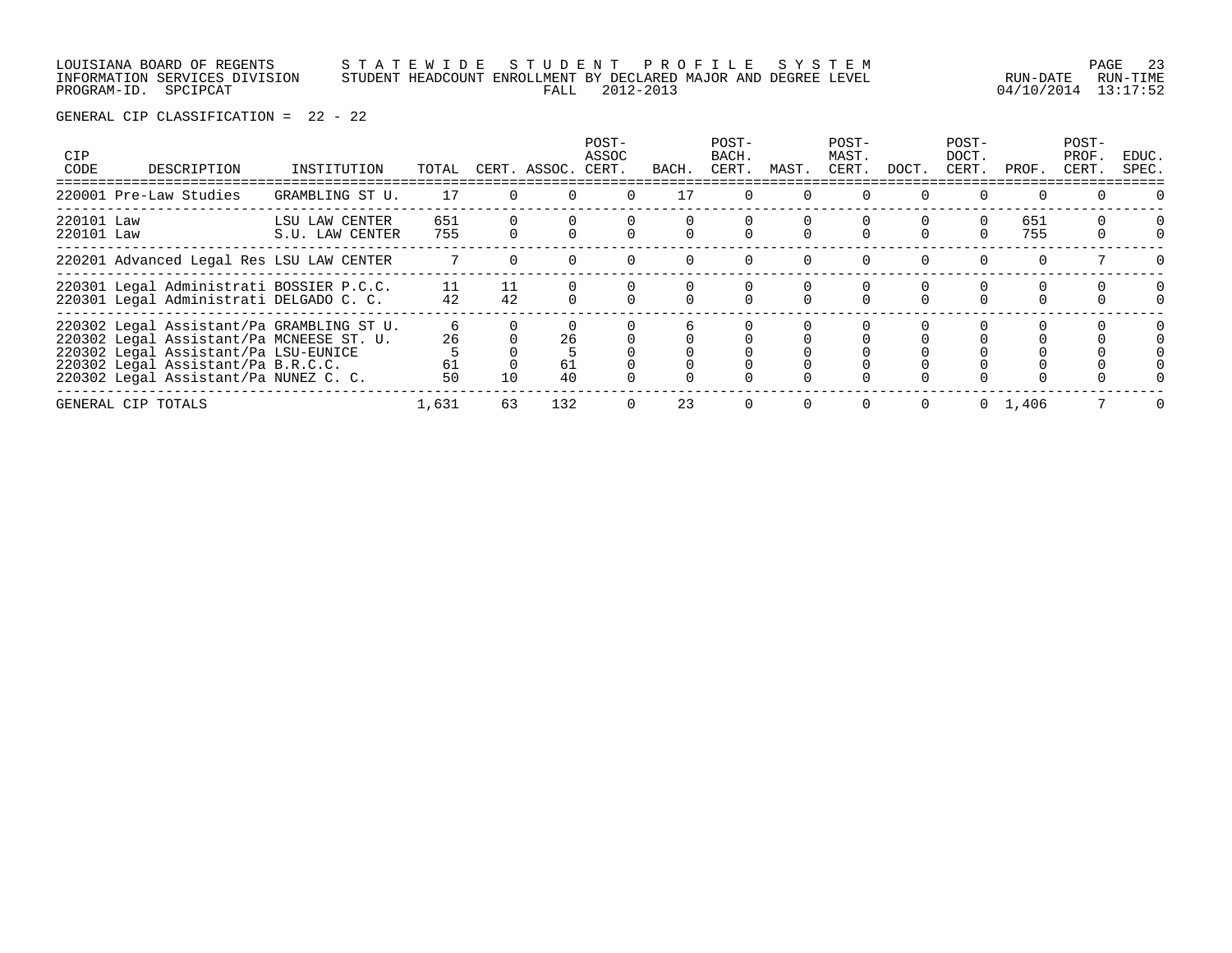|                      | LOUISIANA BOARD OF REGENTS    |  |                | STATEWIDE STUDENT PROFILE SYSTEM                                |                     | PAGE 23           |
|----------------------|-------------------------------|--|----------------|-----------------------------------------------------------------|---------------------|-------------------|
|                      | INFORMATION SERVICES DIVISION |  |                | STUDENT HEADCOUNT ENROLLMENT BY DECLARED MAJOR AND DEGREE LEVEL |                     | RUN-DATE RUN-TIME |
| PROGRAM-ID. SPCIPCAT |                               |  | FALL 2012-2013 |                                                                 | 04/10/2014 13:17:52 |                   |

| <b>CIP</b><br>CODE       | DESCRIPTION                                                                                                                                                                                                  | INSTITUTION                       | TOTAL               |          | CERT. ASSOC. CERT. | POST-<br>ASSOC | BACH. | POST-<br>BACH.<br>CERT. | MAST. | POST-<br>MAST.<br>CERT. | DOCT.    | POST-<br>DOCT.<br>CERT. | PROF.      | POST-<br>PROF.<br>CERT. | EDUC.<br>SPEC. |
|--------------------------|--------------------------------------------------------------------------------------------------------------------------------------------------------------------------------------------------------------|-----------------------------------|---------------------|----------|--------------------|----------------|-------|-------------------------|-------|-------------------------|----------|-------------------------|------------|-------------------------|----------------|
|                          | 220001 Pre-Law Studies                                                                                                                                                                                       | GRAMBLING ST U.                   | 17                  | $\Omega$ |                    | $\Omega$       | 17    | $\Omega$                |       |                         | $\Omega$ | $\Omega$                |            |                         |                |
| 220101 Law<br>220101 Law |                                                                                                                                                                                                              | LSU LAW CENTER<br>S.U. LAW CENTER | 651<br>755          |          |                    |                |       |                         |       |                         |          | $\Omega$                | 651<br>755 |                         |                |
|                          | 220201 Advanced Legal Res LSU LAW CENTER                                                                                                                                                                     |                                   |                     |          |                    |                |       |                         |       |                         |          | $\Omega$                |            |                         |                |
|                          | 220301 Legal Administrati BOSSIER P.C.C.<br>220301 Legal Administrati DELGADO C. C.                                                                                                                          |                                   | 11<br>42            | 11<br>42 |                    |                |       |                         |       |                         |          |                         |            |                         |                |
|                          | 220302 Legal Assistant/Pa GRAMBLING ST U.<br>220302 Legal Assistant/Pa MCNEESE ST. U.<br>220302 Legal Assistant/Pa LSU-EUNICE<br>220302 Legal Assistant/Pa B.R.C.C.<br>220302 Legal Assistant/Pa NUNEZ C. C. |                                   | 6<br>26<br>61<br>50 | 10       | 26<br>61<br>40     |                |       |                         |       |                         |          |                         |            |                         |                |
|                          | GENERAL CIP TOTALS                                                                                                                                                                                           |                                   | 1,631               | 63       | 132                |                | 23    | $\Omega$                |       |                         | $\Omega$ | $\Omega$                | 1,406      |                         |                |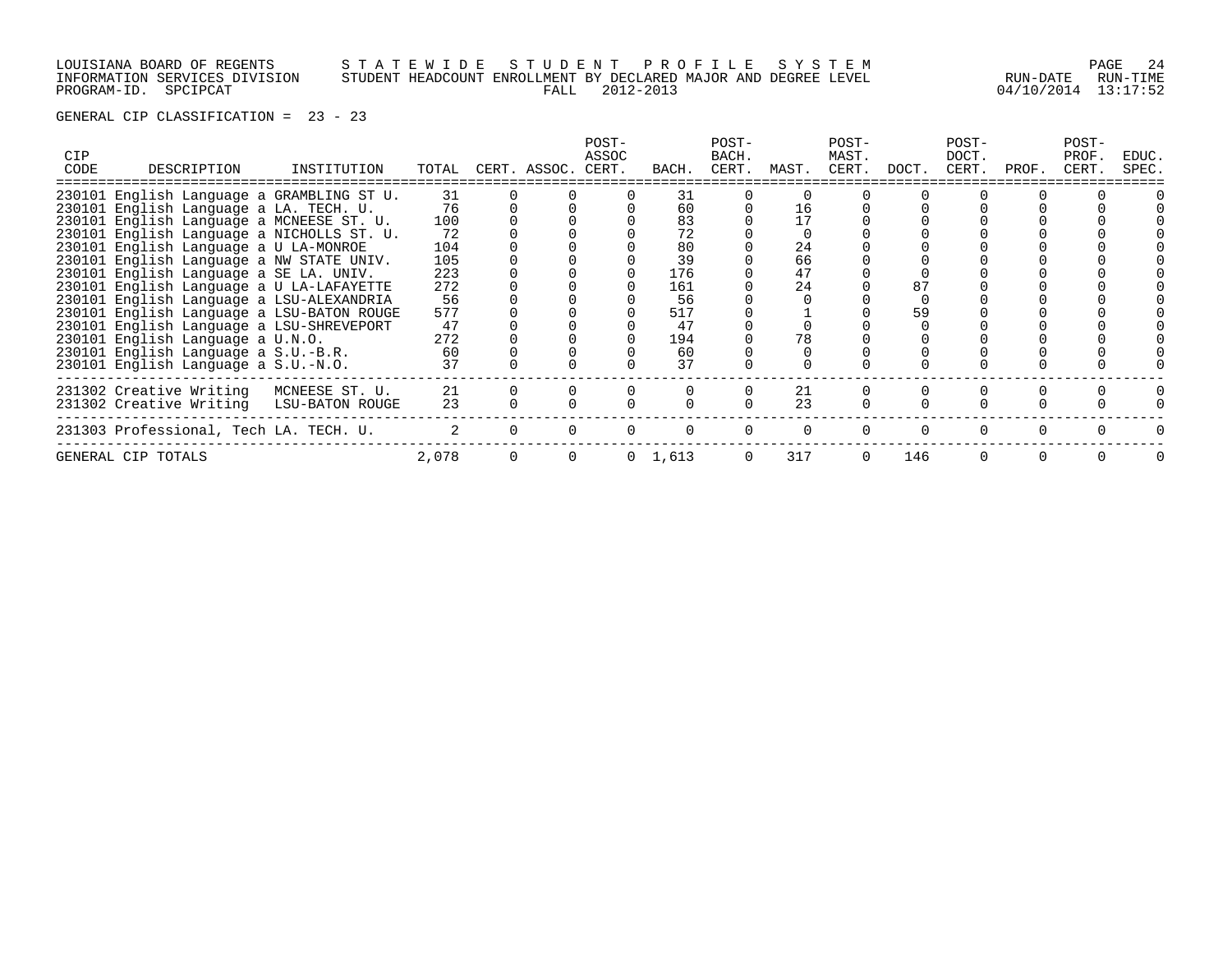LOUISIANA BOARD OF REGENTS S T A T E W I D E S T U D E N T P R O F I L E S Y S T E M PAGE 24 INFORMATION SERVICES DIVISION STUDENT HEADCOUNT ENROLLMENT BY DECLARED MAJOR AND DEGREE LEVEL RUN-DATE RUN-TIME PROGRAM-ID. SPCIPCAT FALL 2012-2013 04/10/2014 13:17:52

| <b>CIP</b><br>CODE | DESCRIPTION                               | INSTITUTION     | TOTAL         | CERT. ASSOC. | POST-<br>ASSOC<br>CERT. | BACH.           | POST-<br>BACH.<br>CERT. | MAST. | POST-<br>MAST.<br>CERT. | DOCT. | POST-<br>DOCT.<br>CERT. | PROF. | POST-<br>PROF.<br>CERT. | EDUC.<br>SPEC. |
|--------------------|-------------------------------------------|-----------------|---------------|--------------|-------------------------|-----------------|-------------------------|-------|-------------------------|-------|-------------------------|-------|-------------------------|----------------|
|                    |                                           |                 |               |              |                         |                 |                         |       |                         |       |                         |       |                         |                |
|                    | 230101 English Language a GRAMBLING ST U. |                 | 31            |              |                         | 31              |                         |       |                         |       |                         |       |                         |                |
|                    | 230101 English Language a LA. TECH. U.    |                 | 76            |              |                         | 60              |                         | 16    |                         |       |                         |       |                         |                |
|                    | 230101 English Language a MCNEESE ST. U.  |                 | 100           |              |                         | 83              |                         | 17    |                         |       |                         |       |                         |                |
|                    | 230101 English Language a NICHOLLS ST. U. |                 | 72            |              |                         | 72              |                         |       |                         |       |                         |       |                         |                |
|                    | 230101 English Language a U LA-MONROE     |                 | 104           |              |                         | 80              |                         | 24    |                         |       |                         |       |                         |                |
|                    | 230101 English Language a NW STATE UNIV.  |                 | 105           |              |                         | 39              |                         | 66    |                         |       |                         |       |                         |                |
|                    | 230101 English Language a SE LA. UNIV.    |                 | 223           |              |                         | 176             |                         | 47    |                         |       |                         |       |                         |                |
|                    | 230101 English Language a U LA-LAFAYETTE  |                 | 272           |              |                         | 161             |                         | 24    |                         | 87    |                         |       |                         |                |
|                    | 230101 English Language a LSU-ALEXANDRIA  |                 | 56            |              |                         | 56              |                         |       |                         |       |                         |       |                         |                |
|                    | 230101 English Language a LSU-BATON ROUGE |                 | 577           |              |                         | 517             |                         |       |                         | 59    |                         |       |                         |                |
|                    | 230101 English Language a LSU-SHREVEPORT  |                 | 47            |              |                         | 47              |                         |       |                         |       |                         |       |                         |                |
|                    | 230101 English Language a U.N.O.          |                 | 272           |              |                         | 194             |                         | 78    |                         |       |                         |       |                         |                |
|                    | 230101 English Language a S.U.-B.R.       |                 | 60            |              |                         | 60              |                         |       |                         |       |                         |       |                         |                |
|                    | 230101 English Language a S.U.-N.O.       |                 | 37            |              |                         | 37              |                         |       |                         |       |                         |       |                         |                |
|                    | 231302 Creative Writing                   | MCNEESE ST. U.  | 21            |              |                         |                 |                         | 21    |                         |       |                         |       |                         |                |
|                    | 231302 Creative Writing                   | LSU-BATON ROUGE | 23            |              |                         |                 |                         | 23    |                         |       |                         |       |                         |                |
|                    | 231303 Professional, Tech LA. TECH. U.    |                 | $\mathcal{L}$ |              |                         |                 |                         |       |                         |       |                         |       |                         |                |
|                    | GENERAL CIP TOTALS                        |                 | 2,078         |              |                         | $0 \quad 1,613$ | $\Omega$                | 317   | $\Omega$                | 146   |                         |       |                         |                |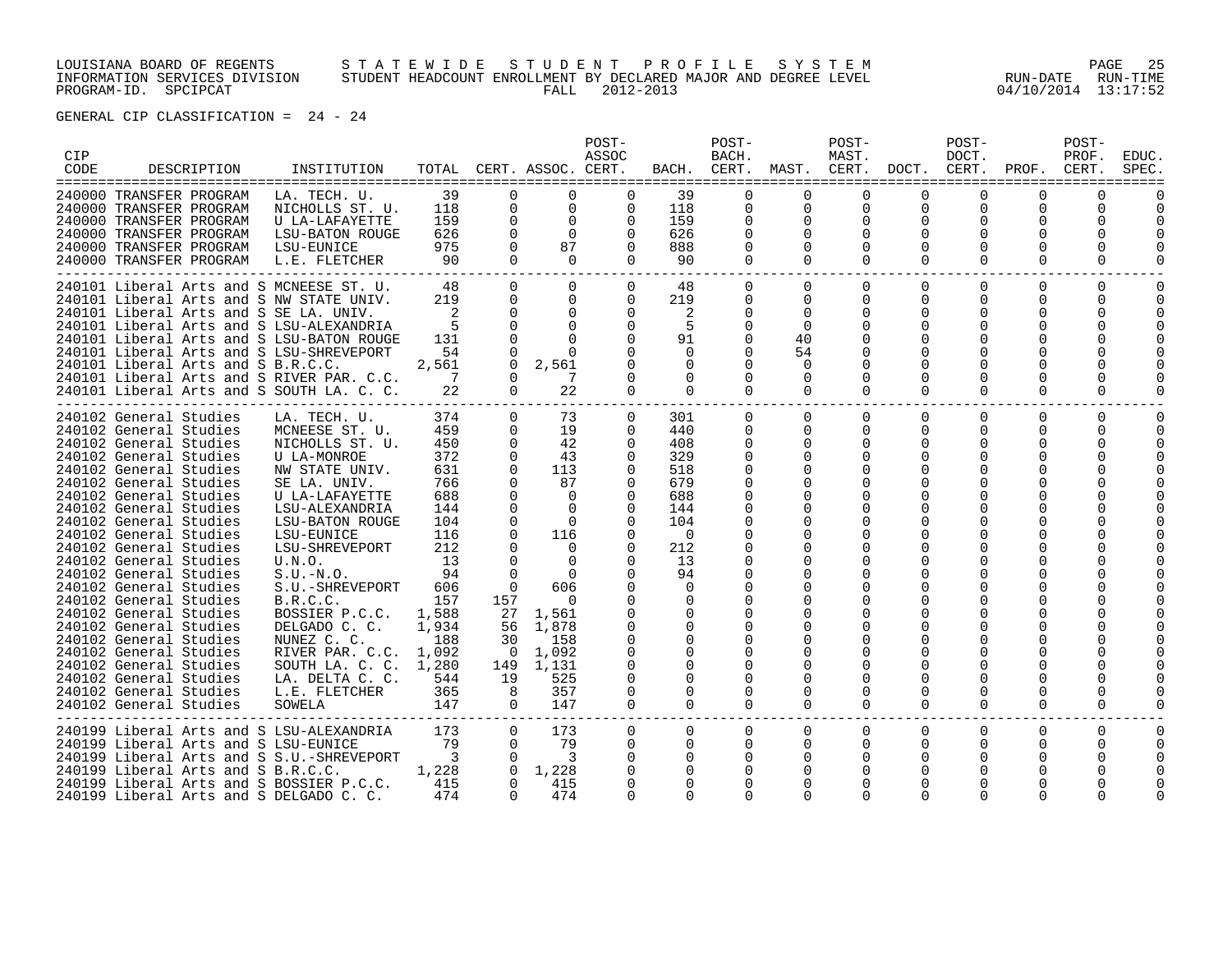LOUISIANA BOARD OF REGENTS S T A T E W I D E S T U D E N T P R O F I L E S Y S T E M PAGE 25 INFORMATION SERVICES DIVISION STUDENT HEADCOUNT ENROLLMENT BY DECLARED MAJOR AND DEGREE LEVEL RUN-DATE RUN-TIME PROGRAM-ID. SPCIPCAT FALL 2012-2013 04/10/2014 13:17:52

| CIP<br>CODE | DESCRIPTION                                                                                                                                                                                                                                                                                                                                                                                                                                                                                                                                                                                                        | INSTITUTION                                                                                                                                                                                                                                                                                                                                                                                          |                                                                                                                                                            |                                                                                                                                                                                           | TOTAL CERT. ASSOC. CERT.                                                                                                                                                                      | POST-<br>ASSOC                                                                                                                                                                                                                                          | BACH.                                                                                                                                                                             | POST-<br>BACH.                                                                                                                                                                                       | CERT. MAST. CERT.                                                               | POST-<br>MAST.                                         | DOCT.                                                                   | POST-<br>DOCT.<br>CERT.                    | PROF.                                                                                 | POST-<br>PROF.<br>CERT.                              | EDUC.<br>SPEC. |
|-------------|--------------------------------------------------------------------------------------------------------------------------------------------------------------------------------------------------------------------------------------------------------------------------------------------------------------------------------------------------------------------------------------------------------------------------------------------------------------------------------------------------------------------------------------------------------------------------------------------------------------------|------------------------------------------------------------------------------------------------------------------------------------------------------------------------------------------------------------------------------------------------------------------------------------------------------------------------------------------------------------------------------------------------------|------------------------------------------------------------------------------------------------------------------------------------------------------------|-------------------------------------------------------------------------------------------------------------------------------------------------------------------------------------------|-----------------------------------------------------------------------------------------------------------------------------------------------------------------------------------------------|---------------------------------------------------------------------------------------------------------------------------------------------------------------------------------------------------------------------------------------------------------|-----------------------------------------------------------------------------------------------------------------------------------------------------------------------------------|------------------------------------------------------------------------------------------------------------------------------------------------------------------------------------------------------|---------------------------------------------------------------------------------|--------------------------------------------------------|-------------------------------------------------------------------------|--------------------------------------------|---------------------------------------------------------------------------------------|------------------------------------------------------|----------------|
|             | 240000 TRANSFER PROGRAM<br>240000 TRANSFER PROGRAM<br>240000 TRANSFER PROGRAM<br>240000 TRANSFER PROGRAM<br>240000 TRANSFER PROGRAM<br>240000 TRANSFER PROGRAM                                                                                                                                                                                                                                                                                                                                                                                                                                                     | LA. TECH. U.<br>NICHOLLS ST. U.<br>U LA-LAFAYETTE<br>LSU-BATON ROUGE<br>LSU-EUNICE<br>L.E. FLETCHER                                                                                                                                                                                                                                                                                                  | 39<br>118<br>159<br>626<br>975<br>90                                                                                                                       | $\Omega$<br>0<br>$\Omega$<br>$\Omega$<br>$\Omega$<br>$\Omega$                                                                                                                             | $\Omega$<br>$\mathsf{O}$<br>$\Omega$<br>$\Omega$<br>87<br>$\Omega$                                                                                                                            | $\Omega$<br>$\overline{0}$<br>$\Omega$<br>$\Omega$<br>$\Omega$<br>$\Omega$                                                                                                                                                                              | 39<br>118<br>159<br>626<br>888<br>90                                                                                                                                              | $\Omega$<br>$\mathbf 0$<br>$\mathbf 0$<br>0<br>$\Omega$<br>$\Omega$                                                                                                                                  | $\Omega$<br>0<br>$\mathbf 0$<br>$\Omega$<br>$\Omega$                            | 0<br>$\Omega$<br>$\Omega$<br>$\Omega$<br>$\Omega$      | $\Omega$<br>$\mathbf 0$<br>$\Omega$<br>$\Omega$<br>$\Omega$<br>$\Omega$ | 0<br>$\Omega$<br>0                         | $\Omega$<br>0<br>$\Omega$<br>O<br>O<br>$\Omega$                                       | 0<br>$\Omega$<br>$\Omega$                            |                |
|             | 240101 Liberal Arts and S MCNEESE ST. U.<br>240101 Liberal Arts and S NW STATE UNIV.<br>240101 Liberal Arts and S SE LA. UNIV.<br>240101 Liberal Arts and S LSU-ALEXANDRIA<br>240101 Liberal Arts and S LSU-BATON ROUGE<br>240101 Liberal Arts and S LSU-SHREVEPORT<br>240101 Liberal Arts and S B.R.C.C.<br>240101 Liberal Arts and S RIVER PAR. C.C.<br>240101 Liberal Arts and S SOUTH LA. C. C.                                                                                                                                                                                                                |                                                                                                                                                                                                                                                                                                                                                                                                      | 48<br>219<br>2<br>-5<br>131<br>54<br>2,561<br>7<br>22                                                                                                      | $\Omega$<br>$\Omega$<br>$\Omega$<br>$\cap$<br>$\cap$<br>$\Omega$<br>$\Omega$<br>$\Omega$<br>$\Omega$                                                                                      | $\Omega$<br>0<br>$\Omega$<br>$\Omega$<br>$\Omega$<br>$\cap$<br>2,561<br>22                                                                                                                    | $\overline{0}$<br>$\Omega$<br>$\Omega$<br>$\Omega$<br>$\Omega$<br>$\Omega$<br>$\Omega$<br>$\Omega$                                                                                                                                                      | 48<br>219<br>2<br>-5<br>91<br>$\Omega$<br>$\Omega$<br>$\Omega$<br>$\Omega$                                                                                                        | $\overline{0}$<br>0<br>$\Omega$<br>$\Omega$<br>$\Omega$<br>$\Omega$<br>$\Omega$<br>$\Omega$<br>$\Omega$                                                                                              | $\overline{0}$<br>0<br>$\Omega$<br>$\Omega$<br>40<br>54<br>$\Omega$<br>$\Omega$ | $\mathbf 0$<br>0<br>$\Omega$<br>$\Omega$               | $\mathbf 0$<br>0<br>$\Omega$<br>$\Omega$<br>∩<br>O<br>$\Omega$          | 0<br>$\Omega$<br>O<br>0<br>O<br>$\Omega$   | $\mathbf 0$<br>0<br>0<br>U<br>U<br>O<br>$\Omega$                                      | $\mathbf 0$<br>0<br>$\Omega$<br>$\Omega$<br>$\Omega$ |                |
|             | 240102 General Studies<br>240102 General Studies<br>240102 General Studies<br>240102 General Studies<br>240102 General Studies<br>240102 General Studies<br>240102 General Studies<br>240102 General Studies<br>240102 General Studies<br>240102 General Studies<br>240102 General Studies<br>240102 General Studies<br>240102 General Studies<br>240102 General Studies<br>240102 General Studies<br>240102 General Studies<br>240102 General Studies<br>240102 General Studies<br>240102 General Studies<br>240102 General Studies<br>240102 General Studies<br>240102 General Studies<br>240102 General Studies | LA. TECH. U.<br>MCNEESE ST. U.<br>NICHOLLS ST. U.<br><b>U LA-MONROE</b><br>NW STATE UNIV.<br>SE LA. UNIV.<br>U LA-LAFAYETTE<br>LSU-ALEXANDRIA<br>LSU-BATON ROUGE<br>LSU-EUNICE<br>LSU-SHREVEPORT<br>U.N.O.<br>$S.U.-N.O.$<br>S.U.-SHREVEPORT<br>B.R.C.C.<br>BOSSIER P.C.C.<br>DELGADO C. C.<br>NUNEZ C. C.<br>RIVER PAR. C.C. 1,092<br>SOUTH LA. C. C.<br>LA. DELTA C. C.<br>L.E. FLETCHER<br>SOWELA | 374<br>459<br>450<br>372<br>631<br>766<br>688<br>144<br>104<br>116<br>212<br>13<br>94<br>606<br>157<br>1,588<br>1,934<br>188<br>1,280<br>544<br>365<br>147 | $\Omega$<br>$\mathbf{0}$<br>0<br>$\mathbf 0$<br>$\Omega$<br>$\Omega$<br>$\Omega$<br>$\cap$<br>$\Omega$<br>$\Omega$<br>157<br>30<br>$\overline{\phantom{0}}$<br>149<br>19<br>8<br>$\Omega$ | 73<br>19<br>42<br>43<br>113<br>87<br>$\Omega$<br>$\Omega$<br>$\Omega$<br>116<br>$\Omega$<br>$\Omega$<br>606<br>$\Omega$<br>27 1,561<br>56 1,878<br>158<br>1,092<br>1,131<br>525<br>357<br>147 | $\mathbf{0}$<br>$\mathbf{0}$<br>$\Omega$<br>$\Omega$<br>$\Omega$<br>$\Omega$<br>$\Omega$<br>$\Omega$<br>$\Omega$<br>0<br>$\Omega$<br>$\Omega$<br>$\Omega$<br>$\Omega$<br>$\Omega$<br>$\Omega$<br>$\Omega$<br>$\Omega$<br>$\Omega$<br>0<br>0<br>$\Omega$ | 301<br>440<br>408<br>329<br>518<br>679<br>688<br>144<br>104<br>$\Omega$<br>212<br>13<br>94<br>$\Omega$<br>$\Omega$<br>$\Omega$<br>$\Omega$<br>$\Omega$<br>0<br>0<br>0<br>$\Omega$ | 0<br>0<br>0<br>0<br>$\Omega$<br>$\Omega$<br>$\Omega$<br>0<br>0<br>$\Omega$<br><sup>0</sup><br>$\Omega$<br>$\Omega$<br>$\Omega$<br>$\Omega$<br>0<br>$\Omega$<br>$\Omega$<br>$\Omega$<br>0<br>$\Omega$ | 0<br>0<br>0<br>O<br>0<br>$\Omega$                                               | $\Omega$<br>$\Omega$<br>0<br>$\Omega$<br>0<br>$\Omega$ | $\Omega$<br>0<br>0<br>0<br>$\Omega$<br>0<br>$\Omega$                    | $\Omega$<br>0<br>$\Omega$<br>O<br>$\Omega$ | $\Omega$<br>0<br>0<br>0<br>U<br>O<br>O<br>0<br>O<br>O<br>O<br>O<br>0<br>0<br>$\Omega$ | $\mathbf 0$<br>0<br>0<br>$\Omega$<br>$\Omega$        | $\Omega$<br>U  |
|             | 240199 Liberal Arts and S LSU-ALEXANDRIA<br>240199 Liberal Arts and S LSU-EUNICE<br>240199 Liberal Arts and S S.U.-SHREVEPORT<br>240199 Liberal Arts and S B.R.C.C.<br>240199 Liberal Arts and S BOSSIER P.C.C.<br>$240199$ Liberal Arts and S DELGADO C. C.                                                                                                                                                                                                                                                                                                                                                       |                                                                                                                                                                                                                                                                                                                                                                                                      | 173<br>79<br>$\overline{\phantom{a}}$<br>1,228<br>415<br>474                                                                                               | $\Omega$<br>$\Omega$<br>$\Omega$<br>$\Omega$<br>$\Omega$                                                                                                                                  | 173<br>79<br>3<br>1,228<br>415<br>474                                                                                                                                                         | $\Omega$<br>$\Omega$<br>$\Omega$<br>$\Omega$<br>$\cap$                                                                                                                                                                                                  | $\Omega$<br>$\Omega$<br>$\Omega$                                                                                                                                                  | $\mathbf 0$<br>$\Omega$<br>$\Omega$<br>$\Omega$<br>$\Omega$<br>$\Omega$                                                                                                                              | 0<br>$\Omega$                                                                   | 0                                                      | $\Omega$<br>$\Omega$<br>O<br>∩<br>∩                                     | $\Omega$<br>0                              | $\Omega$<br>0<br>0                                                                    | $\Omega$<br>$\Omega$                                 |                |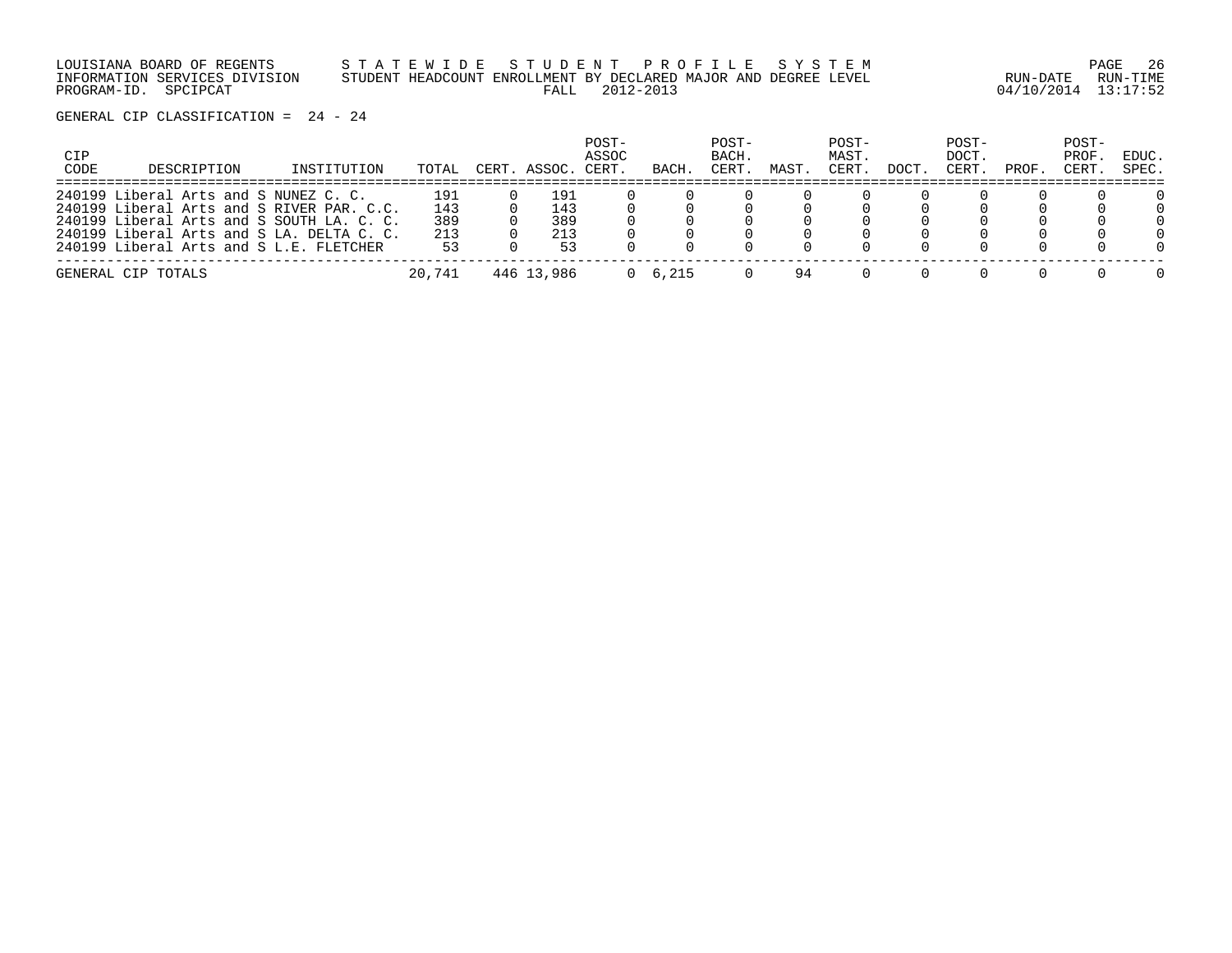LOUISIANA BOARD OF REGENTS S T A T E W I D E S T U D E N T P R O F I L E S Y S T E M PAGE 26 INFORMATION SERVICES DIVISION STUDENT HEADCOUNT ENROLLMENT BY DECLARED MAJOR AND DEGREE LEVEL RUN-DATE RUN-TIME PROGRAM-ID. SPCIPCAT FALL 2012-2013 04/10/2014 13:17:52

| CIP<br>CODE | DESCRIPTION                                                                            | INSTITUTION | TOTAL      | CERT. ASSOC. | POST-<br>ASSOC<br>CERT. | BACH.           | POST-<br>BACH.<br>CERT. | MAST. | POST-<br>MAST.<br>CERT. | DOCT. | POST-<br>DOCT.<br>CERT. | PROF. | POST-<br>PROF.<br>CERT. | EDUC.<br>SPEC.     |
|-------------|----------------------------------------------------------------------------------------|-------------|------------|--------------|-------------------------|-----------------|-------------------------|-------|-------------------------|-------|-------------------------|-------|-------------------------|--------------------|
|             | 240199 Liberal Arts and S NUNEZ C. C.<br>240199 Liberal Arts and S RIVER PAR. C.C.     |             | 191<br>143 | 191<br>143   |                         |                 |                         |       |                         |       |                         |       |                         | 0<br>$\Omega$      |
|             | 240199 Liberal Arts and S SOUTH LA. C. C.<br>240199 Liberal Arts and S LA. DELTA C. C. |             | 389<br>213 | 389<br>213   |                         |                 |                         |       |                         |       |                         |       |                         | $\Omega$<br>$\cap$ |
|             | 240199 Liberal Arts and S L.E. FLETCHER                                                |             | 53         | 53           |                         |                 |                         |       |                         |       |                         |       |                         | $\cap$             |
|             | GENERAL CIP TOTALS                                                                     |             | 20,741     | 446 13,986   |                         | $0 \quad 6.215$ |                         | 94    |                         |       |                         |       |                         | $\cap$             |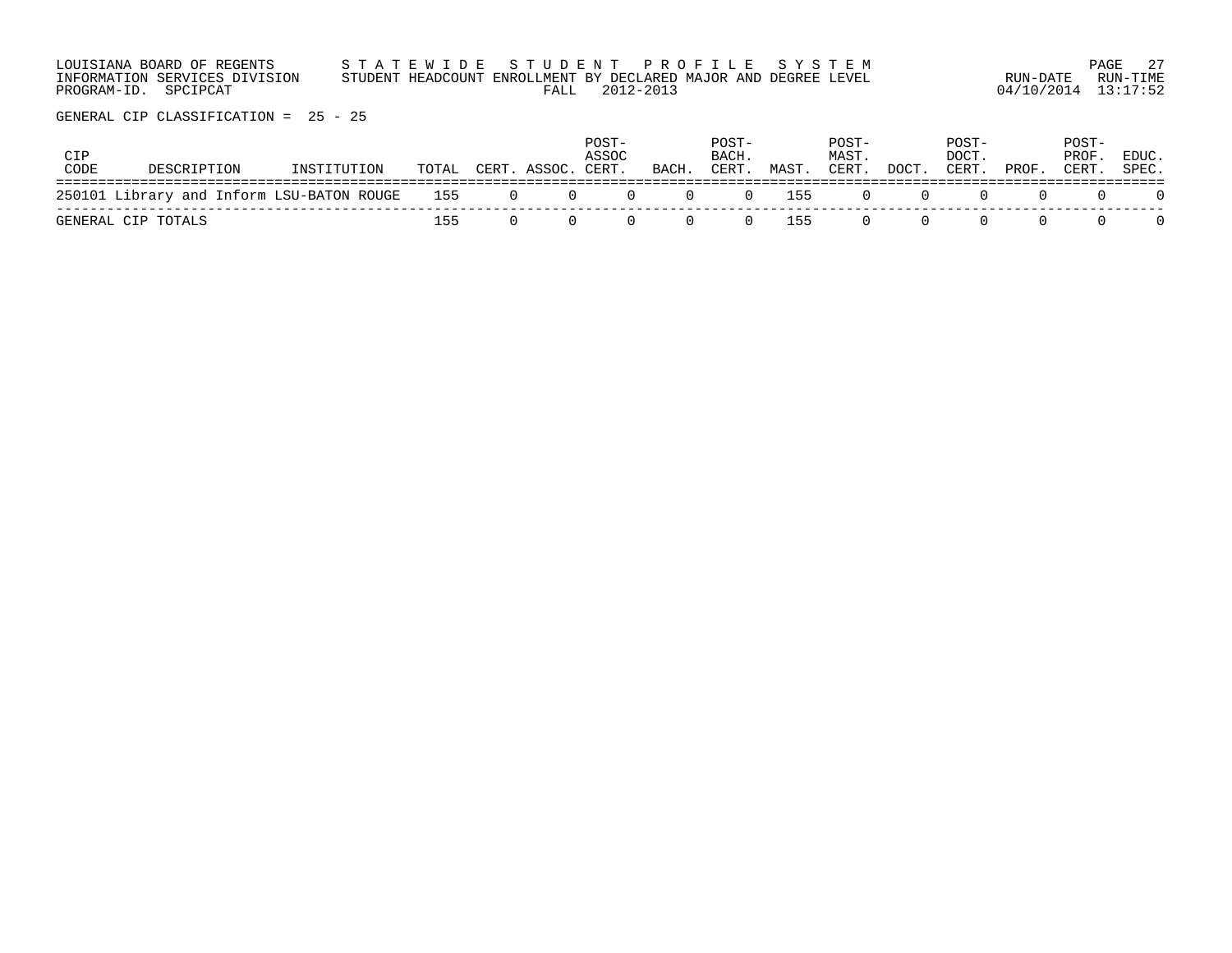| LOUISIANA BOARD OF REGENTS                            |      | STATEWIDE STUDENT PROFILE SYSTEM                                             |                                 | PAGE 27  |
|-------------------------------------------------------|------|------------------------------------------------------------------------------|---------------------------------|----------|
| INFORMATION SERVICES DIVISION<br>PROGRAM-ID. SPCIPCAT | FALL | STUDENT HEADCOUNT ENROLLMENT BY DECLARED MAJOR AND DEGREE LEVEL<br>2012-2013 | RUN-DATE<br>04/10/2014 13:17:52 | RUN-TIME |
|                                                       |      |                                                                              |                                 |          |

| CIP<br>CODE | DESCRIPTION                                       | INSTITUTION | TOTAL | CERT. ASSOC. | POST-<br>ASSOC<br>CERT. | BACH. | POST-<br>BACH.<br>CERT. | MAST. | POST-<br>MAST.<br>CERT. | DOCT. | POST-<br>DOCT.<br>CERT. | PROF. | POST-<br>PROF<br>CERT. | EDUC.<br>SPEC. |
|-------------|---------------------------------------------------|-------------|-------|--------------|-------------------------|-------|-------------------------|-------|-------------------------|-------|-------------------------|-------|------------------------|----------------|
|             | 250101 Library and Inform LSU-BATON ROUGE 155 0 0 |             |       |              | $\Omega$                | (1)   |                         | 0 155 | <sup>()</sup>           |       |                         |       |                        |                |
|             | GENERAL CIP TOTALS                                |             | 155   |              |                         |       | (1)                     | 155   | <sup>()</sup>           |       |                         |       |                        |                |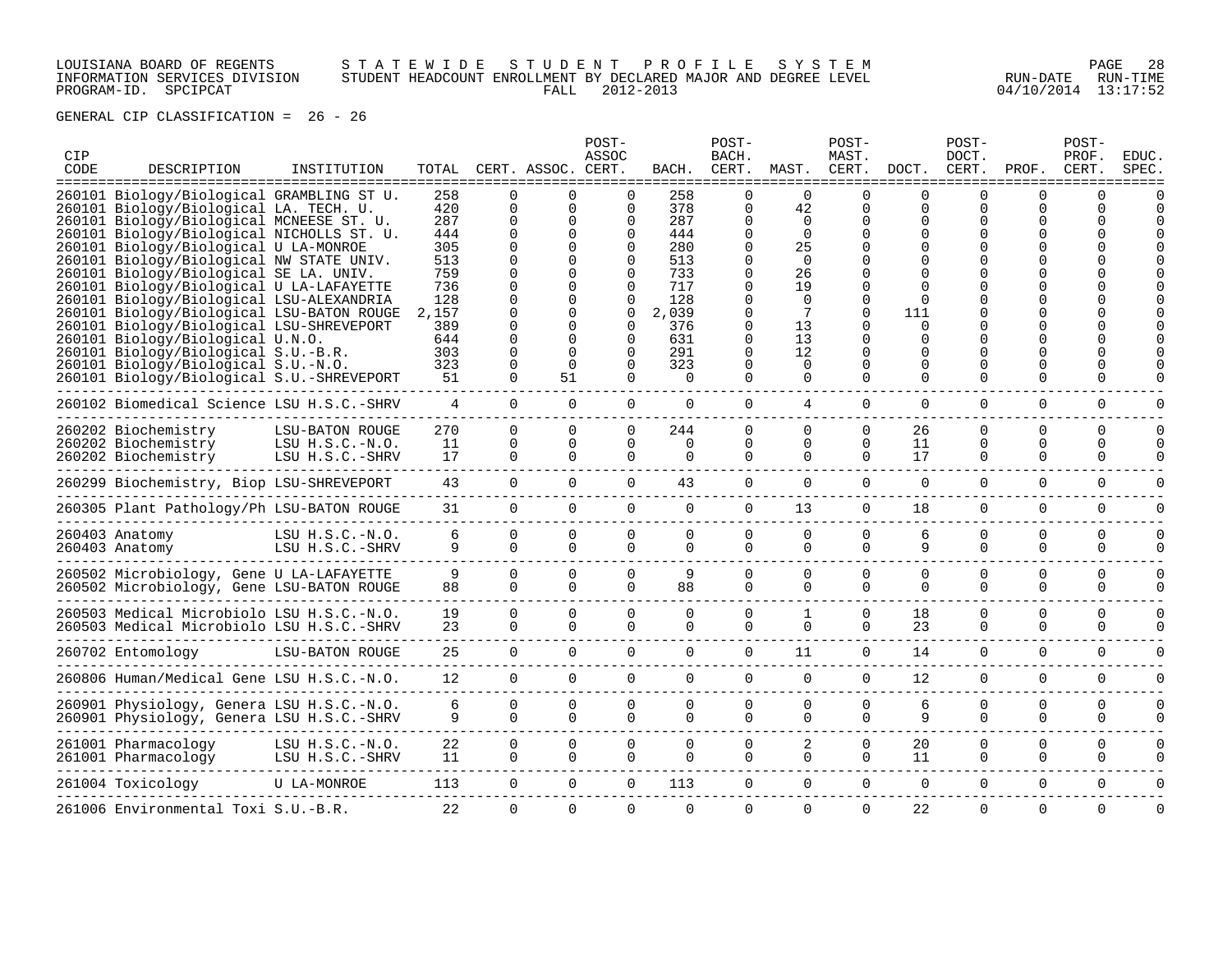# LOUISIANA BOARD OF REGENTS S T A T E W I D E S T U D E N T P R O F I L E S Y S T E M PAGE 28 INFORMATION SERVICES DIVISION STUDENT HEADCOUNT ENROLLMENT BY DECLARED MAJOR AND DEGREE LEVEL RUN-DATE RUN-TIME PROGRAM-ID. SPCIPCAT FALL 2012-2013 04/10/2014 13:17:52

| CIP<br>CODE | DESCRIPTION<br>====================================== | INSTITUTION       |       |          | TOTAL CERT. ASSOC. CERT.<br>-------------- | POST-<br>ASSOC | BACH.<br>------------ | POST-<br>BACH.<br>CERT. | MAST.<br>------- | POST-<br>MAST.<br>CERT.<br>------ | DOCT.        | POST-<br>DOCT.<br>CERT. | PROF.    | POST-<br>PROF.<br>CERT. | <b>EDUC</b><br>SPEC. |
|-------------|-------------------------------------------------------|-------------------|-------|----------|--------------------------------------------|----------------|-----------------------|-------------------------|------------------|-----------------------------------|--------------|-------------------------|----------|-------------------------|----------------------|
|             | 260101 Biology/Biological GRAMBLING ST U.             |                   | 258   |          |                                            | <sup>n</sup>   | 258                   | $\Omega$                | <sup>n</sup>     | ∩                                 | <sup>n</sup> | ∩                       | ∩        | ∩                       |                      |
|             | 260101 Biology/Biological LA. TECH. U.                |                   | 420   | $\Omega$ | $\Omega$                                   | $\Omega$       | 378                   | $\mathbf 0$             | 42               | $\Omega$                          | $\Omega$     | 0                       | U        |                         |                      |
|             | 260101 Biology/Biological MCNEESE ST. U.              |                   | 287   | $\Omega$ | U                                          | 0              | 287                   | $\Omega$                | $\Omega$         | ∩                                 | U            | U                       |          |                         |                      |
|             | 260101 Biology/Biological NICHOLLS ST. U.             |                   | 444   | $\Omega$ | <sup>n</sup>                               | $\Omega$       | 444                   | $\Omega$                | $\Omega$         |                                   | <sup>n</sup> |                         |          |                         |                      |
|             | 260101 Biology/Biological U LA-MONROE                 |                   | 305   |          |                                            | 0              | 280                   | $\Omega$                | 25               |                                   |              |                         |          |                         |                      |
|             | 260101 Biology/Biological NW STATE UNIV.              |                   | 513   |          |                                            | 0              | 513                   | $\Omega$                | $\Omega$         |                                   |              |                         |          |                         |                      |
|             | 260101 Biology/Biological SE LA. UNIV.                |                   | 759   |          |                                            | 0              | 733                   | $\Omega$                | 26               |                                   |              |                         |          |                         |                      |
|             | 260101 Biology/Biological U LA-LAFAYETTE              |                   | 736   |          |                                            | 0              | 717                   | $\Omega$                | 19               |                                   |              |                         |          |                         |                      |
|             | 260101 Biology/Biological LSU-ALEXANDRIA              |                   | 128   |          |                                            | 0              | 128                   | $\Omega$                | $\Omega$         | $\Omega$                          | <sup>n</sup> |                         |          |                         |                      |
|             | 260101 Biology/Biological LSU-BATON ROUGE             |                   | 2,157 |          |                                            | ∩              | 2,039                 | $\Omega$                | 7                | ∩                                 | 111          |                         |          |                         |                      |
|             | 260101 Biology/Biological LSU-SHREVEPORT              |                   | 389   |          | U                                          | $\Omega$       | 376                   | $\Omega$                | 13               | ∩                                 | $\Omega$     |                         |          |                         |                      |
|             | 260101 Biology/Biological U.N.O.                      |                   | 644   |          | n                                          | $\Omega$       | 631                   | $\Omega$                | 13               | ∩                                 | <sup>n</sup> |                         |          |                         |                      |
|             | 260101 Biology/Biological S.U.-B.R.                   |                   | 303   | $\Omega$ | $\Omega$                                   | $\Omega$       | 291                   | $\Omega$                | 12               | $\Omega$                          | $\Omega$     |                         |          |                         |                      |
|             | 260101 Biology/Biological S.U.-N.O.                   |                   | 323   |          | $\Omega$                                   | 0              | 323                   | $\Omega$                | $\Omega$         | O                                 | O            |                         | ∩        |                         |                      |
|             | 260101 Biology/Biological S.U.-SHREVEPORT             |                   | 51    | $\Omega$ | 51                                         | 0              | $\Omega$              | $\Omega$                | $\Omega$         | $\Omega$                          | $\Omega$     | 0                       | O        |                         |                      |
|             |                                                       |                   |       |          |                                            |                |                       |                         |                  |                                   |              |                         |          |                         |                      |
|             | 260102 Biomedical Science LSU H.S.C.-SHRV             |                   | 4     | $\Omega$ | $\Omega$                                   | 0              | $\Omega$              | $\Omega$                | 4                | $\Omega$                          | $\Omega$     | 0                       | $\Omega$ | $\Omega$                |                      |
|             | 260202 Biochemistry                                   | LSU-BATON ROUGE   | 270   | $\Omega$ | $\Omega$                                   | $\Omega$       | 244                   | $\Omega$                | $\Omega$         | $\Omega$                          | 26           | 0                       | $\Omega$ | $\Omega$                |                      |
|             | 260202 Biochemistry                                   | LSU $H.S.C.-N.O.$ | 11    | $\Omega$ | $\Omega$                                   | 0              | $\Omega$              | $\Omega$                | $\Omega$         | $\Omega$                          | 11           | 0                       | 0        | $\Omega$                |                      |
|             | 260202 Biochemistry                                   | LSU H.S.C.-SHRV   | 17    | $\Omega$ | $\Omega$                                   | $\Omega$       | $\Omega$              | $\Omega$                | $\Omega$         | $\Omega$                          | 17           | $\Omega$                | $\Omega$ | $\Omega$                |                      |
|             |                                                       |                   |       |          |                                            |                |                       |                         |                  |                                   |              |                         |          |                         |                      |
|             | 260299 Biochemistry, Biop LSU-SHREVEPORT              |                   | 43    | $\Omega$ | $\Omega$                                   | $\Omega$       | 43                    | $\Omega$                | $\Omega$         | $\Omega$                          | $\Omega$     | $\Omega$                | $\Omega$ | $\Omega$                |                      |
|             | 260305 Plant Pathology/Ph LSU-BATON ROUGE             |                   | 31    | $\Omega$ | $\Omega$                                   | $\Omega$       | $\Omega$              | $\Omega$                | 13               | $\Omega$                          | 18           | $\Omega$                | $\Omega$ | $\Omega$                |                      |
|             |                                                       | LSU H.S.C.-N.O.   | 6     | $\Omega$ | $\Omega$                                   | $\Omega$       | $\Omega$              | $\mathbf 0$             | $\Omega$         | $\Omega$                          | 6            | 0                       | 0        | $\mathbf 0$             | n                    |
|             | 260403 Anatomy                                        |                   | 9     | $\cap$   | $\Omega$                                   | $\Omega$       | $\Omega$              | $\Omega$                | $\Omega$         | $\cap$                            | 9            | $\Omega$                | $\Omega$ | $\Omega$                | $\Omega$             |
|             | 260403 Anatomy                                        | LSU H.S.C.-SHRV   |       |          |                                            |                |                       |                         |                  |                                   |              |                         |          |                         |                      |
|             | 260502 Microbiology, Gene U LA-LAFAYETTE              |                   | 9     | $\Omega$ | $\Omega$                                   | $\Omega$       | 9                     | $\Omega$                | $\Omega$         | $\Omega$                          | $\Omega$     | $\Omega$                | $\Omega$ | $\Omega$                |                      |
|             | 260502 Microbiology, Gene LSU-BATON ROUGE             |                   | 88    | $\Omega$ | $\Omega$                                   | $\Omega$       | 88                    | $\Omega$                | $\Omega$         | $\Omega$                          | $\Omega$     | $\Omega$                | $\Omega$ | $\Omega$                |                      |
|             |                                                       |                   |       |          |                                            |                |                       |                         |                  |                                   |              |                         |          |                         |                      |
|             | 260503 Medical Microbiolo LSU H.S.C.-N.O.             |                   | 19    | $\Omega$ | $\Omega$                                   | $\Omega$       | $\Omega$              | $\Omega$                |                  | $\Omega$                          | 18           | 0                       | $\Omega$ | $\Omega$                |                      |
|             | 260503 Medical Microbiolo LSU H.S.C.-SHRV             |                   | 23    | $\Omega$ | $\Omega$                                   | $\Omega$       | $\Omega$              | $\Omega$                | $\Omega$         | $\Omega$                          | 23           | $\Omega$                | $\Omega$ | $\Omega$                |                      |
|             |                                                       |                   |       |          |                                            |                |                       |                         |                  |                                   |              |                         |          |                         |                      |
|             | 260702 Entomology                                     | LSU-BATON ROUGE   | 25    | $\Omega$ | $\Omega$                                   | $\Omega$       | $\Omega$              | $\Omega$                | 11               | $\Omega$                          | 14           | $\Omega$                | $\Omega$ | $\Omega$                |                      |
|             |                                                       |                   |       |          |                                            |                |                       |                         |                  |                                   |              |                         |          |                         |                      |
|             | 260806 Human/Medical Gene LSU H.S.C.-N.O.             |                   | 12    | $\Omega$ | $\mathbf 0$                                | 0              | $\Omega$              | $\Omega$                | $\Omega$         | $\Omega$                          | 12           | $\Omega$                | $\Omega$ | $\mathbf 0$             |                      |
|             |                                                       |                   |       |          |                                            |                |                       |                         |                  |                                   |              |                         |          |                         |                      |
|             | 260901 Physiology, Genera LSU H.S.C.-N.O.             |                   | 6     |          | $\Omega$                                   | $\Omega$       | 0                     | $\mathbf 0$             | $\Omega$         | $\Omega$                          | 6            | 0                       | 0        | $\mathbf 0$             | n                    |
|             | 260901 Physiology, Genera LSU H.S.C.-SHRV             |                   | 9     | $\Omega$ | $\Omega$                                   | $\Omega$       | $\Omega$              | $\Omega$                | $\Omega$         | $\Omega$                          | 9            | $\Omega$                | $\Omega$ | $\Omega$                | $\Omega$             |
|             |                                                       |                   |       |          |                                            |                |                       |                         |                  |                                   |              |                         |          |                         |                      |
|             | 261001 Pharmacology                                   | LSU H.S.C.-N.O.   | 22    | $\Omega$ | $\Omega$                                   | 0              | $\mathbf 0$           | $\mathbf{0}$            | 2                | $\mathbf 0$                       | 20           | $\mathbf 0$             | 0        | $\mathbf 0$             |                      |
|             | 261001 Pharmacology                                   | LSU H.S.C.-SHRV   | 11    | $\Omega$ | $\Omega$                                   | 0              | $\Omega$              | $\Omega$                | $\Omega$         | $\Omega$                          | 11           | $\Omega$                | $\Omega$ | $\Omega$                | U                    |
|             |                                                       |                   |       |          |                                            |                |                       |                         |                  |                                   |              |                         |          |                         |                      |
|             | 261004 Toxicology                                     | U LA-MONROE       | 113   | $\Omega$ | $\Omega$                                   | $\Omega$       | 113                   | $\Omega$                | $\Omega$         | $\Omega$                          | $\Omega$     | $\Omega$                | $\Omega$ | $\Omega$                | $\Omega$             |
|             | 261006 Environmental Toxi S.U.-B.R.                   |                   | 22    | $\Omega$ | $\Omega$                                   | 0              | $\Omega$              | $\Omega$                | $\Omega$         | $\Omega$                          | 22           | $\Omega$                | $\Omega$ | $\Omega$                | $\Omega$             |
|             |                                                       |                   |       |          |                                            |                |                       |                         |                  |                                   |              |                         |          |                         |                      |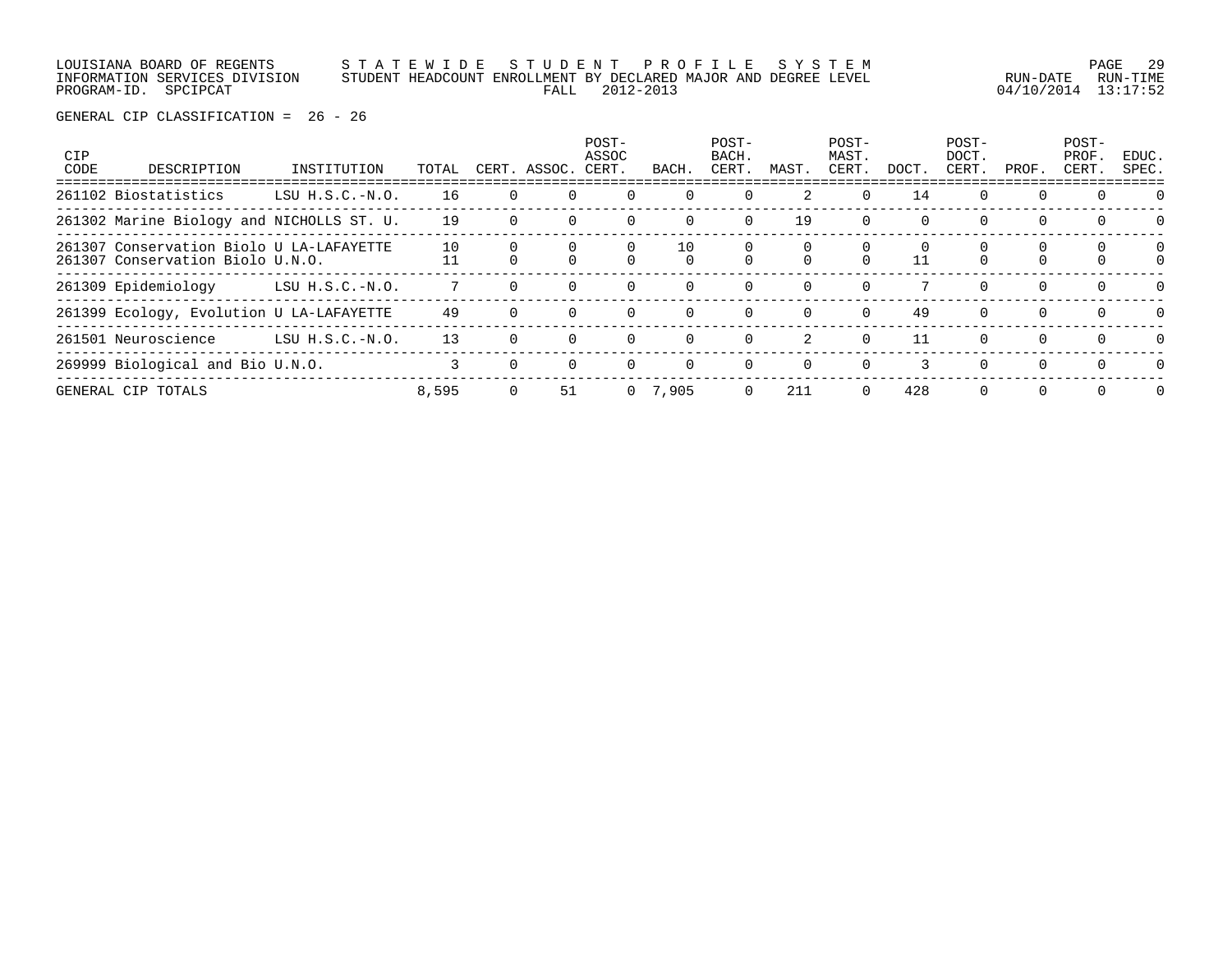LOUISIANA BOARD OF REGENTS S T A T E W I D E S T U D E N T P R O F I L E S Y S T E M PAGE 29 INFORMATION SERVICES DIVISION STUDENT HEADCOUNT ENROLLMENT BY DECLARED MAJOR AND DEGREE LEVEL RUN-DATE RUN-TIME PROGRAM-ID. SPCIPCAT FALL 2012-2013 04/10/2014 13:17:52

| <b>CIP</b><br>CODE | DESCRIPTION                                                                  | INSTITUTION       | TOTAL |   | CERT. ASSOC. | POST-<br>ASSOC<br>CERT. | BACH.     | POST-<br>BACH.<br>CERT. | MAST.    | POST-<br>MAST.<br>CERT. | DOCT. | $POST-$<br>DOCT.<br>CERT. | PROF.          | POST-<br>PROF.<br>CERT. | EDUC.<br>SPEC. |
|--------------------|------------------------------------------------------------------------------|-------------------|-------|---|--------------|-------------------------|-----------|-------------------------|----------|-------------------------|-------|---------------------------|----------------|-------------------------|----------------|
|                    | 261102 Biostatistics                                                         | LSU $H.S.C.-N.O.$ | 16    |   |              |                         | $\Omega$  | $\Omega$                | 2        | $\Omega$                | 14    | $\Omega$                  | $\Omega$       | $\Omega$                | $\Omega$       |
|                    | 261302 Marine Biology and NICHOLLS ST. U.                                    |                   | 19    |   |              |                         | $\Omega$  | 0                       | 19       | $\Omega$                | 0     | $\mathbf 0$               | 0              | $\Omega$                | $\Omega$       |
|                    | 261307 Conservation Biolo U LA-LAFAYETTE<br>261307 Conservation Biolo U.N.O. |                   | 10    |   |              |                         | 10        |                         |          |                         | 11    |                           |                |                         | 0              |
|                    | 261309 Epidemiology                                                          | LSU $H.S.C.-N.O.$ |       |   |              | $\Omega$                | $\Omega$  | $\Omega$                | $\Omega$ | $\Omega$                |       | $\Omega$                  | $\Omega$       | $\Omega$                | $\Omega$       |
|                    | 261399 Ecology, Evolution U LA-LAFAYETTE                                     |                   | 49    |   |              | $\Omega$                | $\Omega$  | $\Omega$                | $\Omega$ | $\Omega$                | 49    | $\Omega$                  | $\Omega$       | $\Omega$                | $\Omega$       |
|                    | 261501 Neuroscience                                                          | LSU $H.S.C.-N.O.$ | 13    |   |              |                         | $\Omega$  | $\Omega$                | 2        | $\Omega$                | 11    | $\Omega$                  | $\Omega$       | $\Omega$                | $\cap$         |
|                    | 269999 Biological and Bio U.N.O.                                             |                   |       |   |              |                         | $\Omega$  | $\Omega$                | $\Omega$ | $\Omega$                | 3     | $\Omega$                  | $\Omega$       | $\Omega$                | $\Omega$       |
|                    | GENERAL CIP TOTALS                                                           |                   | 8,595 | 0 | 51           |                         | 0, 7, 905 | 0                       | 211      | $\Omega$                | 428   | 0                         | $\overline{0}$ | $\Omega$                | $\Omega$       |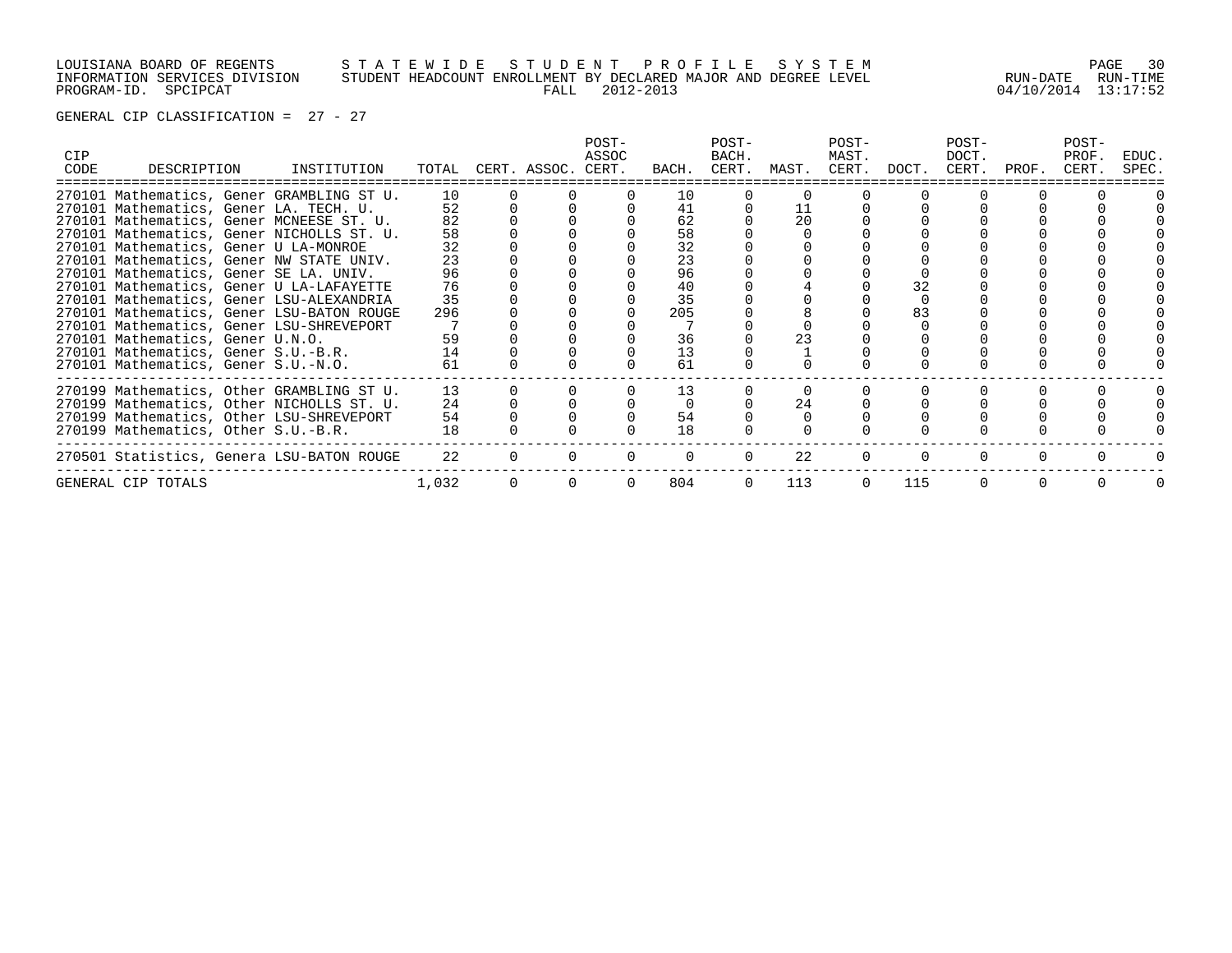# LOUISIANA BOARD OF REGENTS S T A T E W I D E S T U D E N T P R O F I L E S Y S T E M PAGE 30 INFORMATION SERVICES DIVISION STUDENT HEADCOUNT ENROLLMENT BY DECLARED MAJOR AND DEGREE LEVEL RUN-DATE RUN-TIME PROGRAM-ID. SPCIPCAT FALL 2012-2013 04/10/2014 13:17:52

| CIP.<br>CODE | DESCRIPTION                           | INSTITUTION                               |       | TOTAL CERT. ASSOC. CERT. | POST-<br>ASSOC | BACH. | POST-<br>BACH.<br>CERT. | MAST. | POST-<br>MAST.<br>CERT. | DOCT. | POST-<br>DOCT.<br>CERT. | PROF. | POST-<br>PROF.<br>CERT. | EDUC.<br>SPEC. |
|--------------|---------------------------------------|-------------------------------------------|-------|--------------------------|----------------|-------|-------------------------|-------|-------------------------|-------|-------------------------|-------|-------------------------|----------------|
|              |                                       | 270101 Mathematics, Gener GRAMBLING ST U. | 10    |                          |                | 10    |                         |       |                         |       |                         |       |                         |                |
|              |                                       | 270101 Mathematics, Gener LA. TECH. U.    | 52    |                          |                | 41    |                         | 11    |                         |       |                         |       |                         |                |
|              |                                       | 270101 Mathematics, Gener MCNEESE ST. U.  | 82    |                          |                | 62    |                         | 20    |                         |       |                         |       |                         |                |
|              |                                       | 270101 Mathematics, Gener NICHOLLS ST. U. | 58    |                          |                | 58    |                         |       |                         |       |                         |       |                         |                |
|              | 270101 Mathematics, Gener U LA-MONROE |                                           | 32    |                          |                | 32    |                         |       |                         |       |                         |       |                         |                |
|              |                                       | 270101 Mathematics, Gener NW STATE UNIV.  | 23    |                          |                | 23    |                         |       |                         |       |                         |       |                         |                |
|              |                                       | 270101 Mathematics, Gener SE LA. UNIV.    | 96    |                          |                | 96    |                         |       |                         |       |                         |       |                         |                |
|              |                                       | 270101 Mathematics, Gener U LA-LAFAYETTE  | 76    |                          |                | 40    |                         |       |                         | 32    |                         |       |                         |                |
|              |                                       | 270101 Mathematics, Gener LSU-ALEXANDRIA  | 35    |                          |                | 35    |                         |       |                         |       |                         |       |                         |                |
|              |                                       | 270101 Mathematics, Gener LSU-BATON ROUGE | 296   |                          |                | 205   |                         |       |                         | 83    |                         |       |                         |                |
|              |                                       | 270101 Mathematics, Gener LSU-SHREVEPORT  |       |                          |                |       |                         |       |                         |       |                         |       |                         |                |
|              | 270101 Mathematics, Gener U.N.O.      |                                           | 59    |                          |                | 36    |                         | 23    |                         |       |                         |       |                         |                |
|              | 270101 Mathematics, Gener S.U.-B.R.   |                                           | 14    |                          |                | 13    |                         |       |                         |       |                         |       |                         |                |
|              | 270101 Mathematics, Gener S.U.-N.O.   |                                           | 61    |                          |                | 61    |                         |       |                         |       |                         |       |                         |                |
|              |                                       | 270199 Mathematics, Other GRAMBLING ST U. | 13    |                          |                | 13    |                         |       |                         |       |                         |       |                         |                |
|              |                                       | 270199 Mathematics, Other NICHOLLS ST. U. | 24    |                          |                |       |                         | 24    |                         |       |                         |       |                         |                |
|              |                                       | 270199 Mathematics, Other LSU-SHREVEPORT  | 54    |                          |                | 54    |                         |       |                         |       |                         |       |                         |                |
|              | 270199 Mathematics, Other S.U.-B.R.   |                                           | 18    |                          |                | 18    |                         |       |                         |       |                         |       |                         |                |
|              |                                       | 270501 Statistics, Genera LSU-BATON ROUGE | 22    |                          |                |       |                         | 22    |                         |       |                         |       |                         |                |
|              | GENERAL CIP TOTALS                    |                                           | 1,032 |                          |                | 804   |                         | 113   |                         | 115   |                         |       |                         |                |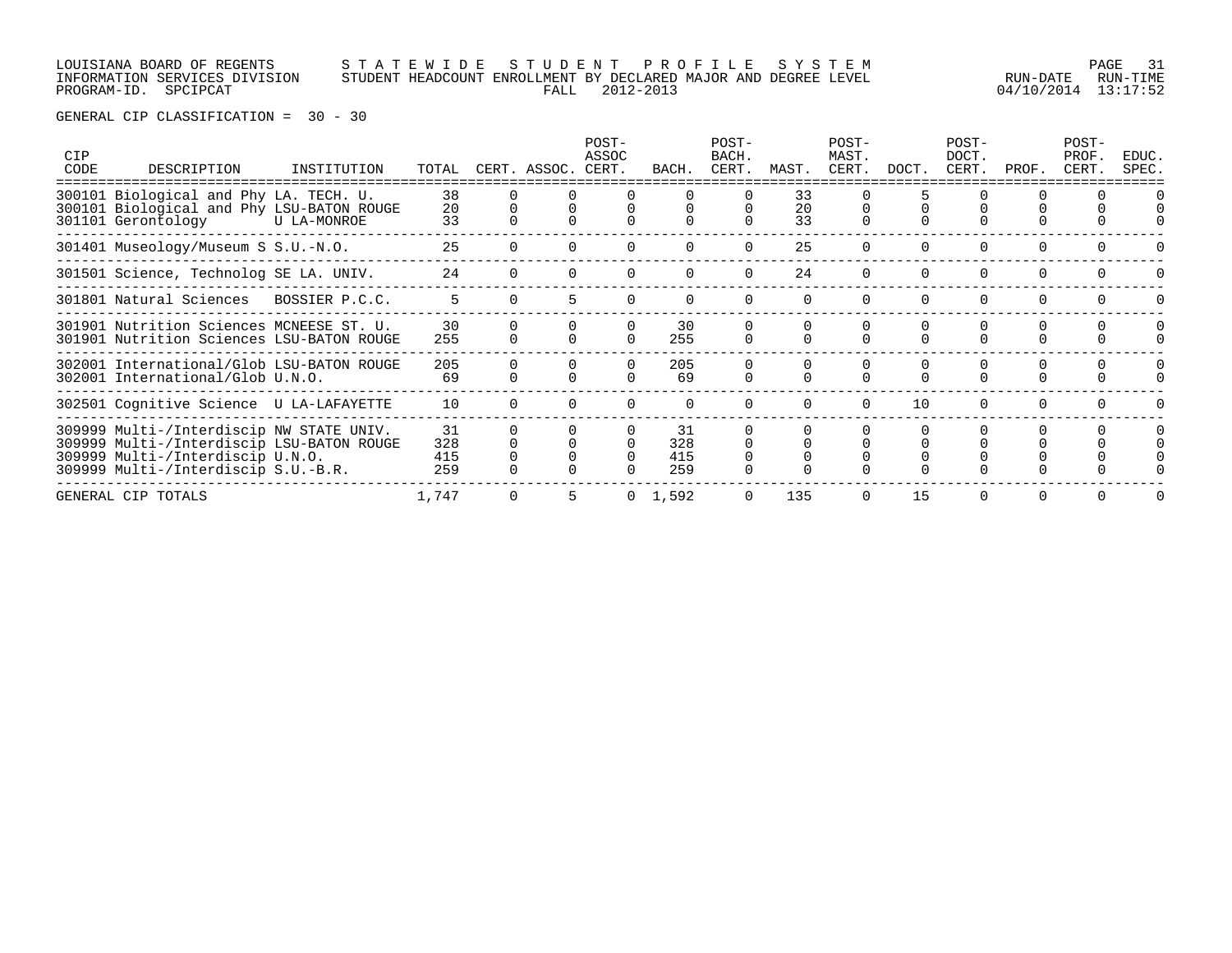### LOUISIANA BOARD OF REGENTS S T A T E W I D E S T U D E N T P R O F I L E S Y S T E M PAGE 31 INFORMATION SERVICES DIVISION STUDENT HEADCOUNT ENROLLMENT BY DECLARED MAJOR AND DEGREE LEVEL RUN-DATE RUN-TIME PROGRAM-ID. SPCIPCAT FALL 2012-2013 04/10/2014 13:17:52

| <b>CIP</b><br>CODE | DESCRIPTION                                                                                                                                                      | INSTITUTION    | TOTAL                   | CERT. ASSOC. | POST-<br>ASSOC<br>CERT. | BACH.                   | POST-<br>BACH.<br>CERT. | MAST.          | POST-<br>MAST.<br>CERT. | DOCT. | POST-<br>DOCT.<br>CERT. | PROF.    | POST-<br>PROF.<br>CERT. | EDUC.<br>SPEC. |
|--------------------|------------------------------------------------------------------------------------------------------------------------------------------------------------------|----------------|-------------------------|--------------|-------------------------|-------------------------|-------------------------|----------------|-------------------------|-------|-------------------------|----------|-------------------------|----------------|
|                    | 300101 Biological and Phy LA. TECH. U.<br>300101 Biological and Phy LSU-BATON ROUGE<br>301101 Gerontology                                                        | U LA-MONROE    | 38<br>20<br>33          |              |                         |                         |                         | 33<br>20<br>33 |                         |       |                         |          |                         |                |
|                    | 301401 Museology/Museum S S.U.-N.O.                                                                                                                              |                | 25                      |              |                         | $\Omega$                | $\Omega$                | 25             | $\Omega$                |       | $\Omega$                | $\Omega$ |                         |                |
|                    | 301501 Science, Technolog SE LA. UNIV.                                                                                                                           |                | 24                      |              |                         |                         |                         | 24             |                         |       |                         |          |                         |                |
|                    | 301801 Natural Sciences                                                                                                                                          | BOSSIER P.C.C. | 5.                      |              |                         |                         |                         |                |                         |       |                         |          |                         |                |
|                    | 301901 Nutrition Sciences MCNEESE ST. U.<br>301901 Nutrition Sciences LSU-BATON ROUGE                                                                            |                | 30<br>255               |              |                         | 30<br>255               |                         |                |                         |       |                         |          |                         |                |
|                    | 302001 International/Glob LSU-BATON ROUGE<br>302001 International/Glob U.N.O.                                                                                    |                | 205<br>69               |              |                         | 205<br>69               |                         |                | $\Omega$                |       |                         |          |                         |                |
|                    | 302501 Cognitive Science U LA-LAFAYETTE                                                                                                                          |                | 10                      |              |                         | $\Omega$                | $\cap$                  | $\cap$         | $\Omega$                | 10    | $\Omega$                | $\cap$   |                         |                |
|                    | 309999 Multi-/Interdiscip NW STATE UNIV.<br>309999 Multi-/Interdiscip LSU-BATON ROUGE<br>309999 Multi-/Interdiscip U.N.O.<br>309999 Multi-/Interdiscip S.U.-B.R. |                | 31<br>328<br>415<br>259 |              |                         | 31<br>328<br>415<br>259 |                         |                |                         |       |                         |          |                         |                |
|                    | GENERAL CIP TOTALS                                                                                                                                               |                | 1,747                   |              |                         | 1,592                   |                         | 135            | $\Omega$                | 15    | $\Omega$                | $\Omega$ |                         |                |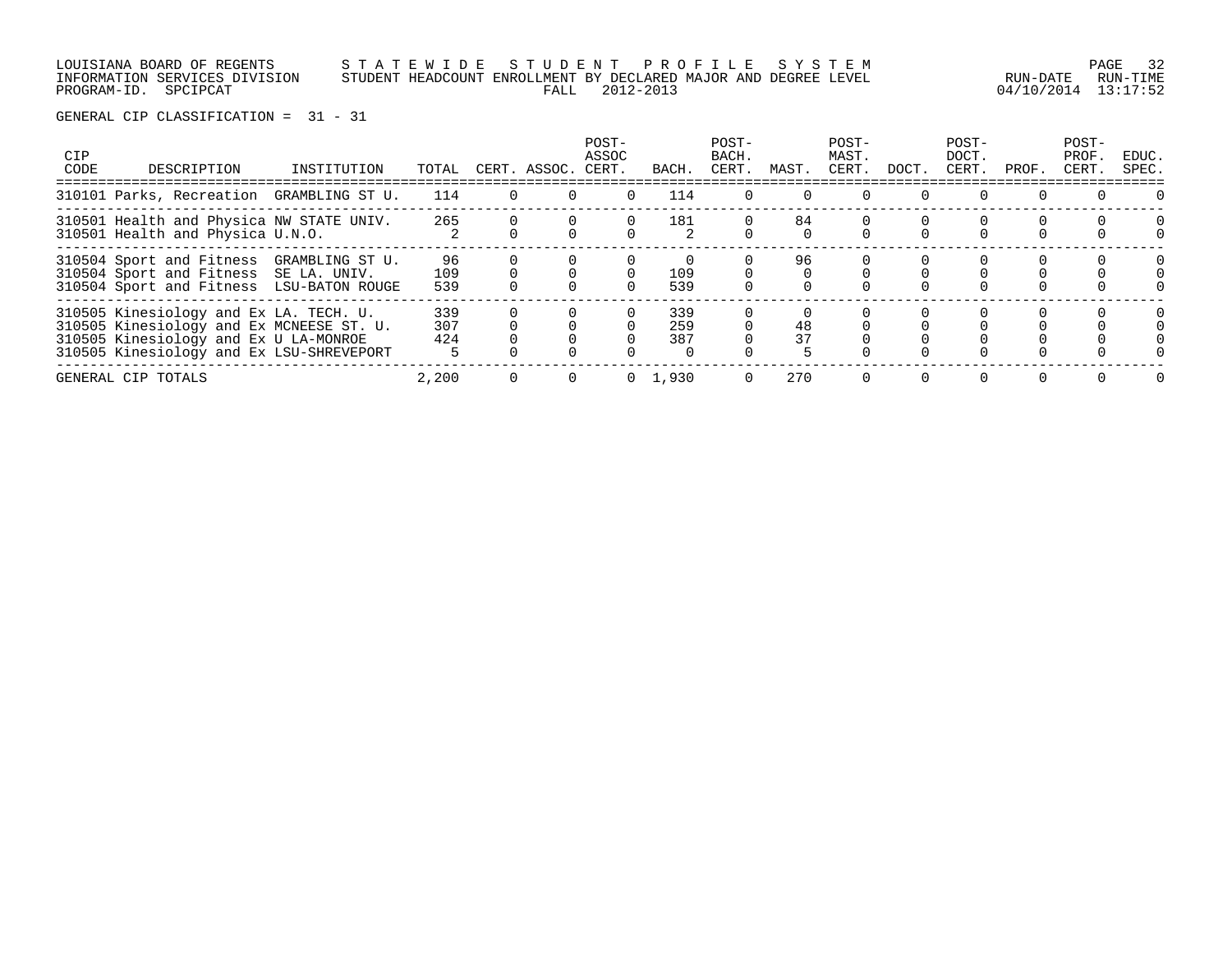LOUISIANA BOARD OF REGENTS S T A T E W I D E S T U D E N T P R O F I L E S Y S T E M PAGE 32 INFORMATION SERVICES DIVISION STUDENT HEADCOUNT ENROLLMENT BY DECLARED MAJOR AND DEGREE LEVEL RUN-DATE RUN-TIME PROGRAM-ID. SPCIPCAT FALL 2012-2013 04/10/2014 13:17:52

| CIP<br>CODE | DESCRIPTION                                                                                                                                                             | INSTITUTION     | TOTAL             |          | CERT. ASSOC. | POST-<br>ASSOC<br>CERT. | BACH              | POST-<br>BACH.<br>CERT. | MAST.    | POST-<br>MAST.<br>CERT. | DOCT. | POST-<br>DOCT.<br>CERT. | PROF. | POST-<br>PROF.<br>CERT. | EDUC.<br>SPEC. |
|-------------|-------------------------------------------------------------------------------------------------------------------------------------------------------------------------|-----------------|-------------------|----------|--------------|-------------------------|-------------------|-------------------------|----------|-------------------------|-------|-------------------------|-------|-------------------------|----------------|
|             | 310101 Parks, Recreation GRAMBLING ST U.                                                                                                                                |                 | 114               | $\Omega$ |              |                         | 114               |                         |          |                         |       |                         |       |                         |                |
|             | 310501 Health and Physica NW STATE UNIV.<br>310501 Health and Physica U.N.O.                                                                                            |                 | 265               |          |              |                         | 181               |                         | 84       |                         |       |                         |       |                         | $\Omega$       |
|             | 310504 Sport and Fitness<br>310504 Sport and Fitness SE LA. UNIV.<br>310504 Sport and Fitness LSU-BATON ROUGE                                                           | GRAMBLING ST U. | 96<br>109<br>539  |          |              |                         | 109<br>539        |                         | 96       |                         |       |                         |       |                         |                |
|             | 310505 Kinesiology and Ex LA. TECH. U.<br>310505 Kinesiology and Ex MCNEESE ST. U.<br>310505 Kinesiology and Ex U LA-MONROE<br>310505 Kinesiology and Ex LSU-SHREVEPORT |                 | 339<br>307<br>424 |          |              |                         | 339<br>259<br>387 |                         | 48<br>37 |                         |       |                         |       |                         |                |
|             | GENERAL CIP TOTALS                                                                                                                                                      |                 | 2,200             |          |              |                         | 0, 1, 930         |                         | 270      |                         |       | 0                       |       |                         |                |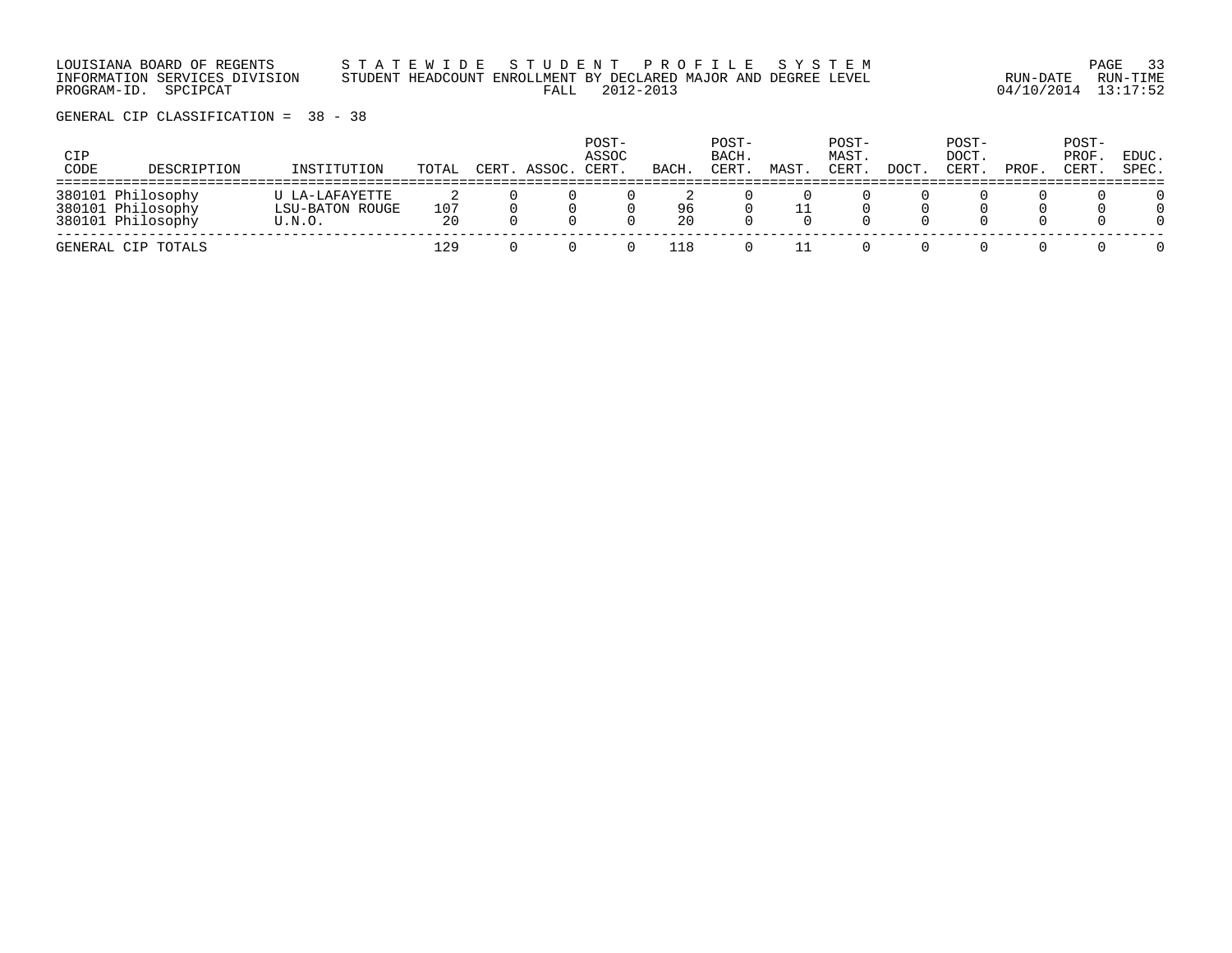LOUISIANA BOARD OF REGENTS S T A T E W I D E S T U D E N T P R O F I L E S Y S T E M PAGE 33 INFORMATION SERVICES DIVISION STUDENT HEADCOUNT ENROLLMENT BY DECLARED MAJOR AND DEGREE LEVEL RUN-DATE RUN-TIME PROGRAM-ID. SPCIPCAT FALL 2012-2013 04/10/2014 13:17:52

| CIP<br>CODE | DESCRIPTION                                                 | INSTITUTION                                 | TOTAL     | CERT. ASSOC. | POST-<br>ASSOC<br>CERT. | BACH.    | POST-<br>BACH.<br>CERT | MAST | POST-<br>MAST.<br>CERT | DOCT. | POST-<br>DOCT.<br>CERT | PROF. | POST-<br>PROF.<br>CERT. | EDUC.<br>SPEC. |
|-------------|-------------------------------------------------------------|---------------------------------------------|-----------|--------------|-------------------------|----------|------------------------|------|------------------------|-------|------------------------|-------|-------------------------|----------------|
|             | 380101 Philosophy<br>380101 Philosophy<br>380101 Philosophy | U LA-LAFAYETTE<br>LSU-BATON ROUGE<br>U.N.O. | 107<br>20 |              |                         | 96<br>20 |                        |      |                        |       |                        |       |                         |                |
|             | GENERAL CIP TOTALS                                          |                                             | 129       |              |                         | 118      |                        |      |                        |       |                        |       |                         |                |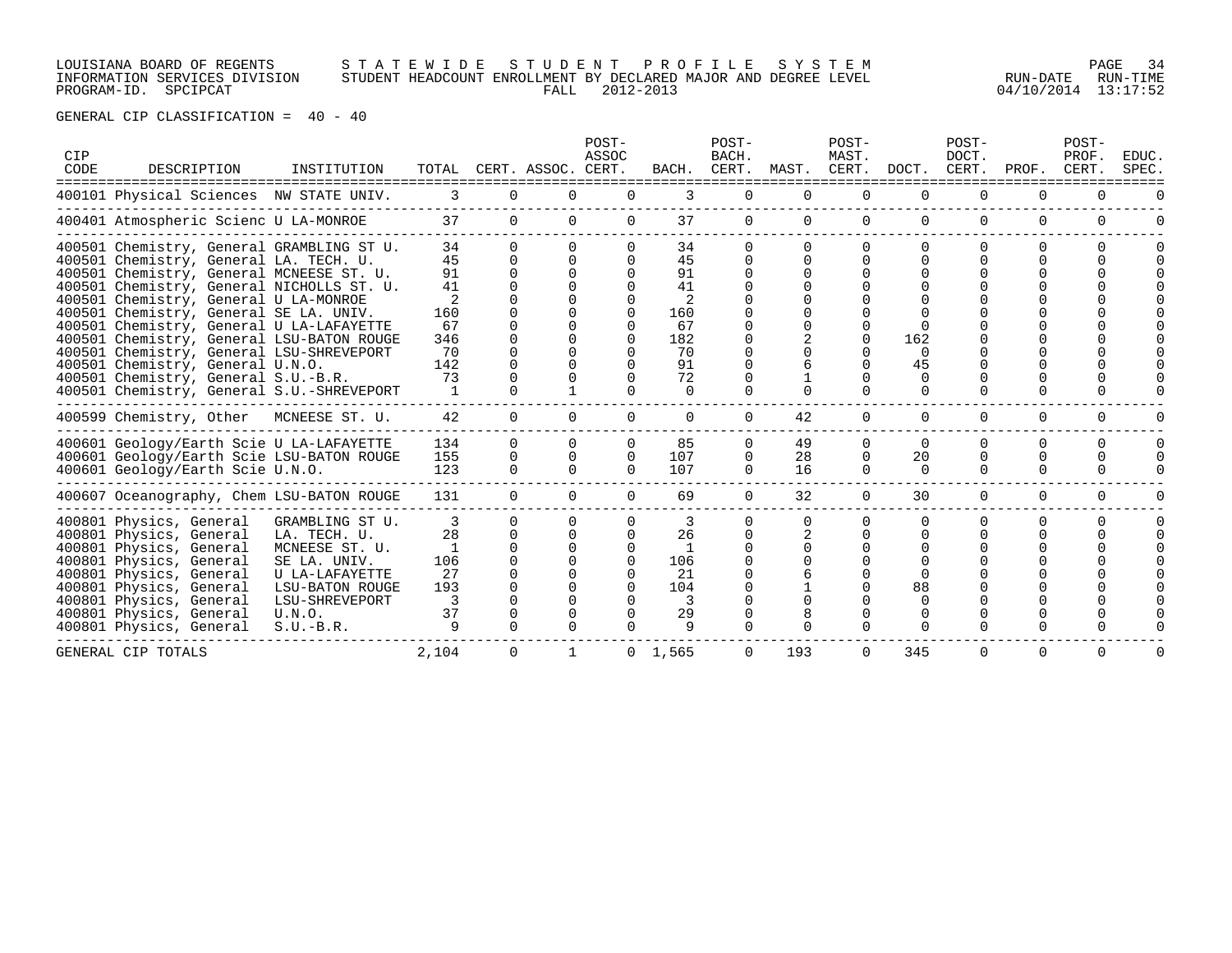# LOUISIANA BOARD OF REGENTS S T A T E W I D E S T U D E N T P R O F I L E S Y S T E M PAGE 34 INFORMATION SERVICES DIVISION STUDENT HEADCOUNT ENROLLMENT BY DECLARED MAJOR AND DEGREE LEVEL RUN-DATE RUN-TIME PROGRAM-ID. SPCIPCAT FALL 2012-2013 04/10/2014 13:17:52

| CIP<br>CODE | DESCRIPTION                                                                                                                                                                                                                                     | INSTITUTION                                                                                                                                       | TOTAL                                             |                                                   | CERT. ASSOC. CERT.                                                   | POST-<br>ASSOC                   | BACH.                                       | POST-<br>BACH.<br>CERT.          | MAST. CERT.               | POST-<br>MAST.                               | DOCT.                      | POST-<br>DOCT.<br>CERT.   | PROF.                            | POST-<br>PROF.<br>CERT. | EDUC.<br>SPEC. |
|-------------|-------------------------------------------------------------------------------------------------------------------------------------------------------------------------------------------------------------------------------------------------|---------------------------------------------------------------------------------------------------------------------------------------------------|---------------------------------------------------|---------------------------------------------------|----------------------------------------------------------------------|----------------------------------|---------------------------------------------|----------------------------------|---------------------------|----------------------------------------------|----------------------------|---------------------------|----------------------------------|-------------------------|----------------|
|             | 400101 Physical Sciences NW STATE UNIV.                                                                                                                                                                                                         |                                                                                                                                                   | 3                                                 | 0                                                 | $\Omega$                                                             |                                  | 3                                           | $\Omega$                         | $\Omega$                  | $\Omega$                                     | $\Omega$                   | $\Omega$                  | <sup>0</sup>                     | 0                       |                |
|             | 400401 Atmospheric Scienc U LA-MONROE                                                                                                                                                                                                           |                                                                                                                                                   | 37                                                | $\mathbf 0$                                       | $\mathbf{0}$                                                         | 0                                | 37                                          | 0                                | $\mathbf 0$               | $\mathbf 0$                                  | $\mathbf 0$                | 0                         | $\mathbf 0$                      | $\mathbf 0$             | 0              |
|             | 400501 Chemistry, General GRAMBLING ST U.<br>400501 Chemistry, General LA. TECH. U.<br>400501 Chemistry, General MCNEESE ST. U.                                                                                                                 |                                                                                                                                                   | 34<br>45<br>91                                    | $\Omega$<br>$\Omega$                              | $\Omega$<br>$\Omega$                                                 | $\Omega$                         | 34<br>45<br>91                              |                                  | $\Omega$<br>$\Omega$      | $\Omega$<br>$\Omega$                         |                            | $\Omega$<br>∩             | $\Omega$<br>U                    | U                       |                |
|             | 400501 Chemistry, General NICHOLLS ST. U.<br>400501 Chemistry, General U LA-MONROE<br>400501 Chemistry, General SE LA. UNIV.                                                                                                                    |                                                                                                                                                   | 41<br>2<br>160                                    |                                                   |                                                                      | $\Omega$                         | 41<br>160                                   |                                  |                           |                                              |                            |                           |                                  |                         |                |
|             | 400501 Chemistry, General U LA-LAFAYETTE<br>400501 Chemistry, General LSU-BATON ROUGE<br>400501 Chemistry, General LSU-SHREVEPORT<br>400501 Chemistry, General U.N.O.                                                                           |                                                                                                                                                   | 67<br>346<br>70<br>142                            |                                                   |                                                                      |                                  | 67<br>182<br>70<br>91                       |                                  |                           | $\Omega$<br>0<br>$\Omega$                    | 162<br>$\Omega$<br>45      |                           |                                  |                         |                |
|             | 400501 Chemistry, General S.U.-B.R.<br>400501 Chemistry, General S.U.-SHREVEPORT                                                                                                                                                                |                                                                                                                                                   | 73<br>$\mathbf{1}$                                |                                                   |                                                                      |                                  | 72<br>$\cap$                                |                                  |                           | $\cap$                                       |                            |                           |                                  |                         |                |
|             | 400599 Chemistry, Other                                                                                                                                                                                                                         | MCNEESE ST. U.                                                                                                                                    | 42                                                | $\mathbf{0}$                                      | $\overline{0}$                                                       | 0                                | 0                                           | 0                                | 42                        | 0                                            | 0                          | 0                         | 0                                | 0                       |                |
|             | 400601 Geology/Earth Scie U LA-LAFAYETTE<br>400601 Geology/Earth Scie LSU-BATON ROUGE<br>400601 Geology/Earth Scie U.N.O.                                                                                                                       |                                                                                                                                                   | 134<br>155<br>123                                 | $\cap$<br>$\Omega$<br>$\Omega$                    | $\Omega$<br>$\Omega$                                                 | $\Omega$<br>$\Omega$<br>$\Omega$ | 85<br>107<br>107                            | $\Omega$<br>$\Omega$<br>$\Omega$ | 49<br>28<br>16            | $\Omega$<br>$\Omega$<br>$\Omega$             | $\cap$<br>20<br>$\Omega$   | $\Omega$<br>$\Omega$<br>0 | $\Omega$<br>$\Omega$<br>$\Omega$ | $\Omega$<br>0<br>0      | $\Omega$       |
|             | 400607 Oceanography, Chem LSU-BATON ROUGE                                                                                                                                                                                                       |                                                                                                                                                   | 131                                               | $\Omega$                                          | $\Omega$                                                             | $\Omega$                         | 69                                          | $\Omega$                         | 32                        | $\Omega$                                     | 30                         | $\Omega$                  | $\Omega$                         | $\Omega$                |                |
|             | 400801 Physics, General<br>400801 Physics, General<br>400801 Physics, General<br>400801 Physics, General<br>400801 Physics, General<br>400801 Physics, General<br>400801 Physics, General<br>400801 Physics, General<br>400801 Physics, General | GRAMBLING ST U.<br>LA. TECH. U.<br>MCNEESE ST. U.<br>SE LA. UNIV.<br>U LA-LAFAYETTE<br>LSU-BATON ROUGE<br>LSU-SHREVEPORT<br>U.N.O.<br>$S.U.-B.R.$ | 28<br><sup>1</sup><br>106<br>27<br>193<br>3<br>37 | $\Omega$<br>$\Omega$<br>$\Omega$<br>0<br>$\Omega$ | $\Omega$<br>$\Omega$<br>$\Omega$<br>$\Omega$<br>$\Omega$<br>$\Omega$ | $\Omega$<br>$\Omega$             | 3<br>26<br>1<br>106<br>21<br>104<br>3<br>29 | U                                | $\Omega$<br>$\Omega$<br>8 | $\Omega$<br>$\Omega$<br>$\Omega$<br>$\Omega$ | $\Omega$<br>88<br>$\Omega$ | $\Omega$<br>O<br>$\Omega$ | $\Omega$<br><sup>0</sup>         |                         |                |
|             | GENERAL CIP TOTALS                                                                                                                                                                                                                              |                                                                                                                                                   | 2,104                                             | 0                                                 |                                                                      |                                  | $0 \quad 1,565$                             | $\Omega$                         | 193                       | $\Omega$                                     | 345                        | $\Omega$                  | $\Omega$                         | 0                       |                |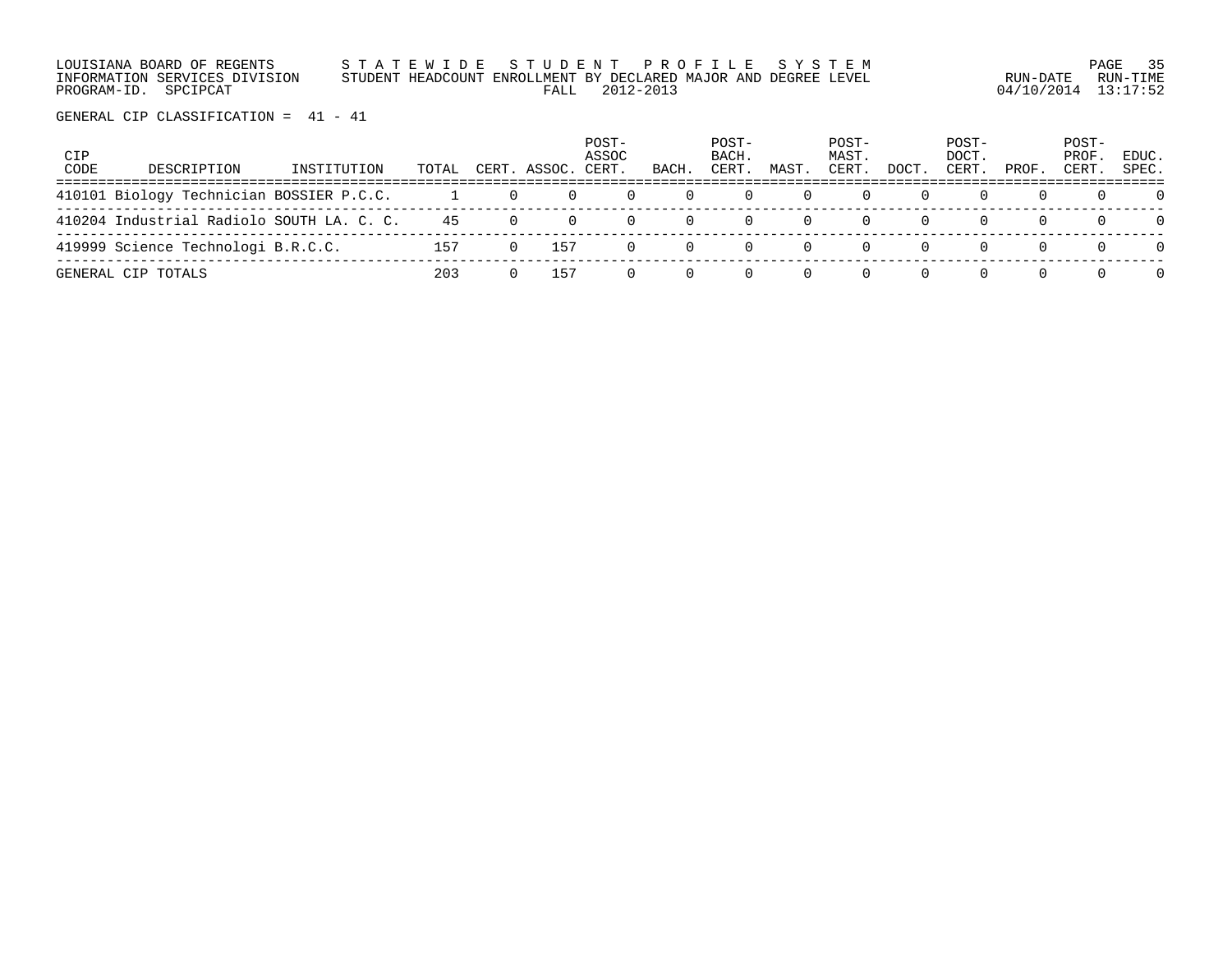LOUISIANA BOARD OF REGENTS S T A T E W I D E S T U D E N T P R O F I L E S Y S T E M PAGE 35 INFORMATION SERVICES DIVISION STUDENT HEADCOUNT ENROLLMENT BY DECLARED MAJOR AND DEGREE LEVEL RUN-DATE RUN-TIME PROGRAM-ID. SPCIPCAT FALL 2012-2013 04/10/2014 13:17:52

| CIP<br>CODE | DESCRIPTION                               | INSTITUTION | TOTAL |          | CERT. ASSOC. | POST-<br>ASSOC<br>CERT. | BACH.            | POST-<br>BACH.<br>CERT. | MAST. | POST-<br>MAST.<br>CERT. | DOCT. | POST-<br>DOCT.<br>CERT. | PROF. | POST-<br>PROF<br>CERT. | EDUC.<br>SPEC. |
|-------------|-------------------------------------------|-------------|-------|----------|--------------|-------------------------|------------------|-------------------------|-------|-------------------------|-------|-------------------------|-------|------------------------|----------------|
|             | 410101 Biology Technician BOSSIER P.C.C.  |             |       | $\Box$ 0 | 0            | $\Omega$                |                  |                         |       |                         |       |                         |       |                        |                |
|             | 410204 Industrial Radiolo SOUTH LA. C. C. |             | 45    |          |              | $\Omega$                |                  |                         |       |                         |       |                         |       |                        | $\cap$         |
|             | 419999 Science Technologi B.R.C.C.        |             | 157   |          | 157          | $\Omega$                | $\left( \right)$ |                         |       |                         |       |                         |       |                        | $\Omega$       |
|             | GENERAL CIP TOTALS                        |             | 203   |          | 157          |                         |                  |                         |       |                         |       |                         |       | $\Omega$               | $\Omega$       |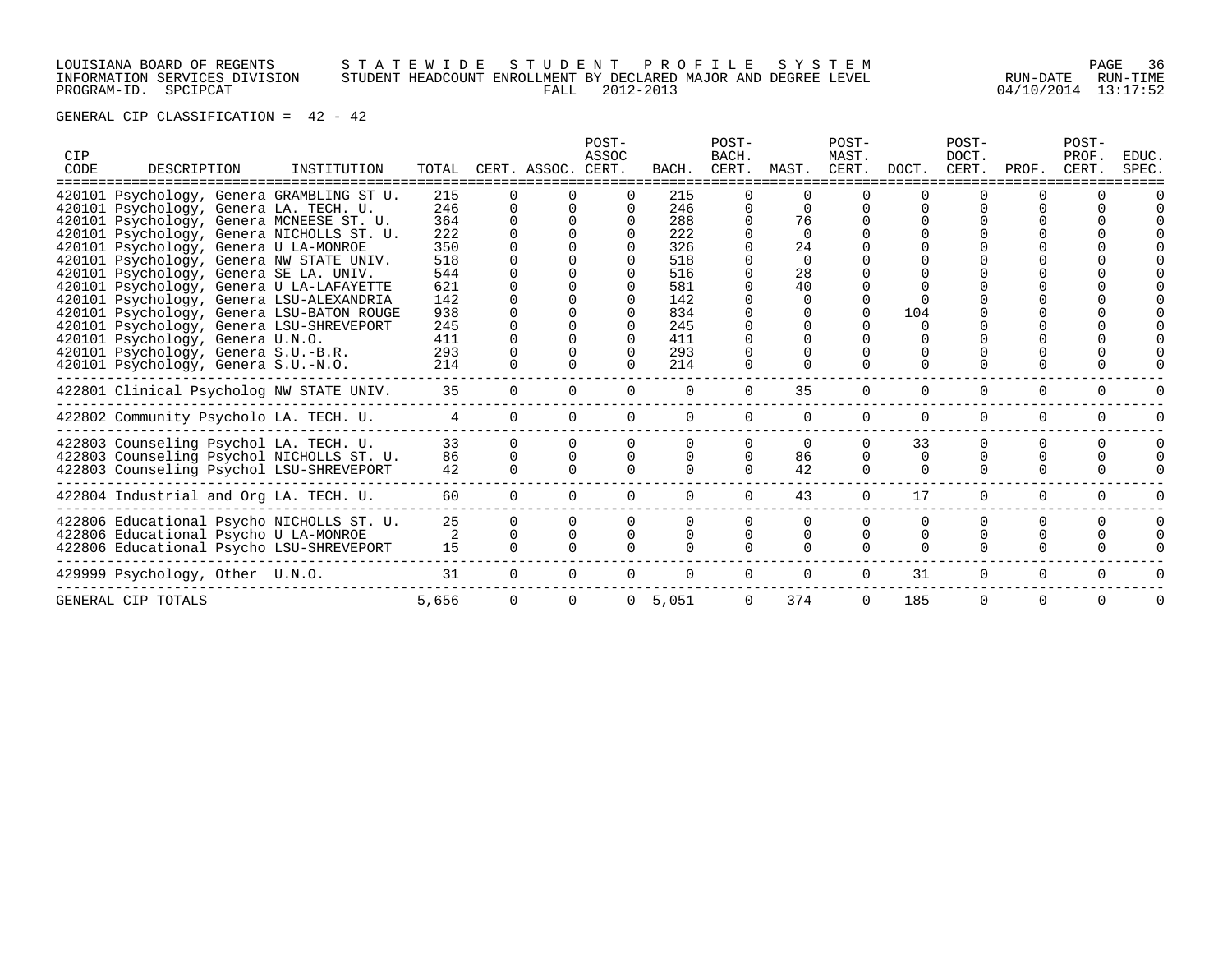# LOUISIANA BOARD OF REGENTS S T A T E W I D E S T U D E N T P R O F I L E S Y S T E M PAGE 36 INFORMATION SERVICES DIVISION STUDENT HEADCOUNT ENROLLMENT BY DECLARED MAJOR AND DEGREE LEVEL RUN-DATE RUN-TIME PROGRAM-ID. SPCIPCAT FALL 2012-2013 04/10/2014 13:17:52

| CIP<br>CODE | DESCRIPTION                               | INSTITUTION | TOTAL |          | CERT. ASSOC. CERT. | POST-<br>ASSOC | BACH.    | POST-<br>BACH.<br>CERT. | MAST.    | POST-<br>MAST.<br>CERT. | DOCT.    | POST-<br>DOCT.<br>CERT. | PROF.    | POST-<br>PROF.<br>CERT. | EDUC.<br>SPEC. |
|-------------|-------------------------------------------|-------------|-------|----------|--------------------|----------------|----------|-------------------------|----------|-------------------------|----------|-------------------------|----------|-------------------------|----------------|
|             | 420101 Psychology, Genera GRAMBLING ST U. |             | 215   |          |                    |                | 215      |                         |          |                         |          |                         |          |                         |                |
|             | 420101 Psychology, Genera LA. TECH. U.    |             | 246   |          |                    |                | 246      |                         |          |                         |          |                         |          |                         |                |
|             | 420101 Psychology, Genera MCNEESE ST. U.  |             | 364   |          |                    |                | 288      |                         | 76       |                         |          |                         |          |                         |                |
|             | 420101 Psychology, Genera NICHOLLS ST. U. |             | 222   |          |                    |                | 222      |                         |          |                         |          |                         |          |                         |                |
|             | 420101 Psychology, Genera U LA-MONROE     |             | 350   |          |                    |                | 326      |                         | 24       |                         |          |                         |          |                         |                |
|             | 420101 Psychology, Genera NW STATE UNIV.  |             | 518   |          |                    |                | 518      |                         | $\Omega$ |                         |          |                         |          |                         |                |
|             | 420101 Psychology, Genera SE LA. UNIV.    |             | 544   |          |                    |                | 516      |                         | 28       |                         |          |                         |          |                         |                |
|             | 420101 Psychology, Genera U LA-LAFAYETTE  |             | 621   |          |                    |                | 581      |                         | 40       |                         |          |                         |          |                         |                |
|             | 420101 Psychology, Genera LSU-ALEXANDRIA  |             | 142   |          |                    |                | 142      |                         |          |                         |          |                         |          |                         |                |
|             | 420101 Psychology, Genera LSU-BATON ROUGE |             | 938   |          |                    |                | 834      |                         |          |                         | 104      |                         |          |                         |                |
|             | 420101 Psychology, Genera LSU-SHREVEPORT  |             | 245   |          |                    |                | 245      |                         |          |                         |          |                         |          |                         |                |
|             | 420101 Psychology, Genera U.N.O.          |             | 411   |          |                    |                | 411      |                         |          |                         |          |                         |          |                         |                |
|             | 420101 Psychology, Genera S.U.-B.R.       |             | 293   |          |                    |                | 293      |                         |          |                         |          |                         |          |                         |                |
|             | 420101 Psychology, Genera S.U.-N.O.       |             | 214   |          |                    |                | 214      |                         |          |                         |          |                         |          |                         |                |
|             |                                           |             |       |          |                    |                |          |                         |          |                         |          |                         |          |                         |                |
|             | 422801 Clinical Psycholog NW STATE UNIV.  |             | 35    | $\Omega$ |                    |                | $\Omega$ | $\Omega$                | 35       | $\Omega$                | $\Omega$ | $\Omega$                | $\Omega$ | $\Omega$                |                |
|             |                                           |             |       |          |                    |                |          |                         |          |                         |          |                         |          |                         |                |
|             | 422802 Community Psycholo LA. TECH. U.    |             | 4     |          |                    | 0              | $\Omega$ | $\Omega$                | $\Omega$ |                         | $\Omega$ | 0                       | 0        |                         |                |
|             | 422803 Counseling Psychol LA. TECH. U.    |             | 33    |          |                    |                |          |                         | $\Omega$ |                         | 33       | O                       | 0        | $\Omega$                | $\Omega$       |
|             | 422803 Counseling Psychol NICHOLLS ST. U. |             | 86    | $\Omega$ |                    | $\Omega$       | $\Omega$ | $\Omega$                | 86       |                         | 0        |                         |          |                         |                |
|             | 422803 Counseling Psychol LSU-SHREVEPORT  |             | 42    | $\Omega$ |                    |                |          |                         | 42       | $\Omega$                | $\Omega$ | 0                       | 0        | $\Omega$                |                |
|             |                                           |             |       |          |                    |                |          |                         |          |                         |          |                         |          |                         |                |
|             | 422804 Industrial and Org LA. TECH. U.    |             | 60    | $\Omega$ |                    | 0              |          | $\Omega$                | 43       | $\Omega$                | 17       | $\Omega$                | 0        | $\Omega$                |                |
|             | 422806 Educational Psycho NICHOLLS ST. U. |             | 25    |          |                    |                |          | 0                       | $\Omega$ |                         |          |                         |          |                         |                |
|             |                                           |             | 2     |          |                    |                |          |                         |          |                         |          |                         |          |                         |                |
|             | 422806 Educational Psycho U LA-MONROE     |             | 15    |          |                    |                |          |                         |          |                         |          |                         |          |                         |                |
|             | 422806 Educational Psycho LSU-SHREVEPORT  |             |       |          |                    |                |          |                         |          |                         |          |                         |          |                         |                |
|             | 429999 Psychology, Other U.N.O.           |             | 31    |          |                    |                |          |                         | $\Omega$ | $\Omega$                | 31       | $\Omega$                | $\Omega$ |                         |                |
|             |                                           |             |       |          |                    |                |          |                         |          |                         |          |                         |          |                         |                |
|             | GENERAL CIP TOTALS                        |             | 5,656 |          |                    | 0              | 5,051    | $\Omega$                | 374      | $\Omega$                | 185      | $\Omega$                | 0        | $\Omega$                |                |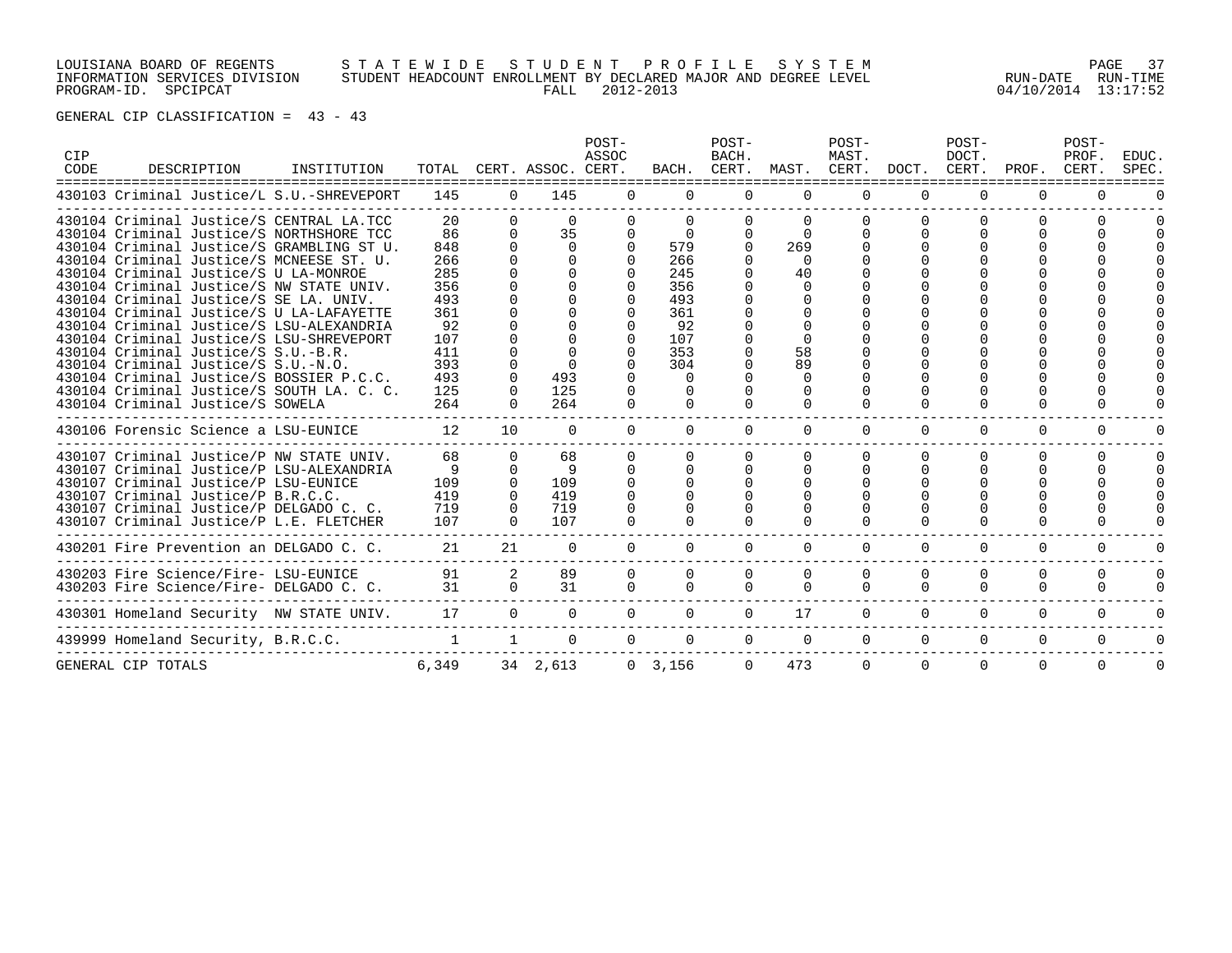# LOUISIANA BOARD OF REGENTS S T A T E W I D E S T U D E N T P R O F I L E S Y S T E M PAGE 37 INFORMATION SERVICES DIVISION STUDENT HEADCOUNT ENROLLMENT BY DECLARED MAJOR AND DEGREE LEVEL RUN-DATE RUN-TIME PROGRAM-ID. SPCIPCAT FALL 2012-2013 04/10/2014 13:17:52

| CIP<br>CODE |                                     | DESCRIPTION | INSTITUTION                               |              |                 | TOTAL CERT. ASSOC. CERT. | POST-<br>ASSOC |           | POST-<br>BACH.<br>BACH. CERT. |             | POST-<br>MAST.<br>MAST. CERT. |             | POST-<br>DOCT.<br>DOCT. CERT. | PROF.    | POST-<br>PROF.<br>CERT. | EDUC.<br>SPEC. |
|-------------|-------------------------------------|-------------|-------------------------------------------|--------------|-----------------|--------------------------|----------------|-----------|-------------------------------|-------------|-------------------------------|-------------|-------------------------------|----------|-------------------------|----------------|
|             |                                     |             | 430103 Criminal Justice/L S.U.-SHREVEPORT | 145          | $\Omega$        | 145                      | $\Omega$       | $\Omega$  | $\Omega$                      | $\Omega$    | $\Omega$                      | $\Omega$    | $\Omega$                      | $\Omega$ | 0                       |                |
|             |                                     |             | 430104 Criminal Justice/S CENTRAL LA.TCC  | 20           |                 | $\Omega$                 |                |           |                               |             |                               |             |                               |          |                         |                |
|             |                                     |             | 430104 Criminal Justice/S NORTHSHORE TCC  | 86           | $\Omega$        | 35                       | 0              | $\Omega$  | $\Omega$                      | $\Omega$    |                               |             | ∩                             |          |                         |                |
|             |                                     |             | 430104 Criminal Justice/S GRAMBLING ST U. | 848          |                 | $\Omega$                 |                | 579       | $\Omega$                      | 269         |                               |             |                               |          |                         |                |
|             |                                     |             | 430104 Criminal Justice/S MCNEESE ST. U.  | 266          |                 |                          |                | 266       |                               | $\cap$      |                               |             |                               |          |                         |                |
|             |                                     |             | 430104 Criminal Justice/S U LA-MONROE     | 285          |                 | $\Omega$                 |                | 245       |                               | 40          |                               |             |                               |          |                         |                |
|             |                                     |             | 430104 Criminal Justice/S NW STATE UNIV.  | 356          |                 |                          |                | 356       |                               | $\Omega$    |                               |             |                               |          |                         |                |
|             |                                     |             | 430104 Criminal Justice/S SE LA. UNIV.    | 493          |                 |                          |                | 493       |                               |             |                               |             |                               |          |                         |                |
|             |                                     |             | 430104 Criminal Justice/S U LA-LAFAYETTE  | 361          |                 |                          |                | 361       |                               |             |                               |             |                               |          |                         |                |
|             |                                     |             | 430104 Criminal Justice/S LSU-ALEXANDRIA  | 92           |                 |                          |                | 92        |                               |             |                               |             |                               |          |                         |                |
|             |                                     |             | 430104 Criminal Justice/S LSU-SHREVEPORT  | 107          |                 |                          |                | 107       |                               |             |                               |             |                               |          |                         |                |
|             | 430104 Criminal Justice/S S.U.-B.R. |             |                                           | 411          |                 |                          |                | 353       |                               | 58          |                               |             |                               |          |                         |                |
|             | 430104 Criminal Justice/S S.U.-N.O. |             |                                           | 393          |                 |                          |                | 304       |                               | 89          |                               |             |                               |          |                         |                |
|             |                                     |             | 430104 Criminal Justice/S BOSSIER P.C.C.  | 493          | $\Omega$        | 493                      |                | $\Omega$  |                               | $\Omega$    |                               |             |                               |          |                         |                |
|             |                                     |             | 430104 Criminal Justice/S SOUTH LA. C. C. | 125          |                 | 125                      |                |           |                               |             |                               |             |                               |          |                         |                |
|             | 430104 Criminal Justice/S SOWELA    |             |                                           | 264          |                 | 264                      |                |           |                               |             |                               |             |                               | ∩        |                         |                |
|             |                                     |             | 430106 Forensic Science a LSU-EUNICE      | 12           | 10 <sup>°</sup> | $\Omega$                 | $\Omega$       | $\Omega$  | $\Omega$                      | $\Omega$    | $\Omega$                      | $\Omega$    | $\Omega$                      | $\Omega$ | $\Omega$                |                |
|             |                                     |             | 430107 Criminal Justice/P NW STATE UNIV.  | 68           | $\Omega$        | 68                       |                |           |                               |             |                               |             | ∩                             | $\Omega$ |                         | $\Omega$       |
|             |                                     |             | 430107 Criminal Justice/P LSU-ALEXANDRIA  | 9            | $\Omega$        | 9                        |                | $\Omega$  |                               |             |                               |             |                               |          |                         |                |
|             |                                     |             | 430107 Criminal Justice/P LSU-EUNICE      | 109          | $\Omega$        | 109                      |                |           |                               |             |                               |             |                               |          |                         |                |
|             | 430107 Criminal Justice/P B.R.C.C.  |             |                                           | 419          | $\Omega$        | 419                      |                |           |                               |             |                               |             |                               |          |                         |                |
|             |                                     |             | 430107 Criminal Justice/P DELGADO C. C.   | 719          |                 | 719                      |                |           |                               |             |                               |             |                               |          |                         |                |
|             |                                     |             | 430107 Criminal Justice/P L.E. FLETCHER   | 107          |                 | 107                      |                |           |                               |             |                               |             |                               |          |                         |                |
|             |                                     |             | 430201 Fire Prevention an DELGADO C. C.   | 21           | 21              | $\Omega$                 |                |           | 0                             |             | $\Omega$                      | $\Omega$    | $\Omega$                      | $\Omega$ | 0                       |                |
|             |                                     |             | 430203 Fire Science/Fire- LSU-EUNICE      | 91           | $\overline{2}$  | 89                       | 0              | 0         | 0                             | $\mathbf 0$ | $\mathbf 0$                   | $\mathbf 0$ | 0                             | 0        | 0                       |                |
|             |                                     |             | 430203 Fire Science/Fire- DELGADO C. C.   | 31           | $\Omega$        | 31                       | $\Omega$       | $\Omega$  | 0                             | $\Omega$    | $\Omega$                      | $\Omega$    | $\Omega$                      | 0        | $\Omega$                | $\Omega$       |
|             |                                     |             |                                           |              |                 |                          |                |           |                               |             |                               |             |                               |          |                         |                |
|             |                                     |             | 430301 Homeland Security NW STATE UNIV.   | 17           | $\Omega$        | $\Omega$                 |                | $\Omega$  | $\Omega$                      | 17          | $\Omega$                      | $\Omega$    | $\Omega$                      | 0        | $\Omega$                | $\Omega$       |
|             | 439999 Homeland Security, B.R.C.C.  |             |                                           | $\mathbf{1}$ | $\mathbf{1}$    | $\Omega$                 | $\Omega$       | $\Omega$  | $\Omega$                      | $\Omega$    | $\Omega$                      | $\Omega$    | $\Omega$                      | $\Omega$ | $\Omega$                | 0              |
|             | GENERAL CIP TOTALS                  |             |                                           | 6,349        |                 | 34 2,613                 |                | 0, 3, 156 | $\Omega$                      | 473         | $\Omega$                      | $\Omega$    | $\Omega$                      | $\Omega$ | $\Omega$                | $\Omega$       |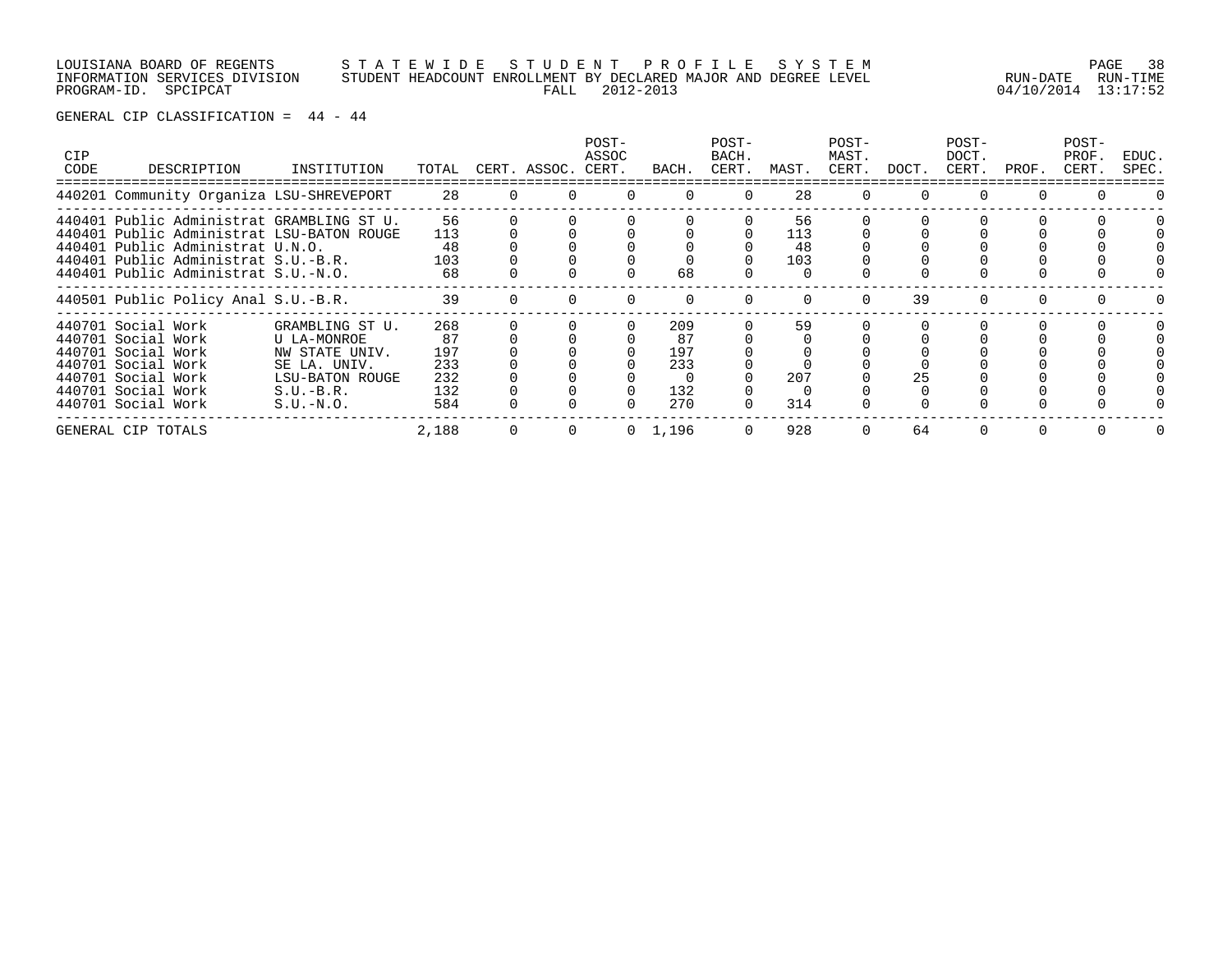LOUISIANA BOARD OF REGENTS S T A T E W I D E S T U D E N T P R O F I L E S Y S T E M PAGE 38 INFORMATION SERVICES DIVISION STUDENT HEADCOUNT ENROLLMENT BY DECLARED MAJOR AND DEGREE LEVEL RUN-DATE RUN-TIME PROGRAM-ID. SPCIPCAT FALL 2012-2013 04/10/2014 13:17:52

| <b>CIP</b><br>CODE | DESCRIPTION                                                                                                                                                                                              | INSTITUTION                                                                                                       | TOTAL                                        |          | CERT. ASSOC. | POST-<br>ASSOC<br>CERT. | BACH.                                 | POST-<br>BACH.<br>CERT. | MAST.                  | POST-<br>MAST.<br>CERT. | DOCT. | POST-<br>DOCT.<br>CERT. | PROF.    | POST-<br>PROF.<br>CERT. | EDUC.<br>SPEC. |
|--------------------|----------------------------------------------------------------------------------------------------------------------------------------------------------------------------------------------------------|-------------------------------------------------------------------------------------------------------------------|----------------------------------------------|----------|--------------|-------------------------|---------------------------------------|-------------------------|------------------------|-------------------------|-------|-------------------------|----------|-------------------------|----------------|
|                    | 440201 Community Organiza LSU-SHREVEPORT                                                                                                                                                                 |                                                                                                                   | 28                                           | $\Omega$ |              |                         | $\Omega$                              | $\Omega$                | 28                     | $\Omega$                |       | $\Omega$                | $\Omega$ | 0                       |                |
|                    | 440401 Public Administrat GRAMBLING ST U.<br>440401 Public Administrat LSU-BATON ROUGE<br>440401 Public Administrat U.N.O.<br>440401 Public Administrat S.U.-B.R.<br>440401 Public Administrat S.U.-N.O. |                                                                                                                   | 56<br>113<br>48<br>103<br>68                 |          |              |                         | 68                                    |                         | 56<br>113<br>48<br>103 |                         |       |                         |          |                         |                |
|                    | 440501 Public Policy Anal S.U.-B.R.                                                                                                                                                                      |                                                                                                                   | 39                                           |          |              |                         |                                       |                         |                        | n                       | 39    |                         |          |                         |                |
|                    | 440701 Social Work<br>440701 Social Work<br>440701 Social Work<br>440701 Social Work<br>440701 Social Work<br>440701 Social Work<br>440701 Social Work                                                   | GRAMBLING ST U.<br>U LA-MONROE<br>NW STATE UNIV.<br>SE LA. UNIV.<br>LSU-BATON ROUGE<br>$S.U.-B.R.$<br>$S.U.-N.O.$ | 268<br>87<br>197<br>233<br>232<br>132<br>584 |          |              |                         | 209<br>87<br>197<br>233<br>132<br>270 |                         | 59<br>207<br>314       |                         | 25    |                         |          |                         |                |
|                    | GENERAL CIP TOTALS                                                                                                                                                                                       |                                                                                                                   | 2,188                                        |          |              |                         | 1,196                                 |                         | 928                    |                         | 64    |                         |          |                         |                |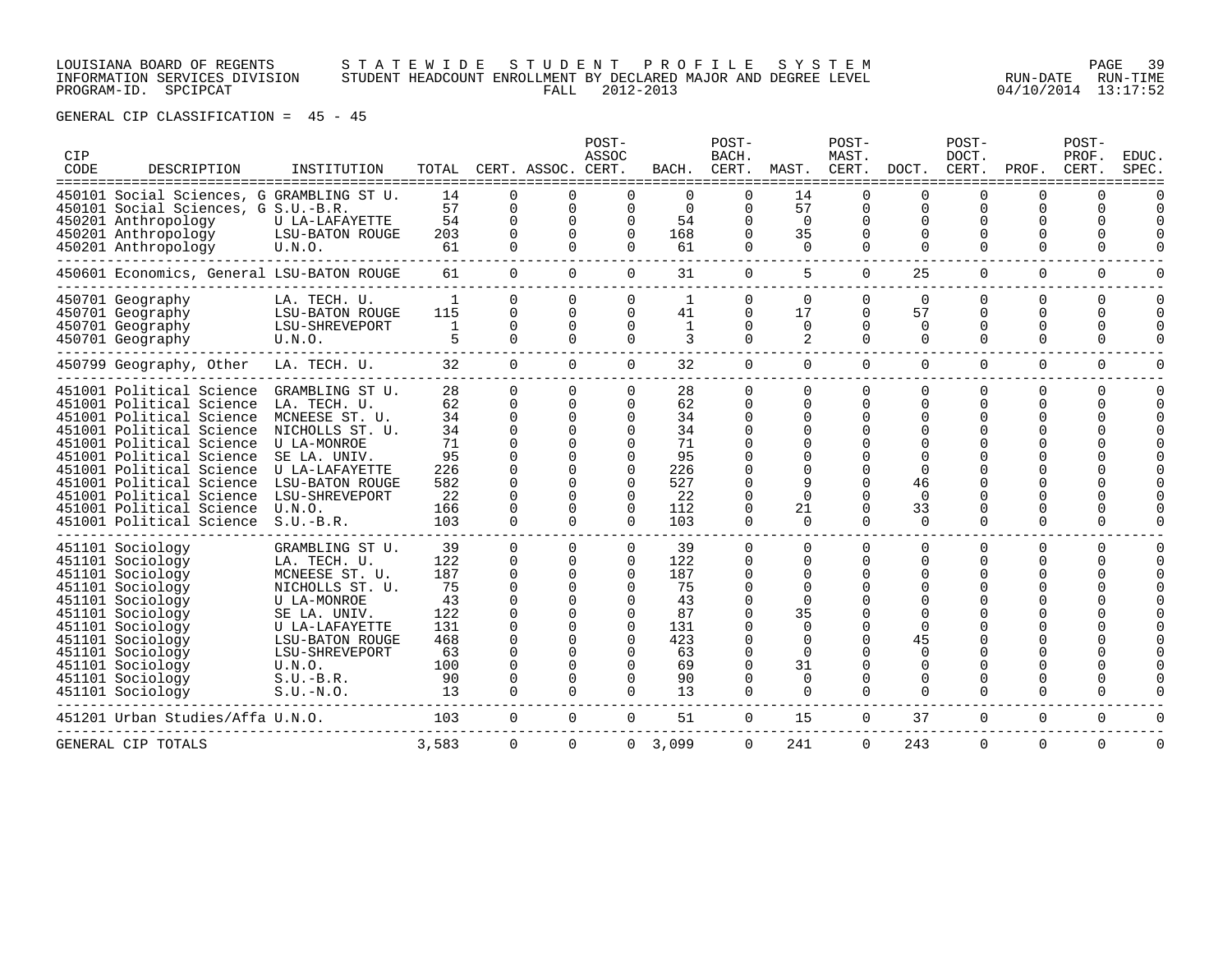LOUISIANA BOARD OF REGENTS S T A T E W I D E S T U D E N T P R O F I L E S Y S T E M PAGE 39 INFORMATION SERVICES DIVISION STUDENT HEADCOUNT ENROLLMENT BY DECLARED MAJOR AND DEGREE LEVEL RUN-DATE RUN-TIME PROGRAM-ID. SPCIPCAT FALL 2012-2013 04/10/2014 13:17:52

| <b>CIP</b><br>CODE | DESCRIPTION                                                                                                                                                                                                                                                                                                      | INSTITUTION                                                                                                                                                                                              | TOTAL                                                                      |                                                          | CERT. ASSOC. CERT.                                                   | POST-<br>ASSOC                                                                                                                      | BACH.                                                                    | POST-<br>BACH.<br>CERT.                                                                                   | MAST.                                                                                                                     | POST-<br>MAST.<br>CERT.                                           | DOCT.                                                                                        | POST-<br>DOCT.<br>CERT.                    | PROF.                                      | POST-<br>PROF<br>CERT.                                   | EDUC.<br>SPEC.                                   |
|--------------------|------------------------------------------------------------------------------------------------------------------------------------------------------------------------------------------------------------------------------------------------------------------------------------------------------------------|----------------------------------------------------------------------------------------------------------------------------------------------------------------------------------------------------------|----------------------------------------------------------------------------|----------------------------------------------------------|----------------------------------------------------------------------|-------------------------------------------------------------------------------------------------------------------------------------|--------------------------------------------------------------------------|-----------------------------------------------------------------------------------------------------------|---------------------------------------------------------------------------------------------------------------------------|-------------------------------------------------------------------|----------------------------------------------------------------------------------------------|--------------------------------------------|--------------------------------------------|----------------------------------------------------------|--------------------------------------------------|
|                    | ========<br>=================<br>450101 Social Sciences, G GRAMBLING ST U.<br>450101 Social Sciences, G S.U.-B.R.<br>450201 Anthropology<br>450201 Anthropology<br>450201 Anthropology                                                                                                                           | U LA-LAFAYETTE<br>LSU-BATON ROUGE<br>U.N.O.                                                                                                                                                              | ============================<br>14<br>57<br>54<br>203<br>61                | $\Omega$<br>$\Omega$<br>$\Omega$<br>$\Omega$<br>$\Omega$ | U<br>$\Omega$<br>$\Omega$<br>$\Omega$<br>$\Omega$                    | $\Omega$<br>$\Omega$<br>$\Omega$<br>$\Omega$<br>$\Omega$                                                                            | ==================<br>0<br>$\Omega$<br>54<br>168<br>61                   | $\Omega$<br>$\Omega$<br>$\Omega$<br>$\Omega$<br>$\Omega$                                                  | 14<br>57<br>$\Omega$<br>35<br>$\Omega$                                                                                    | eeeee<br>$\Omega$<br>$\Omega$<br>$\Omega$<br>$\Omega$<br>$\Omega$ | $\Omega$<br>$\Omega$<br>$\Omega$<br>$\mathbf 0$<br>$\Omega$                                  | 0<br>$\Omega$<br>0<br>$\Omega$<br>$\Omega$ | $\Omega$<br>$\Omega$<br>0<br>U<br>$\Omega$ | 0<br>$\Omega$<br>$\Omega$<br>$\Omega$<br>$\Omega$        |                                                  |
|                    | 450601 Economics, General LSU-BATON ROUGE                                                                                                                                                                                                                                                                        |                                                                                                                                                                                                          | 61                                                                         | $\overline{0}$                                           | $\Omega$                                                             | $\overline{0}$                                                                                                                      | 31                                                                       | 0                                                                                                         | 5                                                                                                                         | $\Omega$                                                          | 25                                                                                           | 0                                          | $\Omega$                                   | $\mathbf 0$                                              |                                                  |
|                    | 450701 Geography<br>450701 Geography<br>450701 Geography<br>450701 Geography                                                                                                                                                                                                                                     | LA. TECH. U.<br>LSU-BATON ROUGE<br>LSU-SHREVEPORT<br>U.N.O.                                                                                                                                              | $\mathbf{1}$<br>115<br>$\mathbf{1}$<br>5                                   | $\Omega$<br>$\Omega$<br>$\Omega$<br>$\Omega$             | $\Omega$<br>$\Omega$<br>$\Omega$<br>$\Omega$                         | $\Omega$<br>$\Omega$<br>$\Omega$<br>$\Omega$                                                                                        | -1<br>41<br>1<br>3                                                       | $\Omega$<br>$\Omega$<br>$\Omega$<br>$\Omega$                                                              | $\Omega$<br>17<br>$\mathbf 0$<br>2                                                                                        | $\Omega$<br>$\Omega$<br>$\Omega$<br>$\Omega$                      | $\Omega$<br>57<br>$\mathbf 0$<br>$\Omega$                                                    | 0<br>$\Omega$<br>0<br>$\Omega$             | $\Omega$<br>0<br>0<br>$\Omega$             | $\Omega$<br>$\Omega$<br>0<br>$\Omega$                    | $\Omega$<br>$\Omega$<br>$\Omega$<br><sup>n</sup> |
|                    | 450799 Geography, Other                                                                                                                                                                                                                                                                                          | LA. TECH. U.                                                                                                                                                                                             | 32                                                                         | $\mathbf{0}$                                             | $\Omega$                                                             | $\mathbf{0}$                                                                                                                        | 32                                                                       | 0                                                                                                         | $\mathbf 0$                                                                                                               | $\Omega$                                                          | $\mathbf 0$                                                                                  | 0                                          | $\mathbf 0$                                | $\mathbf 0$                                              | $\Omega$                                         |
|                    | 451001 Political Science<br>451001 Political Science<br>451001 Political Science<br>451001 Political Science<br>451001 Political Science<br>451001 Political Science<br>451001 Political Science<br>451001 Political Science<br>451001 Political Science<br>451001 Political Science<br>451001 Political Science | GRAMBLING ST U.<br>LA. TECH. U<br>MCNEESE ST. U.<br>NICHOLLS ST. U.<br><b>U LA-MONROE</b><br>SE LA. UNIV.<br>U LA-LAFAYETTE<br>LSU-BATON ROUGE<br>LSU-SHREVEPORT<br>U.N.O.<br>$S.U.-B.R.$                | 28<br>62<br>34<br>34<br>71<br>95<br>226<br>582<br>22<br>166<br>103         | $\Omega$<br>∩<br>$\Omega$<br>∩<br>$\Omega$               | $\Omega$<br>$\Omega$<br>$\Omega$<br>$\Omega$<br>$\Omega$<br>$\Omega$ | $\Omega$<br>$\Omega$<br>0<br>$\Omega$<br><sup>n</sup><br>$\Omega$<br>$\Omega$<br>$\Omega$<br>$\Omega$<br>0<br>$\Omega$              | 28<br>62<br>34<br>34<br>71<br>95<br>226<br>527<br>22<br>112<br>103       | $\Omega$<br>$\Omega$<br>O<br>U<br>O<br>$\Omega$<br>$\Omega$<br>$\Omega$                                   | $\Omega$<br>$\Omega$<br>O<br>∩<br>$\Omega$<br>21<br>$\Omega$                                                              | $\Omega$<br>$\Omega$<br>O<br>$\cap$<br>$\cap$<br>0<br>$\Omega$    | $\Omega$<br>$\Omega$<br>$\Omega$<br>$\Omega$<br>$\Omega$<br>46<br>$\Omega$<br>33<br>$\Omega$ | $\Omega$<br>$\Omega$<br>U<br>O<br>0        | $\Omega$<br>$\Omega$<br>O<br>O<br>0        | $\Omega$<br>$\Omega$<br>$\Omega$<br>$\Omega$<br>$\Omega$ |                                                  |
|                    | 451101 Sociology<br>451101 Sociology<br>451101 Sociology<br>451101 Sociology<br>451101 Sociology<br>451101 Sociology<br>451101 Sociology<br>451101 Sociology<br>451101 Sociology<br>451101 Sociology<br>451101 Sociology<br>451101 Sociology                                                                     | GRAMBLING ST U.<br>LA. TECH. U<br>MCNEESE ST. U.<br>NICHOLLS ST. U.<br><b>U LA-MONROE</b><br>SE LA. UNIV.<br>U LA-LAFAYETTE<br>LSU-BATON ROUGE<br>LSU-SHREVEPORT<br>U.N.O.<br>$S.U.-B.R.$<br>$S.U.-N.O.$ | 39<br>122<br>187<br>75<br>43<br>122<br>131<br>468<br>63<br>100<br>90<br>13 | $\Omega$<br>$\Omega$<br>∩<br>$\Omega$                    | $\Omega$<br>$\Omega$<br>$\Omega$<br>$\Omega$<br>$\Omega$             | 0<br>$\Omega$<br>$\Omega$<br>$\cap$<br>$\Omega$<br>$\Omega$<br>$\Omega$<br>$\Omega$<br>$\Omega$<br>$\Omega$<br>$\Omega$<br>$\Omega$ | 39<br>122<br>187<br>75<br>43<br>87<br>131<br>423<br>63<br>69<br>90<br>13 | $\Omega$<br>$\Omega$<br>$\Omega$<br>∩<br>O<br>$\Omega$<br>O<br>U<br>$\Omega$<br>$\Omega$<br>0<br>$\Omega$ | $\Omega$<br>$\Omega$<br>$\Omega$<br>∩<br>$\Omega$<br>35<br>$\Omega$<br>$\Omega$<br>$\Omega$<br>31<br>$\Omega$<br>$\Omega$ | $\Omega$<br>$\Omega$<br>U<br>U<br>$\Omega$<br>$\Omega$            | 0<br>∩<br>∩<br>$\Omega$<br>45<br>$\Omega$<br>$\Omega$<br>0<br>$\Omega$                       | $\Omega$<br>U<br>0<br>$\Omega$             | $\Omega$<br>0<br>U<br>∩<br>0<br>$\Omega$   | 0<br>$\Omega$<br>$\Omega$<br>$\Omega$<br>$\Omega$        |                                                  |
|                    | 451201 Urban Studies/Affa U.N.O.                                                                                                                                                                                                                                                                                 |                                                                                                                                                                                                          | 103                                                                        | $\Omega$                                                 | $\Omega$                                                             | $\Omega$                                                                                                                            | 51                                                                       | $\Omega$                                                                                                  | 15                                                                                                                        | $\Omega$                                                          | 37                                                                                           | $\Omega$                                   | $\Omega$                                   | $\Omega$                                                 | ∩                                                |
|                    | GENERAL CIP TOTALS                                                                                                                                                                                                                                                                                               |                                                                                                                                                                                                          | 3,583                                                                      | 0                                                        | $\Omega$                                                             |                                                                                                                                     | 0, 3, 099                                                                | $\Omega$                                                                                                  | 241                                                                                                                       | $\Omega$                                                          | 243                                                                                          | 0                                          | $\Omega$                                   | $\Omega$                                                 | $\cap$                                           |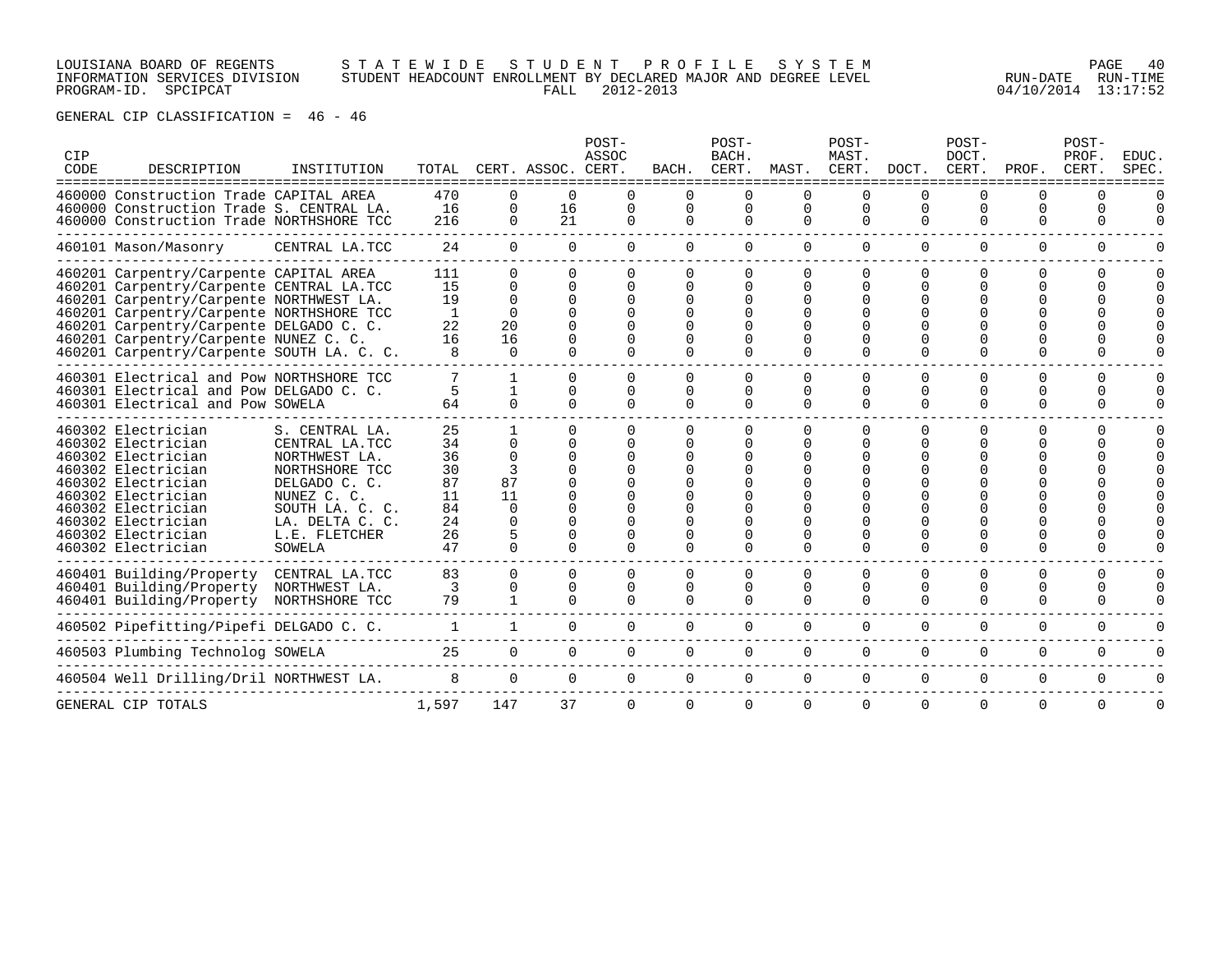### LOUISIANA BOARD OF REGENTS S T A T E W I D E S T U D E N T P R O F I L E S Y S T E M PAGE 40 INFORMATION SERVICES DIVISION STUDENT HEADCOUNT ENROLLMENT BY DECLARED MAJOR AND DEGREE LEVEL RUN-DATE RUN-TIME PROGRAM-ID. SPCIPCAT FALL 2012-2013 04/10/2014 13:17:52

| CIP<br>CODE | DESCRIPTION                                                                                                                                                                                                                                                                                                | INSTITUTION                                                                                                                                                         | TOTAL<br>====================                            |                                                               | CERT. ASSOC.                                 | POST-<br><b>ASSOC</b><br>CERT. | BACH.                     | POST-<br>BACH.<br>CERT.          | MAST.                     | POST-<br>MAST.<br>CERT.                      | DOCT.                     | POST-<br>DOCT.<br>CERT.                              | PROF.                                    | POST-<br>PROF.<br>CERT. | EDUC.<br>SPEC |
|-------------|------------------------------------------------------------------------------------------------------------------------------------------------------------------------------------------------------------------------------------------------------------------------------------------------------------|---------------------------------------------------------------------------------------------------------------------------------------------------------------------|----------------------------------------------------------|---------------------------------------------------------------|----------------------------------------------|--------------------------------|---------------------------|----------------------------------|---------------------------|----------------------------------------------|---------------------------|------------------------------------------------------|------------------------------------------|-------------------------|---------------|
|             | 460000 Construction Trade CAPITAL AREA<br>460000 Construction Trade S. CENTRAL LA.<br>460000 Construction Trade NORTHSHORE TCC                                                                                                                                                                             |                                                                                                                                                                     | 470<br>16<br>216                                         | O<br>0<br>0                                                   | 0<br>16<br>21                                | 0                              | $\Omega$<br>0<br>$\Omega$ | $\Omega$<br>$\Omega$<br>$\Omega$ | 0<br>$\Omega$<br>$\Omega$ | 0<br>$\mathbf 0$<br>$\Omega$                 | $\Omega$<br>$\Omega$      | O<br>$\Omega$<br>$\Omega$                            | <sup>0</sup><br><sup>0</sup><br>$\Omega$ | O<br>0                  | O             |
|             | 460101 Mason/Masonry                                                                                                                                                                                                                                                                                       | CENTRAL LA.TCC                                                                                                                                                      | 24                                                       | $\Omega$                                                      | $\Omega$                                     | $\Omega$                       | $\Omega$                  | $\Omega$                         | $\Omega$                  | $\Omega$                                     | $\Omega$                  | $\Omega$                                             | $\Omega$                                 | $\Omega$                | 0             |
|             | 460201 Carpentry/Carpente CAPITAL AREA<br>460201 Carpentry/Carpente CENTRAL LA.TCC<br>460201 Carpentry/Carpente NORTHWEST LA.<br>460201 Carpentry/Carpente NORTHSHORE TCC<br>460201 Carpentry/Carpente DELGADO C. C.<br>460201 Carpentry/Carpente NUNEZ C. C.<br>460201 Carpentry/Carpente SOUTH LA. C. C. |                                                                                                                                                                     | 111<br>15<br>19<br>1<br>22<br>16                         | $\Omega$<br>0<br>$\Omega$<br>$\Omega$<br>20<br>16<br>$\Omega$ | $\Omega$<br>$\Omega$<br>$\Omega$<br>$\Omega$ |                                | 0                         | 0                                | 0<br>0<br>$\Omega$        | $\Omega$<br>$\Omega$<br>$\Omega$<br>$\Omega$ | O                         | $\Omega$<br><sup>0</sup><br><sup>0</sup><br>$\Omega$ | <sup>0</sup><br>U<br><sup>0</sup>        | 0<br>0                  | O             |
|             | 460301 Electrical and Pow NORTHSHORE TCC<br>460301 Electrical and Pow DELGADO C. C.<br>460301 Electrical and Pow SOWELA                                                                                                                                                                                    |                                                                                                                                                                     | 5<br>64                                                  | $\Omega$                                                      | $\Omega$<br>0<br>$\cap$                      | <sup>0</sup><br>0<br>$\Omega$  | $\Omega$<br>0<br>$\Omega$ | 0<br>0<br>0                      | 0<br>0<br>$\Omega$        | $\Omega$<br>0<br>$\Omega$                    | $\Omega$<br>$\Omega$      | $\Omega$<br>0<br>$\Omega$                            | $\Omega$<br>0<br>$\Omega$                | 0<br>U.<br>O            | O             |
|             | 460302 Electrician<br>460302 Electrician<br>460302 Electrician<br>460302 Electrician<br>460302 Electrician<br>460302 Electrician<br>460302 Electrician<br>460302 Electrician<br>460302 Electrician<br>460302 Electrician                                                                                   | S. CENTRAL LA.<br>CENTRAL LA.TCC<br>NORTHWEST LA.<br>NORTHSHORE TCC<br>DELGADO C. C.<br>NUNEZ C. C<br>SOUTH LA. C. C.<br>LA. DELTA C. C.<br>L.E. FLETCHER<br>SOWELA | 25<br>34<br>36<br>30<br>87<br>11<br>84<br>24<br>26<br>47 | U<br>$\Omega$<br>3<br>87<br>11<br>U<br>O<br>$\Omega$          | <sup>n</sup><br>U                            |                                |                           | <sup>n</sup><br>0                | 0<br>0                    | $\Omega$<br>$\cap$<br>$\Omega$               |                           | <sup>0</sup><br>$\Omega$                             | 0<br><sup>0</sup>                        | <sup>n</sup>            |               |
|             | 460401 Building/Property<br>460401 Building/Property<br>460401 Building/Property                                                                                                                                                                                                                           | CENTRAL LA.TCC<br>NORTHWEST LA.<br>NORTHSHORE TCC                                                                                                                   | 83<br>3<br>79                                            | $\Omega$<br>0                                                 | $\Omega$<br>0<br>$\cap$                      | $\Omega$<br>$\Omega$           | $\Omega$<br>0<br>$\cap$   | $\Omega$<br>0<br>$\Omega$        | $\Omega$<br>0<br>$\Omega$ | $\Omega$<br>$\Omega$<br>$\Omega$             | $\Omega$<br>∩<br>$\Omega$ | $\Omega$<br>0<br>$\Omega$                            | 0<br><sup>0</sup><br>$\Omega$            | $\Omega$<br>0<br>0      | O<br>0<br>U   |
|             | 460502 Pipefitting/Pipefi DELGADO C. C.                                                                                                                                                                                                                                                                    |                                                                                                                                                                     | $\mathbf{1}$                                             | $\mathbf{1}$                                                  | $\overline{0}$                               | $\Omega$                       | 0                         | 0                                | $\Omega$                  | 0                                            | $\Omega$                  | $\Omega$                                             | $\Omega$                                 | $\Omega$                | U             |
|             | 460503 Plumbing Technolog SOWELA                                                                                                                                                                                                                                                                           |                                                                                                                                                                     | 25                                                       | $\mathbf{0}$                                                  | $\Omega$                                     | $\Omega$                       | $\Omega$                  | $\Omega$                         | $\Omega$                  | $\Omega$                                     | $\Omega$                  | $\Omega$                                             | $\Omega$                                 | $\Omega$                | U             |
|             | 460504 Well Drilling/Dril NORTHWEST LA.                                                                                                                                                                                                                                                                    |                                                                                                                                                                     | 8                                                        | $\Omega$                                                      | $\Omega$                                     | $\Omega$                       | $\Omega$                  | $\Omega$                         | $\Omega$                  | $\Omega$                                     | $\Omega$                  | $\Omega$                                             | $\Omega$                                 | $\Omega$                | U             |
|             | GENERAL CIP TOTALS                                                                                                                                                                                                                                                                                         |                                                                                                                                                                     | 1,597                                                    | 147                                                           | 37                                           | $\Omega$                       | $\Omega$                  | $\Omega$                         | $\Omega$                  | $\mathbf 0$                                  | 0                         | $\Omega$                                             | 0                                        | 0                       | 0             |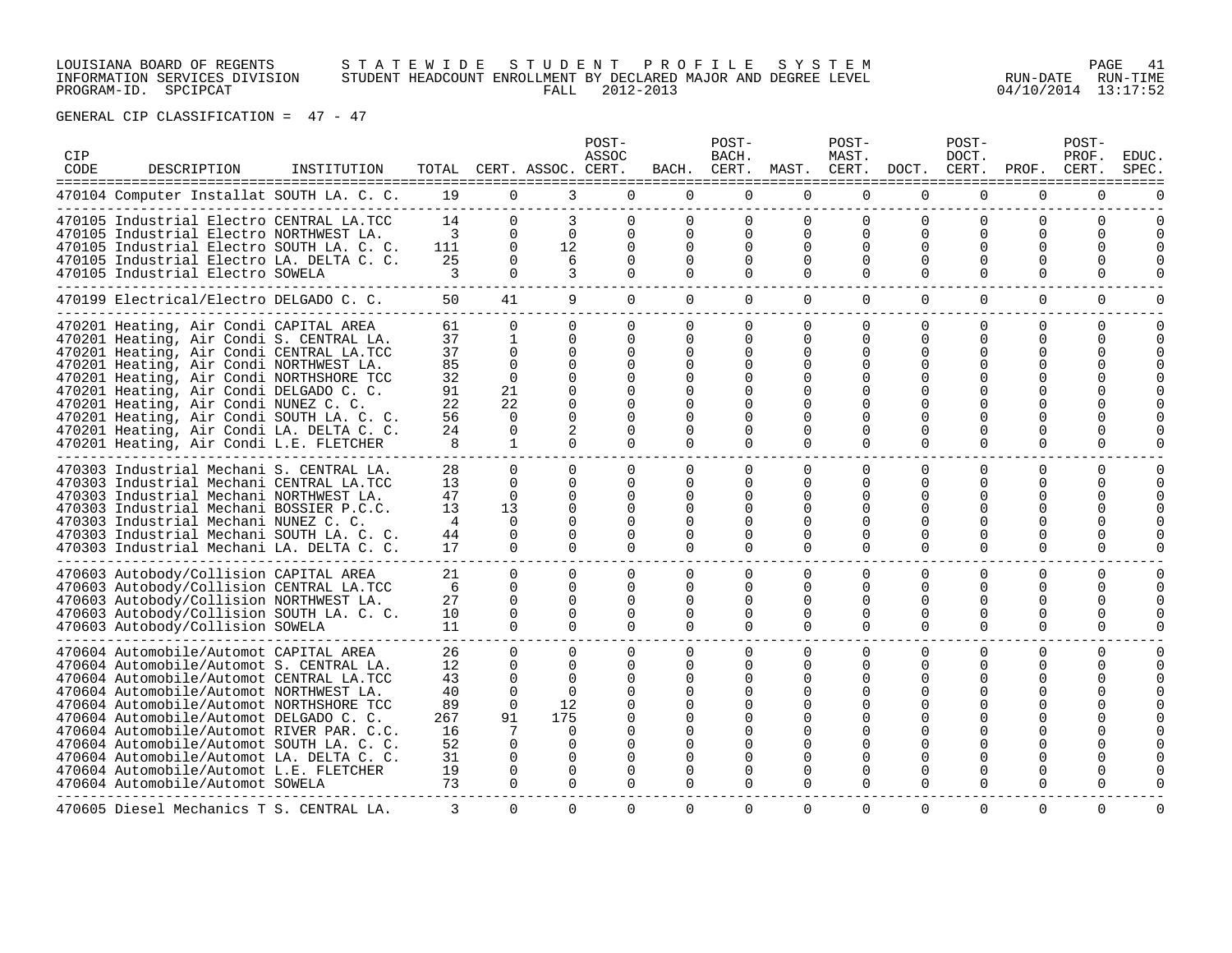# LOUISIANA BOARD OF REGENTS S T A T E W I D E S T U D E N T P R O F I L E S Y S T E M PAGE 41 INFORMATION SERVICES DIVISION STUDENT HEADCOUNT ENROLLMENT BY DECLARED MAJOR AND DEGREE LEVEL RUN-DATE RUN-TIME PROGRAM-ID. SPCIPCAT FALL 2012-2013 04/10/2014 13:17:52

| CIP<br>CODE | DESCRIPTION                                                                                                                                                                                                                                                                                                                                                                                                                                                                            | INSTITUTION |                                                                 |                                                                                                              | TOTAL CERT. ASSOC. CERT.                                                                                      | POST-<br>ASSOC                                                                                                               |                                                                                          | POST-<br>BACH.                                                                                                |                                                                                           | POST-<br>MAST.                                                                                   |                                                                                                        | POST-<br>DOCT.                                                                        | BACH. CERT. MAST. CERT. DOCT. CERT. PROF. CERT.                    | POST-<br>PROF.                                                            | <b>EDUC</b><br><b>SPEC</b> |
|-------------|----------------------------------------------------------------------------------------------------------------------------------------------------------------------------------------------------------------------------------------------------------------------------------------------------------------------------------------------------------------------------------------------------------------------------------------------------------------------------------------|-------------|-----------------------------------------------------------------|--------------------------------------------------------------------------------------------------------------|---------------------------------------------------------------------------------------------------------------|------------------------------------------------------------------------------------------------------------------------------|------------------------------------------------------------------------------------------|---------------------------------------------------------------------------------------------------------------|-------------------------------------------------------------------------------------------|--------------------------------------------------------------------------------------------------|--------------------------------------------------------------------------------------------------------|---------------------------------------------------------------------------------------|--------------------------------------------------------------------|---------------------------------------------------------------------------|----------------------------|
|             | 470104 Computer Installat SOUTH LA. C. C.                                                                                                                                                                                                                                                                                                                                                                                                                                              |             | 19                                                              | $\Omega$                                                                                                     | 3                                                                                                             | $\Omega$                                                                                                                     | $\Omega$                                                                                 | $\Omega$                                                                                                      | $\Omega$                                                                                  | $\Omega$                                                                                         | $\Omega$                                                                                               | $\Omega$                                                                              | $\cap$                                                             | $\Omega$                                                                  |                            |
|             | 470105 Industrial Electro CENTRAL LA.TCC<br>470105 Industrial Electro NORTHWEST LA.<br>470105 Industrial Electro SOUTH LA. C. C.<br>470105 Industrial Electro LA. DELTA C. C.<br>470105 Industrial Electro SOWELA                                                                                                                                                                                                                                                                      |             | 14<br>3<br>111<br>25<br>3                                       | $\Omega$<br>$\Omega$<br>$\Omega$<br>$\Omega$<br>$\Omega$                                                     | 3<br>$\Omega$<br>12<br>6<br>3                                                                                 | $\Omega$<br>$\Omega$<br>$\Omega$<br>$\Omega$<br>$\Omega$                                                                     | $\Omega$<br>$\Omega$<br>$\Omega$<br>$\Omega$<br>$\Omega$                                 | $\Omega$<br>$\Omega$<br>$\Omega$<br>$\Omega$<br>$\Omega$                                                      | $\Omega$<br>$\Omega$<br>$\Omega$<br>$\Omega$<br>$\Omega$                                  | $\Omega$<br>$\Omega$<br>$\Omega$<br>$\Omega$<br>$\Omega$                                         | $\Omega$<br>$\Omega$<br>$\Omega$<br>$\Omega$<br>$\Omega$                                               | 0<br>$\Omega$<br>$\Omega$<br>$\Omega$<br>$\Omega$                                     | $\Omega$<br>$\Omega$<br>$\Omega$<br>$\Omega$                       | $\Omega$<br><sup>0</sup><br>$\Omega$<br>$\Omega$                          |                            |
|             | 470199 Electrical/Electro DELGADO C. C.                                                                                                                                                                                                                                                                                                                                                                                                                                                |             | 50                                                              | 41                                                                                                           | 9                                                                                                             | $\Omega$                                                                                                                     | $\Omega$                                                                                 | $\Omega$                                                                                                      | $\Omega$                                                                                  | $\overline{0}$                                                                                   | $\overline{0}$                                                                                         | $\mathbf{0}$                                                                          | $\Omega$                                                           | $\mathbf 0$                                                               | $\mathbf 0$                |
|             | 470201 Heating, Air Condi CAPITAL AREA<br>470201 Heating, Air Condi S. CENTRAL LA.<br>470201 Heating, Air Condi CENTRAL LA.TCC<br>470201 Heating, Air Condi NORTHWEST LA.<br>470201 Heating, Air Condi NORTHSHORE TCC<br>470201 Heating, Air Condi DELGADO C. C.<br>470201 Heating, Air Condi NUNEZ C. C.<br>470201 Heating, Air Condi SOUTH LA. C. C.<br>470201 Heating, Air Condi LA. DELTA C. C.<br>470201 Heating, Air Condi L.E. FLETCHER                                         |             | 61<br>37<br>37<br>85<br>32<br>91<br>22<br>56<br>24<br>8         | $\Omega$<br>1<br>$\Omega$<br>$\Omega$<br>$\Omega$<br>21<br>22<br>$\Omega$<br>$\Omega$<br>1                   | $\Omega$<br>$\Omega$<br>$\Omega$<br>$\Omega$<br>$\Omega$<br>$\Omega$<br>$\Omega$<br>$\Omega$<br>2<br>$\Omega$ | $\Omega$<br>$\Omega$<br>$\Omega$<br>$\Omega$<br>$\Omega$<br>$\Omega$<br>$\Omega$<br>$\Omega$<br>$\Omega$<br>$\Omega$         | $\Omega$<br>$\Omega$<br>$\Omega$<br>$\cap$<br>$\Omega$<br>∩<br>0<br>$\Omega$<br>$\Omega$ | $\Omega$<br>$\Omega$<br>$\Omega$<br>$\Omega$<br>$\Omega$<br>$\Omega$<br>$\Omega$<br>$\Omega$<br>$\Omega$      | $\Omega$<br>$\Omega$<br>$\Omega$<br>$\Omega$<br>$\Omega$<br>0<br><sup>n</sup><br>$\Omega$ | $\Omega$<br>$\Omega$<br>$\Omega$<br><sup>n</sup><br>$\Omega$<br>$\Omega$<br>$\Omega$<br>$\Omega$ | $\Omega$<br>$\Omega$<br>$\Omega$<br>$\Omega$<br>$\Omega$<br>$\Omega$<br>U<br>0<br>$\Omega$<br>$\Omega$ | $\Omega$<br>0<br>$\Omega$<br>$\Omega$<br>$\Omega$<br>$\Omega$<br>$\Omega$<br>$\Omega$ | $\Omega$<br>0<br>O<br>$\Omega$<br>$\Omega$<br>0                    | $\Omega$<br>$\Omega$<br>$\Omega$<br>$\Omega$<br>$\Omega$<br>$\Omega$<br>0 | $\Omega$                   |
|             | 470303 Industrial Mechani S. CENTRAL LA.<br>470303 Industrial Mechani CENTRAL LA.TCC<br>470303 Industrial Mechani NORTHWEST LA.<br>470303 Industrial Mechani BOSSIER P.C.C.<br>470303 Industrial Mechani NUNEZ C. C.<br>470303 Industrial Mechani SOUTH LA. C. C.<br>470303 Industrial Mechani LA. DELTA C. C.                                                                                                                                                                         |             | 28<br>13<br>47<br>13<br>4<br>44<br>17                           | $\Omega$<br>$\Omega$<br>$\Omega$<br>13<br>$\Omega$<br>$\Omega$<br>$\Omega$                                   | $\Omega$<br>$\Omega$<br>$\Omega$<br>$\Omega$<br>$\Omega$<br>$\Omega$<br>$\Omega$                              | $\Omega$<br>$\Omega$<br>$\Omega$<br>$\Omega$<br>$\Omega$<br>$\Omega$<br>$\Omega$                                             | $\Omega$<br>$\Omega$<br>$\Omega$<br>$\Omega$<br>$\Omega$<br>$\Omega$<br>$\cap$           | $\Omega$<br>$\Omega$<br>$\Omega$<br>$\Omega$<br>$\Omega$<br>$\Omega$<br>$\Omega$                              | $\Omega$<br>$\Omega$<br>$\Omega$<br>$\Omega$<br>$\Omega$<br>$\Omega$<br>$\Omega$          | $\Omega$<br>$\Omega$<br>$\Omega$<br>$\Omega$<br>$\Omega$<br>$\Omega$<br>$\Omega$                 | $\Omega$<br>$\Omega$<br>$\Omega$<br>$\Omega$<br><sup>0</sup><br>0<br>$\Omega$                          | $\Omega$<br>$\Omega$<br>$\Omega$<br>$\Omega$<br>$\Omega$<br>0<br>$\Omega$             | $\Omega$<br>$\Omega$<br>$\Omega$<br>$\Omega$<br>∩<br>0<br>$\Omega$ | $\Omega$<br>$\Omega$<br>$\Omega$<br>$\Omega$<br>∩<br>$\Omega$<br>$\Omega$ |                            |
|             | 470603 Autobody/Collision CAPITAL AREA<br>470603 Autobody/Collision CENTRAL LA.TCC<br>470603 Autobody/Collision NORTHWEST LA.<br>470603 Autobody/Collision SOUTH LA. C. C.<br>470603 Autobody/Collision SOWELA                                                                                                                                                                                                                                                                         |             | 21<br>6<br>2.7<br>10<br>11                                      | $\Omega$<br>$\Omega$<br>$\Omega$<br>$\Omega$<br>$\Omega$                                                     | $\Omega$<br>$\Omega$<br>$\Omega$<br>$\Omega$<br>$\Omega$                                                      | $\Omega$<br>$\Omega$<br>$\Omega$<br>$\Omega$<br>$\Omega$                                                                     | $\Omega$<br>$\Omega$<br>$\Omega$<br>$\Omega$<br>$\Omega$                                 | $\Omega$<br>$\Omega$<br>$\Omega$<br>$\Omega$<br>$\Omega$                                                      | $\Omega$<br>$\Omega$<br>$\Omega$<br>$\Omega$<br>$\Omega$                                  | $\Omega$<br>$\Omega$<br>$\Omega$<br>$\Omega$<br>$\Omega$                                         | $\Omega$<br>$\Omega$<br>$\Omega$<br>$\Omega$<br>$\Omega$                                               | $\Omega$<br>$\Omega$<br>$\Omega$<br>0<br>$\Omega$                                     | $\Omega$<br>$\Omega$<br>∩<br>0<br>$\Omega$                         | $\Omega$<br>$\Omega$<br>∩<br>0<br>$\Omega$                                | $\Omega$                   |
|             | 470604 Automobile/Automot CAPITAL AREA<br>470604 Automobile/Automot S. CENTRAL LA.<br>470604 Automobile/Automot CENTRAL LA.TCC<br>470604 Automobile/Automot NORTHWEST LA.<br>470604 Automobile/Automot NORTHSHORE TCC<br>470604 Automobile/Automot DELGADO C. C.<br>470604 Automobile/Automot RIVER PAR. C.C.<br>470604 Automobile/Automot SOUTH LA. C. C.<br>470604 Automobile/Automot LA. DELTA C. C.<br>470604 Automobile/Automot L.E. FLETCHER<br>470604 Automobile/Automot SOWELA |             | 26<br>12<br>43<br>40<br>89<br>267<br>16<br>52<br>31<br>19<br>73 | $\Omega$<br>$\Omega$<br>$\Omega$<br>$\Omega$<br>$\Omega$<br>91<br>7<br>$\Omega$<br>$\Omega$<br>0<br>$\Omega$ | $\Omega$<br>$\Omega$<br>$\Omega$<br>$\Omega$<br>12<br>175<br>$\Omega$<br>0<br>$\Omega$<br>0<br>$\Omega$       | $\Omega$<br>$\Omega$<br>$\Omega$<br>$\Omega$<br>$\Omega$<br>$\Omega$<br>$\mathbf 0$<br>$\Omega$<br>$\Omega$<br>0<br>$\Omega$ | $\Omega$<br>0<br>$\Omega$<br>0<br>0<br>0<br>$\Omega$<br>$\Omega$<br>$\Omega$             | $\Omega$<br>$\Omega$<br>$\Omega$<br>$\Omega$<br>$\Omega$<br>$\Omega$<br>$\Omega$<br>$\Omega$<br>0<br>$\Omega$ | $\Omega$<br>$\Omega$<br>$\Omega$<br>$\Omega$<br><sup>n</sup><br>U<br>0<br>$\Omega$        | $\Omega$<br>$\Omega$<br>0<br>0<br>$\Omega$<br>0<br>U<br>$\Omega$<br>0<br>$\Omega$                | 0<br>$\Omega$<br>0<br>0<br>$\Omega$<br><sup>0</sup><br>O<br>0<br>0<br>0<br>0                           | 0<br>$\Omega$<br>$\Omega$<br>$\Omega$<br>$\Omega$<br>$\Omega$<br>0<br>0               | 0<br>$\Omega$<br>0<br>$\Omega$<br>0<br>0                           | $\mathbf 0$<br>$\Omega$<br>∩<br>$\Omega$<br>∩<br>0<br>$\Omega$            |                            |
|             | 470605 Diesel Mechanics T S. CENTRAL LA.                                                                                                                                                                                                                                                                                                                                                                                                                                               |             |                                                                 | $\mathbf{0}$                                                                                                 | $\overline{0}$                                                                                                | $\sigma$                                                                                                                     | $\sigma$                                                                                 | $\sigma$                                                                                                      | 0                                                                                         | 0                                                                                                | $\overline{0}$                                                                                         | 0                                                                                     |                                                                    | $\Omega$                                                                  |                            |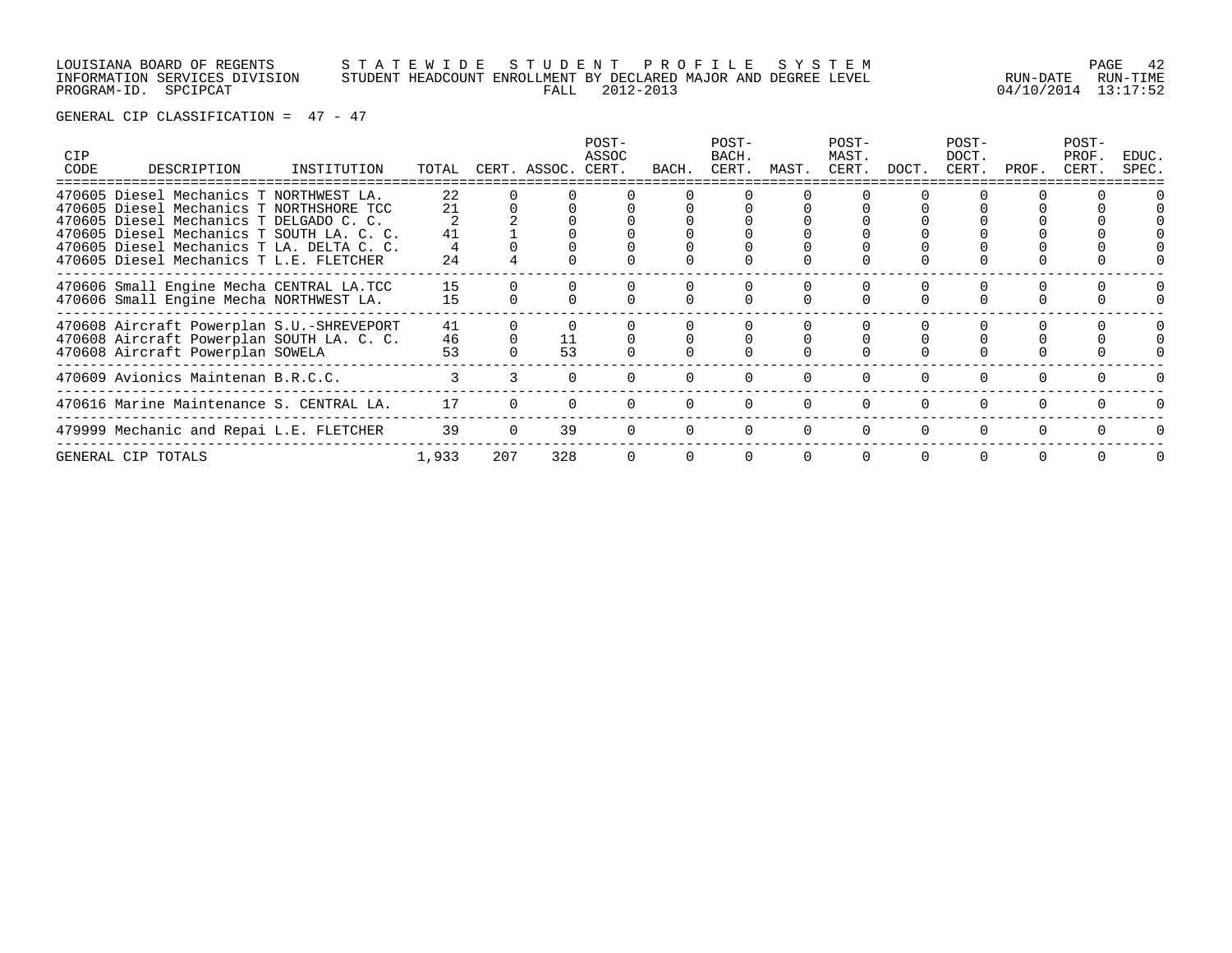# LOUISIANA BOARD OF REGENTS S T A T E W I D E S T U D E N T P R O F I L E S Y S T E M PAGE 42 INFORMATION SERVICES DIVISION STUDENT HEADCOUNT ENROLLMENT BY DECLARED MAJOR AND DEGREE LEVEL RUN-DATE RUN-TIME PROGRAM-ID. SPCIPCAT FALL 2012-2013 04/10/2014 13:17:52

| <b>CIP</b><br>CODE | DESCRIPTION                                                                         | INSTITUTION | TOTAL |     | CERT. ASSOC. | POST-<br>ASSOC<br>CERT. | BACH. | POST-<br>BACH.<br>CERT. | MAST. | POST-<br>MAST.<br>CERT. | DOCT. | POST-<br>DOCT.<br>CERT. | PROF. | POST-<br>PROF.<br>CERT. | EDUC.<br>SPEC. |
|--------------------|-------------------------------------------------------------------------------------|-------------|-------|-----|--------------|-------------------------|-------|-------------------------|-------|-------------------------|-------|-------------------------|-------|-------------------------|----------------|
|                    | 470605 Diesel Mechanics T NORTHWEST LA.                                             |             | 22    |     |              |                         |       |                         |       |                         |       |                         |       |                         |                |
|                    | 470605 Diesel Mechanics T NORTHSHORE TCC<br>470605 Diesel Mechanics T DELGADO C. C. |             | 21    |     |              |                         |       |                         |       |                         |       |                         |       |                         |                |
|                    | 470605 Diesel Mechanics T SOUTH LA. C. C.                                           |             | 41    |     |              |                         |       |                         |       |                         |       |                         |       |                         |                |
|                    | 470605 Diesel Mechanics T LA. DELTA C. C.                                           |             |       |     |              |                         |       |                         |       |                         |       |                         |       |                         |                |
|                    | 470605 Diesel Mechanics T L.E. FLETCHER                                             |             | 24    |     |              |                         |       |                         |       |                         |       |                         |       |                         |                |
|                    | 470606 Small Engine Mecha CENTRAL LA.TCC                                            |             | 15    |     |              |                         |       |                         |       |                         |       |                         |       |                         |                |
|                    | 470606 Small Engine Mecha NORTHWEST LA.                                             |             | 15    |     |              |                         |       |                         |       |                         |       |                         |       |                         |                |
|                    | 470608 Aircraft Powerplan S.U.-SHREVEPORT                                           |             | 41    |     |              |                         |       |                         |       |                         |       |                         |       |                         |                |
|                    | 470608 Aircraft Powerplan SOUTH LA. C. C.                                           |             | 46    |     | 11           |                         |       |                         |       |                         |       |                         |       |                         |                |
|                    | 470608 Aircraft Powerplan SOWELA                                                    |             | 53    |     | 53           |                         |       |                         |       |                         |       |                         |       |                         |                |
|                    | 470609 Avionics Maintenan B.R.C.C.                                                  |             |       |     |              |                         |       |                         |       |                         |       |                         |       |                         |                |
|                    | 470616 Marine Maintenance S. CENTRAL LA.                                            |             | 17    |     |              |                         |       |                         |       |                         |       |                         |       |                         |                |
|                    | 479999 Mechanic and Repai L.E. FLETCHER                                             |             | 39    |     | 39           |                         |       |                         |       |                         |       |                         |       |                         |                |
|                    | GENERAL CIP TOTALS                                                                  |             | 1,933 | 207 | 328          |                         |       |                         |       |                         |       |                         |       |                         |                |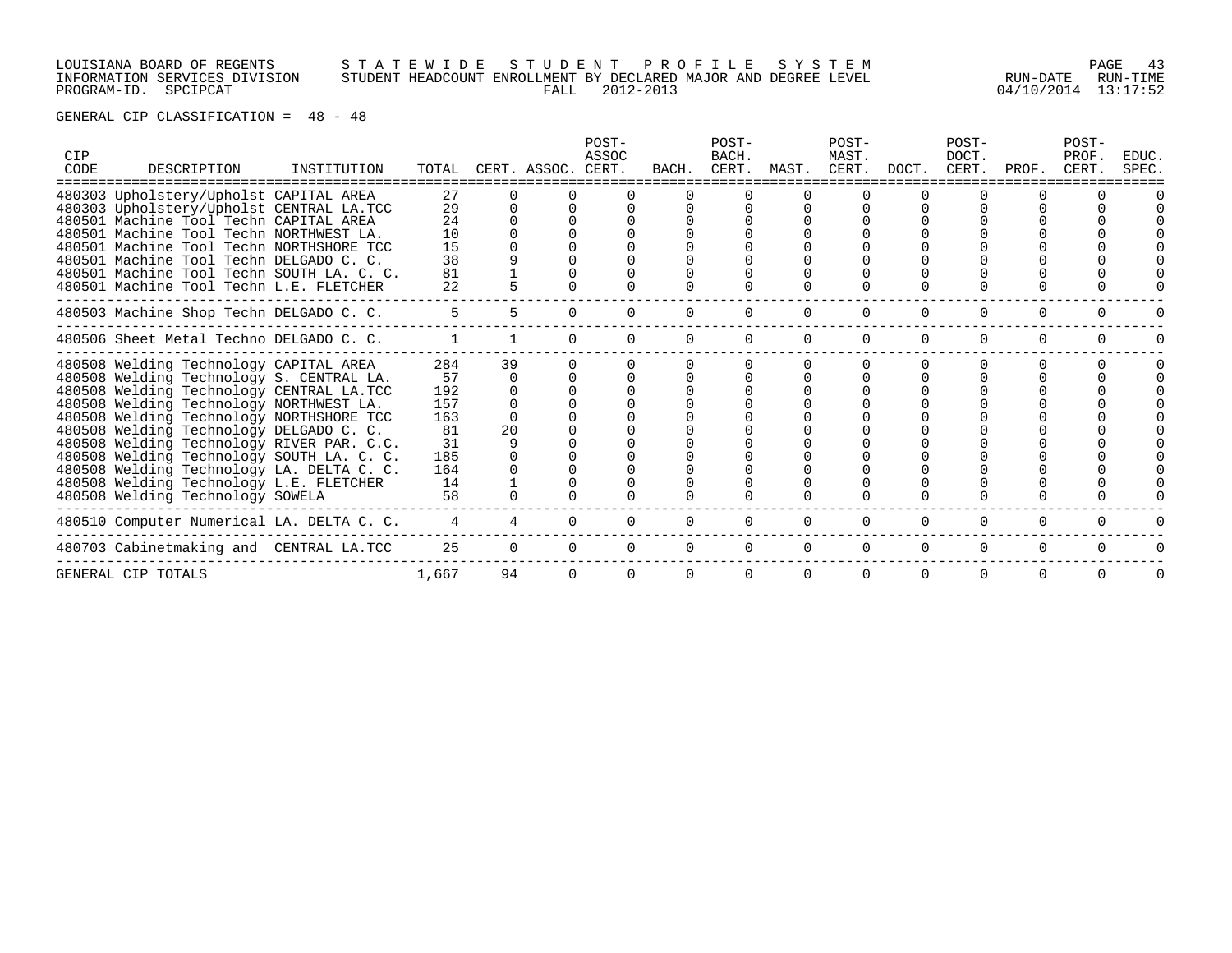# LOUISIANA BOARD OF REGENTS S T A T E W I D E S T U D E N T P R O F I L E S Y S T E M PAGE 43 INFORMATION SERVICES DIVISION STUDENT HEADCOUNT ENROLLMENT BY DECLARED MAJOR AND DEGREE LEVEL RUN-DATE RUN-TIME PROGRAM-ID. SPCIPCAT FALL 2012-2013 04/10/2014 13:17:52

| CIP<br>CODE | DESCRIPTION                               | INSTITUTION | TOTAL |    | CERT. ASSOC. CERT. | POST-<br>ASSOC | BACH.    | POST-<br>BACH.<br>CERT. | MAST.    | POST-<br>MAST.<br>CERT. | DOCT.    | POST-<br>DOCT.<br>CERT. | PROF.    | POST-<br>PROF.<br>CERT. | EDUC.<br>SPEC. |
|-------------|-------------------------------------------|-------------|-------|----|--------------------|----------------|----------|-------------------------|----------|-------------------------|----------|-------------------------|----------|-------------------------|----------------|
|             | 480303 Upholstery/Upholst CAPITAL AREA    |             | 27    |    |                    |                |          |                         |          |                         |          |                         |          |                         |                |
|             | 480303 Upholstery/Upholst CENTRAL LA.TCC  |             | 29    |    |                    |                |          |                         |          |                         |          |                         |          |                         |                |
|             | 480501 Machine Tool Techn CAPITAL AREA    |             | 24    |    |                    |                |          |                         |          |                         |          |                         |          |                         |                |
|             | 480501 Machine Tool Techn NORTHWEST LA.   |             | 10    |    |                    |                |          |                         |          |                         |          |                         |          |                         |                |
|             | 480501 Machine Tool Techn NORTHSHORE TCC  |             | 15    |    |                    |                |          |                         |          |                         |          |                         |          |                         |                |
|             | 480501 Machine Tool Techn DELGADO C. C.   |             | 38    |    |                    |                |          |                         |          |                         |          |                         |          |                         |                |
|             | 480501 Machine Tool Techn SOUTH LA. C. C. |             | 81    |    |                    |                |          |                         |          |                         |          |                         |          |                         |                |
|             | 480501 Machine Tool Techn L.E. FLETCHER   |             | 22    |    |                    |                |          |                         |          |                         |          |                         |          |                         |                |
|             | 480503 Machine Shop Techn DELGADO C. C.   |             | 5     |    |                    |                |          |                         |          |                         |          |                         |          |                         |                |
|             | 480506 Sheet Metal Techno DELGADO C. C.   |             |       |    |                    |                |          | $\Omega$                | $\Omega$ |                         | $\Omega$ | $\Omega$                | $\Omega$ |                         |                |
|             | 480508 Welding Technology CAPITAL AREA    |             | 284   | 39 |                    |                |          |                         |          |                         |          |                         |          |                         |                |
|             | 480508 Welding Technology S. CENTRAL LA.  |             | 57    |    |                    |                |          |                         |          |                         |          |                         |          |                         |                |
|             | 480508 Welding Technology CENTRAL LA.TCC  |             | 192   |    |                    |                |          |                         |          |                         |          |                         |          |                         |                |
|             | 480508 Welding Technology NORTHWEST LA.   |             | 157   |    |                    |                |          |                         |          |                         |          |                         |          |                         |                |
|             | 480508 Welding Technology NORTHSHORE TCC  |             | 163   |    |                    |                |          |                         |          |                         |          |                         |          |                         |                |
|             | 480508 Welding Technology DELGADO C. C.   |             | 81    | 20 |                    |                |          |                         |          |                         |          |                         |          |                         |                |
|             | 480508 Welding Technology RIVER PAR. C.C. |             | 31    |    |                    |                |          |                         |          |                         |          |                         |          |                         |                |
|             | 480508 Welding Technology SOUTH LA. C. C. |             | 185   |    |                    |                |          |                         |          |                         |          |                         |          |                         |                |
|             | 480508 Welding Technology LA. DELTA C. C. |             | 164   |    |                    |                |          |                         |          |                         |          |                         |          |                         |                |
|             | 480508 Welding Technology L.E. FLETCHER   |             | 14    |    |                    |                |          |                         |          |                         |          |                         |          |                         |                |
|             | 480508 Welding Technology SOWELA          |             | 58    |    |                    |                |          |                         |          |                         |          |                         |          |                         |                |
|             | 480510 Computer Numerical LA. DELTA C. C. |             |       |    |                    |                |          |                         |          |                         | $\Omega$ | 0                       | 0        |                         |                |
|             | 480703 Cabinetmaking and CENTRAL LA.TCC   |             | 25    |    | $\Omega$           | $\Omega$       | $\Omega$ | $\Omega$                | $\Omega$ | $\Omega$                | $\Omega$ | $\Omega$                | $\Omega$ |                         |                |
|             | GENERAL CIP TOTALS                        |             | 1,667 | 94 |                    |                |          | $\Omega$                | $\Omega$ |                         | $\Omega$ | $\Omega$                |          |                         |                |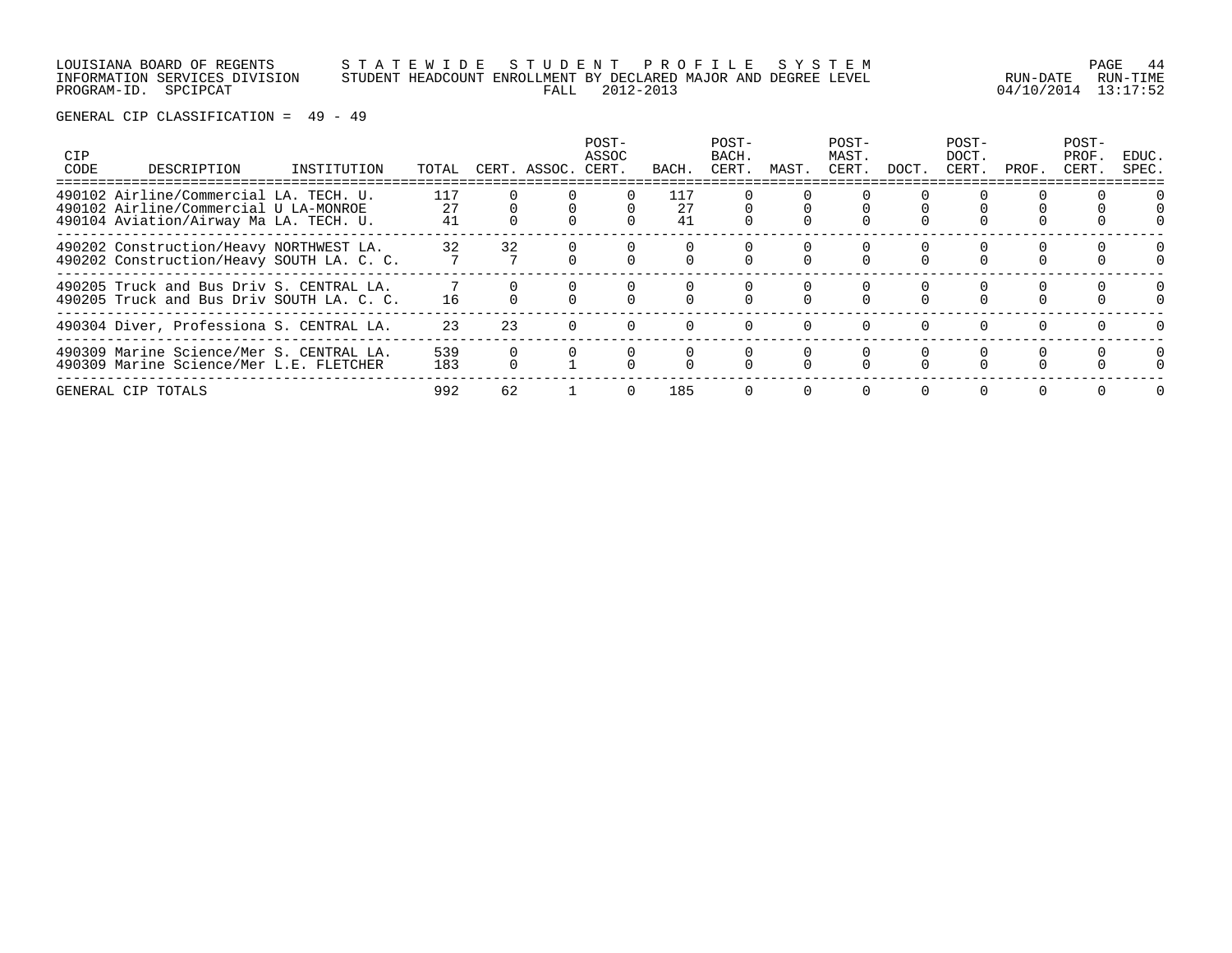# LOUISIANA BOARD OF REGENTS S T A T E W I D E S T U D E N T P R O F I L E S Y S T E M PAGE 44 INFORMATION SERVICES DIVISION STUDENT HEADCOUNT ENROLLMENT BY DECLARED MAJOR AND DEGREE LEVEL RUN-DATE RUN-TIME PROGRAM-ID. SPCIPCAT FALL 2012-2013 04/10/2014 13:17:52

| CIP<br>CODE | DESCRIPTION                                                                                                               | INSTITUTION | TOTAL           |    | CERT. ASSOC. | POST-<br>ASSOC<br>CERT. | BACH.           | POST-<br>BACH.<br>CERT. | MAST. | POST-<br>MAST.<br>CERT. | DOCT.    | $POST-$<br>DOCT.<br>CERT. | PROF. | POST-<br>PROF.<br>CERT. | EDUC.<br>SPEC. |
|-------------|---------------------------------------------------------------------------------------------------------------------------|-------------|-----------------|----|--------------|-------------------------|-----------------|-------------------------|-------|-------------------------|----------|---------------------------|-------|-------------------------|----------------|
|             | 490102 Airline/Commercial LA. TECH. U.<br>490102 Airline/Commercial U LA-MONROE<br>490104 Aviation/Airway Ma LA. TECH. U. |             | 117<br>27<br>41 |    |              |                         | 117<br>27<br>41 |                         |       |                         |          |                           |       |                         |                |
|             | 490202 Construction/Heavy NORTHWEST LA.<br>490202 Construction/Heavy SOUTH LA. C. C.                                      |             | 32              | 32 |              |                         |                 |                         |       |                         |          |                           |       |                         |                |
|             | 490205 Truck and Bus Driv S. CENTRAL LA.<br>490205 Truck and Bus Driv SOUTH LA. C. C.                                     |             | 16              |    |              |                         |                 |                         |       |                         |          |                           |       |                         |                |
|             | 490304 Diver, Professiona S. CENTRAL LA.                                                                                  |             | 23              | 23 |              |                         |                 |                         |       |                         | $\Omega$ |                           |       |                         |                |
|             | 490309 Marine Science/Mer S. CENTRAL LA.<br>490309 Marine Science/Mer L.E. FLETCHER                                       |             | 539<br>183      |    |              |                         |                 |                         |       |                         |          |                           |       |                         | $\Omega$       |
|             | GENERAL CIP TOTALS                                                                                                        |             | 992             | 62 |              | $\Omega$                | 185             | $\Omega$                |       | $\Omega$                | $\Omega$ | $\Omega$                  |       |                         |                |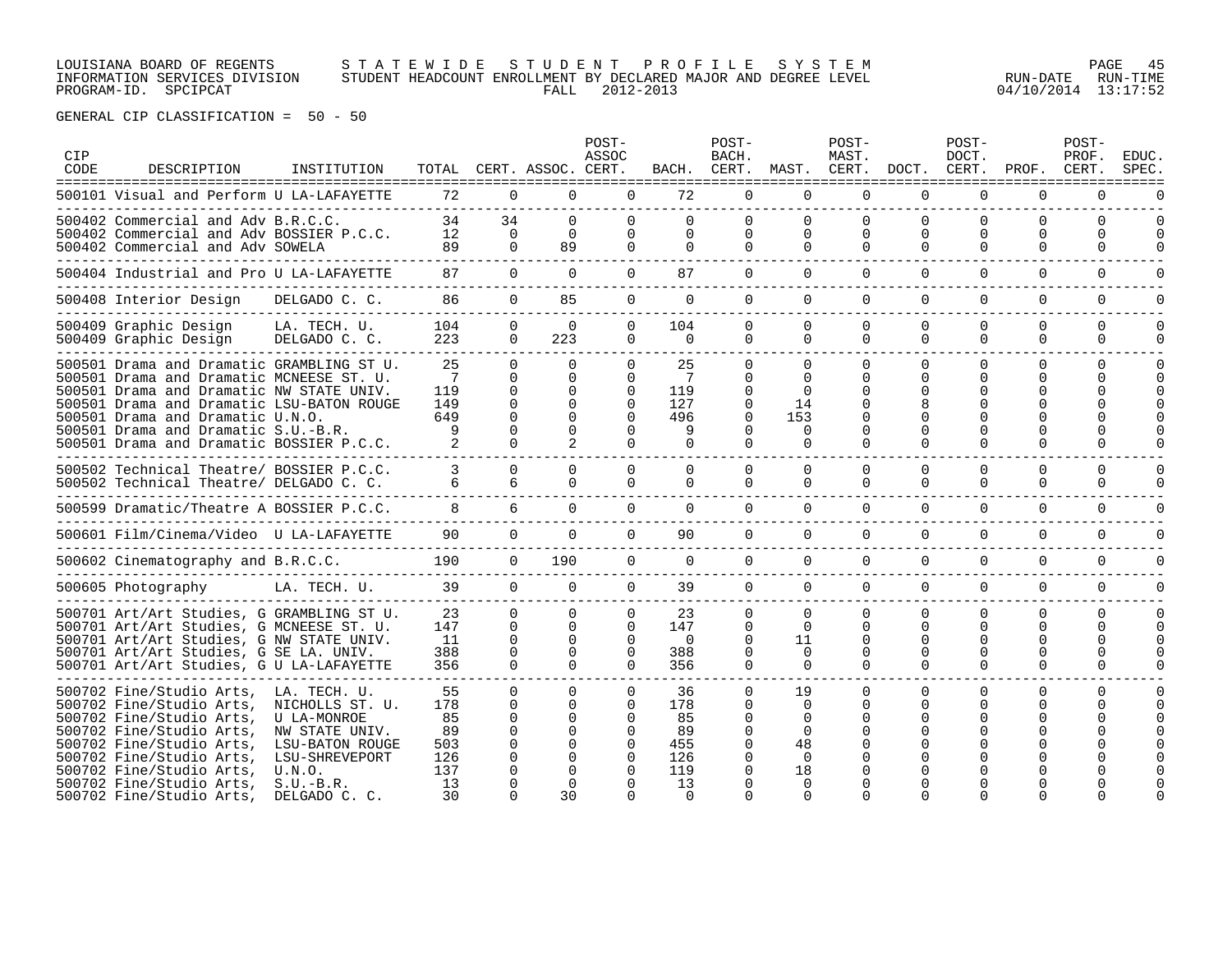LOUISIANA BOARD OF REGENTS S T A T E W I D E S T U D E N T P R O F I L E S Y S T E M PAGE 45 INFORMATION SERVICES DIVISION STUDENT HEADCOUNT ENROLLMENT BY DECLARED MAJOR AND DEGREE LEVEL RUN-DATE RUN-TIME PROGRAM-ID. SPCIPCAT FALL 2012-2013 04/10/2014 13:17:52

| CIP<br>CODE | DESCRIPTION<br>=====================================                                                                                                                                                                                                                                                  | INSTITUTION                                                                                                                                     |                                                        |                                                                                  | TOTAL CERT. ASSOC. CERT.                           | POST-<br>ASSOC                                                                   | BACH.                                                        | POST-<br>BACH.<br>CERT.                       | MAST.                                                                                  | POST-<br>MAST.<br>CERT.                                              | DOCT.                                        | POST-<br>DOCT.<br>CERT.                               | PROF.                                                     | POST-<br>PROF.<br>CERT. | <b>EDUC</b><br><b>SPEC</b>    |
|-------------|-------------------------------------------------------------------------------------------------------------------------------------------------------------------------------------------------------------------------------------------------------------------------------------------------------|-------------------------------------------------------------------------------------------------------------------------------------------------|--------------------------------------------------------|----------------------------------------------------------------------------------|----------------------------------------------------|----------------------------------------------------------------------------------|--------------------------------------------------------------|-----------------------------------------------|----------------------------------------------------------------------------------------|----------------------------------------------------------------------|----------------------------------------------|-------------------------------------------------------|-----------------------------------------------------------|-------------------------|-------------------------------|
|             | 500101 Visual and Perform U LA-LAFAYETTE                                                                                                                                                                                                                                                              |                                                                                                                                                 | 72                                                     | $\Omega$                                                                         | $\Omega$                                           | $\Omega$                                                                         | 72                                                           | 0                                             | $\Omega$                                                                               | $\Omega$                                                             | $\Omega$                                     | $\Omega$                                              | $\Omega$                                                  | $\Omega$                | ∩                             |
|             | 500402 Commercial and Adv B.R.C.C.<br>500402 Commercial and Adv BOSSIER P.C.C.<br>500402 Commercial and Adv SOWELA                                                                                                                                                                                    |                                                                                                                                                 | 34<br>12<br>89                                         | 34<br>$\Omega$<br>$\Omega$                                                       | $\Omega$<br>$\Omega$<br>89                         | $\Omega$<br>$\Omega$                                                             | 0<br>0<br>$\Omega$                                           | $\Omega$<br>0<br>0                            | $\Omega$<br>$\Omega$<br>$\Omega$                                                       | $\Omega$<br>$\Omega$<br>$\Omega$                                     | $\Omega$<br>$\Omega$<br>$\Omega$             | $\Omega$<br>$\Omega$<br>$\Omega$                      | $\Omega$<br>0<br>$\Omega$                                 | $\Omega$<br>0<br>0      | $\Omega$<br><sup>0</sup><br>O |
|             | 500404 Industrial and Pro U LA-LAFAYETTE                                                                                                                                                                                                                                                              |                                                                                                                                                 | 87                                                     | $\Omega$                                                                         | $\Omega$                                           | $\Omega$                                                                         | 87                                                           | 0                                             | $\Omega$                                                                               | $\Omega$                                                             | $\Omega$                                     | $\Omega$                                              | 0                                                         | $\Omega$                | U                             |
|             | 500408 Interior Design                                                                                                                                                                                                                                                                                | DELGADO C. C.                                                                                                                                   | 86                                                     | $\Omega$                                                                         | 85                                                 | $\Omega$                                                                         | $\Omega$                                                     | 0                                             | $\Omega$                                                                               | $\Omega$                                                             | $\Omega$                                     | $\Omega$                                              | $\Omega$                                                  | $\Omega$                | ∩                             |
|             | 500409 Graphic Design<br>500409 Graphic Design                                                                                                                                                                                                                                                        | LA. TECH. U.<br>DELGADO C. C.                                                                                                                   | 104<br>223                                             | $\Omega$<br>$\Omega$                                                             | $\Omega$<br>223                                    | $\Omega$<br>$\Omega$                                                             | 104<br>$\Omega$                                              | 0<br>0                                        | $\Omega$<br>$\Omega$                                                                   | $\Omega$<br>$\Omega$                                                 | $\Omega$<br>$\Omega$                         | $\Omega$<br>$\Omega$                                  | $\Omega$<br>$\Omega$                                      | $\Omega$<br>$\Omega$    | U<br>U                        |
|             | 500501 Drama and Dramatic GRAMBLING ST U.<br>500501 Drama and Dramatic MCNEESE ST. U.<br>500501 Drama and Dramatic NW STATE UNIV.<br>500501 Drama and Dramatic LSU-BATON ROUGE<br>500501 Drama and Dramatic U.N.O.<br>500501 Drama and Dramatic S.U.-B.R.<br>500501 Drama and Dramatic BOSSIER P.C.C. |                                                                                                                                                 | 25<br>7<br>119<br>149<br>649<br>9                      | $\Omega$<br>$\Omega$<br>$\Omega$<br>$\Omega$<br>$\Omega$<br>$\Omega$<br>$\Omega$ | $\Omega$<br>0<br>$\Omega$<br>$\Omega$<br>∩         | $\Omega$<br>$\Omega$<br>$\Omega$<br>$\Omega$<br>$\cap$<br>$\Omega$               | 25<br>-7<br>119<br>127<br>496<br>9                           | 0<br>0<br>0<br>0<br>$\Omega$<br>0             | $\Omega$<br>$\Omega$<br>$\Omega$<br>14<br>153<br>$\Omega$<br>$\Omega$                  | $\Omega$<br>$\Omega$<br>$\Omega$<br>$\Omega$<br>$\Omega$<br>$\Omega$ | $\Omega$<br>∩<br>∩                           | $\Omega$<br><sup>0</sup><br>$\Omega$<br>∩<br>$\Omega$ | $\Omega$<br>U<br><sup>0</sup><br><sup>0</sup><br>U<br>U   | 0<br>0<br>U.<br>U       | $\Omega$<br><sup>0</sup>      |
|             | 500502 Technical Theatre/ BOSSIER P.C.C.<br>500502 Technical Theatre/ DELGADO C. C.<br>-----------------------------------                                                                                                                                                                            |                                                                                                                                                 | 6                                                      | $\Omega$<br>6                                                                    | $\Omega$                                           | $\Omega$<br>$\Omega$                                                             | 0<br>0                                                       | 0<br>0                                        | 0<br>$\Omega$                                                                          | $\Omega$<br>$\Omega$                                                 | $\Omega$<br>$\Omega$                         | $\Omega$<br>0                                         | $\Omega$<br>$\Omega$                                      | 0<br>$\Omega$           |                               |
|             | 500599 Dramatic/Theatre A BOSSIER P.C.C.                                                                                                                                                                                                                                                              |                                                                                                                                                 | 8                                                      | 6                                                                                | $\Omega$                                           | 0                                                                                | 0                                                            | 0                                             | $\mathbf 0$                                                                            | $\mathbf 0$                                                          | $\Omega$                                     | $\Omega$                                              | $\Omega$                                                  | $\Omega$                | ∩                             |
|             | 500601 Film/Cinema/Video U LA-LAFAYETTE                                                                                                                                                                                                                                                               |                                                                                                                                                 | 90                                                     | $\Omega$                                                                         | $\mathbf 0$                                        | $\Omega$                                                                         | 90                                                           | 0                                             | $\mathbf 0$                                                                            | $\Omega$                                                             | $\Omega$                                     | $\Omega$                                              | $\Omega$                                                  | $\Omega$                |                               |
|             | 500602 Cinematography and B.R.C.C.                                                                                                                                                                                                                                                                    |                                                                                                                                                 | 190                                                    | $\mathbf 0$                                                                      | 190                                                | $\Omega$                                                                         | 0                                                            | 0                                             | $\Omega$                                                                               | $\Omega$                                                             | $\Omega$                                     | $\Omega$                                              | 0                                                         | 0                       | U                             |
|             | 500605 Photography                                                                                                                                                                                                                                                                                    | LA. TECH. U.                                                                                                                                    | 39                                                     | $\Omega$                                                                         | $\Omega$                                           | $\Omega$                                                                         | 39                                                           | 0                                             | $\Omega$                                                                               | $\Omega$                                                             | $\Omega$                                     | $\Omega$                                              | $\Omega$                                                  | 0                       | U                             |
|             | 500701 Art/Art Studies, G GRAMBLING ST U.<br>500701 Art/Art Studies, G MCNEESE ST. U.<br>500701 Art/Art Studies, G NW STATE UNIV.<br>500701 Art/Art Studies, G SE LA. UNIV.<br>500701 Art/Art Studies, G U LA-LAFAYETTE                                                                               |                                                                                                                                                 | 23<br>147<br>11<br>388<br>356                          | $\Omega$<br>$\Omega$<br>$\Omega$<br>0<br>$\Omega$                                | 0<br>$\Omega$<br>∩<br>0<br>$\cap$                  | 0<br>$\Omega$<br>$\Omega$<br>$\Omega$<br>$\Omega$                                | 23<br>147<br>$\Omega$<br>388<br>356                          | O<br>0<br>0<br>0<br>0                         | 0<br>$\Omega$<br>11<br>$\Omega$<br>$\Omega$                                            | 0<br>$\Omega$<br>$\Omega$<br>0<br>$\Omega$                           | $\Omega$<br>$\Omega$<br>$\Omega$<br>$\Omega$ | O<br><sup>0</sup><br><sup>0</sup><br>0<br>$\Omega$    | $\Omega$<br><sup>0</sup><br><sup>0</sup><br>0<br>$\Omega$ | 0<br>0<br>U<br>U<br>0   | 0                             |
|             | 500702 Fine/Studio Arts,<br>500702 Fine/Studio Arts,<br>500702 Fine/Studio Arts,<br>500702 Fine/Studio Arts,<br>500702 Fine/Studio Arts,<br>500702 Fine/Studio Arts,<br>500702 Fine/Studio Arts,<br>500702 Fine/Studio Arts,<br>500702 Fine/Studio Arts,                                              | LA. TECH. U.<br>NICHOLLS ST. U.<br>U LA-MONROE<br>NW STATE UNIV.<br>LSU-BATON ROUGE<br>LSU-SHREVEPORT<br>U.N.O.<br>$S.U.-B.R.$<br>DELGADO C. C. | 55<br>178<br>85<br>89<br>503<br>126<br>137<br>13<br>30 | $\Omega$<br>$\Omega$<br>$\Omega$<br>$\Omega$<br>0<br>$\Omega$<br>$\Omega$        | <sup>n</sup><br>$\Omega$<br>∩<br>∩<br>∩<br>∩<br>30 | $\Omega$<br>$\Omega$<br>$\Omega$<br>$\Omega$<br>$\Omega$<br>$\Omega$<br>$\Omega$ | 36<br>178<br>85<br>89<br>455<br>126<br>119<br>13<br>$\Omega$ | 0<br>0<br>O<br>$\Omega$<br>0<br>$\Omega$<br>O | 19<br>$\Omega$<br>$\Omega$<br>$\Omega$<br>48<br>$\Omega$<br>18<br>$\Omega$<br>$\Omega$ | $\Omega$<br>$\Omega$<br>$\cap$<br>$\Omega$<br>$\cap$                 | $\Omega$                                     | $\Omega$<br>$\Omega$<br>$\Omega$                      | $\Omega$<br>U<br><sup>0</sup><br>U                        | 0                       |                               |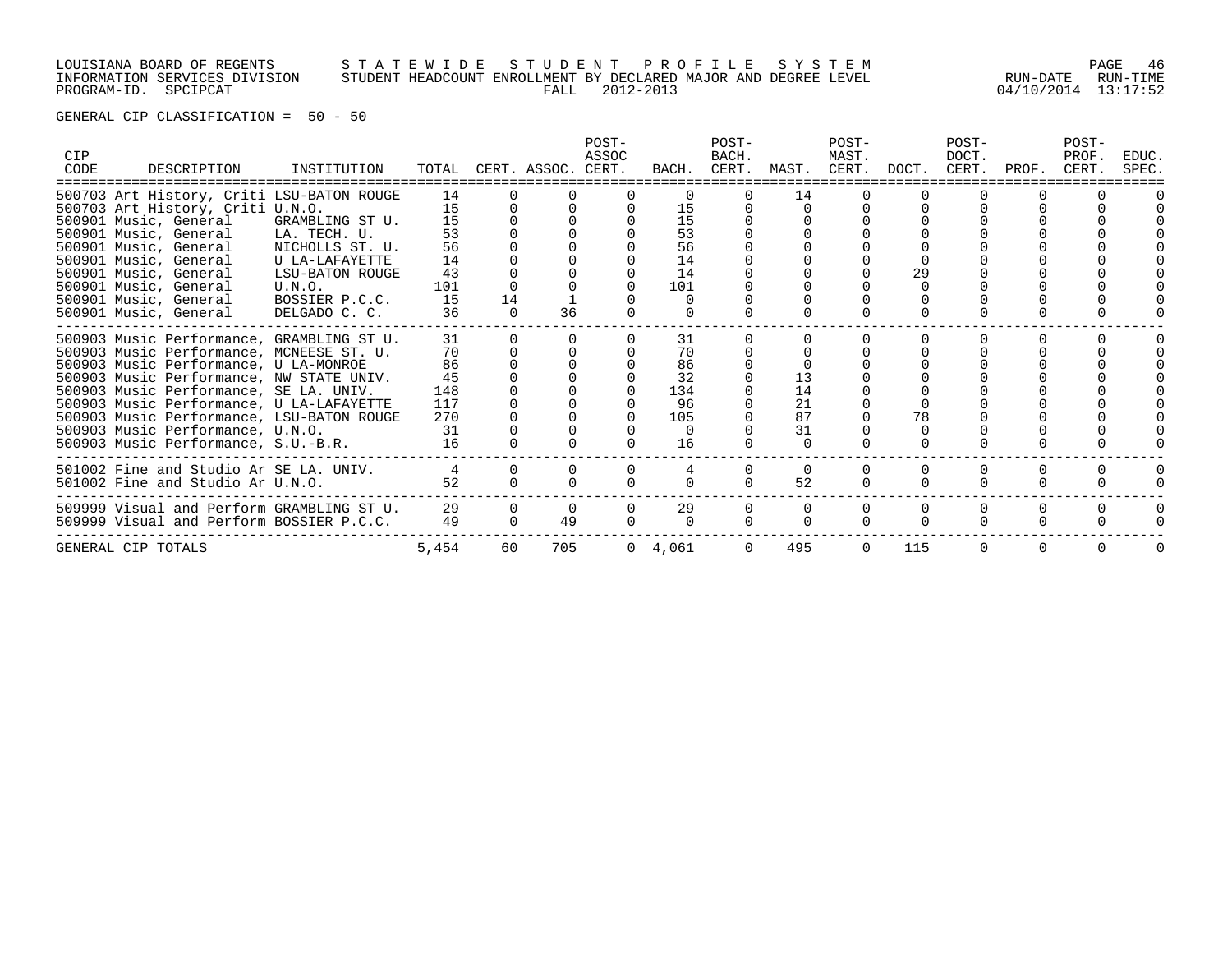# LOUISIANA BOARD OF REGENTS S T A T E W I D E S T U D E N T P R O F I L E S Y S T E M PAGE 46 INFORMATION SERVICES DIVISION STUDENT HEADCOUNT ENROLLMENT BY DECLARED MAJOR AND DEGREE LEVEL RUN-DATE RUN-TIME PROGRAM-ID. SPCIPCAT FALL 2012-2013 04/10/2014 13:17:52

| CIP<br>CODE | DESCRIPTION                               | INSTITUTION     |       |    | TOTAL CERT. ASSOC. CERT. | POST-<br>ASSOC | BACH.           | POST-<br>BACH. | CERT. MAST. | POST-<br>MAST.<br>CERT. | DOCT. | POST-<br>DOCT.<br>CERT. | PROF. | POST-<br>PROF.<br>CERT. | EDUC.<br>SPEC. |
|-------------|-------------------------------------------|-----------------|-------|----|--------------------------|----------------|-----------------|----------------|-------------|-------------------------|-------|-------------------------|-------|-------------------------|----------------|
|             | 500703 Art History, Criti LSU-BATON ROUGE |                 | 14    |    |                          |                |                 |                | 14          |                         |       |                         |       |                         |                |
|             | 500703 Art History, Criti U.N.O.          |                 | 15    |    |                          |                | 15              |                |             |                         |       |                         |       |                         |                |
|             | 500901 Music, General                     | GRAMBLING ST U. | 15    |    |                          |                | 15              |                |             |                         |       |                         |       |                         |                |
|             | 500901 Music, General                     | LA. TECH. U.    | 53    |    |                          |                | 53              |                |             |                         |       |                         |       |                         |                |
|             | 500901 Music, General                     | NICHOLLS ST. U. | 56    |    |                          |                | 56              |                |             |                         |       |                         |       |                         |                |
|             | 500901 Music, General                     | U LA-LAFAYETTE  | 14    |    |                          |                | 14              |                |             |                         |       |                         |       |                         |                |
|             | 500901 Music, General                     | LSU-BATON ROUGE | 43    |    |                          |                | 14              |                |             |                         | 29    |                         |       |                         |                |
|             | 500901 Music, General                     | U.N.O.          | 101   |    |                          |                | 101             |                |             |                         |       |                         |       |                         |                |
|             | 500901 Music, General                     | BOSSIER P.C.C.  | 15    | 14 |                          |                | $\Omega$        |                |             |                         |       |                         |       |                         |                |
|             | 500901 Music, General                     | DELGADO C. C.   | 36    |    | 36                       |                |                 |                |             |                         |       |                         |       |                         |                |
|             | 500903 Music Performance, GRAMBLING ST U. |                 | 31    |    |                          |                | 31              |                |             |                         |       |                         |       |                         |                |
|             | 500903 Music Performance, MCNEESE ST. U.  |                 | 70    |    |                          |                | 70              |                |             |                         |       |                         |       |                         |                |
|             | 500903 Music Performance, U LA-MONROE     |                 | 86    |    |                          |                | 86              |                |             |                         |       |                         |       |                         |                |
|             | 500903 Music Performance, NW STATE UNIV.  |                 | 45    |    |                          |                | 32              |                | 13          |                         |       |                         |       |                         |                |
|             | 500903 Music Performance, SE LA. UNIV.    |                 | 148   |    |                          |                | 134             |                | 14          |                         |       |                         |       |                         |                |
|             | 500903 Music Performance, U LA-LAFAYETTE  |                 | 117   |    |                          |                | 96              |                | 21          |                         |       |                         |       |                         |                |
|             | 500903 Music Performance, LSU-BATON ROUGE |                 | 270   |    |                          |                | 105             |                | 87          |                         | 78    |                         |       |                         |                |
|             | 500903 Music Performance, U.N.O.          |                 | 31    |    |                          |                | $\Omega$        |                | 31          |                         |       |                         |       |                         |                |
|             | 500903 Music Performance, S.U.-B.R.       |                 | 16    |    |                          |                | 16              |                |             |                         |       |                         |       |                         |                |
|             | 501002 Fine and Studio Ar SE LA. UNIV.    |                 | 4     |    |                          |                |                 |                |             |                         |       |                         |       |                         |                |
|             | 501002 Fine and Studio Ar U.N.O.          |                 | 52    |    |                          |                |                 |                | 52          |                         |       |                         |       |                         |                |
|             | 509999 Visual and Perform GRAMBLING ST U. |                 | 29    |    |                          |                | 29              |                |             |                         |       |                         |       |                         |                |
|             | 509999 Visual and Perform BOSSIER P.C.C.  |                 | 49    |    | 49                       |                |                 |                |             |                         |       |                         |       |                         |                |
|             | GENERAL CIP TOTALS                        |                 | 5,454 | 60 | 705                      |                | $0 \quad 4,061$ |                | 495         |                         | 115   | $\Omega$                |       |                         | $\Omega$       |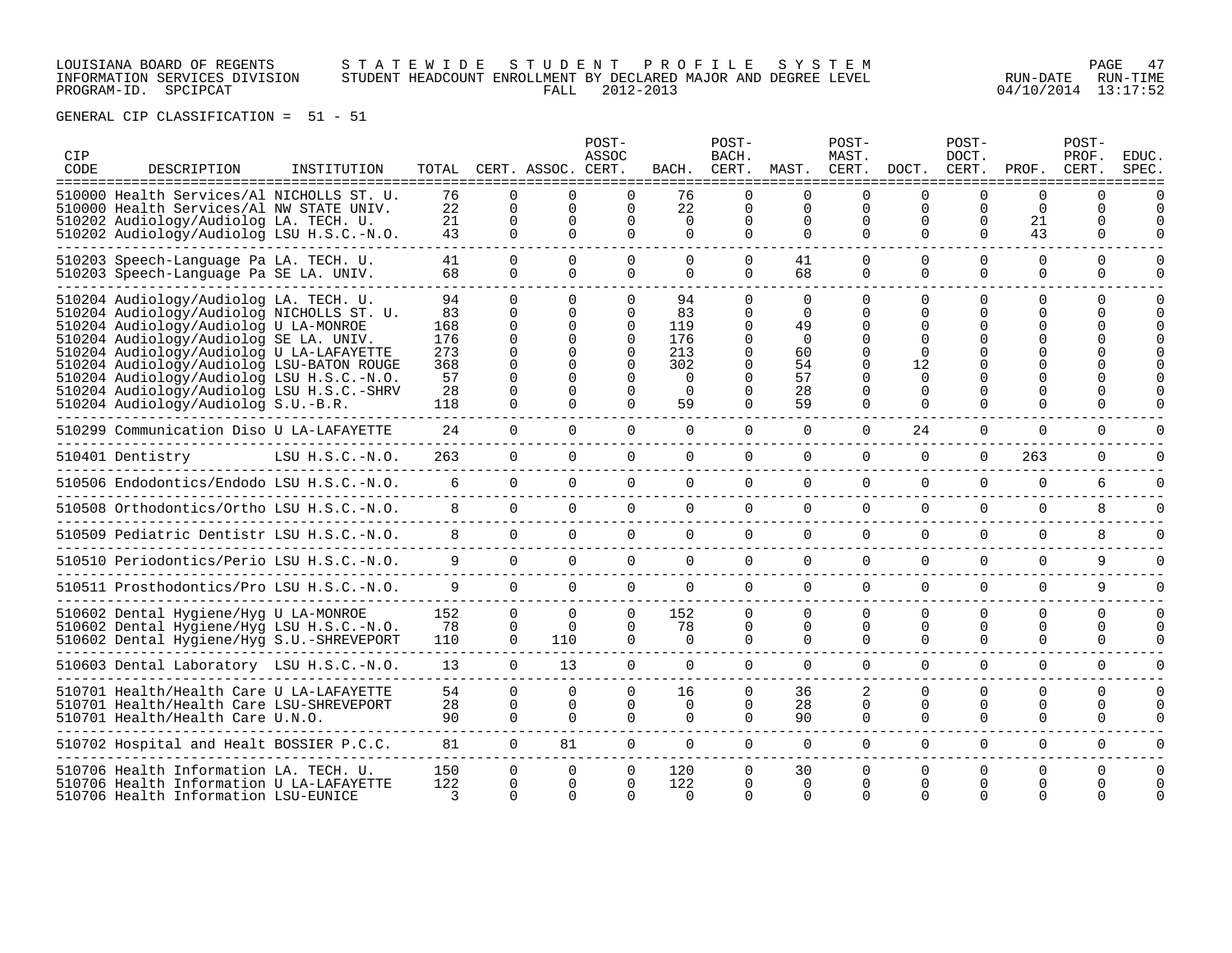### LOUISIANA BOARD OF REGENTS S T A T E W I D E S T U D E N T P R O F I L E S Y S T E M PAGE 47 INFORMATION SERVICES DIVISION STUDENT HEADCOUNT ENROLLMENT BY DECLARED MAJOR AND DEGREE LEVEL RUN-DATE RUN-TIME PROGRAM-ID. SPCIPCAT FALL 2012-2013 04/10/2014 13:17:52

| CIP<br>CODE | DESCRIPTION<br>===============                                                                                                                                                                                                                                                                                                                                                                   | INSTITUTION       |                                                         |                                                                                                        | TOTAL CERT. ASSOC. CERT.             | POST-<br>ASSOC                                                              | BACH.                                                              | POST-<br>BACH.<br>CERT.                                                           | MAST.                                                              | POST-<br>MAST.<br>CERT.              | DOCT.                                                      | POST-<br>DOCT.<br>CERT.          | PROF.                                | POST-<br>PROF.<br>CERT.               | EDUC.<br>SPEC. |
|-------------|--------------------------------------------------------------------------------------------------------------------------------------------------------------------------------------------------------------------------------------------------------------------------------------------------------------------------------------------------------------------------------------------------|-------------------|---------------------------------------------------------|--------------------------------------------------------------------------------------------------------|--------------------------------------|-----------------------------------------------------------------------------|--------------------------------------------------------------------|-----------------------------------------------------------------------------------|--------------------------------------------------------------------|--------------------------------------|------------------------------------------------------------|----------------------------------|--------------------------------------|---------------------------------------|----------------|
|             | 510000 Health Services/Al NICHOLLS ST. U.<br>510000 Health Services/Al NW STATE UNIV.<br>510202 Audiology/Audiolog LA. TECH. U.<br>510202 Audiology/Audiolog LSU H.S.C.-N.O.                                                                                                                                                                                                                     |                   | 76<br>22<br>21<br>43                                    | $\Omega$<br>$\Omega$<br>$\Omega$<br>$\Omega$                                                           | $\Omega$<br><sup>0</sup><br>$\Omega$ | $\Omega$<br>$\Omega$<br>O<br>$\Omega$                                       | 76<br>22<br>$\Omega$<br>$\Omega$                                   | 0<br>$\Omega$<br>0<br>$\Omega$                                                    | $\Omega$<br>$\Omega$<br>0<br>$\Omega$                              | $\Omega$<br><sup>0</sup><br>$\Omega$ | ∩<br>$\Omega$<br>0<br>$\Omega$                             | ∩<br>$\Omega$<br>O<br>$\Omega$   | <sup>0</sup><br>$\Omega$<br>21<br>43 | $\Omega$<br>$\Omega$<br>0<br>$\Omega$ |                |
|             | 510203 Speech-Language Pa LA. TECH. U.<br>510203 Speech-Language Pa SE LA. UNIV.                                                                                                                                                                                                                                                                                                                 |                   | 41<br>68                                                | $\Omega$<br>$\Omega$                                                                                   | $\Omega$<br>$\Omega$                 | $\Omega$<br>$\Omega$                                                        | $\Omega$<br>$\Omega$                                               | $\Omega$<br>$\Omega$                                                              | 41<br>68                                                           | $\Omega$<br>$\Omega$                 | $\Omega$<br>$\Omega$                                       | $\Omega$<br>$\Omega$             | $\Omega$<br>$\Omega$                 | $\Omega$<br>$\Omega$                  |                |
|             | 510204 Audiology/Audiolog LA. TECH. U.<br>510204 Audiology/Audiolog NICHOLLS ST. U.<br>510204 Audiology/Audiolog U LA-MONROE<br>510204 Audiology/Audiolog SE LA. UNIV.<br>510204 Audiology/Audiolog U LA-LAFAYETTE<br>510204 Audiology/Audiolog LSU-BATON ROUGE<br>510204 Audiology/Audiolog LSU H.S.C.-N.O.<br>510204 Audiology/Audiolog LSU H.S.C.-SHRV<br>510204 Audiology/Audiolog S.U.-B.R. |                   | 94<br>83<br>168<br>176<br>273<br>368<br>57<br>28<br>118 | $\cap$<br>$\Omega$<br>$\Omega$<br>$\Omega$<br>$\Omega$<br>$\Omega$<br>$\Omega$<br>$\Omega$<br>$\Omega$ | $\Omega$<br>$\Omega$                 | <sup>n</sup><br>0<br>$\Omega$<br>$\Omega$<br>0<br>0<br>$\Omega$<br>$\Omega$ | 94<br>83<br>119<br>176<br>213<br>302<br>$\Omega$<br>$\Omega$<br>59 | $\cap$<br>0<br>0<br>$\Omega$<br>0<br>$\Omega$<br>$\Omega$<br>$\Omega$<br>$\Omega$ | $\cap$<br>$\Omega$<br>49<br>$\Omega$<br>60<br>54<br>57<br>28<br>59 | $\Omega$<br>U<br>$\Omega$            | ∩<br>∩<br>∩<br>∩<br>12<br>$\Omega$<br>$\Omega$<br>$\Omega$ | $\Omega$<br>U<br>$\Omega$        | $\Omega$<br>0<br>O<br>U<br>$\Omega$  | $\Omega$<br><sup>n</sup><br>$\Omega$  |                |
|             | 510299 Communication Diso U LA-LAFAYETTE                                                                                                                                                                                                                                                                                                                                                         |                   | 24                                                      | $\Omega$                                                                                               | $\Omega$                             | $\Omega$                                                                    | $\Omega$                                                           | $\Omega$                                                                          | $\Omega$                                                           | $\Omega$                             | 24                                                         | $\Omega$                         | $\Omega$                             | $\Omega$                              |                |
|             | 510401 Dentistry                                                                                                                                                                                                                                                                                                                                                                                 | $LSU H.S.C.-N.O.$ | 263                                                     | $\Omega$                                                                                               | $\Omega$                             | $\Omega$                                                                    | $\Omega$                                                           | $\Omega$                                                                          | $\Omega$                                                           | $\Omega$                             | $\Omega$                                                   | $\Omega$                         | 263                                  | 0                                     |                |
|             | 510506 Endodontics/Endodo LSU H.S.C.-N.O.                                                                                                                                                                                                                                                                                                                                                        |                   | 6                                                       | $\mathbf{0}$                                                                                           | 0                                    | $\mathbf 0$                                                                 | 0                                                                  | $\mathbf 0$                                                                       | $\mathbf 0$                                                        | $\mathbf 0$                          | $\Omega$                                                   | $\Omega$                         | $\Omega$                             | 6                                     |                |
|             | 510508 Orthodontics/Ortho LSU H.S.C.-N.O.                                                                                                                                                                                                                                                                                                                                                        |                   | 8                                                       | $\Omega$                                                                                               | 0                                    | $\mathbf 0$                                                                 | 0                                                                  | $\mathbf 0$                                                                       | $\mathbf 0$                                                        | 0                                    | $\mathbf 0$                                                | $\Omega$                         | $\mathbf 0$                          | 8                                     |                |
|             | 510509 Pediatric Dentistr LSU H.S.C.-N.O.                                                                                                                                                                                                                                                                                                                                                        |                   | 8                                                       | $\Omega$                                                                                               | $\Omega$                             | $\Omega$                                                                    | $\Omega$                                                           | $\Omega$                                                                          | $\Omega$                                                           | $\Omega$                             | $\Omega$                                                   | $\Omega$                         | $\Omega$                             | 8                                     |                |
|             | 510510 Periodontics/Perio LSU H.S.C.-N.O.                                                                                                                                                                                                                                                                                                                                                        |                   | 9                                                       | $\Omega$                                                                                               | $\Omega$                             | $\Omega$                                                                    | $\Omega$                                                           | $\Omega$                                                                          | $\Omega$                                                           | $\Omega$                             | $\Omega$                                                   | $\Omega$                         | $\Omega$                             | 9                                     |                |
|             | 510511 Prosthodontics/Pro LSU H.S.C.-N.O.                                                                                                                                                                                                                                                                                                                                                        |                   | 9                                                       | $\Omega$                                                                                               | $\Omega$                             | $\Omega$                                                                    | $\Omega$                                                           | $\Omega$                                                                          | $\Omega$                                                           | $\Omega$                             | $\Omega$                                                   | $\Omega$                         | $\Omega$                             | 9                                     |                |
|             | 510602 Dental Hygiene/Hyg U LA-MONROE<br>510602 Dental Hygiene/Hyg LSU H.S.C.-N.O.<br>510602 Dental Hygiene/Hyg S.U.-SHREVEPORT                                                                                                                                                                                                                                                                  |                   | 152<br>78<br>110                                        | $\Omega$<br>$\Omega$<br>$\Omega$                                                                       | $\Omega$<br>$\Omega$<br>110          | $\Omega$<br>$\Omega$<br>$\Omega$                                            | 152<br>78<br>$\Omega$                                              | $\Omega$<br>$\mathbf{0}$<br>$\Omega$                                              | $\Omega$<br>0<br>$\Omega$                                          | $\Omega$<br>0<br>$\Omega$            | $\Omega$<br>0<br>0                                         | 0<br>0<br>0                      | $\Omega$<br>0<br>$\Omega$            | $\Omega$<br>$\Omega$<br>$\Omega$      | n              |
|             | 510603 Dental Laboratory LSU H.S.C.-N.O.                                                                                                                                                                                                                                                                                                                                                         |                   | 13                                                      | $\Omega$                                                                                               | 13                                   | $\Omega$                                                                    | $\Omega$                                                           | $\Omega$                                                                          | $\Omega$                                                           | $\Omega$                             | $\Omega$                                                   | $\Omega$                         | $\Omega$                             | $\Omega$                              |                |
|             | 510701 Health/Health Care U LA-LAFAYETTE<br>510701 Health/Health Care LSU-SHREVEPORT<br>510701 Health/Health Care U.N.O.                                                                                                                                                                                                                                                                         |                   | 54<br>28<br>90                                          | $\Omega$<br>$\Omega$<br>$\Omega$                                                                       | $\Omega$<br>$\Omega$<br>$\cap$       | $\Omega$<br>0<br>$\cap$                                                     | 16<br>0<br>$\Omega$                                                | $\Omega$<br>$\Omega$<br>$\Omega$                                                  | 36<br>28<br>90                                                     | 2<br>$\Omega$<br>$\Omega$            | $\Omega$<br>0<br>$\Omega$                                  | $\Omega$<br>$\Omega$<br>$\Omega$ | $\Omega$<br>$\Omega$<br>$\Omega$     | $\Omega$<br>$\Omega$<br>$\Omega$      |                |
|             | 510702 Hospital and Healt BOSSIER P.C.C.                                                                                                                                                                                                                                                                                                                                                         |                   | 81                                                      | $\Omega$                                                                                               | 81                                   | $\Omega$                                                                    | $\Omega$                                                           | $\Omega$                                                                          | $\Omega$                                                           | $\Omega$                             | $\Omega$                                                   | $\Omega$                         | $\Omega$                             | $\Omega$                              | U              |
|             | 510706 Health Information LA. TECH. U.<br>510706 Health Information U LA-LAFAYETTE<br>510706 Health Information LSU-EUNICE                                                                                                                                                                                                                                                                       |                   | 150<br>122<br>3                                         | $\Omega$<br>$\Omega$<br>$\Omega$                                                                       | $\Omega$<br>$\Omega$                 | 0<br>0                                                                      | 120<br>122<br>$\cap$                                               | 0<br>0                                                                            | 30<br>$\Omega$<br>$\Omega$                                         | $\Omega$<br>n                        | O<br>∩                                                     | 0<br>U                           | 0<br>0                               | $\Omega$<br><sup>n</sup>              |                |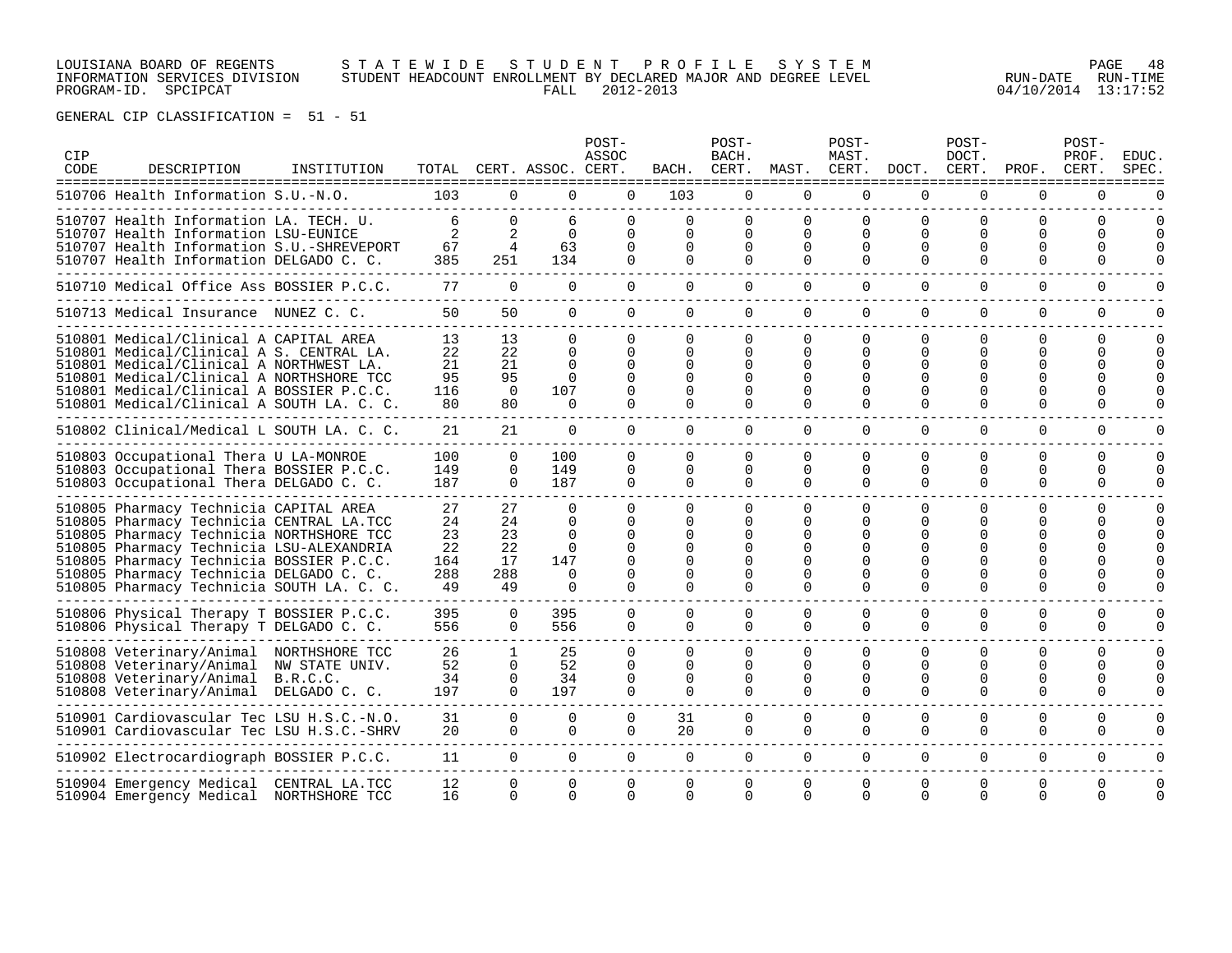### LOUISIANA BOARD OF REGENTS S T A T E W I D E S T U D E N T P R O F I L E S Y S T E M PAGE 48 INFORMATION SERVICES DIVISION STUDENT HEADCOUNT ENROLLMENT BY DECLARED MAJOR AND DEGREE LEVEL RUN-DATE RUN-TIME PROGRAM-ID. SPCIPCAT FALL 2012-2013 04/10/2014 13:17:52

| CIP<br>CODE | DESCRIPTION<br>===============                                                                                                                                                                                                                                                                                 | INSTITUTION |                                          |                                         | TOTAL CERT. ASSOC. CERT.                                                    | POST-<br>ASSOC                                                                   | BACH.                                                  | POST-<br>BACH.                  | CERT. MAST. CERT.                                             | POST-<br>MAST.                                                                   |                                            | POST-<br>DOCT.<br>DOCT. CERT.                          | PROF.                                                                       | POST-<br>PROF.<br>CERT.   | <b>EDUC</b><br>SPEC  |
|-------------|----------------------------------------------------------------------------------------------------------------------------------------------------------------------------------------------------------------------------------------------------------------------------------------------------------------|-------------|------------------------------------------|-----------------------------------------|-----------------------------------------------------------------------------|----------------------------------------------------------------------------------|--------------------------------------------------------|---------------------------------|---------------------------------------------------------------|----------------------------------------------------------------------------------|--------------------------------------------|--------------------------------------------------------|-----------------------------------------------------------------------------|---------------------------|----------------------|
|             | 510706 Health Information S.U.-N.O.                                                                                                                                                                                                                                                                            |             | 103                                      | $\Omega$                                | $\Omega$                                                                    | $\Omega$                                                                         | 103                                                    | 0                               | $\Omega$                                                      | $\Omega$                                                                         | $\Omega$                                   | 0                                                      | $\Omega$                                                                    | 0                         |                      |
|             | 510707 Health Information LA. TECH. U.<br>510707 Health Information LSU-EUNICE<br>510707 Health Information S.U.-SHREVEPORT<br>510707 Health Information DELGADO C. C.                                                                                                                                         |             | 6<br>2<br>67<br>385                      | $\Omega$<br>2<br>$\overline{4}$<br>251  | 6<br>$\Omega$<br>63<br>134                                                  | $\Omega$<br>$\Omega$<br>$\Omega$<br>$\Omega$                                     | 0<br>0<br>0<br>$\Omega$                                | 0<br>0<br>0<br>$\Omega$         | $\Omega$<br>$\Omega$<br>$\Omega$<br>$\Omega$                  | $\Omega$<br>$\Omega$<br>$\Omega$<br>$\Omega$                                     | $\Omega$<br>$\Omega$<br>$\Omega$           | $\Omega$<br>0<br>$\Omega$<br>$\Omega$                  | 0<br>U<br><sup>0</sup><br>$\Omega$                                          | $\Omega$<br>0<br>0        | $\Omega$<br>$\Omega$ |
|             | 510710 Medical Office Ass BOSSIER P.C.C.                                                                                                                                                                                                                                                                       |             | 77                                       | $\Omega$                                | $\Omega$                                                                    | $\Omega$                                                                         | $\Omega$                                               | 0                               | $\Omega$                                                      | $\Omega$                                                                         | $\Omega$                                   | $\Omega$                                               | $\Omega$                                                                    | $\Omega$                  |                      |
|             | 510713 Medical Insurance NUNEZ C. C.                                                                                                                                                                                                                                                                           |             | 50                                       | 50                                      | $\Omega$                                                                    | $\Omega$                                                                         | $\Omega$                                               | 0                               | $\Omega$                                                      | $\Omega$                                                                         | $\Omega$                                   | $\Omega$                                               | $\Omega$                                                                    | $\Omega$                  | O                    |
|             | 510801 Medical/Clinical A CAPITAL AREA<br>510801 Medical/Clinical A S. CENTRAL LA.<br>510801 Medical/Clinical A NORTHWEST LA.<br>510801 Medical/Clinical A NORTHSHORE TCC<br>510801 Medical/Clinical A BOSSIER P.C.C.<br>510801 Medical/Clinical A SOUTH LA. C. C.                                             |             | 13<br>22<br>21<br>95<br>116<br>80        | 13<br>22<br>21<br>95<br>$\Omega$<br>80  | $\Omega$<br>$\Omega$<br>$\Omega$<br>$\Omega$<br>107<br>$\Omega$             | $\Omega$<br>$\Omega$<br>$\Omega$<br>$\Omega$<br>$\Omega$<br>$\Omega$             | $\Omega$<br>0<br>$\Omega$<br>0<br>$\Omega$<br>$\Omega$ | 0<br>0<br>0<br>0<br>0<br>0      | $\Omega$<br>$\Omega$<br>$\Omega$<br>$\Omega$<br>$\Omega$<br>0 | $\Omega$<br>$\Omega$<br>$\Omega$<br>$\Omega$<br>$\Omega$<br>$\Omega$             | $\Omega$<br>$\Omega$<br>∩<br>∩<br>$\Omega$ | $\Omega$<br>O<br>$\Omega$<br>0<br>$\Omega$<br>$\Omega$ | $\Omega$<br>0<br><sup>0</sup><br><sup>0</sup><br><sup>0</sup><br>$\Omega$   | 0<br>0<br>0<br>0<br>0     | $\Omega$<br>$\Omega$ |
|             | 510802 Clinical/Medical L SOUTH LA. C. C.                                                                                                                                                                                                                                                                      |             | 21                                       | 21                                      | $\Omega$                                                                    | $\Omega$                                                                         | $\Omega$                                               | $\Omega$                        | $\Omega$                                                      | $\Omega$                                                                         | $\Omega$                                   | $\Omega$                                               | $\Omega$                                                                    | $\Omega$                  | ∩                    |
|             | 510803 Occupational Thera U LA-MONROE<br>510803 Occupational Thera BOSSIER P.C.C.<br>510803 Occupational Thera DELGADO C. C.                                                                                                                                                                                   |             | 100<br>149<br>187                        | $\Omega$<br>$\Omega$<br>$\Omega$        | 100<br>149<br>187                                                           | $\Omega$<br>$\Omega$<br>$\Omega$                                                 | $\Omega$<br>0<br>0                                     | 0<br>0<br>0                     | $\Omega$<br>$\Omega$<br>$\Omega$                              | $\Omega$<br>$\Omega$<br>$\Omega$                                                 | $\cap$<br>$\Omega$<br>$\Omega$             | $\Omega$<br>$\Omega$<br>0                              | $\Omega$<br>$\Omega$<br>$\Omega$                                            | $\Omega$<br>0<br>$\Omega$ | ∩                    |
|             | 510805 Pharmacy Technicia CAPITAL AREA<br>510805 Pharmacy Technicia CENTRAL LA.TCC<br>510805 Pharmacy Technicia NORTHSHORE TCC<br>510805 Pharmacy Technicia LSU-ALEXANDRIA<br>510805 Pharmacy Technicia BOSSIER P.C.C.<br>510805 Pharmacy Technicia DELGADO C. C.<br>510805 Pharmacy Technicia SOUTH LA. C. C. |             | 27<br>24<br>23<br>22<br>164<br>288<br>49 | 27<br>24<br>23<br>22<br>17<br>288<br>49 | $\Omega$<br>$\Omega$<br>$\Omega$<br>$\Omega$<br>147<br>$\Omega$<br>$\Omega$ | $\Omega$<br>$\Omega$<br>$\Omega$<br>$\Omega$<br>$\Omega$<br>$\Omega$<br>$\Omega$ | 0<br>0<br>$\Omega$<br>$\Omega$<br>$\Omega$<br>0        | 0<br>0<br>0<br>0<br>0<br>U<br>0 | 0<br>$\Omega$<br>$\Omega$<br>∩<br>$\Omega$<br>∩<br>$\Omega$   | $\Omega$<br>$\Omega$<br>$\Omega$<br>$\Omega$<br>$\Omega$<br>$\Omega$<br>$\Omega$ | ∩<br>∩<br>∩                                | <sup>0</sup><br>$\Omega$<br>$\Omega$<br>$\Omega$<br>0  | 0<br>U<br><sup>0</sup><br><sup>0</sup><br><sup>0</sup><br><sup>0</sup><br>U | 0<br>0<br>U<br>U          | $\Omega$             |
|             | 510806 Physical Therapy T BOSSIER P.C.C.<br>510806 Physical Therapy T DELGADO C. C.                                                                                                                                                                                                                            |             | 395<br>556                               | $\mathbf{0}$<br>$\Omega$                | 395<br>556                                                                  | $\Omega$<br>$\Omega$                                                             | 0<br>$\Omega$                                          | 0<br>$\Omega$                   | 0<br>$\Omega$                                                 | 0<br>$\Omega$                                                                    | $\Omega$<br>$\Omega$                       | 0<br>$\Omega$                                          | $\Omega$<br>$\Omega$                                                        | 0<br>$\Omega$             | O<br>U               |
|             | 510808 Veterinary/Animal NORTHSHORE TCC<br>510808 Veterinary/Animal NW STATE UNIV.<br>510808 Veterinary/Animal B.R.C.C.<br>510808 Veterinary/Animal DELGADO C. C.                                                                                                                                              |             | 26<br>52<br>34<br>197                    | 1<br>$\Omega$<br>0<br>$\Omega$          | 25<br>52<br>34<br>197                                                       | $\Omega$<br>$\Omega$<br>$\Omega$<br>$\Omega$                                     | $\Omega$<br>0<br>0<br>0                                | 0<br>0<br>0<br>0                | $\Omega$<br>$\Omega$<br>0<br>$\Omega$                         | $\Omega$<br>$\Omega$<br>0<br>$\Omega$                                            | $\Omega$<br>∩<br>$\Omega$<br>$\Omega$      | $\Omega$<br>$\Omega$<br>$\Omega$<br>$\Omega$           | $\Omega$<br>$\Omega$<br>0<br>$\Omega$                                       | $\Omega$<br>0<br>O<br>0   | $\Omega$<br>$\Omega$ |
|             | 510901 Cardiovascular Tec LSU H.S.C.-N.O.<br>510901 Cardiovascular Tec LSU H.S.C.-SHRV                                                                                                                                                                                                                         |             | 31<br>20                                 | $\Omega$<br>$\Omega$                    | $\Omega$<br>$\Omega$                                                        | $\Omega$<br>$\Omega$                                                             | 31<br>20                                               | 0<br>0                          | $\Omega$<br>$\Omega$                                          | $\Omega$<br>$\Omega$                                                             | $\Omega$<br>$\Omega$                       | 0<br>$\Omega$                                          | $\Omega$<br>$\Omega$                                                        | $\Omega$<br>$\Omega$      | O<br>U               |
|             | 510902 Electrocardiograph BOSSIER P.C.C.                                                                                                                                                                                                                                                                       |             | 11                                       | $\Omega$                                | $\mathbf{0}$                                                                | $\overline{0}$                                                                   | $\mathbf 0$                                            | $\mathbf 0$                     | $\Omega$                                                      | $\Omega$                                                                         | $\Omega$                                   | $\Omega$                                               | $\Omega$                                                                    | $\Omega$                  | $\Omega$             |
|             | 510904 Emergency Medical  CENTRAL LA.TCC<br>510904 Emergency Medical NORTHSHORE TCC                                                                                                                                                                                                                            |             | 12<br>16                                 | $\Omega$<br>$\Omega$                    | $\Omega$<br>$\Omega$                                                        | 0<br>$\Omega$                                                                    | 0<br>$\cap$                                            | 0<br><sup>n</sup>               | $\Omega$<br>$\Omega$                                          | $\Omega$<br>$\Omega$                                                             | $\Omega$<br>$\Omega$                       | $\Omega$<br>$\Omega$                                   | $\Omega$<br>$\Omega$                                                        | 0<br>$\Omega$             | $\Omega$             |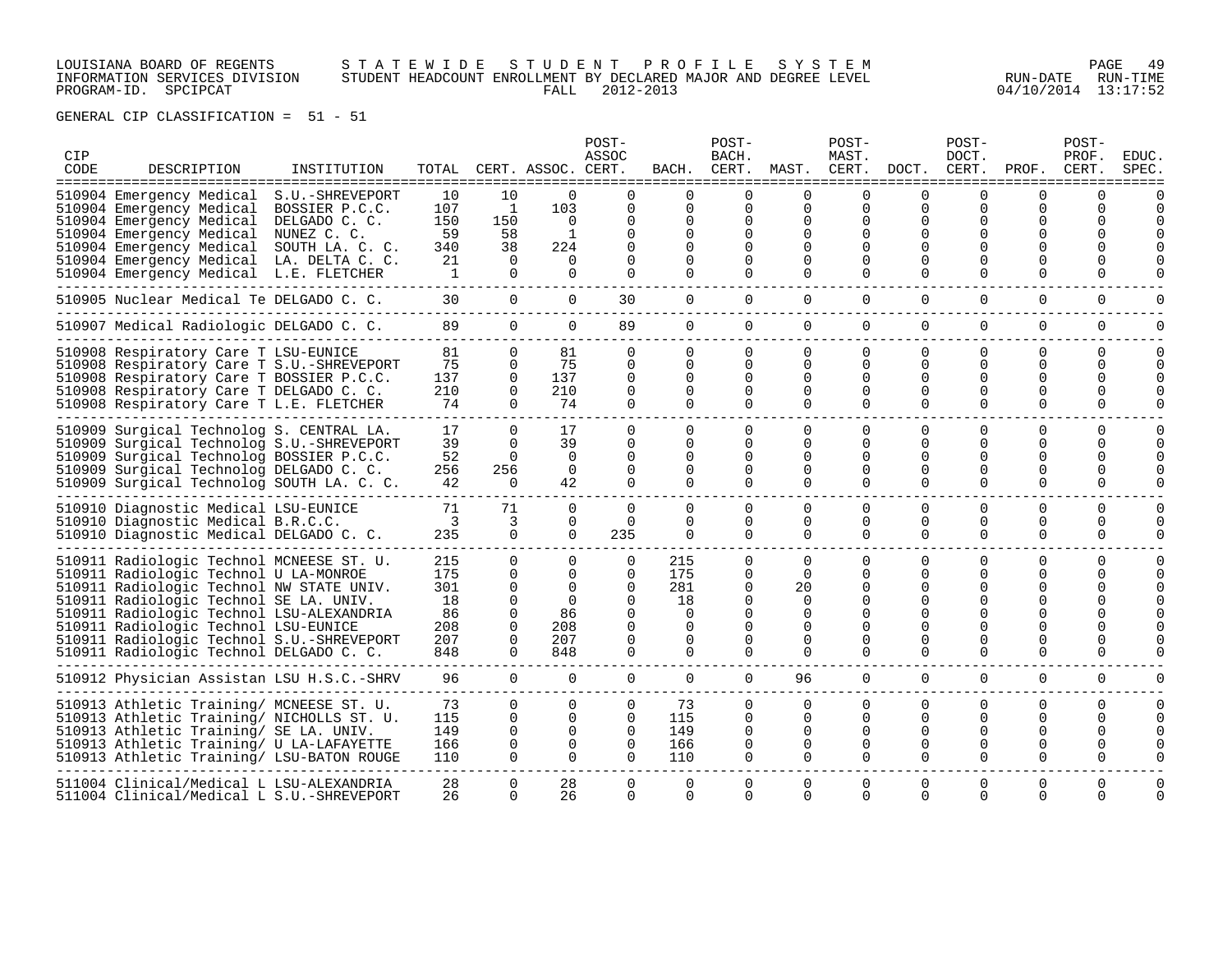LOUISIANA BOARD OF REGENTS S T A T E W I D E S T U D E N T P R O F I L E S Y S T E M PAGE 49 INFORMATION SERVICES DIVISION STUDENT HEADCOUNT ENROLLMENT BY DECLARED MAJOR AND DEGREE LEVEL RUN-DATE RUN-TIME PROGRAM-ID. SPCIPCAT FALL 2012-2013 04/10/2014 13:17:52

| CIP<br>CODE | DESCRIPTION<br>==================                                                                                                                                                                                                                                                                                                                   | INSTITUTION                                        |                                                     |                                                                                             | TOTAL CERT. ASSOC. CERT.                                         | POST-<br>ASSOC                                                                        | BACH.                                                                            | POST-<br>BACH.                                                   |                                                                                 | POST-<br>MAST.                                                                               |                                                   | POST-<br>DOCT.                                                                     | CERT. MAST. CERT. DOCT. CERT. PROF.                                                            | POST-<br>PROF.<br>CERT.      | <b>EDUC</b><br>SPEC      |
|-------------|-----------------------------------------------------------------------------------------------------------------------------------------------------------------------------------------------------------------------------------------------------------------------------------------------------------------------------------------------------|----------------------------------------------------|-----------------------------------------------------|---------------------------------------------------------------------------------------------|------------------------------------------------------------------|---------------------------------------------------------------------------------------|----------------------------------------------------------------------------------|------------------------------------------------------------------|---------------------------------------------------------------------------------|----------------------------------------------------------------------------------------------|---------------------------------------------------|------------------------------------------------------------------------------------|------------------------------------------------------------------------------------------------|------------------------------|--------------------------|
|             | 510904 Emergency Medical<br>510904 Emergency Medical<br>510904 Emergency Medical<br>510904 Emergency Medical NUNEZ C. C.<br>510904 Emergency Medical SOUTH LA. C. C.<br>510904 Emergency Medical LA. DELTA C. C.<br>510904 Emergency Medical L.E. FLETCHER                                                                                          | S.U.-SHREVEPORT<br>BOSSIER P.C.C.<br>DELGADO C. C. | 10<br>107<br>150<br>59<br>340<br>21<br>$\mathbf{1}$ | 10<br>$\mathbf{1}$<br>150<br>58<br>38<br>$\Omega$<br>$\Omega$                               | $\Omega$<br>103<br>$\Omega$<br>1<br>224<br>$\Omega$<br>$\Omega$  | 0<br>0<br>0<br>$\Omega$<br>$\Omega$<br>$\Omega$                                       | $\Omega$<br>$\Omega$<br>$\Omega$<br>$\Omega$<br>$\Omega$<br>$\Omega$<br>$\Omega$ | 0<br>$\Omega$<br>$\Omega$<br>$\Omega$<br>0<br>$\Omega$<br>0      | 0<br>0<br>0<br>0<br>$\Omega$<br>$\Omega$<br>$\Omega$                            | $\Omega$<br>0<br>0<br>0<br>$\Omega$<br>$\Omega$<br>$\Omega$                                  | 0<br>∩<br>$\Omega$                                | O<br>0<br>$\Omega$<br>$\Omega$<br>$\Omega$<br>O<br>0                               | 0<br>0<br><sup>0</sup><br>0<br>U<br><sup>0</sup><br>$\Omega$                                   | O<br>0<br>0                  |                          |
|             | 510905 Nuclear Medical Te DELGADO C. C.                                                                                                                                                                                                                                                                                                             |                                                    | 30                                                  | $\Omega$                                                                                    | $\Omega$                                                         | 30                                                                                    | $\Omega$                                                                         | $\Omega$                                                         | $\Omega$                                                                        | $\Omega$                                                                                     | $\Omega$                                          | 0                                                                                  | $\Omega$                                                                                       | $\Omega$                     | O                        |
|             | 510907 Medical Radiologic DELGADO C. C.                                                                                                                                                                                                                                                                                                             |                                                    | 89                                                  | $\Omega$                                                                                    | $\Omega$                                                         | 89                                                                                    | $\Omega$                                                                         | $\Omega$                                                         | $\Omega$                                                                        | $\Omega$                                                                                     | $\Omega$                                          | $\Omega$                                                                           | $\Omega$                                                                                       | $\Omega$                     | $\Omega$                 |
|             | 510908 Respiratory Care T LSU-EUNICE<br>510908 Respiratory Care T S.U.-SHREVEPORT<br>510908 Respiratory Care T BOSSIER P.C.C.<br>510908 Respiratory Care T DELGADO C. C.<br>510908 Respiratory Care T L.E. FLETCHER                                                                                                                                 |                                                    | 81<br>75<br>137<br>210<br>74                        | $\Omega$<br>$\Omega$<br>0<br>$\mathbf{0}$<br>$\Omega$                                       | 81<br>75<br>137<br>210<br>74                                     | $\Omega$<br>$\Omega$<br>$\Omega$<br>0<br>$\Omega$                                     | $\Omega$<br>$\Omega$<br>$\Omega$<br>$\Omega$<br>$\Omega$                         | $\Omega$<br>$\Omega$<br>0<br>$\Omega$<br>$\Omega$                | $\Omega$<br>$\Omega$<br>$\Omega$<br>$\Omega$<br>$\Omega$                        | $\Omega$<br>$\Omega$<br>$\Omega$<br>$\Omega$<br>$\Omega$                                     | $\Omega$<br>$\Omega$<br>0<br>$\Omega$<br>$\Omega$ | $\Omega$<br>$\Omega$<br>0<br>$\Omega$<br>$\Omega$                                  | $\Omega$<br>$\Omega$<br>0<br>0<br>0                                                            | $\Omega$<br>0<br>0<br>0<br>0 | $\Omega$<br>$\Omega$     |
|             | 510909 Surgical Technolog S. CENTRAL LA.<br>510909 Surgical Technolog S.U.-SHREVEPORT<br>510909 Surgical Technolog BOSSIER P.C.C.<br>510909 Surgical Technolog DELGADO C. C.<br>510909 Surgical Technolog SOUTH LA. C. C.                                                                                                                           |                                                    | 17<br>39<br>52<br>256<br>42                         | $\Omega$<br>$\Omega$<br>$\Omega$<br>256<br>$\Omega$                                         | 17<br>39<br>$\Omega$<br>$\Omega$<br>42                           | $\Omega$<br>$\Omega$<br>$\Omega$<br>0<br>$\Omega$                                     | $\Omega$<br>0<br>$\Omega$<br>$\Omega$<br>$\Omega$                                | 0<br>0<br>0<br>0<br>0                                            | $\Omega$<br>$\Omega$<br>$\Omega$<br>$\Omega$<br>$\Omega$                        | $\Omega$<br>$\Omega$<br>$\Omega$<br>$\Omega$<br>$\Omega$                                     | $\Omega$<br>∩<br>$\Omega$<br>O<br>$\Omega$        | $\Omega$<br>0<br>0<br>$\Omega$<br>$\Omega$                                         | $\Omega$<br>$\Omega$<br>$\Omega$<br><sup>0</sup><br>$\Omega$                                   | $\Omega$<br>0<br>0<br>U<br>0 | $\Omega$<br>$\Omega$     |
|             | 510910 Diagnostic Medical LSU-EUNICE<br>510910 Diagnostic Medical B.R.C.C.<br>510910 Diagnostic Medical DELGADO C. C.                                                                                                                                                                                                                               |                                                    | 71<br>3<br>235                                      | 71<br>3<br>$\Omega$                                                                         | $\Omega$<br>$\Omega$<br>$\Omega$                                 | $\Omega$<br>$\Omega$<br>235                                                           | $\Omega$<br>$\Omega$<br>$\Omega$                                                 | $\Omega$<br>$\Omega$<br>$\Omega$                                 | $\Omega$<br>$\Omega$<br>$\Omega$                                                | $\Omega$<br>$\Omega$<br>$\Omega$                                                             | $\Omega$<br>$\Omega$<br>$\Omega$                  | $\Omega$<br>0<br>$\Omega$                                                          | $\Omega$<br>$\Omega$<br>$\Omega$                                                               | $\Omega$<br>0<br>$\Omega$    | $\Omega$<br>$\Omega$     |
|             | 510911 Radiologic Technol MCNEESE ST. U.<br>510911 Radiologic Technol U LA-MONROE<br>510911 Radiologic Technol NW STATE UNIV.<br>510911 Radiologic Technol SE LA. UNIV.<br>510911 Radiologic Technol LSU-ALEXANDRIA<br>510911 Radiologic Technol LSU-EUNICE<br>510911 Radiologic Technol S.U.-SHREVEPORT<br>510911 Radiologic Technol DELGADO C. C. |                                                    | 215<br>175<br>301<br>18<br>86<br>208<br>207<br>848  | $\Omega$<br>$\Omega$<br>0<br>$\mathbf 0$<br>$\mathbf 0$<br>$\Omega$<br>$\Omega$<br>$\Omega$ | $\Omega$<br>$\Omega$<br>0<br>$\Omega$<br>86<br>208<br>207<br>848 | $\Omega$<br>$\Omega$<br>$\Omega$<br>$\Omega$<br>$\Omega$<br>$\Omega$<br>$\Omega$<br>0 | 215<br>175<br>281<br>18<br>0<br>$\Omega$<br>$\Omega$<br>$\Omega$                 | $\Omega$<br>0<br>0<br>$\Omega$<br>$\Omega$<br>0<br>0<br>$\Omega$ | $\Omega$<br>$\Omega$<br>20<br>$\Omega$<br>0<br>$\Omega$<br>$\Omega$<br>$\Omega$ | $\Omega$<br>$\Omega$<br>$\Omega$<br>$\Omega$<br>$\Omega$<br>$\Omega$<br>$\Omega$<br>$\Omega$ | $\Omega$<br>∩<br>O<br>∩<br>$\Omega$               | $\Omega$<br>O<br>O<br>$\Omega$<br>$\Omega$<br><sup>0</sup><br>$\Omega$<br>$\Omega$ | $\Omega$<br>0<br><sup>0</sup><br><sup>0</sup><br><sup>0</sup><br>U<br><sup>0</sup><br>$\Omega$ | 0<br>0<br>U.<br>U<br>0       | $\Omega$<br><sup>0</sup> |
|             | 510912 Physician Assistan LSU H.S.C.-SHRV                                                                                                                                                                                                                                                                                                           |                                                    | 96                                                  | $\overline{0}$                                                                              | $\Omega$                                                         | $\mathbf{0}$                                                                          | $\Omega$                                                                         | $\overline{0}$                                                   | 96                                                                              | $\overline{0}$                                                                               | $\mathbf{0}$                                      | 0                                                                                  | $\mathbf 0$                                                                                    | 0                            | U                        |
|             | 510913 Athletic Training/ MCNEESE ST. U.<br>510913 Athletic Training/ NICHOLLS ST. U.<br>510913 Athletic Training/ SE LA. UNIV.<br>510913 Athletic Training/ U LA-LAFAYETTE<br>510913 Athletic Training/ LSU-BATON ROUGE                                                                                                                            |                                                    | 73<br>115<br>149<br>166<br>110                      | $\Omega$<br>$\Omega$<br>$\Omega$<br>$\Omega$<br>$\Omega$                                    | $\mathbf 0$<br>$\Omega$<br>0<br>$\Omega$<br>$\Omega$             | 0<br>$\Omega$<br>$\Omega$<br>$\Omega$<br>$\Omega$                                     | 73<br>115<br>149<br>166<br>110                                                   | $\Omega$<br>$\Omega$<br>$\Omega$<br>$\Omega$<br>0                | $\Omega$<br>$\Omega$<br>$\Omega$<br>$\Omega$<br>$\Omega$                        | 0<br>$\Omega$<br>0<br>$\Omega$<br>$\Omega$                                                   | $\Omega$<br>O<br>O<br>$\Omega$<br>$\Omega$        | $\Omega$<br>$\Omega$<br>$\Omega$<br>$\Omega$<br>$\Omega$                           | 0<br>$\Omega$<br>0<br>0<br>$\Omega$                                                            | 0<br>0<br>0<br>U<br>0        | $\Omega$<br>$\Omega$     |
|             | 511004 Clinical/Medical L LSU-ALEXANDRIA<br>511004 Clinical/Medical L S.U.-SHREVEPORT                                                                                                                                                                                                                                                               |                                                    | 28<br>26                                            | $\Omega$<br>U                                                                               | 28<br>26                                                         | $\Omega$                                                                              | $\Omega$<br>$\Omega$                                                             | $\Omega$<br>$\Omega$                                             | $\Omega$<br>$\Omega$                                                            | $\Omega$<br>$\cap$                                                                           | $\Omega$<br>$\Omega$                              | $\Omega$<br>$\Omega$                                                               | $\Omega$<br>$\Omega$                                                                           | O<br>U                       | O                        |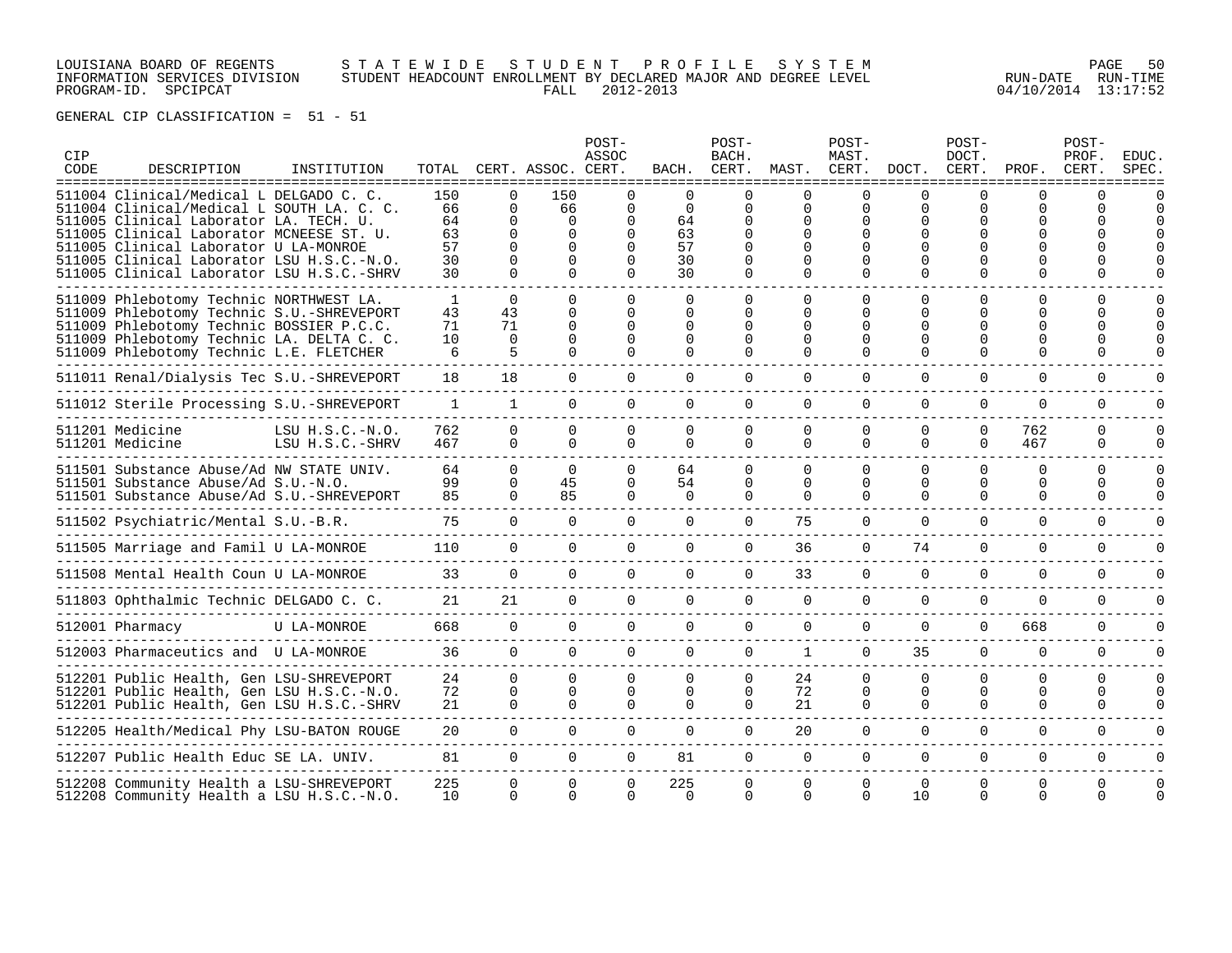LOUISIANA BOARD OF REGENTS S T A T E W I D E S T U D E N T P R O F I L E S Y S T E M PAGE 50 INFORMATION SERVICES DIVISION STUDENT HEADCOUNT ENROLLMENT BY DECLARED MAJOR AND DEGREE LEVEL RUN-DATE RUN-TIME PROGRAM-ID. SPCIPCAT FALL 2012-2013 04/10/2014 13:17:52

| CIP<br>CODE | DESCRIPTION<br>===============                                                                                                                                                                                                                                                                                | INSTITUTION                          |                                         |                                                                                | TOTAL CERT. ASSOC. CERT.                                | POST-<br>ASSOC                             | BACH.                                              | POST-<br>BACH.<br>CERT.                                         | MAST.                                                              | POST-<br>MAST.<br>CERT.          | DOCT.                            | POST-<br>DOCT.<br>CERT. | PROF.                                                    | POST-<br>PROF.<br>CERT.          | <b>EDUC</b><br>SPEC. |
|-------------|---------------------------------------------------------------------------------------------------------------------------------------------------------------------------------------------------------------------------------------------------------------------------------------------------------------|--------------------------------------|-----------------------------------------|--------------------------------------------------------------------------------|---------------------------------------------------------|--------------------------------------------|----------------------------------------------------|-----------------------------------------------------------------|--------------------------------------------------------------------|----------------------------------|----------------------------------|-------------------------|----------------------------------------------------------|----------------------------------|----------------------|
|             | 511004 Clinical/Medical L DELGADO C. C.<br>511004 Clinical/Medical L SOUTH LA. C. C.<br>511005 Clinical Laborator LA. TECH. U.<br>511005 Clinical Laborator MCNEESE ST. U.<br>511005 Clinical Laborator U LA-MONROE<br>511005 Clinical Laborator LSU H.S.C.-N.O.<br>511005 Clinical Laborator LSU H.S.C.-SHRV |                                      | 150<br>66<br>64<br>63<br>57<br>30<br>30 | $\Omega$<br>$\Omega$<br>$\Omega$<br>$\Omega$<br>$\Omega$<br>$\Omega$<br>$\cap$ | 150<br>66<br>$\Omega$<br>$\Omega$<br>$\Omega$<br>$\cap$ | $\Omega$<br>$\Omega$<br>∩<br>∩<br>$\Omega$ | $\Omega$<br>$\Omega$<br>64<br>63<br>57<br>30<br>30 | U<br>$\Omega$<br>0<br><sup>0</sup><br>0<br>$\Omega$<br>$\Omega$ | $\Omega$<br>0<br>$\Omega$<br>$\Omega$<br>∩<br>$\Omega$<br>$\Omega$ | $\Omega$                         | ∩<br>$\Omega$<br>∩<br>$\Omega$   | U<br>U                  | ∩<br><sup>0</sup><br>∩<br>U                              | ∩                                |                      |
|             | 511009 Phlebotomy Technic NORTHWEST LA.<br>511009 Phlebotomy Technic S.U.-SHREVEPORT<br>511009 Phlebotomy Technic BOSSIER P.C.C.<br>511009 Phlebotomy Technic LA. DELTA C. C.<br>511009 Phlebotomy Technic L.E. FLETCHER                                                                                      |                                      | $\mathbf{1}$<br>43<br>71<br>10<br>6     | $\Omega$<br>43<br>71<br>$\Omega$<br>5                                          | $\Omega$<br>$\Omega$<br><sup>0</sup>                    | 0<br>0<br>0<br>$\Omega$<br>∩               | <sup>0</sup><br>0<br>0<br>$\Omega$<br>$\Omega$     | $\Omega$<br>0<br>0<br>$\Omega$                                  | $\Omega$<br>$\Omega$<br>$\Omega$<br>$\Omega$<br>$\Omega$           | $\Omega$<br>U                    | O<br>∩<br>∩<br>∩                 | 0<br>U<br>0             | <sup>0</sup><br><sup>0</sup><br><sup>0</sup><br>$\Omega$ | $\Omega$<br>0<br>$\Omega$        |                      |
|             | 511011 Renal/Dialysis Tec S.U.-SHREVEPORT                                                                                                                                                                                                                                                                     |                                      | 18                                      | 18                                                                             | $\Omega$                                                | $\Omega$                                   | $\Omega$                                           | $\Omega$                                                        | $\Omega$                                                           | $\Omega$                         | $\Omega$                         | $\Omega$                | $\Omega$                                                 | $\Omega$                         |                      |
|             | 511012 Sterile Processing S.U.-SHREVEPORT                                                                                                                                                                                                                                                                     |                                      | $\mathbf{1}$                            | $\mathbf{1}$                                                                   | $\Omega$                                                | $\Omega$                                   | $\Omega$                                           | $\Omega$                                                        | $\Omega$                                                           | $\Omega$                         | $\Omega$                         | $\Omega$                | $\Omega$                                                 | $\mathbf 0$                      |                      |
|             | 511201 Medicine<br>511201 Medicine                                                                                                                                                                                                                                                                            | LSU $H.S.C.-N.O.$<br>LSU H.S.C.-SHRV | 762<br>467                              | $\Omega$<br>$\Omega$                                                           | $\Omega$<br>$\Omega$                                    | $\Omega$<br>$\Omega$                       | $\Omega$<br>0                                      | $\Omega$<br>$\Omega$                                            | $\Omega$<br>$\Omega$                                               | $\Omega$<br>$\Omega$             | $\Omega$<br>$\Omega$             | $\Omega$<br>$\Omega$    | 762<br>467                                               | $\Omega$<br>$\Omega$             | U                    |
|             | 511501 Substance Abuse/Ad NW STATE UNIV.<br>511501 Substance Abuse/Ad S.U.-N.O.<br>511501 Substance Abuse/Ad S.U.-SHREVEPORT                                                                                                                                                                                  |                                      | 64<br>99<br>85                          | $\Omega$<br>$\Omega$<br>$\Omega$                                               | $\Omega$<br>45<br>85                                    | $\Omega$<br>0<br>$\Omega$                  | 64<br>54<br>$\Omega$                               | $\Omega$<br>$\Omega$<br>$\Omega$                                | $\Omega$<br>$\Omega$<br>$\Omega$                                   | $\Omega$<br>$\Omega$<br>$\Omega$ | $\Omega$<br>$\Omega$<br>$\Omega$ | $\Omega$<br>0<br>0      | $\Omega$<br>$\Omega$<br>$\Omega$                         | $\Omega$<br>$\Omega$<br>$\Omega$ |                      |
|             | 511502 Psychiatric/Mental S.U.-B.R.                                                                                                                                                                                                                                                                           |                                      | 75                                      | $\Omega$                                                                       | $\Omega$                                                | $\Omega$                                   | $\Omega$                                           | $\Omega$                                                        | 75                                                                 | $\Omega$                         | $\Omega$                         | $\Omega$                | $\Omega$                                                 | $\Omega$                         |                      |
|             | 511505 Marriage and Famil U LA-MONROE                                                                                                                                                                                                                                                                         |                                      | 110                                     | $\Omega$                                                                       | $\Omega$                                                | $\Omega$                                   | $\Omega$                                           | $\Omega$                                                        | 36                                                                 | $\Omega$                         | 74                               | $\Omega$                | $\Omega$                                                 | $\Omega$                         |                      |
|             | 511508 Mental Health Coun U LA-MONROE                                                                                                                                                                                                                                                                         |                                      | 33                                      | $\Omega$                                                                       | $\Omega$                                                | $\Omega$                                   | $\Omega$                                           | $\Omega$                                                        | 33                                                                 | $\Omega$                         | $\Omega$                         | $\Omega$                | $\Omega$                                                 | $\Omega$                         |                      |
|             | 511803 Ophthalmic Technic DELGADO C. C.                                                                                                                                                                                                                                                                       |                                      | 21                                      | 21                                                                             | $\Omega$                                                | $\mathbf 0$                                | 0                                                  | $\Omega$                                                        | $\mathbf 0$                                                        | $\Omega$                         | $\mathbf 0$                      | 0                       | $\mathbf 0$                                              | $\mathbf 0$                      |                      |
|             | 512001 Pharmacy                                                                                                                                                                                                                                                                                               | U LA-MONROE                          | 668                                     | $\Omega$                                                                       | $\Omega$                                                | $\Omega$                                   | $\Omega$                                           | $\Omega$                                                        | $\mathbf 0$                                                        | $\Omega$                         | $\Omega$                         | $\Omega$                | 668                                                      | 0                                |                      |
|             | 512003 Pharmaceutics and U LA-MONROE                                                                                                                                                                                                                                                                          |                                      | 36                                      | $\Omega$                                                                       | $\Omega$                                                | $\Omega$                                   | $\Omega$                                           | $\Omega$                                                        | $\mathbf{1}$                                                       | $\Omega$                         | 35                               | $\Omega$                | $\Omega$                                                 | $\Omega$                         |                      |
|             | 512201 Public Health, Gen LSU-SHREVEPORT<br>512201 Public Health, Gen LSU H.S.C.-N.O.<br>512201 Public Health, Gen LSU H.S.C.-SHRV                                                                                                                                                                            |                                      | 24<br>72<br>21                          | $\Omega$<br>$\overline{0}$<br>$\Omega$                                         | $\Omega$<br>$\Omega$<br>$\Omega$                        | $\Omega$<br>$\Omega$<br>$\Omega$           | 0<br>$\Omega$<br>$\Omega$                          | $\Omega$<br>$\Omega$<br>$\Omega$                                | 24<br>72<br>21                                                     | $\Omega$<br>$\Omega$<br>$\Omega$ | $\Omega$<br>0<br>$\Omega$        | $\Omega$<br>0<br>0      | $\Omega$<br>0<br>$\Omega$                                | $\Omega$<br>0<br>$\Omega$        | $\Omega$             |
|             | 512205 Health/Medical Phy LSU-BATON ROUGE                                                                                                                                                                                                                                                                     |                                      | 20                                      | $\Omega$                                                                       | $\Omega$                                                | $\Omega$                                   | $\Omega$                                           | $\Omega$                                                        | 20                                                                 | $\Omega$                         | $\Omega$                         | $\Omega$                | $\Omega$                                                 | $\Omega$                         |                      |
|             | 512207 Public Health Educ SE LA. UNIV.                                                                                                                                                                                                                                                                        |                                      | 81                                      | $\Omega$                                                                       | $\Omega$                                                | $\Omega$                                   | 81                                                 | $\Omega$                                                        | $\Omega$                                                           | $\Omega$                         | $\Omega$                         | 0                       | $\Omega$                                                 | $\Omega$                         |                      |
|             | 512208 Community Health a LSU-SHREVEPORT<br>512208 Community Health a LSU H.S.C.-N.O.                                                                                                                                                                                                                         |                                      | 225<br>10                               | $\Omega$<br>$\Omega$                                                           | $\Omega$                                                | 0<br>0                                     | 225<br>0                                           | $\Omega$<br>$\Omega$                                            | $\Omega$<br>$\Omega$                                               | $\Omega$<br>$\Omega$             | $\Omega$<br>10                   | $\Omega$<br>$\Omega$    | $\Omega$<br>0                                            | $\Omega$<br>$\Omega$             |                      |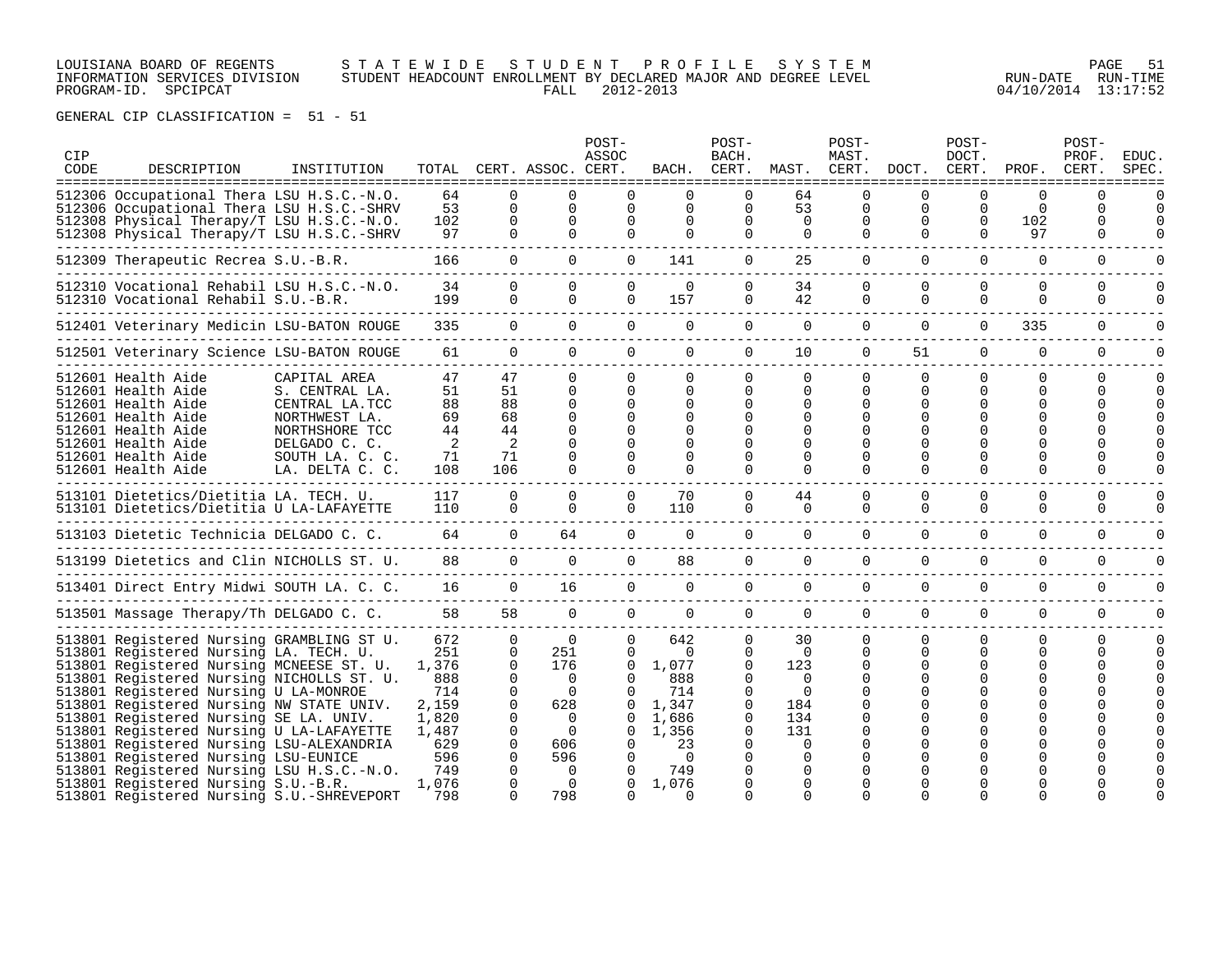### LOUISIANA BOARD OF REGENTS S T A T E W I D E S T U D E N T P R O F I L E S Y S T E M PAGE 51 INFORMATION SERVICES DIVISION STUDENT HEADCOUNT ENROLLMENT BY DECLARED MAJOR AND DEGREE LEVEL RUN-DATE RUN-TIME PROGRAM-ID. SPCIPCAT FALL 2012-2013 04/10/2014 13:17:52

| ===================================<br>512306 Occupational Thera LSU H.S.C.-N.O.<br>512306 Occupational Thera LSU H.S.C.-SHRV<br>512308 Physical Therapy/T LSU H.S.C.-N.O.<br>512308 Physical Therapy/T LSU H.S.C.-SHRV<br>512309 Therapeutic Recrea S.U.-B.R.<br>512310 Vocational Rehabil LSU H.S.C.-N.O.<br>512310 Vocational Rehabil S.U.-B.R. |                                                                                                        | 64<br>53<br>102<br>97<br>166                                                                                                                                                                                                                                                                                                                                                                                                                                                                                                                                                                                                                                                                                                                                                                                                                                                                                                        | $\Omega$<br>$\Omega$<br>$\Omega$<br>$\Omega$<br>$\Omega$ | ============================<br>$\Omega$<br>$\Omega$<br>$\Omega$ | $\Omega$<br>$\Omega$<br>$\Omega$                                                                                                                                                                                                                                                                             | =============<br>$\Omega$<br>$\Omega$<br>$\Omega$                                                                                                                               | 0<br>$\Omega$                                                                                                                                                 | 64<br>53                                                                                                    | $\Omega$<br>$\Omega$                                                                                            |                                            | O                                          | $\Omega$                                                                                  | 0                              |                      |
|----------------------------------------------------------------------------------------------------------------------------------------------------------------------------------------------------------------------------------------------------------------------------------------------------------------------------------------------------|--------------------------------------------------------------------------------------------------------|-------------------------------------------------------------------------------------------------------------------------------------------------------------------------------------------------------------------------------------------------------------------------------------------------------------------------------------------------------------------------------------------------------------------------------------------------------------------------------------------------------------------------------------------------------------------------------------------------------------------------------------------------------------------------------------------------------------------------------------------------------------------------------------------------------------------------------------------------------------------------------------------------------------------------------------|----------------------------------------------------------|------------------------------------------------------------------|--------------------------------------------------------------------------------------------------------------------------------------------------------------------------------------------------------------------------------------------------------------------------------------------------------------|---------------------------------------------------------------------------------------------------------------------------------------------------------------------------------|---------------------------------------------------------------------------------------------------------------------------------------------------------------|-------------------------------------------------------------------------------------------------------------|-----------------------------------------------------------------------------------------------------------------|--------------------------------------------|--------------------------------------------|-------------------------------------------------------------------------------------------|--------------------------------|----------------------|
|                                                                                                                                                                                                                                                                                                                                                    |                                                                                                        |                                                                                                                                                                                                                                                                                                                                                                                                                                                                                                                                                                                                                                                                                                                                                                                                                                                                                                                                     |                                                          |                                                                  |                                                                                                                                                                                                                                                                                                              | $\Omega$                                                                                                                                                                        | 0<br>$\Omega$                                                                                                                                                 | $\Omega$<br>$\Omega$                                                                                        | $\Omega$<br>$\Omega$                                                                                            | $\Omega$<br>$\Omega$<br>$\Omega$           | $\Omega$<br>$\Omega$<br>$\Omega$           | $\Omega$<br>102<br>97                                                                     | 0<br>0<br>$\Omega$             | $\Omega$<br>$\Omega$ |
|                                                                                                                                                                                                                                                                                                                                                    |                                                                                                        |                                                                                                                                                                                                                                                                                                                                                                                                                                                                                                                                                                                                                                                                                                                                                                                                                                                                                                                                     |                                                          | $\Omega$                                                         | $\Omega$                                                                                                                                                                                                                                                                                                     | 141                                                                                                                                                                             | $\Omega$                                                                                                                                                      | 25                                                                                                          | $\Omega$                                                                                                        | $\Omega$                                   | $\Omega$                                   | $\Omega$                                                                                  | $\Omega$                       | $\Omega$             |
|                                                                                                                                                                                                                                                                                                                                                    |                                                                                                        | 34<br>199                                                                                                                                                                                                                                                                                                                                                                                                                                                                                                                                                                                                                                                                                                                                                                                                                                                                                                                           | $\Omega$<br>$\Omega$                                     | $\Omega$<br>$\Omega$                                             | $\Omega$<br>$\Omega$                                                                                                                                                                                                                                                                                         | $\Omega$<br>157                                                                                                                                                                 | 0<br>$\Omega$                                                                                                                                                 | 34<br>42                                                                                                    | $\Omega$<br>$\Omega$                                                                                            | $\Omega$<br>$\Omega$                       | $\Omega$<br>$\Omega$                       | $\Omega$<br>$\Omega$                                                                      | $\Omega$<br>$\Omega$           | O<br>0               |
|                                                                                                                                                                                                                                                                                                                                                    |                                                                                                        | 335                                                                                                                                                                                                                                                                                                                                                                                                                                                                                                                                                                                                                                                                                                                                                                                                                                                                                                                                 |                                                          |                                                                  |                                                                                                                                                                                                                                                                                                              | $\Omega$                                                                                                                                                                        | $\Omega$                                                                                                                                                      | $\Omega$                                                                                                    | $\Omega$                                                                                                        | $\Omega$                                   | $\Omega$                                   | 335                                                                                       | $\Omega$                       | $\Omega$             |
|                                                                                                                                                                                                                                                                                                                                                    |                                                                                                        | 61                                                                                                                                                                                                                                                                                                                                                                                                                                                                                                                                                                                                                                                                                                                                                                                                                                                                                                                                  |                                                          |                                                                  |                                                                                                                                                                                                                                                                                                              | $\Omega$                                                                                                                                                                        | $\Omega$                                                                                                                                                      | 10                                                                                                          | $\Omega$                                                                                                        | 51                                         | $\Omega$                                   | $\mathbf 0$                                                                               | 0                              | $\Omega$             |
| 512601 Health Aide<br>512601 Health Aide<br>512601 Health Aide<br>512601 Health Aide<br>512601 Health Aide<br>512601 Health Aide<br>512601 Health Aide<br>512601 Health Aide                                                                                                                                                                       | CAPITAL AREA<br>S. CENTRAL LA.<br>CENTRAL LA.TCC<br>NORTHWEST LA.<br>NORTHSHORE TCC<br>SOUTH LA. C. C. | 47<br>51<br>88<br>69<br>44<br>2<br>71<br>108                                                                                                                                                                                                                                                                                                                                                                                                                                                                                                                                                                                                                                                                                                                                                                                                                                                                                        |                                                          |                                                                  | $\Omega$<br>$\Omega$<br>$\Omega$<br>$\Omega$<br>$\Omega$<br>$\Omega$                                                                                                                                                                                                                                         | 0<br>0<br>$\Omega$<br><sup>0</sup><br>$\Omega$<br>0<br>$\Omega$<br>$\Omega$                                                                                                     | 0<br>0<br>0<br>$\Omega$<br>0                                                                                                                                  | $\Omega$<br>$\Omega$<br>$\Omega$<br>$\Omega$<br>$\Omega$<br>0<br>$\Omega$<br>$\Omega$                       | $\mathbf{0}$<br>$\Omega$<br>0<br>$\Omega$<br>$\Omega$<br>$\Omega$<br>$\Omega$                                   | $\Omega$<br>O<br>O<br>$\Omega$<br>$\Omega$ | $\Omega$<br>0<br>0<br>$\Omega$<br>$\Omega$ | $\Omega$<br>0<br><sup>0</sup><br><sup>0</sup><br><sup>0</sup><br><sup>0</sup><br>$\Omega$ | $\Omega$<br>0<br>0<br>$\Omega$ | O                    |
|                                                                                                                                                                                                                                                                                                                                                    |                                                                                                        | 117<br>110                                                                                                                                                                                                                                                                                                                                                                                                                                                                                                                                                                                                                                                                                                                                                                                                                                                                                                                          |                                                          |                                                                  | $\Omega$<br>$\Omega$                                                                                                                                                                                                                                                                                         | 70<br>110                                                                                                                                                                       | 0<br>0                                                                                                                                                        | 44<br>$\mathbf 0$                                                                                           | $\Omega$<br>$\Omega$                                                                                            | $\Omega$<br>$\Omega$                       | $\Omega$<br>$\Omega$                       | $\Omega$<br>$\Omega$                                                                      | $\Omega$<br>$\Omega$           | O<br>0               |
|                                                                                                                                                                                                                                                                                                                                                    |                                                                                                        | 64                                                                                                                                                                                                                                                                                                                                                                                                                                                                                                                                                                                                                                                                                                                                                                                                                                                                                                                                  |                                                          |                                                                  |                                                                                                                                                                                                                                                                                                              | $\mathbf 0$                                                                                                                                                                     | $\mathbf 0$                                                                                                                                                   | $\overline{0}$                                                                                              | $\mathbf 0$                                                                                                     | $\Omega$                                   | $\Omega$                                   | $\mathbf 0$                                                                               | 0                              |                      |
|                                                                                                                                                                                                                                                                                                                                                    |                                                                                                        | 88                                                                                                                                                                                                                                                                                                                                                                                                                                                                                                                                                                                                                                                                                                                                                                                                                                                                                                                                  |                                                          |                                                                  |                                                                                                                                                                                                                                                                                                              | 88                                                                                                                                                                              | 0                                                                                                                                                             | $\mathbf{0}$                                                                                                | $\overline{0}$                                                                                                  | $\Omega$                                   | $\Omega$                                   | $\Omega$                                                                                  | $\Omega$                       | 0                    |
|                                                                                                                                                                                                                                                                                                                                                    |                                                                                                        | 16                                                                                                                                                                                                                                                                                                                                                                                                                                                                                                                                                                                                                                                                                                                                                                                                                                                                                                                                  |                                                          |                                                                  |                                                                                                                                                                                                                                                                                                              | $\Omega$                                                                                                                                                                        | $\Omega$                                                                                                                                                      | $\Omega$                                                                                                    | $\Omega$                                                                                                        | $\Omega$                                   | $\Omega$                                   | $\Omega$                                                                                  | $\Omega$                       |                      |
|                                                                                                                                                                                                                                                                                                                                                    |                                                                                                        | 58                                                                                                                                                                                                                                                                                                                                                                                                                                                                                                                                                                                                                                                                                                                                                                                                                                                                                                                                  |                                                          |                                                                  |                                                                                                                                                                                                                                                                                                              | $\Omega$                                                                                                                                                                        | $\Omega$                                                                                                                                                      | $\Omega$                                                                                                    | $\Omega$                                                                                                        | $\Omega$                                   | $\Omega$                                   | $\Omega$                                                                                  | $\Omega$                       | $\Omega$             |
|                                                                                                                                                                                                                                                                                                                                                    |                                                                                                        | 672<br>251<br>1,376<br>888<br>714<br>2,159<br>1,820<br>1,487<br>629<br>596<br>749<br>1,076                                                                                                                                                                                                                                                                                                                                                                                                                                                                                                                                                                                                                                                                                                                                                                                                                                          |                                                          | $\Omega$<br>$\Omega$                                             | $\Omega$<br>$\Omega$<br>$\Omega$<br>$\Omega$<br>$\Omega$<br>0<br>0<br>0                                                                                                                                                                                                                                      | 642<br>0<br>1,077<br>888<br>714<br>1,347<br>1,686<br>1,356<br>23<br>$\Omega$<br>749<br>1,076                                                                                    | $\Omega$<br>0<br>$\Omega$<br>$\Omega$<br>$\Omega$<br>0<br>0<br>$\Omega$                                                                                       | 30<br>$\Omega$<br>123<br>$\Omega$<br>$\Omega$<br>184<br>134<br>131<br>$\Omega$<br>$\Omega$<br>0<br>$\Omega$ | $\Omega$<br>$\Omega$<br>$\Omega$<br>$\Omega$<br>$\Omega$<br>$\Omega$<br>0<br>0<br>$\Omega$<br>0<br><sup>0</sup> | $\Omega$<br>$\Omega$                       | $\Omega$<br>0<br>$\Omega$                  | $\Omega$<br>$\Omega$<br>U<br><sup>0</sup>                                                 | $\Omega$<br>0                  | <sup>n</sup>         |
|                                                                                                                                                                                                                                                                                                                                                    |                                                                                                        | 512401 Veterinary Medicin LSU-BATON ROUGE<br>512501 Veterinary Science LSU-BATON ROUGE<br>DELGADO C. C.<br>LA. DELTA C. C.<br>513101 Dietetics/Dietitia LA. TECH. U.<br>513101 Dietetics/Dietitia U LA-LAFAYETTE<br>513103 Dietetic Technicia DELGADO C. C.<br>513199 Dietetics and Clin NICHOLLS ST. U.<br>513401 Direct Entry Midwi SOUTH LA. C. C.<br>513501 Massage Therapy/Th DELGADO C. C.<br>513801 Registered Nursing GRAMBLING ST U.<br>513801 Registered Nursing LA. TECH. U.<br>513801 Registered Nursing MCNEESE ST. U.<br>513801 Registered Nursing NICHOLLS ST. U.<br>513801 Registered Nursing U LA-MONROE<br>513801 Registered Nursing NW STATE UNIV.<br>513801 Registered Nursing SE LA. UNIV.<br>513801 Registered Nursing U LA-LAFAYETTE<br>513801 Registered Nursing LSU-ALEXANDRIA<br>513801 Registered Nursing LSU-EUNICE<br>513801 Registered Nursing LSU H.S.C.-N.O.<br>513801 Registered Nursing S.U.-B.R. |                                                          | 2<br>$\Omega$<br>$\Omega$<br>$\Omega$                            | $\Omega$<br>$\Omega$<br>47<br>51<br>0<br>88<br>68<br>$\Omega$<br>44<br>$\Omega$<br>71<br>$\Omega$<br>106<br>$\Omega$<br>$\overline{0}$<br>$\overline{0}$<br>$\Omega$<br>$\Omega$<br>58<br>$\Omega$<br>$\Omega$<br>$\Omega$<br>$\Omega$<br>$\Omega$<br>$\Omega$<br>0<br>628<br>0<br>- 0<br>0<br>$\Omega$<br>0 | $\Omega$<br>$\Omega$<br>$\Omega$<br>$\Omega$<br>$\cap$<br>$\Omega$<br>$\mathbf 0$<br>64<br>$\Omega$<br>16<br>$\Omega$<br>$\Omega$<br>251<br>176<br>$\overline{0}$<br>606<br>596 | $\Omega$<br>$\Omega$<br>$\overline{0}$<br>$\Omega$<br>$\Omega$<br>$\Omega$<br>513801 Registered Nursing S.U.-SHREVEPORT<br>798<br>798<br>$\Omega$<br>$\Omega$ |                                                                                                             |                                                                                                                 |                                            |                                            |                                                                                           | 0<br>$\Omega$<br>$\Omega$<br>U |                      |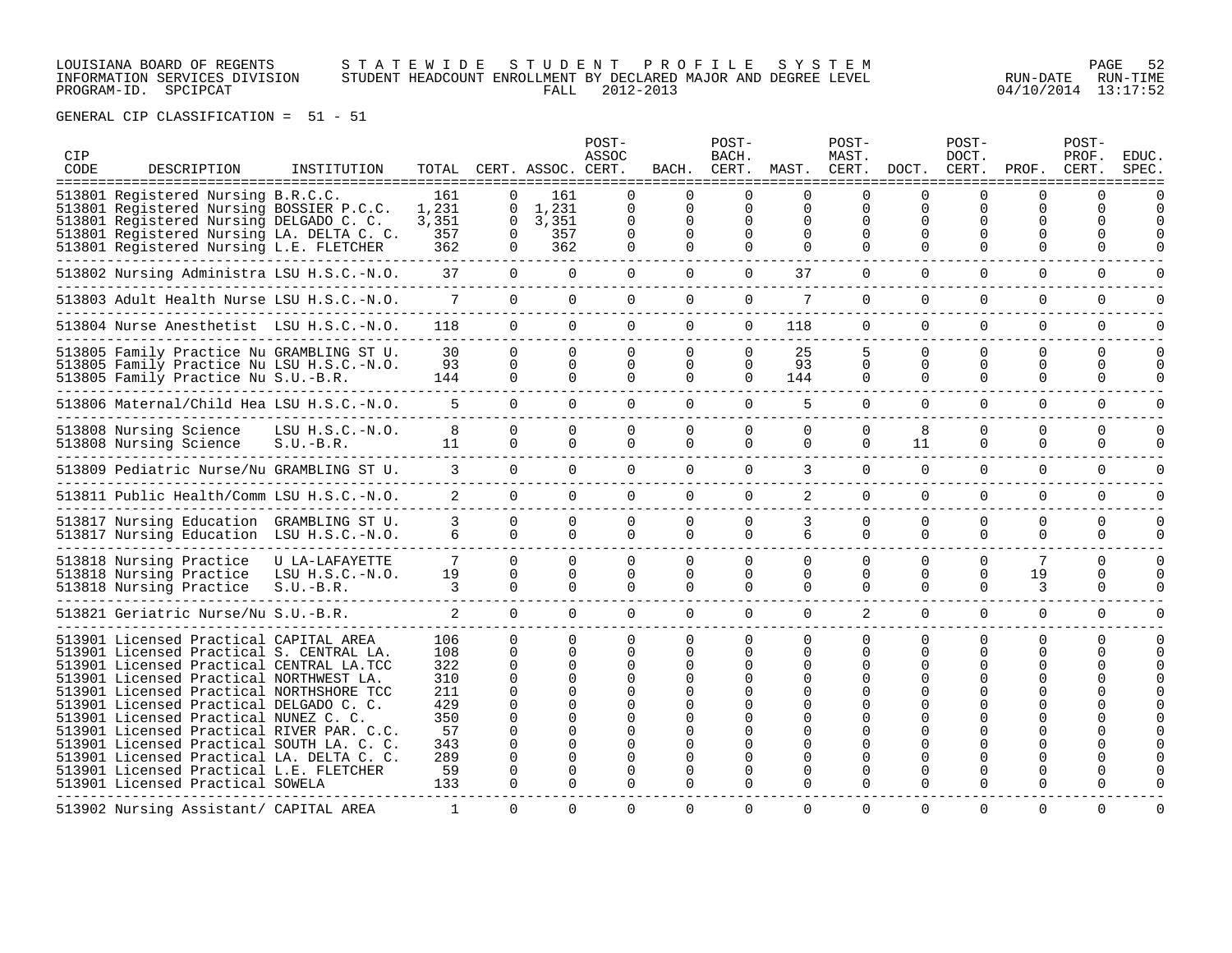# LOUISIANA BOARD OF REGENTS S T A T E W I D E S T U D E N T P R O F I L E S Y S T E M PAGE 52 INFORMATION SERVICES DIVISION STUDENT HEADCOUNT ENROLLMENT BY DECLARED MAJOR AND DEGREE LEVEL RUN-DATE RUN-TIME PROGRAM-ID. SPCIPCAT FALL 2012-2013 04/10/2014 13:17:52

| CIP<br>CODE | DESCRIPTION<br>=====================================                                                                                                                                                                                                                                                                                                                                                                                                                                                                           | INSTITUTION                                        |                                                                                |                                                                                                               | TOTAL CERT. ASSOC. CERT.                                          | POST-<br>ASSOC                                                       | BACH.                                                 | POST-<br>BACH.<br>CERT.                      | MAST.                                                                    | POST-<br>MAST.<br>CERT.               | DOCT.                                             | POST-<br>DOCT.<br>CERT.          | PROF.<br>==============                         | POST-<br>PROF.<br>CERT.          | <b>EDUC</b><br>SPEC |
|-------------|--------------------------------------------------------------------------------------------------------------------------------------------------------------------------------------------------------------------------------------------------------------------------------------------------------------------------------------------------------------------------------------------------------------------------------------------------------------------------------------------------------------------------------|----------------------------------------------------|--------------------------------------------------------------------------------|---------------------------------------------------------------------------------------------------------------|-------------------------------------------------------------------|----------------------------------------------------------------------|-------------------------------------------------------|----------------------------------------------|--------------------------------------------------------------------------|---------------------------------------|---------------------------------------------------|----------------------------------|-------------------------------------------------|----------------------------------|---------------------|
|             | 513801 Registered Nursing B.R.C.C.<br>513801 Registered Nursing BOSSIER P.C.C.<br>513801 Registered Nursing DELGADO C. C.<br>513801 Registered Nursing LA. DELTA C. C.<br>513801 Registered Nursing L.E. FLETCHER                                                                                                                                                                                                                                                                                                              |                                                    | 161<br>1,231<br>3,351<br>357<br>362                                            | $\Omega$<br>$\Omega$<br>$\mathbf{0}$<br>$\mathbf 0$<br>$\Omega$                                               | 161<br>1,231<br>3,351<br>357<br>362                               | $\Omega$<br>$\Omega$<br>$\Omega$<br>$\Omega$<br>$\Omega$             | $\Omega$<br>$\Omega$<br>$\Omega$<br>$\Omega$<br>0     | $\Omega$<br>$\Omega$<br>$\Omega$<br>$\Omega$ | $\Omega$<br>$\Omega$<br>$\Omega$<br>$\Omega$<br>$\Omega$                 | $\Omega$<br>$\Omega$<br>O<br>$\Omega$ | $\Omega$<br>$\Omega$<br>$\Omega$<br>$\Omega$<br>0 | 0<br>$\Omega$<br>0<br>U<br>0     | 0<br>$\Omega$<br>0<br><sup>0</sup>              | $\Omega$<br>$\Omega$<br>$\Omega$ |                     |
|             | 513802 Nursing Administra LSU H.S.C.-N.O.                                                                                                                                                                                                                                                                                                                                                                                                                                                                                      |                                                    | 37                                                                             | $\Omega$                                                                                                      | $\Omega$                                                          | $\Omega$                                                             | $\Omega$                                              | $\Omega$                                     | 37                                                                       | $\Omega$                              | $\Omega$                                          | $\Omega$                         | $\Omega$                                        | $\Omega$                         |                     |
|             | 513803 Adult Health Nurse LSU H.S.C.-N.O.                                                                                                                                                                                                                                                                                                                                                                                                                                                                                      |                                                    | $7^{\circ}$                                                                    | $\Omega$                                                                                                      | $\Omega$                                                          | $\Omega$                                                             | $\Omega$                                              | $\Omega$                                     | 7                                                                        | $\Omega$                              | $\Omega$                                          | $\Omega$                         | $\Omega$                                        | $\Omega$                         |                     |
|             | 513804 Nurse Anesthetist LSU H.S.C.-N.O.                                                                                                                                                                                                                                                                                                                                                                                                                                                                                       |                                                    | 118                                                                            | $\Omega$                                                                                                      | $\Omega$                                                          | $\Omega$                                                             | $\Omega$                                              | $\Omega$                                     | 118                                                                      | $\Omega$                              | $\Omega$                                          | $\Omega$                         | $\Omega$                                        | $\mathbf 0$                      |                     |
|             | 513805 Family Practice Nu GRAMBLING ST U.<br>513805 Family Practice Nu LSU H.S.C.-N.O.<br>513805 Family Practice Nu S.U.-B.R.                                                                                                                                                                                                                                                                                                                                                                                                  |                                                    | 30<br>93<br>144                                                                | $\Omega$<br>$\Omega$<br>$\Omega$                                                                              | $\Omega$<br>$\Omega$<br>$\cap$                                    | $\Omega$<br>$\Omega$<br>$\cap$                                       | $\Omega$<br>$\Omega$<br>$\cap$                        | $\Omega$<br>$\Omega$<br>$\Omega$             | 25<br>93<br>144                                                          | $\Omega$<br>$\Omega$                  | $\Omega$<br>$\mathbf 0$<br>$\cap$                 | $\Omega$<br>0<br>$\cap$          | $\Omega$<br>$\mathbf 0$<br>$\Omega$             | $\Omega$<br>0<br>$\Omega$        | n                   |
|             | 513806 Maternal/Child Hea LSU H.S.C.-N.O.                                                                                                                                                                                                                                                                                                                                                                                                                                                                                      |                                                    | 5.                                                                             | $\Omega$                                                                                                      | $\Omega$                                                          | $\Omega$                                                             | $\Omega$                                              | $\Omega$                                     | 5                                                                        | $\cap$                                | $\Omega$                                          | $\Omega$                         | $\Omega$                                        | $\Omega$                         | $\cap$              |
|             | 513808 Nursing Science<br>513808 Nursing Science                                                                                                                                                                                                                                                                                                                                                                                                                                                                               | $LSU H.S.C.-N.O.$<br>$S.U.-B.R.$                   | 8<br>11                                                                        | $\Omega$<br>$\Omega$                                                                                          | $\Omega$<br>$\Omega$                                              | $\Omega$<br>$\Omega$                                                 | $\Omega$<br>$\Omega$                                  | $\Omega$<br>$\Omega$                         | $\Omega$<br>$\Omega$                                                     | $\Omega$<br>$\Omega$                  | 8<br>11                                           | $\Omega$<br>$\Omega$             | $\Omega$<br>$\Omega$                            | $\Omega$<br>$\Omega$             | $\Omega$            |
|             | 513809 Pediatric Nurse/Nu GRAMBLING ST U.                                                                                                                                                                                                                                                                                                                                                                                                                                                                                      |                                                    | 3                                                                              | $\Omega$                                                                                                      | $\Omega$                                                          | $\Omega$                                                             | $\Omega$                                              | $\Omega$                                     | 3                                                                        | $\cap$                                | $\Omega$                                          | 0                                | $\Omega$                                        | $\Omega$                         |                     |
|             | 513811 Public Health/Comm LSU H.S.C.-N.O.                                                                                                                                                                                                                                                                                                                                                                                                                                                                                      |                                                    | $\overline{2}$                                                                 | $\Omega$                                                                                                      | $\cap$                                                            | $\Omega$                                                             | $\Omega$                                              | $\Omega$                                     | 2                                                                        | $\Omega$                              | $\Omega$                                          | $\Omega$                         | $\Omega$                                        | $\Omega$                         | $\cap$              |
|             | 513817 Nursing Education GRAMBLING ST U.<br>513817 Nursing Education LSU H.S.C.-N.O.                                                                                                                                                                                                                                                                                                                                                                                                                                           |                                                    | 3<br>6                                                                         | $\Omega$<br>$\Omega$                                                                                          | $\Omega$<br>$\cap$                                                | $\Omega$<br>$\cap$                                                   | $\Omega$<br>$\Omega$                                  | $\Omega$<br>$\Omega$                         | 3<br>б.                                                                  | $\Omega$<br>$\Omega$                  | $\Omega$<br>$\Omega$                              | $\Omega$<br>$\Omega$             | $\Omega$<br>$\Omega$                            | $\mathbf 0$<br>$\Omega$          | $\Omega$            |
|             | 513818 Nursing Practice<br>513818 Nursing Practice<br>513818 Nursing Practice                                                                                                                                                                                                                                                                                                                                                                                                                                                  | U LA-LAFAYETTE<br>$LSU H.S.C.-N.O.$<br>$S.U.-B.R.$ | 7<br>19<br>3                                                                   | $\Omega$<br>$\Omega$<br>$\Omega$                                                                              | $\cap$<br>$\Omega$<br>$\Omega$                                    | $\Omega$<br>$\Omega$<br>$\Omega$                                     | $\Omega$<br>$\Omega$<br>$\Omega$                      | $\Omega$<br>$\Omega$<br>$\Omega$             | $\Omega$<br>$\Omega$<br>$\Omega$                                         | $\Omega$<br>$\Omega$<br>$\Omega$      | $\Omega$<br>$\Omega$<br>$\Omega$                  | $\Omega$<br>$\Omega$<br>$\Omega$ | 7<br>19<br>3                                    | $\Omega$<br>$\Omega$<br>$\Omega$ |                     |
|             | 513821 Geriatric Nurse/Nu S.U.-B.R.                                                                                                                                                                                                                                                                                                                                                                                                                                                                                            |                                                    | $\mathfrak{D}$                                                                 | $\Omega$                                                                                                      | $\Omega$                                                          | $\Omega$                                                             | $\Omega$                                              | $\Omega$                                     | $\Omega$                                                                 | 2                                     | $\Omega$                                          | $\Omega$                         | $\Omega$                                        | $\Omega$                         | U                   |
|             | 513901 Licensed Practical CAPITAL AREA<br>513901 Licensed Practical S. CENTRAL LA.<br>513901 Licensed Practical CENTRAL LA.TCC<br>513901 Licensed Practical NORTHWEST LA.<br>513901 Licensed Practical NORTHSHORE TCC<br>513901 Licensed Practical DELGADO C. C.<br>513901 Licensed Practical NUNEZ C. C<br>513901 Licensed Practical RIVER PAR. C.C.<br>513901 Licensed Practical SOUTH LA. C. C.<br>513901 Licensed Practical LA. DELTA C. C.<br>513901 Licensed Practical L.E. FLETCHER<br>513901 Licensed Practical SOWELA |                                                    | 106<br>108<br>322<br>310<br>211<br>429<br>350<br>57<br>343<br>289<br>59<br>133 | $\Omega$<br>$\Omega$<br>$\Omega$<br>$\Omega$<br>$\Omega$<br>$\Omega$<br>$\Omega$<br>U<br>$\Omega$<br>$\Omega$ | $\Omega$<br>$\Omega$<br><sup>n</sup><br>$\Omega$<br>∩<br>$\Omega$ | $\Omega$<br>$\Omega$<br>$\Omega$<br>$\Omega$<br>$\Omega$<br>$\Omega$ | 0<br>$\Omega$<br>$\Omega$<br><sup>0</sup><br>$\Omega$ | $\Omega$<br>0<br>0<br>U<br>O<br>$\Omega$     | $\Omega$<br>$\Omega$<br>$\Omega$<br>$\Omega$<br><sup>0</sup><br>$\Omega$ | $\Omega$<br>$\Omega$<br>$\Omega$      | 0<br>$\Omega$<br>∩<br>$\Omega$<br>$\Omega$        | 0<br>$\Omega$<br>O<br>O          | $\Omega$<br>$\Omega$<br>0<br>∩<br>0<br>$\Omega$ | $\Omega$<br>$\Omega$             |                     |
|             | 513902 Nursing Assistant/ CAPITAL AREA                                                                                                                                                                                                                                                                                                                                                                                                                                                                                         |                                                    | $\mathbf{1}$                                                                   | $\Omega$                                                                                                      | $\Omega$                                                          | $\Omega$                                                             | $\Omega$                                              | $\Omega$                                     | $\Omega$                                                                 | $\Omega$                              | $\Omega$                                          | $\Omega$                         | $\Omega$                                        | $\Omega$                         |                     |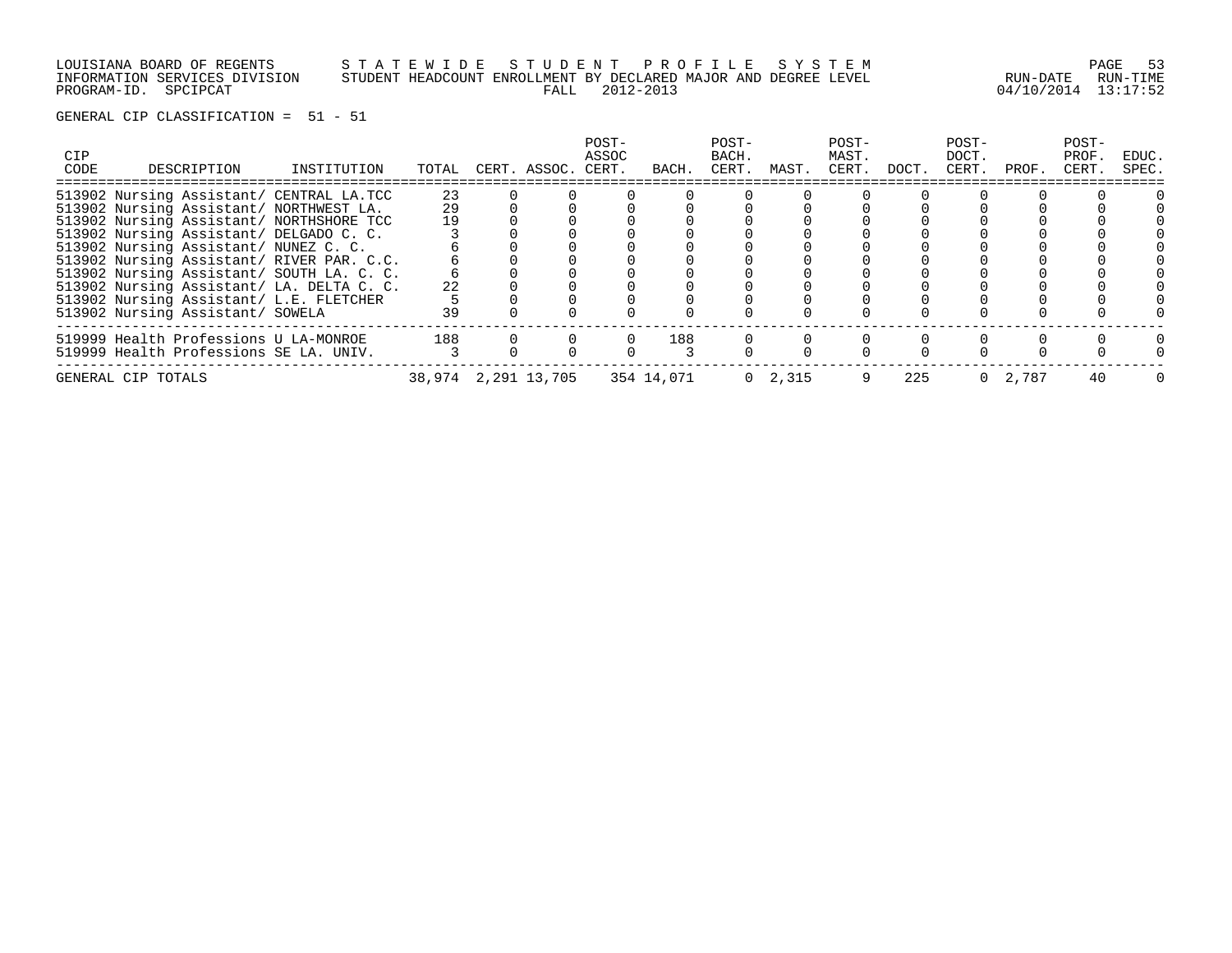LOUISIANA BOARD OF REGENTS S T A T E W I D E S T U D E N T P R O F I L E S Y S T E M PAGE 53 INFORMATION SERVICES DIVISION STUDENT HEADCOUNT ENROLLMENT BY DECLARED MAJOR AND DEGREE LEVEL RUN-DATE RUN-TIME

PROGRAM-ID. SPCIPCAT FALL 2012-2013 04/10/2014 13:17:52

| CIP<br>CODE | DESCRIPTION                               | INSTITUTION | TOTAL                          |          | CERT. ASSOC. CERT. | POST-<br>ASSOC | BACH. | POST-<br>BACH.<br>CERT. | MAST.           | POST-<br>MAST.<br>CERT. | DOCT. | POST-<br>DOCT.<br>CERT. | PROF. | POST-<br>PROF.<br>CERT. | EDUC.<br>SPEC. |
|-------------|-------------------------------------------|-------------|--------------------------------|----------|--------------------|----------------|-------|-------------------------|-----------------|-------------------------|-------|-------------------------|-------|-------------------------|----------------|
|             | 513902 Nursing Assistant/ CENTRAL LA.TCC  |             | 23                             |          |                    |                |       |                         |                 |                         |       |                         |       |                         |                |
|             | 513902 Nursing Assistant/ NORTHWEST LA.   |             | 29                             |          |                    |                |       |                         |                 |                         |       |                         |       |                         |                |
|             | 513902 Nursing Assistant/ NORTHSHORE TCC  |             | 19                             |          |                    |                |       |                         |                 |                         |       |                         |       |                         |                |
|             | 513902 Nursing Assistant/ DELGADO C. C.   |             |                                |          |                    |                |       |                         |                 |                         |       |                         |       |                         |                |
|             | 513902 Nursing Assistant/ NUNEZ C. C.     |             |                                |          |                    |                |       |                         |                 |                         |       |                         |       |                         |                |
|             | 513902 Nursing Assistant/ RIVER PAR. C.C. |             |                                |          |                    |                |       |                         |                 |                         |       |                         |       |                         |                |
|             | 513902 Nursing Assistant/ SOUTH LA. C. C. |             |                                |          |                    |                |       |                         |                 |                         |       |                         |       |                         |                |
|             | 513902 Nursing Assistant/ LA. DELTA C. C. |             | 22                             |          |                    |                |       |                         |                 |                         |       |                         |       |                         |                |
|             | 513902 Nursing Assistant/ L.E. FLETCHER   |             |                                |          |                    |                |       |                         |                 |                         |       |                         |       |                         |                |
|             | 513902 Nursing Assistant/ SOWELA          |             | 39                             |          |                    |                |       |                         |                 |                         |       |                         |       |                         |                |
|             | 519999 Health Professions U LA-MONROE     |             | 188                            | $\Omega$ |                    | $\circ$        | 188   |                         |                 |                         |       |                         |       |                         |                |
|             | 519999 Health Professions SE LA. UNIV.    |             |                                |          |                    |                |       |                         |                 |                         |       |                         |       |                         |                |
|             | GENERAL CIP TOTALS                        |             | 38,974 2,291 13,705 354 14,071 |          |                    |                |       |                         | $0 \quad 2,315$ | 9                       | 225   |                         | 2,787 | 40                      |                |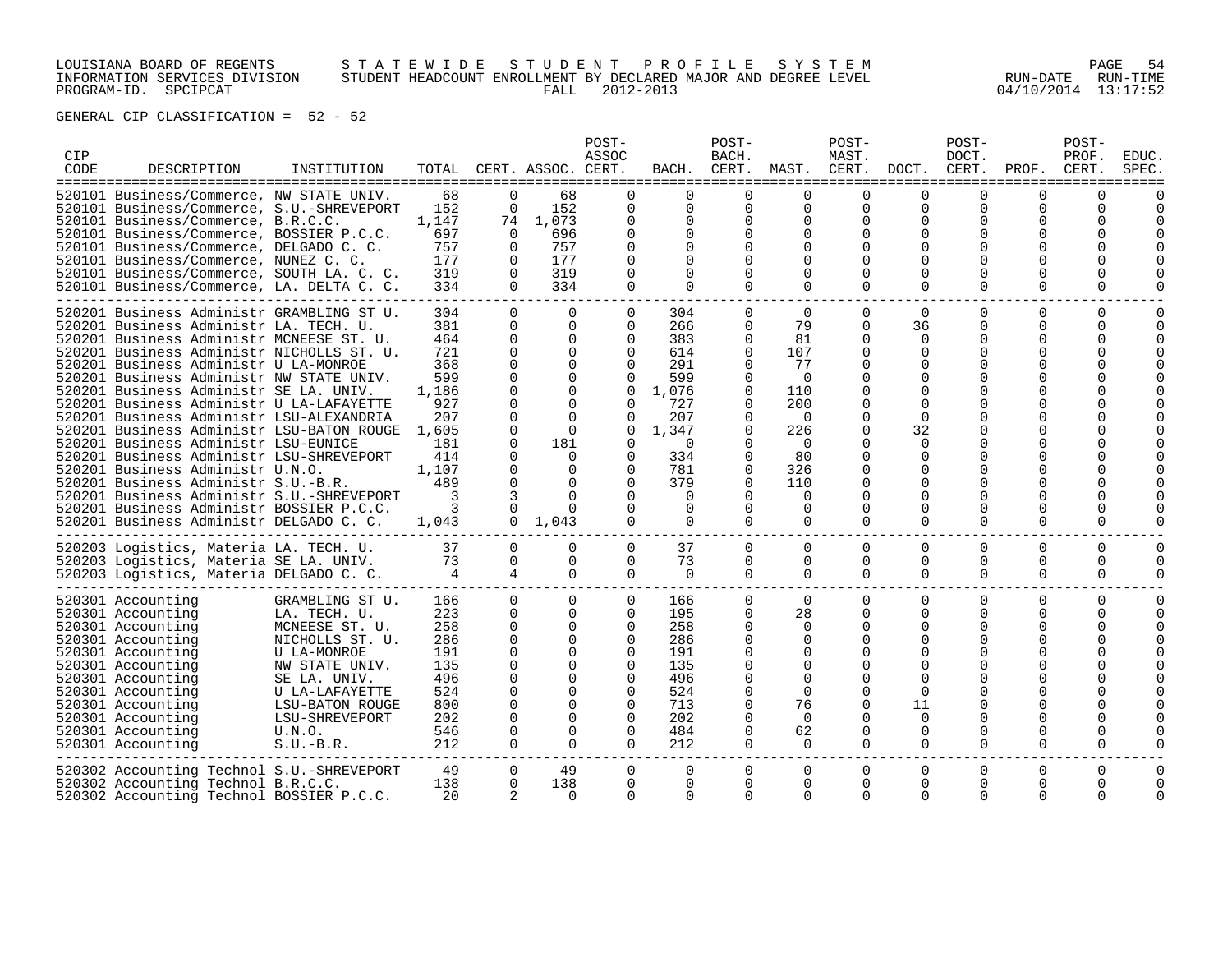# LOUISIANA BOARD OF REGENTS S T A T E W I D E S T U D E N T P R O F I L E S Y S T E M PAGE 54 INFORMATION SERVICES DIVISION STUDENT HEADCOUNT ENROLLMENT BY DECLARED MAJOR AND DEGREE LEVEL RUN-DATE RUN-TIME PROGRAM-ID. SPCIPCAT FALL 2012-2013 04/10/2014 13:17:52

| CIP<br>CODE | DESCRIPTION<br>================<br>=============                                                                                                                                                                                                                                                                                                                                                                                                                                                                                                                                                                                                                                                                                                    | INSTITUTION                                                                                                                                                                                           |                                                                                                                         |                                                                                                                                                    | TOTAL CERT. ASSOC. CERT.<br>=============                                                                                                                                                  | POST-<br>ASSOC<br>$=$ $=$ $=$ $=$ $=$                                                                                                                               | BACH.                                                                                                                                       | POST-<br>BACH.<br>CERT.                                                                                           | MAST.                                                                                                                                                 | POST-<br>MAST.<br>CERT.<br>====                                                                                                                                         | DOCT.                                                                                                                            | POST-<br>DOCT.<br>CERT.                                                                                                                                      | PROF.                                                                                                                                          | POST-<br>PROF.<br>CERT.                     | <b>EDUC</b><br>SPEC |
|-------------|-----------------------------------------------------------------------------------------------------------------------------------------------------------------------------------------------------------------------------------------------------------------------------------------------------------------------------------------------------------------------------------------------------------------------------------------------------------------------------------------------------------------------------------------------------------------------------------------------------------------------------------------------------------------------------------------------------------------------------------------------------|-------------------------------------------------------------------------------------------------------------------------------------------------------------------------------------------------------|-------------------------------------------------------------------------------------------------------------------------|----------------------------------------------------------------------------------------------------------------------------------------------------|--------------------------------------------------------------------------------------------------------------------------------------------------------------------------------------------|---------------------------------------------------------------------------------------------------------------------------------------------------------------------|---------------------------------------------------------------------------------------------------------------------------------------------|-------------------------------------------------------------------------------------------------------------------|-------------------------------------------------------------------------------------------------------------------------------------------------------|-------------------------------------------------------------------------------------------------------------------------------------------------------------------------|----------------------------------------------------------------------------------------------------------------------------------|--------------------------------------------------------------------------------------------------------------------------------------------------------------|------------------------------------------------------------------------------------------------------------------------------------------------|---------------------------------------------|---------------------|
|             | 520101 Business/Commerce, NW STATE UNIV.<br>520101 Business/Commerce, S.U.-SHREVEPORT<br>520101 Business/Commerce, B.R.C.C.<br>520101 Business/Commerce, BOSSIER P.C.C.<br>520101 Business/Commerce, DELGADO C. C.<br>520101 Business/Commerce, NUNEZ C. C.<br>520101 Business/Commerce, SOUTH LA. C. C.<br>520101 Business/Commerce, LA. DELTA C. C.                                                                                                                                                                                                                                                                                                                                                                                               |                                                                                                                                                                                                       | 68<br>152<br>1,147<br>697<br>757<br>177<br>319<br>334                                                                   | $\Omega$<br>$\Omega$<br>$\Omega$<br>$\Omega$<br>$\Omega$<br>$\Omega$<br>$\Omega$                                                                   | 68<br>152<br>74 1,073<br>696<br>757<br>177<br>319<br>334                                                                                                                                   | $\Omega$<br>$\Omega$<br>0<br>$\Omega$<br>$\Omega$<br>$\Omega$<br>$\Omega$                                                                                           | $\cap$<br>$\Omega$<br>$\Omega$<br>$\Omega$<br><sup>0</sup><br>0<br>$\Omega$<br>$\Omega$                                                     | U<br>$\Omega$<br>0<br>0<br>0<br>0<br>$\Omega$                                                                     | U<br>$\Omega$<br>$\Omega$<br>$\Omega$<br>$\Omega$<br>$\Omega$<br>∩<br>$\Omega$                                                                        | $\Omega$<br>$\mathbf 0$<br>$\Omega$<br>$\Omega$<br>$\Omega$<br>$\Omega$<br>$\Omega$                                                                                     | $\Omega$<br>O<br>$\Omega$                                                                                                        | $\Omega$<br>$\Omega$<br>$\Omega$<br>O<br><sup>0</sup><br>$\Omega$                                                                                            | U<br><sup>0</sup><br><sup>0</sup><br><sup>0</sup><br><sup>0</sup><br><sup>0</sup><br>$\Omega$                                                  | ∩<br>0<br>U<br>U<br>0                       |                     |
|             | 520201 Business Administr GRAMBLING ST U.<br>520201 Business Administr LA. TECH. U.<br>520201 Business Administr MCNEESE ST. U.<br>520201 Business Administr NICHOLLS ST. U.<br>520201 Business Administr U LA-MONROE<br>520201 Business Administr NW STATE UNIV.<br>520201 Business Administr SE LA. UNIV.<br>520201 Business Administr U LA-LAFAYETTE<br>520201 Business Administr LSU-ALEXANDRIA<br>520201 Business Administr LSU-BATON ROUGE<br>520201 Business Administr LSU-EUNICE<br>520201 Business Administr LSU-SHREVEPORT<br>520201 Business Administr U.N.O.<br>520201 Business Administr S.U.-B.R.<br>520201 Business Administr S.U.-SHREVEPORT<br>520201 Business Administr BOSSIER P.C.C.<br>520201 Business Administr DELGADO C. C. |                                                                                                                                                                                                       | 304<br>381<br>464<br>721<br>368<br>599<br>1,186<br>927<br>207<br>1,605<br>181<br>414<br>1,107<br>489<br>3<br>3<br>1,043 | $\Omega$<br>0<br>$\Omega$<br>$\Omega$<br>0<br>0<br>0<br>$\Omega$<br>$\Omega$<br>0<br>$\Omega$<br>$\Omega$<br>$\Omega$<br>$\Omega$<br>3<br>$\Omega$ | $\mathbf 0$<br>0<br>$\Omega$<br>$\Omega$<br>$\Omega$<br>$\Omega$<br>$\Omega$<br>$\Omega$<br>$\Omega$<br>$\Omega$<br>181<br>$\Omega$<br>$\Omega$<br>$\Omega$<br>$\Omega$<br>$0 \quad 1.043$ | 0<br>$\mathbf 0$<br>$\Omega$<br>$\Omega$<br>$\Omega$<br>$\Omega$<br>$\Omega$<br>$\Omega$<br>$\Omega$<br>0<br>$\Omega$<br>0<br>0<br>$\Omega$<br>$\Omega$<br>$\Omega$ | 304<br>266<br>383<br>614<br>291<br>599<br>1,076<br>727<br>207<br>1,347<br>$\Omega$<br>334<br>781<br>379<br>$\Omega$<br>$\Omega$<br>$\Omega$ | 0<br>0<br>$\Omega$<br>$\Omega$<br>0<br>0<br>$\Omega$<br>0<br>0<br>0<br>$\Omega$<br>0<br>$\Omega$<br>0<br>$\Omega$ | $\mathbf 0$<br>79<br>81<br>107<br>77<br>$\Omega$<br>110<br>200<br>$\Omega$<br>226<br>$\Omega$<br>80<br>326<br>110<br>$\Omega$<br>$\Omega$<br>$\Omega$ | 0<br>0<br>$\Omega$<br>$\Omega$<br>$\Omega$<br>$\Omega$<br>$\Omega$<br>$\Omega$<br>$\Omega$<br>0<br>$\Omega$<br>$\Omega$<br>$\Omega$<br>$\Omega$<br>$\Omega$<br>$\Omega$ | $\Omega$<br>36<br>$\Omega$<br>$\Omega$<br>$\Omega$<br>$\Omega$<br>$\Omega$<br>32<br>$\Omega$<br>$\Omega$<br>$\Omega$<br>$\Omega$ | $\Omega$<br>$\Omega$<br>$\Omega$<br>$\Omega$<br>$\Omega$<br>$\Omega$<br><sup>0</sup><br>$\Omega$<br>$\Omega$<br>$\Omega$<br>$\Omega$<br>$\Omega$<br>$\Omega$ | 0<br>0<br><sup>0</sup><br>$\Omega$<br><sup>0</sup><br><sup>0</sup><br><sup>0</sup><br><sup>0</sup><br><sup>0</sup><br><sup>0</sup><br>$\Omega$ | $\Omega$<br>0<br>0<br>0<br>O<br>U<br>U<br>0 | $\Omega$<br>O       |
|             | 520203 Logistics, Materia LA. TECH. U.<br>520203 Logistics, Materia SE LA. UNIV.<br>520203 Logistics, Materia DELGADO C. C.                                                                                                                                                                                                                                                                                                                                                                                                                                                                                                                                                                                                                         |                                                                                                                                                                                                       | 37<br>73<br>4                                                                                                           | $\Omega$<br>0<br>4                                                                                                                                 | $\Omega$<br>$\Omega$<br>$\Omega$                                                                                                                                                           | $\Omega$<br>$\Omega$<br>$\Omega$                                                                                                                                    | 37<br>73<br>$\Omega$                                                                                                                        | 0<br>0<br>$\Omega$                                                                                                | $\Omega$<br>$\Omega$<br>$\Omega$                                                                                                                      | $\Omega$<br>0<br>$\Omega$                                                                                                                                               | $\Omega$<br>$\Omega$<br>$\Omega$                                                                                                 | $\Omega$<br>$\Omega$<br>$\Omega$                                                                                                                             | $\Omega$<br>0<br>$\Omega$                                                                                                                      | $\Omega$<br>0<br>0                          | $\Omega$<br>0<br>O  |
|             | 520301 Accounting<br>520301 Accounting<br>520301 Accounting<br>520301 Accounting<br>520301 Accounting<br>520301 Accounting<br>520301 Accounting<br>520301 Accounting<br>520301 Accounting<br>520301 Accounting<br>520301 Accounting<br>520301 Accounting                                                                                                                                                                                                                                                                                                                                                                                                                                                                                            | GRAMBLING ST U.<br>LA. TECH. U.<br>MCNEESE ST. U.<br>NICHOLLS ST. U.<br>U LA-MONROE<br>NW STATE UNIV.<br>SE LA. UNIV.<br>U LA-LAFAYETTE<br>LSU-BATON ROUGE<br>LSU-SHREVEPORT<br>U.N.O.<br>$S.U.-B.R.$ | 166<br>223<br>258<br>286<br>191<br>135<br>496<br>524<br>800<br>202<br>546<br>212                                        | $\Omega$<br>$\Omega$<br>$\mathbf 0$<br>0<br>0<br>0<br>$\Omega$<br>$\Omega$<br>$\Omega$<br>$\Omega$<br>$\Omega$<br>$\Omega$                         | $\Omega$<br>$\Omega$<br>$\Omega$<br>$\Omega$<br>$\Omega$<br>$\Omega$<br>$\Omega$<br>$\Omega$<br>$\Omega$<br>$\Omega$<br>$\Omega$<br>$\Omega$                                               | $\overline{0}$<br>$\Omega$<br>$\Omega$<br>$\Omega$<br>$\Omega$<br>$\Omega$<br>$\Omega$<br>$\Omega$<br>$\Omega$<br>$\Omega$<br>$\Omega$<br>$\Omega$                  | 166<br>195<br>258<br>286<br>191<br>135<br>496<br>524<br>713<br>202<br>484<br>212                                                            | 0<br>0<br>0<br>0<br>0<br>0<br>0<br>0<br>0<br>0<br>0<br>0                                                          | $\Omega$<br>28<br>$\Omega$<br>$\Omega$<br>0<br>$\Omega$<br>$\Omega$<br>$\Omega$<br>76<br>$\Omega$<br>62<br>$\Omega$                                   | 0<br>0<br>0<br>$\Omega$<br>0<br><sup>0</sup><br>$\Omega$<br>$\cap$<br>$\Omega$<br>$\Omega$<br>$\Omega$<br>$\Omega$                                                      | $\Omega$<br>$\Omega$<br>$\Omega$<br>$\Omega$<br>11<br>$\Omega$<br>$\Omega$<br>$\Omega$                                           | $\Omega$<br>$\Omega$<br>$\Omega$<br>$\Omega$<br>O<br>$\Omega$<br>$\Omega$                                                                                    | $\Omega$<br>$\Omega$<br><sup>0</sup><br><sup>0</sup><br>0<br>U<br><sup>0</sup><br><sup>0</sup><br>$\Omega$                                     | $\Omega$<br>0<br>0<br>U<br>U<br>U<br>U<br>0 | $\Omega$<br>O       |
|             | 520302 Accounting Technol S.U.-SHREVEPORT<br>520302 Accounting Technol B.R.C.C.<br>520302 Accounting Technol BOSSIER P.C.C.                                                                                                                                                                                                                                                                                                                                                                                                                                                                                                                                                                                                                         |                                                                                                                                                                                                       | 49<br>138<br>20                                                                                                         | 0<br>$\Omega$<br>2                                                                                                                                 | 49<br>138<br>$\Omega$                                                                                                                                                                      | 0<br>$\Omega$<br>$\Omega$                                                                                                                                           | 0<br>0<br>$\Omega$                                                                                                                          | 0<br>0<br>0                                                                                                       | 0<br>$\Omega$<br>$\Omega$                                                                                                                             | 0<br>$\Omega$<br>$\Omega$                                                                                                                                               | $\Omega$<br>$\Omega$<br>$\Omega$                                                                                                 | 0<br>$\Omega$<br>$\Omega$                                                                                                                                    | 0<br><sup>0</sup><br>$\Omega$                                                                                                                  | 0<br>0<br>0                                 | 0<br>0<br>$\Omega$  |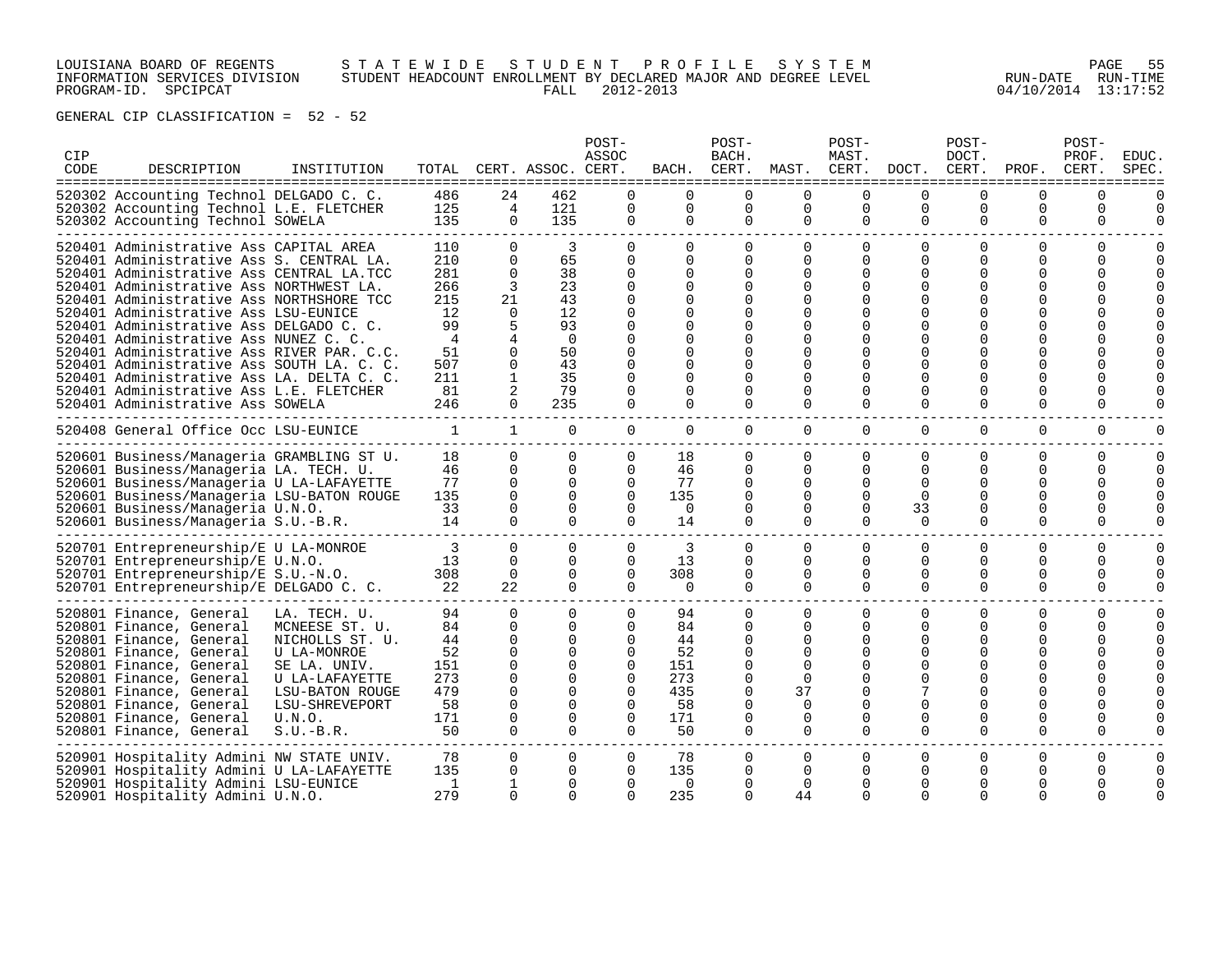# LOUISIANA BOARD OF REGENTS S T A T E W I D E S T U D E N T P R O F I L E S Y S T E M PAGE 55 INFORMATION SERVICES DIVISION STUDENT HEADCOUNT ENROLLMENT BY DECLARED MAJOR AND DEGREE LEVEL RUN-DATE RUN-TIME PROGRAM-ID. SPCIPCAT FALL 2012-2013 04/10/2014 13:17:52

| CIP<br>CODE | DESCRIPTION                                                                                                                                                                                                                                                                                                                                                                                                                                                                                                                                                            | INSTITUTION                                                                                                                                                      | ==============================                                                    |                                                                                              | TOTAL CERT. ASSOC. CERT.                                                                                      | POST-<br>ASSOC                                                                                          | ==============                                                                              | POST-<br>BACH.                                                                           | BACH. CERT. MAST. CERT. DOCT.<br>=============                                         | POST-<br>MAST.                                                                       | =============                                                                        | POST-<br>DOCT.<br>CERT.                                                | PROF.                                                                                                                       | POST-<br>PROF.<br>CERT.                                                      | EDUC.<br>SPEC.                           |
|-------------|------------------------------------------------------------------------------------------------------------------------------------------------------------------------------------------------------------------------------------------------------------------------------------------------------------------------------------------------------------------------------------------------------------------------------------------------------------------------------------------------------------------------------------------------------------------------|------------------------------------------------------------------------------------------------------------------------------------------------------------------|-----------------------------------------------------------------------------------|----------------------------------------------------------------------------------------------|---------------------------------------------------------------------------------------------------------------|---------------------------------------------------------------------------------------------------------|---------------------------------------------------------------------------------------------|------------------------------------------------------------------------------------------|----------------------------------------------------------------------------------------|--------------------------------------------------------------------------------------|--------------------------------------------------------------------------------------|------------------------------------------------------------------------|-----------------------------------------------------------------------------------------------------------------------------|------------------------------------------------------------------------------|------------------------------------------|
|             | ===============================<br>520302 Accounting Technol DELGADO C. C.<br>520302 Accounting Technol L.E. FLETCHER<br>520302 Accounting Technol SOWELA                                                                                                                                                                                                                                                                                                                                                                                                              |                                                                                                                                                                  | 486<br>125<br>135                                                                 | 24<br>4<br>$\Omega$                                                                          | 462<br>121<br>135                                                                                             | $\Omega$<br>0<br>0                                                                                      | $\Omega$<br>0<br>0                                                                          | $\Omega$<br>0<br>0                                                                       | $\Omega$<br>0<br>0                                                                     | <sup>n</sup><br>0<br>0                                                               | 0<br>0<br>0                                                                          | U<br>0<br>$\Omega$                                                     | 0<br>0<br>$\Omega$                                                                                                          | $\Omega$<br>0<br>$\Omega$                                                    | U                                        |
|             | 520401 Administrative Ass CAPITAL AREA<br>520401 Administrative Ass S. CENTRAL LA.<br>520401 Administrative Ass CENTRAL LA.TCC<br>520401 Administrative Ass NORTHWEST LA.<br>520401 Administrative Ass NORTHSHORE TCC<br>520401 Administrative Ass LSU-EUNICE<br>520401 Administrative Ass DELGADO C. C.<br>520401 Administrative Ass NUNEZ C. C<br>520401 Administrative Ass RIVER PAR. C.C.<br>520401 Administrative Ass SOUTH LA. C. C.<br>520401 Administrative Ass LA. DELTA C. C.<br>520401 Administrative Ass L.E. FLETCHER<br>520401 Administrative Ass SOWELA |                                                                                                                                                                  | 110<br>210<br>281<br>266<br>215<br>12<br>99<br>4<br>51<br>507<br>211<br>81<br>246 | $\Omega$<br>$\Omega$<br>$\Omega$<br>3<br>21<br>$\Omega$<br>4<br>0<br>0<br>1<br>2<br>$\Omega$ | 3<br>65<br>38<br>23<br>43<br>12<br>93<br>$\Omega$<br>50<br>43<br>35<br>79<br>235                              | $\Omega$<br>$\Omega$<br>$\Omega$<br>$\Omega$<br>∩<br>∩<br>∩<br>∩<br>O<br>O<br>O<br>$\Omega$<br>$\Omega$ | $\Omega$<br>$\Omega$<br>$\Omega$<br>$\Omega$<br>0<br>0<br>U<br>0<br>0<br>0<br>0<br>$\Omega$ | $\Omega$<br>0<br>$\Omega$<br>$\Omega$<br>∩<br>0<br>∩<br>0<br>0<br>0<br>$\Omega$<br>0     | 0<br>0<br>0<br>$\Omega$<br>∩<br>$\Omega$<br>$\Omega$<br>$\Omega$<br>$\Omega$<br>0<br>0 | $\Omega$<br>$\Omega$<br>$\Omega$<br><sup>n</sup><br>U<br>$\Omega$<br>$\mathbf 0$     | $\Omega$<br>0<br>$\Omega$<br>$\Omega$<br>∩<br>∩<br>∩<br>O<br>O<br>O<br>$\Omega$<br>0 | $\Omega$<br>$\Omega$<br>O<br>O<br>U<br>U<br>U<br>U<br>O<br>O<br>0<br>0 | $\Omega$<br>0<br><sup>0</sup><br>0<br>U<br>U<br>U<br><sup>0</sup><br><sup>0</sup><br><sup>0</sup><br><sup>0</sup><br>0<br>0 | $\Omega$<br>$\Omega$<br>$\Omega$<br>$\Omega$<br>O<br>$\Omega$<br>O<br>0      |                                          |
|             | 520408 General Office Occ LSU-EUNICE<br>520601 Business/Manageria GRAMBLING ST U.<br>520601 Business/Manageria LA. TECH. U.<br>520601 Business/Manageria U LA-LAFAYETTE<br>520601 Business/Manageria LSU-BATON ROUGE<br>520601 Business/Manageria U.N.O.<br>520601 Business/Manageria S.U.-B.R.                                                                                                                                                                                                                                                                        |                                                                                                                                                                  | $\mathbf{1}$<br>18<br>46<br>77<br>135<br>33<br>14                                 | $\mathbf{1}$<br>$\Omega$<br>0<br>$\Omega$<br>$\Omega$<br>$\Omega$<br>$\Omega$                | $\mathbf{0}$<br>$\Omega$<br>$\Omega$<br>$\Omega$<br>$\Omega$<br>$\Omega$<br>$\Omega$                          | $\overline{0}$<br>0<br>$\Omega$<br>0<br>$\Omega$<br>$\Omega$<br>$\Omega$                                | $\mathbf 0$<br>18<br>46<br>77<br>135<br>0<br>14                                             | $\mathbf{0}$<br>$\Omega$<br>$\Omega$<br>0<br>$\Omega$<br>0<br>$\Omega$                   | $\overline{0}$<br>0<br>0<br>0<br>0<br>0<br>$\Omega$                                    | $\mathbf{0}$<br>$\Omega$<br>$\Omega$<br>$\Omega$<br>$\Omega$<br>$\Omega$<br>$\Omega$ | 0<br>0<br>$\Omega$<br>$\Omega$<br>$\Omega$<br>33<br>$\Omega$                         | 0<br>0<br>$\Omega$<br>O<br>$\Omega$<br>O<br>$\Omega$                   | $\Omega$<br>$\Omega$<br>$\Omega$<br>0<br>0<br>0<br>$\Omega$                                                                 | $\mathbf 0$<br>0<br>$\Omega$<br>$\Omega$<br>$\Omega$<br>$\Omega$<br>$\Omega$ | $\Omega$<br><sup>n</sup><br><sup>n</sup> |
|             | 520701 Entrepreneurship/E U LA-MONROE<br>520701 Entrepreneurship/E U.N.O.<br>520701 Entrepreneurship/E S.U.-N.O.<br>520701 Entrepreneurship/E DELGADO C. C.                                                                                                                                                                                                                                                                                                                                                                                                            |                                                                                                                                                                  | 3<br>13<br>308<br>22                                                              | $\overline{0}$<br>$\Omega$<br>0<br>22                                                        | 0<br>$\Omega$<br>$\Omega$<br>$\Omega$                                                                         | 0<br>$\Omega$<br>0<br>$\Omega$                                                                          | 3<br>13<br>308<br>$\Omega$                                                                  | $\mathbf{0}$<br>$\Omega$<br>0<br>$\Omega$                                                | 0<br>$\Omega$<br>0<br>0                                                                | 0<br>$\Omega$<br>$\Omega$<br>$\Omega$                                                | 0<br>$\Omega$<br>0<br>$\Omega$                                                       | 0<br>$\Omega$<br>0<br>$\Omega$                                         | 0<br>$\Omega$<br>0<br>$\Omega$                                                                                              | 0<br>$\Omega$<br>$\Omega$<br>$\Omega$                                        | $\Omega$<br>$\Omega$<br>U                |
|             | 520801 Finance, General<br>520801 Finance, General<br>520801 Finance, General<br>520801 Finance, General<br>520801 Finance, General<br>520801 Finance, General<br>520801 Finance, General<br>520801 Finance, General<br>520801 Finance, General<br>520801 Finance, General                                                                                                                                                                                                                                                                                             | LA. TECH. U.<br>MCNEESE ST. U.<br>NICHOLLS ST. U.<br>U LA-MONROE<br>SE LA. UNIV.<br>U LA-LAFAYETTE<br>LSU-BATON ROUGE<br>LSU-SHREVEPORT<br>U.N.O.<br>$S.U.-B.R.$ | 94<br>84<br>44<br>52<br>151<br>273<br>479<br>58<br>171<br>50                      | 0<br>0<br>0<br>0<br>0<br>0<br>$\Omega$<br>$\Omega$<br>$\Omega$<br>$\Omega$                   | $\Omega$<br>$\Omega$<br>$\Omega$<br>0<br>$\Omega$<br>$\Omega$<br>$\Omega$<br>$\Omega$<br>$\Omega$<br>$\Omega$ | 0<br>$\Omega$<br>$\Omega$<br>0<br>0<br>0<br>$\Omega$<br>$\Omega$<br>$\Omega$<br>$\Omega$                | 94<br>84<br>44<br>52<br>151<br>273<br>435<br>58<br>171<br>50                                | 0<br>$\Omega$<br>0<br>0<br>$\Omega$<br>0<br>$\Omega$<br>$\Omega$<br>$\Omega$<br>$\Omega$ | 0<br>0<br>$\Omega$<br>0<br>$\Omega$<br>0<br>37<br>$\Omega$<br>$\Omega$<br>$\Omega$     | 0<br><sup>0</sup><br>$\Omega$<br>∩<br>$\Omega$                                       | 0<br>O<br>O<br>0<br>$\Omega$<br>∩<br>$\Omega$<br>$\Omega$                            | $\Omega$<br>O<br>U<br>O<br>O<br>U<br>U<br>U<br>$\Omega$                | 0<br>0<br>0<br>0<br><sup>0</sup><br>0<br><sup>0</sup><br>U<br><sup>0</sup><br>$\Omega$                                      | 0<br>$\Omega$<br>$\Omega$<br>O<br>O<br>U<br>0<br>$\Omega$                    | $\Omega$                                 |
|             | 520901 Hospitality Admini NW STATE UNIV.<br>520901 Hospitality Admini U LA-LAFAYETTE<br>520901 Hospitality Admini LSU-EUNICE<br>520901 Hospitality Admini U.N.O.                                                                                                                                                                                                                                                                                                                                                                                                       |                                                                                                                                                                  | 78<br>135<br>1<br>279                                                             | 0<br>0<br>1<br>$\Omega$                                                                      | 0<br>0<br>$\Omega$<br>$\cap$                                                                                  | 0<br>0<br>$\Omega$<br>$\Omega$                                                                          | 78<br>135<br>$\Omega$<br>235                                                                | 0<br>0<br>0<br>$\Omega$                                                                  | 0<br>0<br>$\Omega$<br>44                                                               | $\Omega$<br>$\Omega$<br>∩<br>$\Omega$                                                | 0<br>0<br>O<br>$\Omega$                                                              | $\Omega$<br>0<br>O<br>$\Omega$                                         | 0<br>0<br><sup>0</sup><br>$\Omega$                                                                                          | $\Omega$<br>$\Omega$<br>$\Omega$                                             | $\Omega$<br>$\Omega$                     |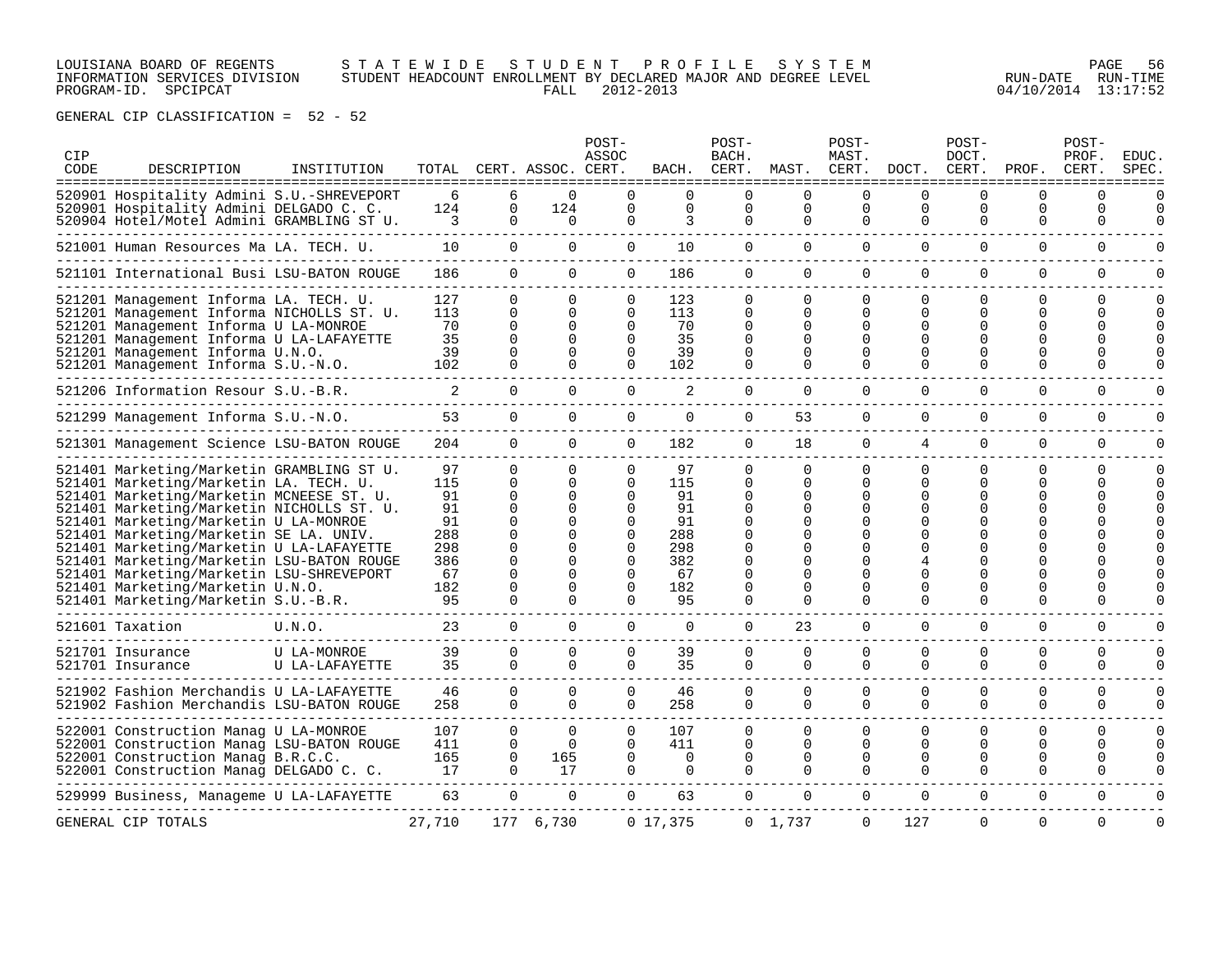### LOUISIANA BOARD OF REGENTS S T A T E W I D E S T U D E N T P R O F I L E S Y S T E M PAGE 56 INFORMATION SERVICES DIVISION STUDENT HEADCOUNT ENROLLMENT BY DECLARED MAJOR AND DEGREE LEVEL RUN-DATE RUN-TIME PROGRAM-ID. SPCIPCAT FALL 2012-2013 04/10/2014 13:17:52

| <b>CIP</b><br>CODE | DESCRIPTION                                                                                                                                                                                                                                                                                                                                                                                                                                                                     | INSTITUTION                   |                                                                     |                                                                                                                                  | TOTAL CERT. ASSOC. CERT.                                     | POST-<br>ASSOC                                                                                                       | BACH.                                                               | POST-<br>BACH.                       | CERT. MAST. CERT. DOCT. CERT.                                        | POST-<br>MAST.                                                                        |                                              | POST-<br>DOCT.                                               | PROF.                                     | POST-<br>PROF.<br>CERT.   | EDUC.<br>SPEC.           |
|--------------------|---------------------------------------------------------------------------------------------------------------------------------------------------------------------------------------------------------------------------------------------------------------------------------------------------------------------------------------------------------------------------------------------------------------------------------------------------------------------------------|-------------------------------|---------------------------------------------------------------------|----------------------------------------------------------------------------------------------------------------------------------|--------------------------------------------------------------|----------------------------------------------------------------------------------------------------------------------|---------------------------------------------------------------------|--------------------------------------|----------------------------------------------------------------------|---------------------------------------------------------------------------------------|----------------------------------------------|--------------------------------------------------------------|-------------------------------------------|---------------------------|--------------------------|
|                    | 520901 Hospitality Admini S.U.-SHREVEPORT<br>520901 Hospitality Admini DELGADO C. C.<br>520904 Hotel/Motel Admini GRAMBLING ST U.                                                                                                                                                                                                                                                                                                                                               |                               | 6<br>124<br>3                                                       | 6<br>$\Omega$<br>$\Omega$                                                                                                        | $\Omega$<br>124<br>$\Omega$                                  | $\Omega$<br>$\Omega$<br>$\Omega$                                                                                     | $\Omega$<br>$\Omega$<br>3                                           | 0<br>$\Omega$<br>$\Omega$            | $\Omega$<br>$\Omega$<br>0                                            | $\Omega$<br>$\Omega$<br>$\Omega$                                                      | $\Omega$<br>$\Omega$<br>$\Omega$             | $\Omega$<br>$\Omega$<br>$\Omega$                             | $\Omega$<br>$\Omega$<br>$\Omega$          | $\Omega$<br>0<br>$\Omega$ | $\Omega$<br>$\Omega$     |
|                    | 521001 Human Resources Ma LA. TECH. U.                                                                                                                                                                                                                                                                                                                                                                                                                                          |                               | 10                                                                  | $\Omega$                                                                                                                         | $\mathbf 0$                                                  | $\overline{0}$                                                                                                       | 10                                                                  | $\overline{0}$                       | $\overline{0}$                                                       | $\mathbf 0$                                                                           | $\mathbf 0$                                  | 0                                                            | $\mathbf 0$                               | $\mathbf 0$               | 0                        |
|                    | 521101 International Busi LSU-BATON ROUGE                                                                                                                                                                                                                                                                                                                                                                                                                                       |                               | 186                                                                 | $\Omega$                                                                                                                         | $\Omega$                                                     | $\Omega$                                                                                                             | 186                                                                 | $\Omega$                             | $\Omega$                                                             | $\Omega$                                                                              | $\Omega$                                     | $\Omega$                                                     | $\Omega$                                  | $\Omega$                  | 0                        |
|                    | 521201 Management Informa LA. TECH. U.<br>521201 Management Informa NICHOLLS ST. U.<br>521201 Management Informa U LA-MONROE<br>521201 Management Informa U LA-LAFAYETTE<br>521201 Management Informa U.N.O.<br>521201 Management Informa S.U.-N.O.                                                                                                                                                                                                                             |                               | 127<br>113<br>70<br>35<br>39<br>102                                 | $\Omega$<br>$\Omega$<br>$\Omega$<br>$\Omega$<br>$\Omega$<br>$\Omega$                                                             | $\Omega$<br>$\Omega$<br><sup>n</sup><br>$\Omega$<br>$\Omega$ | $\Omega$<br>$\Omega$<br>$\Omega$<br>$\Omega$<br>$\Omega$<br>$\Omega$                                                 | 123<br>113<br>70<br>35<br>39<br>102                                 | 0<br>0<br>0<br>0<br>0<br>0           | $\Omega$<br>$\Omega$<br>$\Omega$<br>$\Omega$<br>$\Omega$<br>$\Omega$ | 0<br>0<br>$\Omega$<br>$\Omega$<br>$\Omega$                                            | $\Omega$<br>$\Omega$<br>$\Omega$             | $\Omega$<br>$\Omega$<br>$\Omega$                             | 0<br><sup>0</sup><br>U<br><sup>0</sup>    | 0<br>0<br>U.<br>U         | $\Omega$<br><sup>0</sup> |
|                    | 521206 Information Resour S.U.-B.R.                                                                                                                                                                                                                                                                                                                                                                                                                                             |                               | 2                                                                   | $\Omega$                                                                                                                         | $\Omega$                                                     | $\Omega$                                                                                                             | 2                                                                   | 0                                    | $\Omega$                                                             | $\Omega$                                                                              | $\Omega$                                     | $\Omega$                                                     | $\Omega$                                  | $\Omega$                  |                          |
|                    | 521299 Management Informa S.U.-N.O.                                                                                                                                                                                                                                                                                                                                                                                                                                             |                               | 53                                                                  | $\Omega$                                                                                                                         | $\Omega$                                                     | $\Omega$                                                                                                             | $\Omega$                                                            | 0                                    | 53                                                                   | $\Omega$                                                                              | $\Omega$                                     | $\Omega$                                                     | $\Omega$                                  | $\Omega$                  | U                        |
|                    | 521301 Management Science LSU-BATON ROUGE                                                                                                                                                                                                                                                                                                                                                                                                                                       |                               | 204                                                                 | $\frac{1}{2}$<br>$\Omega$                                                                                                        | $\Omega$                                                     | $\Omega$                                                                                                             | 182                                                                 | 0                                    | 18                                                                   | $\Omega$                                                                              | 4                                            | $\Omega$                                                     | 0                                         | 0                         | O                        |
|                    | 521401 Marketing/Marketin GRAMBLING ST U.<br>521401 Marketing/Marketin LA. TECH. U.<br>521401 Marketing/Marketin MCNEESE ST. U.<br>521401 Marketing/Marketin NICHOLLS ST. U.<br>521401 Marketing/Marketin U LA-MONROE<br>521401 Marketing/Marketin SE LA. UNIV.<br>521401 Marketing/Marketin U LA-LAFAYETTE<br>521401 Marketing/Marketin LSU-BATON ROUGE<br>521401 Marketing/Marketin LSU-SHREVEPORT<br>521401 Marketing/Marketin U.N.O.<br>521401 Marketing/Marketin S.U.-B.R. |                               | 97<br>115<br>91<br>91<br>91<br>288<br>298<br>386<br>67<br>182<br>95 | $\Omega$<br>$\Omega$<br>$\Omega$<br>$\Omega$<br>$\Omega$<br>$\Omega$<br>$\Omega$<br>$\Omega$<br>$\Omega$<br>$\Omega$<br>$\Omega$ | $\Omega$<br>$\Omega$<br>$\Omega$<br>0<br><sup>n</sup>        | $\Omega$<br>$\Omega$<br>$\Omega$<br>$\Omega$<br>$\Omega$<br>$\Omega$<br>$\Omega$<br>$\Omega$<br>$\Omega$<br>$\Omega$ | 97<br>115<br>91<br>91<br>91<br>288<br>298<br>382<br>67<br>182<br>95 | 0<br>0<br>0<br>0<br>0<br>0<br>0<br>0 | $\Omega$<br>$\Omega$<br>0<br>O<br>∩<br>∩<br>$\Omega$<br>$\Omega$     | $\Omega$<br>$\Omega$<br>$\Omega$<br>$\Omega$<br>∩<br>$\Omega$<br>$\Omega$<br>$\Omega$ | $\Omega$<br>∩<br>O<br>$\Omega$               | $\Omega$<br>$\Omega$<br><sup>0</sup><br>$\Omega$<br>$\Omega$ | $\Omega$<br>U<br><sup>0</sup><br>$\Omega$ | 0<br>U<br>0               | ∩                        |
|                    | 521601 Taxation                                                                                                                                                                                                                                                                                                                                                                                                                                                                 | U.N.O.                        | 23                                                                  | $\overline{0}$                                                                                                                   | $\overline{0}$                                               | $\overline{0}$                                                                                                       | 0                                                                   | $\mathbf{0}$                         | 23                                                                   | $\mathbf{0}$                                                                          | 0                                            | 0                                                            | 0                                         | 0                         |                          |
|                    | 521701 Insurance<br>521701 Insurance                                                                                                                                                                                                                                                                                                                                                                                                                                            | U LA-MONROE<br>U LA-LAFAYETTE | 39<br>35                                                            | $\Omega$<br>$\Omega$                                                                                                             | $\Omega$<br>$\Omega$                                         | $\Omega$<br>$\Omega$                                                                                                 | 39<br>35                                                            | $\Omega$<br>0                        | $\Omega$<br>$\Omega$                                                 | $\Omega$<br>$\Omega$                                                                  | $\Omega$<br>$\Omega$                         | $\Omega$<br>$\Omega$                                         | $\Omega$<br>$\Omega$                      | $\Omega$<br>$\Omega$      | 0<br>$\Omega$            |
|                    | 521902 Fashion Merchandis U LA-LAFAYETTE<br>521902 Fashion Merchandis LSU-BATON ROUGE                                                                                                                                                                                                                                                                                                                                                                                           |                               | 46<br>258                                                           | $\Omega$<br>$\Omega$                                                                                                             | $\Omega$<br>$\cap$                                           | $\Omega$<br>$\Omega$                                                                                                 | 46<br>258                                                           | 0<br>$\Omega$                        | $\Omega$<br>$\Omega$                                                 | 0<br>$\Omega$                                                                         | $\Omega$<br>$\Omega$                         | $\Omega$<br>$\Omega$                                         | 0<br>0                                    | 0<br>$\Omega$             | $\Omega$<br>$\Omega$     |
|                    | 522001 Construction Manag U LA-MONROE<br>522001 Construction Manag LSU-BATON ROUGE<br>522001 Construction Manag B.R.C.C.<br>522001 Construction Manag DELGADO C. C.                                                                                                                                                                                                                                                                                                             |                               | 107<br>411<br>165<br>17                                             | $\Omega$<br>0<br>0<br>$\cap$                                                                                                     | $\Omega$<br>$\Omega$<br>165<br>17                            | $\Omega$<br>$\Omega$<br>0<br>$\Omega$                                                                                | 107<br>411<br>$\Omega$<br>0                                         | $\Omega$<br>$\Omega$<br>0<br>0       | $\Omega$<br>$\Omega$<br>0<br>$\Omega$                                | $\Omega$<br>$\Omega$<br>0<br>$\Omega$                                                 | $\Omega$<br>$\Omega$<br>$\Omega$<br>$\Omega$ | $\Omega$<br>0<br>0<br>0                                      | $\Omega$<br>$\Omega$<br>0<br>$\Omega$     | $\Omega$<br>0<br>0<br>0   | $\Omega$<br>$\Omega$     |
|                    | 529999 Business, Manageme U LA-LAFAYETTE                                                                                                                                                                                                                                                                                                                                                                                                                                        |                               | 63                                                                  | $\Omega$                                                                                                                         | $\Omega$                                                     | $\Omega$                                                                                                             | 63                                                                  | $\Omega$                             | $\Omega$                                                             | $\Omega$                                                                              | $\Omega$                                     | $\Omega$                                                     | $\Omega$                                  | $\Omega$                  | U                        |
|                    | GENERAL CIP TOTALS                                                                                                                                                                                                                                                                                                                                                                                                                                                              |                               | 27,710                                                              |                                                                                                                                  | 177 6,730                                                    |                                                                                                                      | 0, 17, 375                                                          |                                      | 0 1,737                                                              | 0                                                                                     | 127                                          | $\Omega$                                                     | $\Omega$                                  | $\Omega$                  | $\Omega$                 |